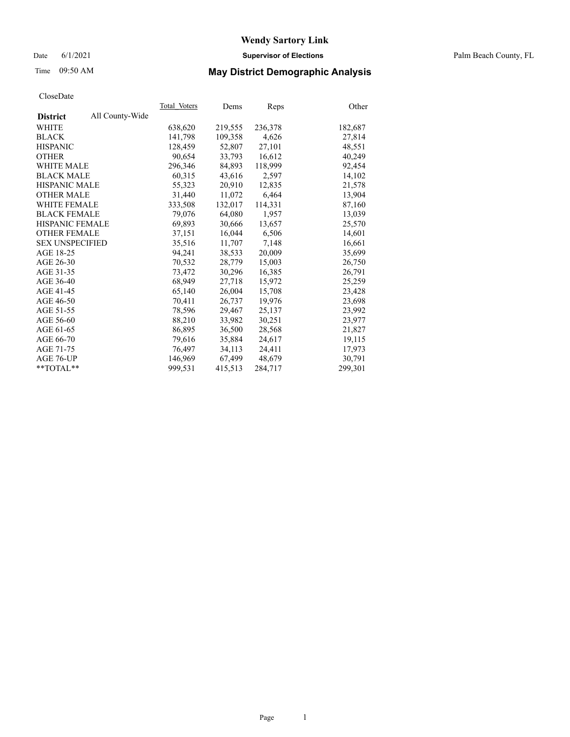## Date 6/1/2021 **Supervisor of Elections** Palm Beach County, FL

# Time 09:50 AM **May District Demographic Analysis**

|                        |                 | Total Voters | Dems    | Reps    | Other   |
|------------------------|-----------------|--------------|---------|---------|---------|
| <b>District</b>        | All County-Wide |              |         |         |         |
| WHITE                  |                 | 638,620      | 219,555 | 236,378 | 182,687 |
| <b>BLACK</b>           |                 | 141,798      | 109,358 | 4,626   | 27,814  |
| <b>HISPANIC</b>        |                 | 128,459      | 52,807  | 27,101  | 48.551  |
| <b>OTHER</b>           |                 | 90,654       | 33,793  | 16,612  | 40,249  |
| <b>WHITE MALE</b>      |                 | 296,346      | 84,893  | 118,999 | 92,454  |
| <b>BLACK MALE</b>      |                 | 60,315       | 43,616  | 2,597   | 14,102  |
| <b>HISPANIC MALE</b>   |                 | 55,323       | 20,910  | 12,835  | 21,578  |
| <b>OTHER MALE</b>      |                 | 31,440       | 11,072  | 6,464   | 13,904  |
| <b>WHITE FEMALE</b>    |                 | 333,508      | 132,017 | 114,331 | 87,160  |
| <b>BLACK FEMALE</b>    |                 | 79,076       | 64,080  | 1.957   | 13,039  |
| <b>HISPANIC FEMALE</b> |                 | 69,893       | 30,666  | 13,657  | 25,570  |
| <b>OTHER FEMALE</b>    |                 | 37,151       | 16,044  | 6,506   | 14,601  |
| <b>SEX UNSPECIFIED</b> |                 | 35,516       | 11,707  | 7,148   | 16,661  |
| AGE 18-25              |                 | 94,241       | 38,533  | 20,009  | 35,699  |
| AGE 26-30              |                 | 70,532       | 28,779  | 15,003  | 26,750  |
| AGE 31-35              |                 | 73,472       | 30,296  | 16,385  | 26,791  |
| AGE 36-40              |                 | 68,949       | 27,718  | 15,972  | 25,259  |
| AGE 41-45              |                 | 65,140       | 26,004  | 15,708  | 23,428  |
| AGE 46-50              |                 | 70,411       | 26,737  | 19,976  | 23,698  |
| AGE 51-55              |                 | 78,596       | 29,467  | 25,137  | 23,992  |
| AGE 56-60              |                 | 88,210       | 33,982  | 30,251  | 23,977  |
| AGE 61-65              |                 | 86,895       | 36,500  | 28,568  | 21,827  |
| AGE 66-70              |                 | 79,616       | 35,884  | 24,617  | 19,115  |
| AGE 71-75              |                 | 76,497       | 34,113  | 24,411  | 17,973  |
| AGE 76-UP              |                 | 146,969      | 67,499  | 48,679  | 30,791  |
| $*$ $TOTAL**$          |                 | 999,531      | 415,513 | 284,717 | 299,301 |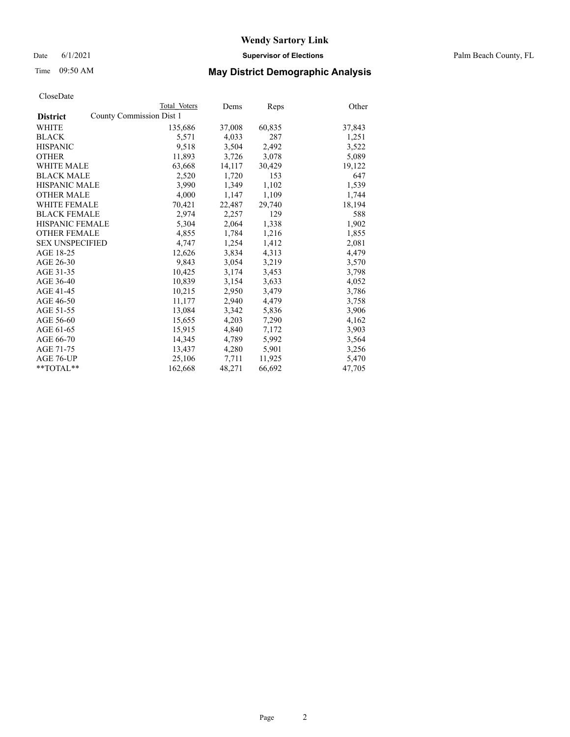Date 6/1/2021 **Supervisor of Elections** Palm Beach County, FL

# Time 09:50 AM **May District Demographic Analysis**

|                                             | Total Voters | Dems   | <b>Reps</b> | Other  |
|---------------------------------------------|--------------|--------|-------------|--------|
| County Commission Dist 1<br><b>District</b> |              |        |             |        |
| WHITE                                       | 135,686      | 37,008 | 60,835      | 37,843 |
| <b>BLACK</b>                                | 5,571        | 4,033  | 287         | 1,251  |
| <b>HISPANIC</b>                             | 9,518        | 3,504  | 2,492       | 3,522  |
| <b>OTHER</b>                                | 11,893       | 3,726  | 3,078       | 5,089  |
| <b>WHITE MALE</b>                           | 63,668       | 14,117 | 30,429      | 19,122 |
| <b>BLACK MALE</b>                           | 2,520        | 1,720  | 153         | 647    |
| <b>HISPANIC MALE</b>                        | 3,990        | 1,349  | 1,102       | 1,539  |
| <b>OTHER MALE</b>                           | 4,000        | 1,147  | 1,109       | 1,744  |
| <b>WHITE FEMALE</b>                         | 70,421       | 22,487 | 29,740      | 18,194 |
| <b>BLACK FEMALE</b>                         | 2,974        | 2,257  | 129         | 588    |
| HISPANIC FEMALE                             | 5,304        | 2,064  | 1,338       | 1,902  |
| <b>OTHER FEMALE</b>                         | 4,855        | 1,784  | 1,216       | 1,855  |
| <b>SEX UNSPECIFIED</b>                      | 4.747        | 1,254  | 1,412       | 2,081  |
| AGE 18-25                                   | 12,626       | 3,834  | 4,313       | 4,479  |
| AGE 26-30                                   | 9,843        | 3,054  | 3,219       | 3,570  |
| AGE 31-35                                   | 10,425       | 3,174  | 3,453       | 3,798  |
| AGE 36-40                                   | 10,839       | 3,154  | 3,633       | 4,052  |
| AGE 41-45                                   | 10,215       | 2,950  | 3,479       | 3,786  |
| AGE 46-50                                   | 11,177       | 2,940  | 4,479       | 3,758  |
| AGE 51-55                                   | 13,084       | 3,342  | 5,836       | 3,906  |
| AGE 56-60                                   | 15,655       | 4,203  | 7,290       | 4,162  |
| AGE 61-65                                   | 15,915       | 4,840  | 7,172       | 3,903  |
| AGE 66-70                                   | 14,345       | 4,789  | 5,992       | 3,564  |
| AGE 71-75                                   | 13,437       | 4,280  | 5,901       | 3,256  |
| AGE 76-UP                                   | 25,106       | 7,711  | 11,925      | 5,470  |
| $*$ TOTAL $*$                               | 162,668      | 48,271 | 66,692      | 47,705 |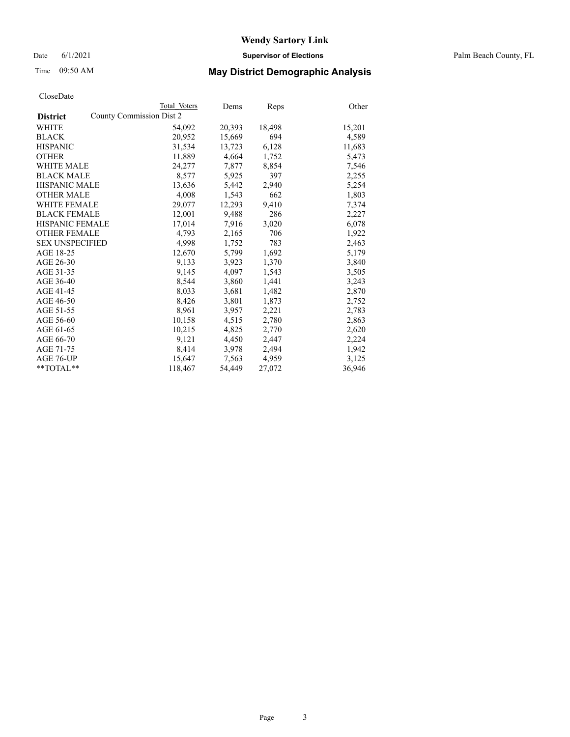Date 6/1/2021 **Supervisor of Elections** Palm Beach County, FL

# Time 09:50 AM **May District Demographic Analysis**

|                        | Total Voters             | Dems   | <b>Reps</b> | Other  |
|------------------------|--------------------------|--------|-------------|--------|
| <b>District</b>        | County Commission Dist 2 |        |             |        |
| WHITE                  | 54,092                   | 20,393 | 18,498      | 15,201 |
| <b>BLACK</b>           | 20.952                   | 15,669 | 694         | 4,589  |
| <b>HISPANIC</b>        | 31,534                   | 13,723 | 6,128       | 11,683 |
| <b>OTHER</b>           | 11,889                   | 4,664  | 1,752       | 5,473  |
| <b>WHITE MALE</b>      | 24,277                   | 7,877  | 8,854       | 7,546  |
| <b>BLACK MALE</b>      | 8,577                    | 5,925  | 397         | 2,255  |
| <b>HISPANIC MALE</b>   | 13,636                   | 5,442  | 2,940       | 5,254  |
| <b>OTHER MALE</b>      | 4,008                    | 1,543  | 662         | 1,803  |
| <b>WHITE FEMALE</b>    | 29,077                   | 12,293 | 9,410       | 7,374  |
| <b>BLACK FEMALE</b>    | 12,001                   | 9,488  | 286         | 2,227  |
| <b>HISPANIC FEMALE</b> | 17,014                   | 7,916  | 3,020       | 6,078  |
| <b>OTHER FEMALE</b>    | 4,793                    | 2,165  | 706         | 1,922  |
| <b>SEX UNSPECIFIED</b> | 4,998                    | 1,752  | 783         | 2,463  |
| AGE 18-25              | 12,670                   | 5,799  | 1,692       | 5,179  |
| AGE 26-30              | 9,133                    | 3,923  | 1,370       | 3,840  |
| AGE 31-35              | 9,145                    | 4,097  | 1,543       | 3,505  |
| AGE 36-40              | 8,544                    | 3,860  | 1,441       | 3,243  |
| AGE 41-45              | 8,033                    | 3,681  | 1,482       | 2,870  |
| AGE 46-50              | 8,426                    | 3,801  | 1,873       | 2,752  |
| AGE 51-55              | 8,961                    | 3,957  | 2,221       | 2,783  |
| AGE 56-60              | 10,158                   | 4,515  | 2,780       | 2,863  |
| AGE 61-65              | 10,215                   | 4,825  | 2,770       | 2,620  |
| AGE 66-70              | 9,121                    | 4,450  | 2,447       | 2,224  |
| AGE 71-75              | 8,414                    | 3,978  | 2,494       | 1,942  |
| AGE 76-UP              | 15,647                   | 7,563  | 4,959       | 3,125  |
| **TOTAL**              | 118,467                  | 54,449 | 27,072      | 36,946 |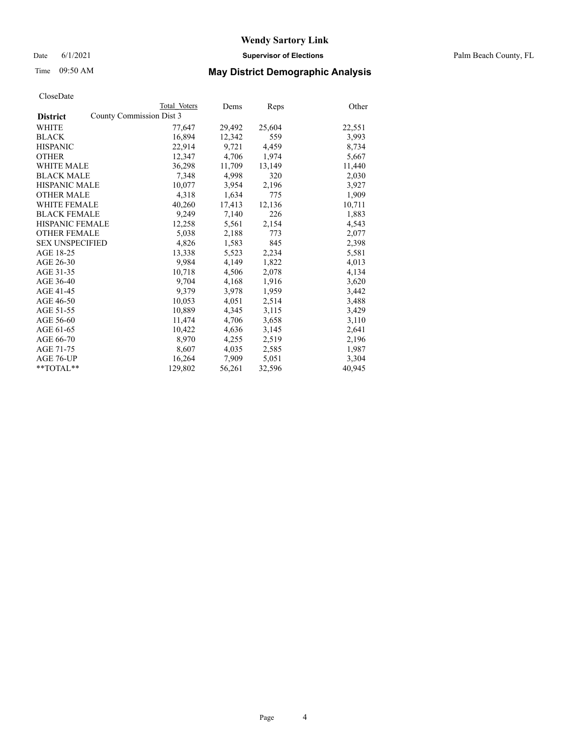Date 6/1/2021 **Supervisor of Elections** Palm Beach County, FL

# Time 09:50 AM **May District Demographic Analysis**

|                                             | Total Voters | Dems   | <b>Reps</b> | Other  |
|---------------------------------------------|--------------|--------|-------------|--------|
| County Commission Dist 3<br><b>District</b> |              |        |             |        |
| WHITE                                       | 77,647       | 29,492 | 25,604      | 22,551 |
| <b>BLACK</b>                                | 16,894       | 12,342 | 559         | 3,993  |
| <b>HISPANIC</b>                             | 22,914       | 9,721  | 4,459       | 8,734  |
| <b>OTHER</b>                                | 12,347       | 4,706  | 1,974       | 5,667  |
| <b>WHITE MALE</b>                           | 36,298       | 11,709 | 13,149      | 11,440 |
| <b>BLACK MALE</b>                           | 7,348        | 4,998  | 320         | 2,030  |
| <b>HISPANIC MALE</b>                        | 10,077       | 3,954  | 2,196       | 3,927  |
| <b>OTHER MALE</b>                           | 4,318        | 1,634  | 775         | 1,909  |
| <b>WHITE FEMALE</b>                         | 40,260       | 17,413 | 12,136      | 10,711 |
| <b>BLACK FEMALE</b>                         | 9,249        | 7,140  | 226         | 1,883  |
| HISPANIC FEMALE                             | 12,258       | 5,561  | 2,154       | 4,543  |
| <b>OTHER FEMALE</b>                         | 5,038        | 2,188  | 773         | 2,077  |
| <b>SEX UNSPECIFIED</b>                      | 4,826        | 1,583  | 845         | 2,398  |
| AGE 18-25                                   | 13,338       | 5,523  | 2,234       | 5,581  |
| AGE 26-30                                   | 9,984        | 4,149  | 1,822       | 4,013  |
| AGE 31-35                                   | 10,718       | 4,506  | 2,078       | 4,134  |
| AGE 36-40                                   | 9,704        | 4,168  | 1,916       | 3,620  |
| AGE 41-45                                   | 9.379        | 3,978  | 1,959       | 3,442  |
| AGE 46-50                                   | 10,053       | 4,051  | 2,514       | 3,488  |
| AGE 51-55                                   | 10,889       | 4,345  | 3,115       | 3,429  |
| AGE 56-60                                   | 11,474       | 4,706  | 3,658       | 3,110  |
| AGE 61-65                                   | 10,422       | 4,636  | 3,145       | 2,641  |
| AGE 66-70                                   | 8,970        | 4,255  | 2,519       | 2,196  |
| AGE 71-75                                   | 8,607        | 4,035  | 2,585       | 1,987  |
| AGE 76-UP                                   | 16,264       | 7,909  | 5,051       | 3,304  |
| $*$ TOTAL $*$                               | 129,802      | 56,261 | 32,596      | 40,945 |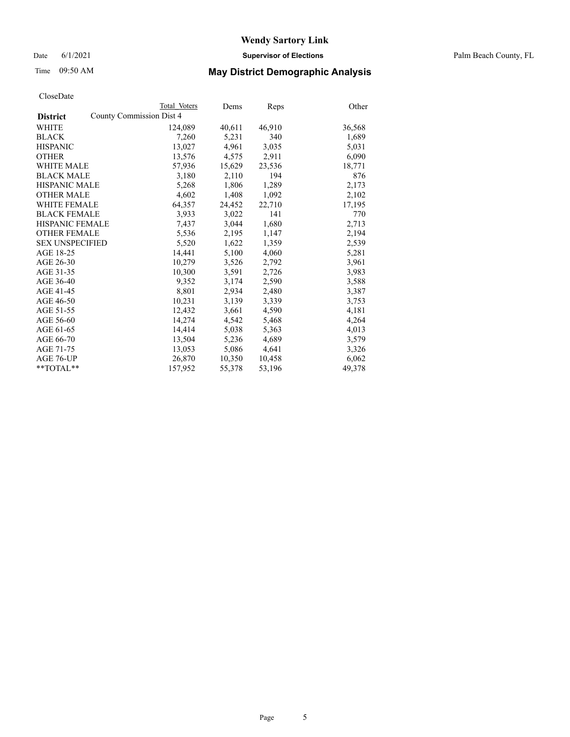Date 6/1/2021 **Supervisor of Elections** Palm Beach County, FL

## Time 09:50 AM **May District Demographic Analysis**

| Total Voters                                                                                                                                                                                          | Dems                            | Reps   | Other  |
|-------------------------------------------------------------------------------------------------------------------------------------------------------------------------------------------------------|---------------------------------|--------|--------|
|                                                                                                                                                                                                       |                                 |        |        |
| 124,089                                                                                                                                                                                               | 40,611                          | 46,910 | 36,568 |
| 7,260                                                                                                                                                                                                 | 5,231                           | 340    | 1,689  |
| 13,027                                                                                                                                                                                                | 4.961                           | 3,035  | 5,031  |
| 13,576                                                                                                                                                                                                | 4,575                           | 2,911  | 6,090  |
| 57,936                                                                                                                                                                                                | 15,629                          | 23,536 | 18,771 |
| 3,180                                                                                                                                                                                                 | 2,110                           | 194    | 876    |
| 5,268                                                                                                                                                                                                 | 1,806                           | 1,289  | 2,173  |
| 4,602                                                                                                                                                                                                 | 1,408                           | 1,092  | 2,102  |
| 64,357                                                                                                                                                                                                | 24,452                          | 22,710 | 17,195 |
| 3,933                                                                                                                                                                                                 | 3.022                           | 141    | 770    |
| 7,437                                                                                                                                                                                                 | 3,044                           | 1,680  | 2,713  |
| 5,536                                                                                                                                                                                                 | 2,195                           | 1,147  | 2,194  |
| 5,520                                                                                                                                                                                                 | 1,622                           | 1.359  | 2,539  |
| 14,441                                                                                                                                                                                                | 5,100                           | 4,060  | 5,281  |
| 10,279                                                                                                                                                                                                | 3,526                           | 2,792  | 3,961  |
| 10,300                                                                                                                                                                                                | 3,591                           | 2,726  | 3,983  |
| 9,352                                                                                                                                                                                                 | 3,174                           | 2,590  | 3,588  |
| 8,801                                                                                                                                                                                                 | 2,934                           | 2,480  | 3,387  |
| 10,231                                                                                                                                                                                                | 3,139                           | 3,339  | 3,753  |
| 12.432                                                                                                                                                                                                | 3,661                           | 4,590  | 4,181  |
| 14,274                                                                                                                                                                                                | 4,542                           | 5,468  | 4,264  |
| 14,414                                                                                                                                                                                                | 5,038                           | 5,363  | 4,013  |
| 13,504                                                                                                                                                                                                | 5,236                           | 4,689  | 3,579  |
| 13,053                                                                                                                                                                                                | 5,086                           | 4,641  | 3,326  |
| 26,870                                                                                                                                                                                                | 10,350                          | 10,458 | 6,062  |
| 157,952                                                                                                                                                                                               | 55,378                          | 53,196 | 49,378 |
| <b>WHITE MALE</b><br><b>BLACK MALE</b><br><b>HISPANIC MALE</b><br><b>OTHER MALE</b><br><b>WHITE FEMALE</b><br><b>BLACK FEMALE</b><br>HISPANIC FEMALE<br><b>OTHER FEMALE</b><br><b>SEX UNSPECIFIED</b> | <b>County Commission Dist 4</b> |        |        |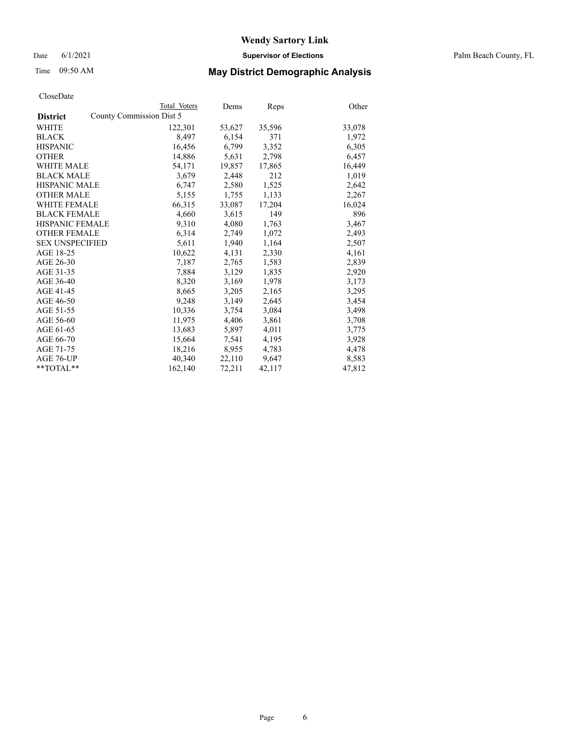Date 6/1/2021 **Supervisor of Elections** Palm Beach County, FL

# Time 09:50 AM **May District Demographic Analysis**

|                        | Total Voters             | Dems   | Reps   | Other  |
|------------------------|--------------------------|--------|--------|--------|
| <b>District</b>        | County Commission Dist 5 |        |        |        |
| WHITE                  | 122,301                  | 53,627 | 35,596 | 33,078 |
| <b>BLACK</b>           | 8,497                    | 6,154  | 371    | 1,972  |
| <b>HISPANIC</b>        | 16,456                   | 6,799  | 3,352  | 6,305  |
| <b>OTHER</b>           | 14,886                   | 5,631  | 2,798  | 6,457  |
| <b>WHITE MALE</b>      | 54,171                   | 19,857 | 17,865 | 16,449 |
| <b>BLACK MALE</b>      | 3,679                    | 2,448  | 212    | 1,019  |
| <b>HISPANIC MALE</b>   | 6,747                    | 2,580  | 1,525  | 2,642  |
| <b>OTHER MALE</b>      | 5,155                    | 1,755  | 1,133  | 2,267  |
| <b>WHITE FEMALE</b>    | 66,315                   | 33,087 | 17,204 | 16,024 |
| <b>BLACK FEMALE</b>    | 4,660                    | 3,615  | 149    | 896    |
| <b>HISPANIC FEMALE</b> | 9,310                    | 4,080  | 1,763  | 3,467  |
| <b>OTHER FEMALE</b>    | 6,314                    | 2,749  | 1,072  | 2,493  |
| <b>SEX UNSPECIFIED</b> | 5,611                    | 1,940  | 1,164  | 2,507  |
| AGE 18-25              | 10,622                   | 4,131  | 2,330  | 4,161  |
| AGE 26-30              | 7,187                    | 2,765  | 1,583  | 2,839  |
| AGE 31-35              | 7,884                    | 3,129  | 1,835  | 2,920  |
| AGE 36-40              | 8,320                    | 3,169  | 1,978  | 3,173  |
| AGE 41-45              | 8,665                    | 3,205  | 2,165  | 3,295  |
| AGE 46-50              | 9,248                    | 3,149  | 2,645  | 3,454  |
| AGE 51-55              | 10,336                   | 3,754  | 3,084  | 3,498  |
| AGE 56-60              | 11,975                   | 4,406  | 3,861  | 3,708  |
| AGE 61-65              | 13,683                   | 5,897  | 4,011  | 3,775  |
| AGE 66-70              | 15,664                   | 7,541  | 4,195  | 3,928  |
| AGE 71-75              | 18,216                   | 8,955  | 4,783  | 4,478  |
| AGE 76-UP              | 40,340                   | 22,110 | 9,647  | 8,583  |
| **TOTAL**              | 162,140                  | 72,211 | 42,117 | 47,812 |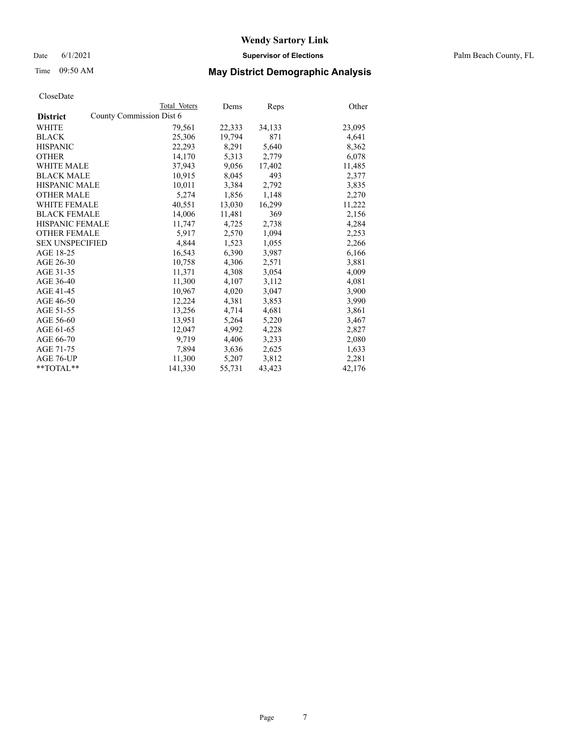Date 6/1/2021 **Supervisor of Elections** Palm Beach County, FL

# Time 09:50 AM **May District Demographic Analysis**

|                                             | Total Voters | Dems   | <b>Reps</b> | Other  |
|---------------------------------------------|--------------|--------|-------------|--------|
| County Commission Dist 6<br><b>District</b> |              |        |             |        |
| WHITE                                       | 79,561       | 22,333 | 34,133      | 23,095 |
| <b>BLACK</b>                                | 25,306       | 19,794 | 871         | 4,641  |
| <b>HISPANIC</b>                             | 22,293       | 8,291  | 5,640       | 8,362  |
| <b>OTHER</b>                                | 14,170       | 5,313  | 2,779       | 6,078  |
| <b>WHITE MALE</b>                           | 37.943       | 9,056  | 17,402      | 11,485 |
| <b>BLACK MALE</b>                           | 10,915       | 8,045  | 493         | 2,377  |
| <b>HISPANIC MALE</b>                        | 10,011       | 3,384  | 2,792       | 3,835  |
| <b>OTHER MALE</b>                           | 5,274        | 1,856  | 1,148       | 2,270  |
| <b>WHITE FEMALE</b>                         | 40,551       | 13,030 | 16,299      | 11,222 |
| <b>BLACK FEMALE</b>                         | 14,006       | 11,481 | 369         | 2,156  |
| <b>HISPANIC FEMALE</b>                      | 11,747       | 4,725  | 2,738       | 4,284  |
| <b>OTHER FEMALE</b>                         | 5,917        | 2,570  | 1,094       | 2,253  |
| <b>SEX UNSPECIFIED</b>                      | 4,844        | 1,523  | 1,055       | 2,266  |
| AGE 18-25                                   | 16,543       | 6,390  | 3,987       | 6,166  |
| AGE 26-30                                   | 10,758       | 4,306  | 2,571       | 3,881  |
| AGE 31-35                                   | 11,371       | 4,308  | 3,054       | 4,009  |
| AGE 36-40                                   | 11,300       | 4,107  | 3,112       | 4,081  |
| AGE 41-45                                   | 10.967       | 4,020  | 3,047       | 3,900  |
| AGE 46-50                                   | 12,224       | 4,381  | 3,853       | 3,990  |
| AGE 51-55                                   | 13,256       | 4,714  | 4,681       | 3,861  |
| AGE 56-60                                   | 13,951       | 5,264  | 5,220       | 3,467  |
| AGE 61-65                                   | 12,047       | 4,992  | 4,228       | 2,827  |
| AGE 66-70                                   | 9,719        | 4,406  | 3,233       | 2,080  |
| AGE 71-75                                   | 7,894        | 3,636  | 2,625       | 1,633  |
| AGE 76-UP                                   | 11,300       | 5,207  | 3,812       | 2,281  |
| $*$ TOTAL $*$                               | 141,330      | 55,731 | 43,423      | 42,176 |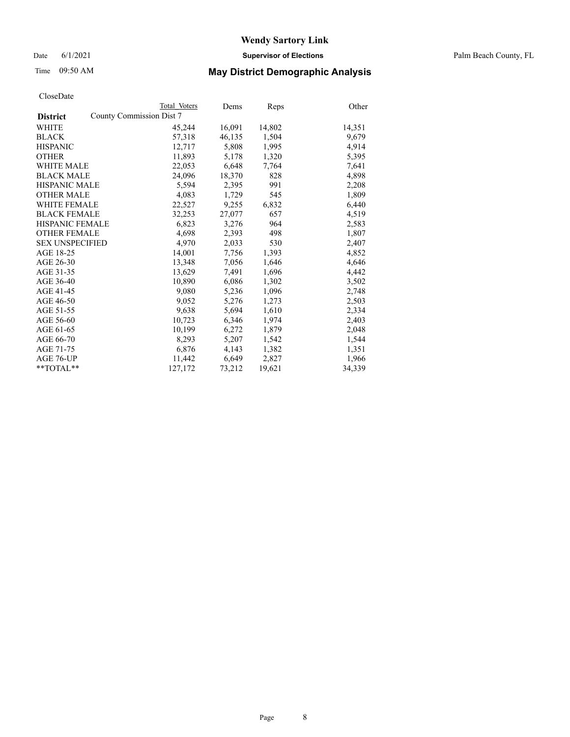Date 6/1/2021 **Supervisor of Elections** Palm Beach County, FL

## Time 09:50 AM **May District Demographic Analysis**

|                        | Total Voters             | Dems   | Reps   | Other  |
|------------------------|--------------------------|--------|--------|--------|
| <b>District</b>        | County Commission Dist 7 |        |        |        |
| WHITE                  | 45,244                   | 16,091 | 14,802 | 14,351 |
| <b>BLACK</b>           | 57,318                   | 46,135 | 1,504  | 9,679  |
| <b>HISPANIC</b>        | 12,717                   | 5.808  | 1,995  | 4,914  |
| <b>OTHER</b>           | 11,893                   | 5,178  | 1,320  | 5,395  |
| <b>WHITE MALE</b>      | 22,053                   | 6,648  | 7,764  | 7,641  |
| <b>BLACK MALE</b>      | 24,096                   | 18,370 | 828    | 4,898  |
| <b>HISPANIC MALE</b>   | 5,594                    | 2,395  | 991    | 2,208  |
| <b>OTHER MALE</b>      | 4,083                    | 1,729  | 545    | 1,809  |
| <b>WHITE FEMALE</b>    | 22,527                   | 9,255  | 6,832  | 6,440  |
| <b>BLACK FEMALE</b>    | 32,253                   | 27,077 | 657    | 4,519  |
| <b>HISPANIC FEMALE</b> | 6,823                    | 3,276  | 964    | 2,583  |
| <b>OTHER FEMALE</b>    | 4,698                    | 2,393  | 498    | 1,807  |
| <b>SEX UNSPECIFIED</b> | 4,970                    | 2,033  | 530    | 2,407  |
| AGE 18-25              | 14,001                   | 7,756  | 1,393  | 4,852  |
| AGE 26-30              | 13,348                   | 7,056  | 1,646  | 4,646  |
| AGE 31-35              | 13,629                   | 7,491  | 1,696  | 4,442  |
| AGE 36-40              | 10,890                   | 6,086  | 1,302  | 3,502  |
| AGE 41-45              | 9,080                    | 5,236  | 1,096  | 2,748  |
| AGE 46-50              | 9,052                    | 5,276  | 1,273  | 2,503  |
| AGE 51-55              | 9,638                    | 5,694  | 1,610  | 2,334  |
| AGE 56-60              | 10,723                   | 6,346  | 1,974  | 2,403  |
| AGE 61-65              | 10,199                   | 6,272  | 1,879  | 2,048  |
| AGE 66-70              | 8,293                    | 5,207  | 1,542  | 1,544  |
| AGE 71-75              | 6,876                    | 4,143  | 1,382  | 1,351  |
| AGE 76-UP              | 11,442                   | 6,649  | 2,827  | 1,966  |
| **TOTAL**              | 127,172                  | 73,212 | 19,621 | 34,339 |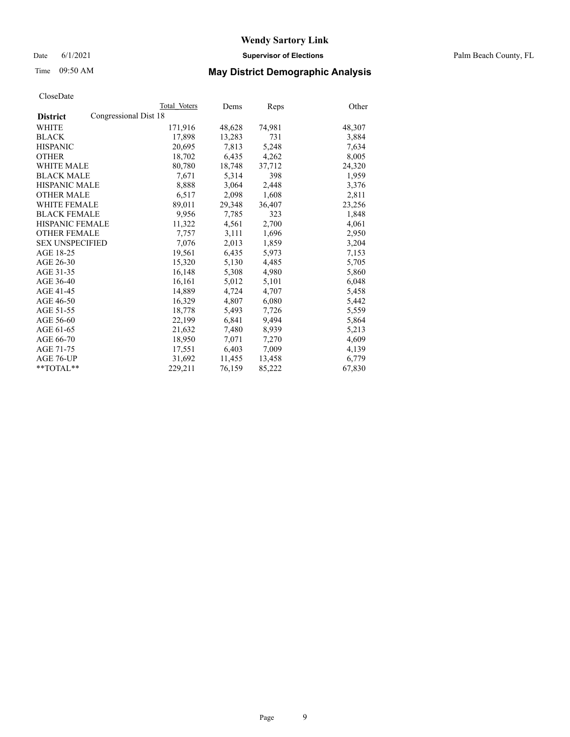Date 6/1/2021 **Supervisor of Elections** Palm Beach County, FL

# Time 09:50 AM **May District Demographic Analysis**

|                                          | Total Voters | Dems   | <b>Reps</b> | Other  |
|------------------------------------------|--------------|--------|-------------|--------|
| Congressional Dist 18<br><b>District</b> |              |        |             |        |
| WHITE                                    | 171,916      | 48,628 | 74,981      | 48,307 |
| <b>BLACK</b>                             | 17,898       | 13,283 | 731         | 3,884  |
| <b>HISPANIC</b>                          | 20.695       | 7,813  | 5,248       | 7,634  |
| <b>OTHER</b>                             | 18,702       | 6,435  | 4,262       | 8,005  |
| <b>WHITE MALE</b>                        | 80,780       | 18,748 | 37,712      | 24,320 |
| <b>BLACK MALE</b>                        | 7,671        | 5,314  | 398         | 1,959  |
| <b>HISPANIC MALE</b>                     | 8,888        | 3,064  | 2,448       | 3,376  |
| <b>OTHER MALE</b>                        | 6,517        | 2,098  | 1,608       | 2,811  |
| <b>WHITE FEMALE</b>                      | 89,011       | 29,348 | 36,407      | 23,256 |
| <b>BLACK FEMALE</b>                      | 9.956        | 7,785  | 323         | 1,848  |
| HISPANIC FEMALE                          | 11,322       | 4,561  | 2,700       | 4,061  |
| <b>OTHER FEMALE</b>                      | 7,757        | 3,111  | 1,696       | 2,950  |
| <b>SEX UNSPECIFIED</b>                   | 7,076        | 2,013  | 1,859       | 3,204  |
| AGE 18-25                                | 19,561       | 6,435  | 5,973       | 7,153  |
| AGE 26-30                                | 15,320       | 5,130  | 4,485       | 5,705  |
| AGE 31-35                                | 16,148       | 5,308  | 4,980       | 5,860  |
| AGE 36-40                                | 16,161       | 5,012  | 5,101       | 6,048  |
| AGE 41-45                                | 14,889       | 4,724  | 4,707       | 5,458  |
| AGE 46-50                                | 16,329       | 4,807  | 6,080       | 5,442  |
| AGE 51-55                                | 18,778       | 5,493  | 7,726       | 5,559  |
| AGE 56-60                                | 22,199       | 6,841  | 9,494       | 5,864  |
| AGE 61-65                                | 21,632       | 7,480  | 8,939       | 5,213  |
| AGE 66-70                                | 18,950       | 7,071  | 7,270       | 4,609  |
| AGE 71-75                                | 17,551       | 6,403  | 7,009       | 4,139  |
| AGE 76-UP                                | 31,692       | 11,455 | 13,458      | 6,779  |
| $*$ $TOTAL**$                            | 229,211      | 76,159 | 85,222      | 67,830 |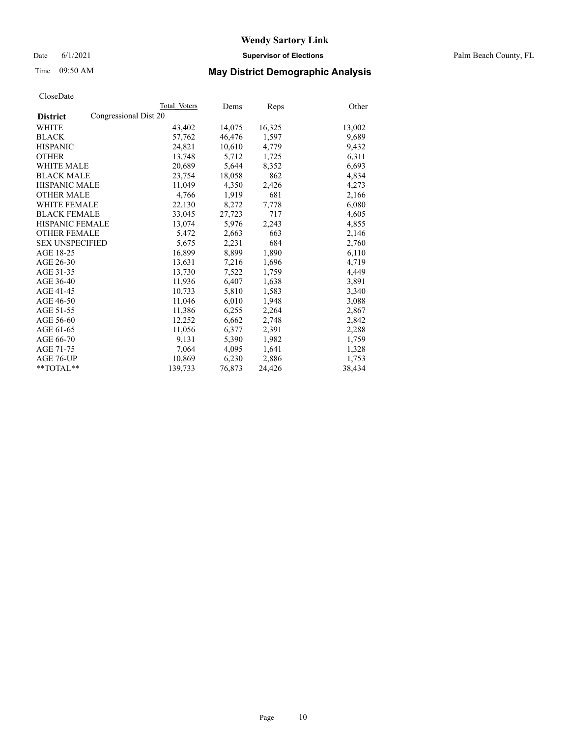Date 6/1/2021 **Supervisor of Elections** Palm Beach County, FL

# Time 09:50 AM **May District Demographic Analysis**

|                                          | Total Voters | Dems   | <b>Reps</b> | Other  |
|------------------------------------------|--------------|--------|-------------|--------|
| Congressional Dist 20<br><b>District</b> |              |        |             |        |
| WHITE                                    | 43,402       | 14,075 | 16,325      | 13,002 |
| <b>BLACK</b>                             | 57,762       | 46,476 | 1,597       | 9,689  |
| <b>HISPANIC</b>                          | 24,821       | 10,610 | 4,779       | 9,432  |
| <b>OTHER</b>                             | 13.748       | 5,712  | 1,725       | 6,311  |
| <b>WHITE MALE</b>                        | 20,689       | 5,644  | 8,352       | 6,693  |
| <b>BLACK MALE</b>                        | 23,754       | 18,058 | 862         | 4,834  |
| <b>HISPANIC MALE</b>                     | 11,049       | 4,350  | 2,426       | 4,273  |
| <b>OTHER MALE</b>                        | 4,766        | 1,919  | 681         | 2,166  |
| <b>WHITE FEMALE</b>                      | 22,130       | 8,272  | 7,778       | 6,080  |
| <b>BLACK FEMALE</b>                      | 33,045       | 27,723 | 717         | 4,605  |
| <b>HISPANIC FEMALE</b>                   | 13,074       | 5,976  | 2,243       | 4,855  |
| <b>OTHER FEMALE</b>                      | 5,472        | 2,663  | 663         | 2,146  |
| <b>SEX UNSPECIFIED</b>                   | 5,675        | 2,231  | 684         | 2,760  |
| AGE 18-25                                | 16,899       | 8,899  | 1,890       | 6,110  |
| AGE 26-30                                | 13,631       | 7,216  | 1,696       | 4,719  |
| AGE 31-35                                | 13,730       | 7,522  | 1,759       | 4,449  |
| AGE 36-40                                | 11,936       | 6,407  | 1,638       | 3,891  |
| AGE 41-45                                | 10,733       | 5,810  | 1,583       | 3,340  |
| AGE 46-50                                | 11,046       | 6,010  | 1,948       | 3,088  |
| AGE 51-55                                | 11,386       | 6,255  | 2,264       | 2,867  |
| AGE 56-60                                | 12,252       | 6,662  | 2,748       | 2,842  |
| AGE 61-65                                | 11,056       | 6,377  | 2,391       | 2,288  |
| AGE 66-70                                | 9,131        | 5,390  | 1,982       | 1,759  |
| AGE 71-75                                | 7,064        | 4,095  | 1,641       | 1,328  |
| AGE 76-UP                                | 10,869       | 6,230  | 2,886       | 1,753  |
| $*$ $TOTAL**$                            | 139,733      | 76,873 | 24,426      | 38,434 |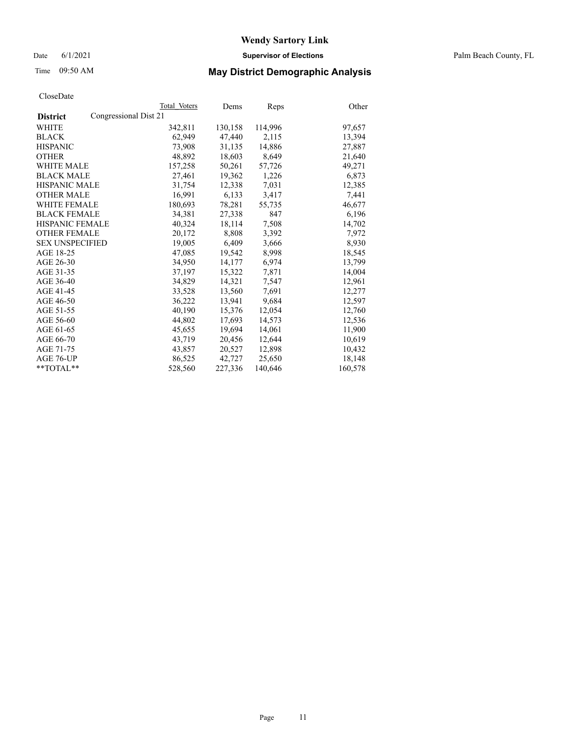Date 6/1/2021 **Supervisor of Elections** Palm Beach County, FL

# Time 09:50 AM **May District Demographic Analysis**

|                                          | Total Voters | Dems    | Reps    | Other   |
|------------------------------------------|--------------|---------|---------|---------|
| Congressional Dist 21<br><b>District</b> |              |         |         |         |
| WHITE                                    | 342,811      | 130,158 | 114,996 | 97,657  |
| <b>BLACK</b>                             | 62,949       | 47,440  | 2,115   | 13,394  |
| <b>HISPANIC</b>                          | 73.908       | 31.135  | 14,886  | 27,887  |
| <b>OTHER</b>                             | 48,892       | 18,603  | 8,649   | 21,640  |
| <b>WHITE MALE</b>                        | 157,258      | 50,261  | 57,726  | 49,271  |
| <b>BLACK MALE</b>                        | 27,461       | 19,362  | 1,226   | 6,873   |
| <b>HISPANIC MALE</b>                     | 31,754       | 12,338  | 7,031   | 12,385  |
| <b>OTHER MALE</b>                        | 16.991       | 6,133   | 3,417   | 7,441   |
| <b>WHITE FEMALE</b>                      | 180,693      | 78,281  | 55,735  | 46,677  |
| <b>BLACK FEMALE</b>                      | 34,381       | 27,338  | 847     | 6,196   |
| <b>HISPANIC FEMALE</b>                   | 40,324       | 18,114  | 7,508   | 14,702  |
| <b>OTHER FEMALE</b>                      | 20,172       | 8,808   | 3,392   | 7,972   |
| <b>SEX UNSPECIFIED</b>                   | 19,005       | 6,409   | 3,666   | 8,930   |
| AGE 18-25                                | 47,085       | 19,542  | 8,998   | 18,545  |
| AGE 26-30                                | 34,950       | 14.177  | 6.974   | 13,799  |
| AGE 31-35                                | 37,197       | 15,322  | 7,871   | 14,004  |
| AGE 36-40                                | 34,829       | 14,321  | 7,547   | 12,961  |
| AGE 41-45                                | 33,528       | 13,560  | 7,691   | 12,277  |
| AGE 46-50                                | 36,222       | 13,941  | 9,684   | 12,597  |
| AGE 51-55                                | 40.190       | 15,376  | 12,054  | 12,760  |
| AGE 56-60                                | 44,802       | 17,693  | 14,573  | 12,536  |
| AGE 61-65                                | 45,655       | 19,694  | 14,061  | 11,900  |
| AGE 66-70                                | 43,719       | 20,456  | 12,644  | 10,619  |
| AGE 71-75                                | 43,857       | 20,527  | 12,898  | 10,432  |
| AGE 76-UP                                | 86,525       | 42,727  | 25,650  | 18,148  |
| $*$ $TOTAL**$                            | 528,560      | 227,336 | 140,646 | 160,578 |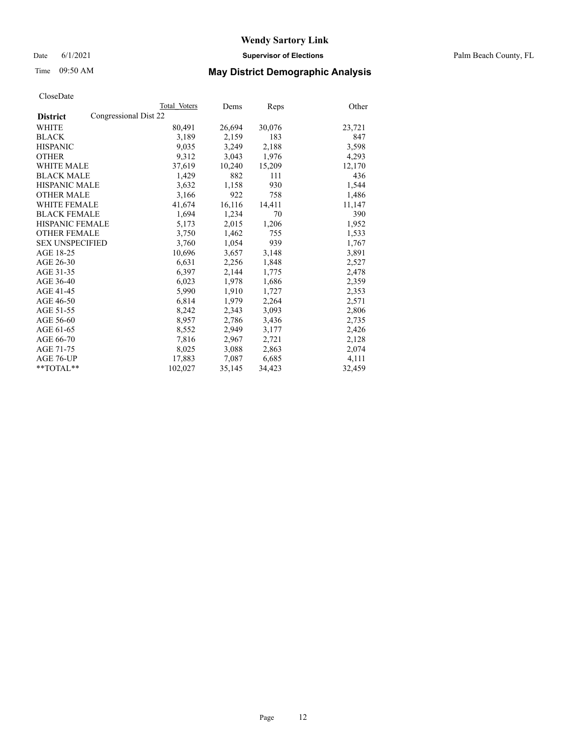Date 6/1/2021 **Supervisor of Elections** Palm Beach County, FL

# Time 09:50 AM **May District Demographic Analysis**

|                                          | Total Voters | Dems   | <b>Reps</b> | Other  |
|------------------------------------------|--------------|--------|-------------|--------|
| Congressional Dist 22<br><b>District</b> |              |        |             |        |
| WHITE                                    | 80,491       | 26,694 | 30,076      | 23,721 |
| <b>BLACK</b>                             | 3,189        | 2,159  | 183         | 847    |
| <b>HISPANIC</b>                          | 9,035        | 3,249  | 2,188       | 3,598  |
| <b>OTHER</b>                             | 9,312        | 3,043  | 1,976       | 4,293  |
| <b>WHITE MALE</b>                        | 37,619       | 10,240 | 15,209      | 12,170 |
| <b>BLACK MALE</b>                        | 1,429        | 882    | 111         | 436    |
| <b>HISPANIC MALE</b>                     | 3,632        | 1,158  | 930         | 1,544  |
| <b>OTHER MALE</b>                        | 3,166        | 922    | 758         | 1,486  |
| <b>WHITE FEMALE</b>                      | 41,674       | 16,116 | 14,411      | 11,147 |
| <b>BLACK FEMALE</b>                      | 1,694        | 1,234  | 70          | 390    |
| <b>HISPANIC FEMALE</b>                   | 5,173        | 2,015  | 1,206       | 1,952  |
| <b>OTHER FEMALE</b>                      | 3,750        | 1,462  | 755         | 1,533  |
| <b>SEX UNSPECIFIED</b>                   | 3,760        | 1,054  | 939         | 1,767  |
| AGE 18-25                                | 10,696       | 3,657  | 3,148       | 3,891  |
| AGE 26-30                                | 6,631        | 2,256  | 1,848       | 2,527  |
| AGE 31-35                                | 6,397        | 2,144  | 1,775       | 2,478  |
| AGE 36-40                                | 6,023        | 1,978  | 1,686       | 2,359  |
| AGE 41-45                                | 5,990        | 1,910  | 1,727       | 2,353  |
| AGE 46-50                                | 6,814        | 1,979  | 2,264       | 2,571  |
| AGE 51-55                                | 8,242        | 2,343  | 3,093       | 2,806  |
| AGE 56-60                                | 8,957        | 2,786  | 3,436       | 2,735  |
| AGE 61-65                                | 8,552        | 2,949  | 3,177       | 2,426  |
| AGE 66-70                                | 7,816        | 2,967  | 2,721       | 2,128  |
| AGE 71-75                                | 8,025        | 3,088  | 2,863       | 2,074  |
| AGE 76-UP                                | 17,883       | 7,087  | 6,685       | 4,111  |
| $*$ TOTAL $*$                            | 102,027      | 35,145 | 34,423      | 32,459 |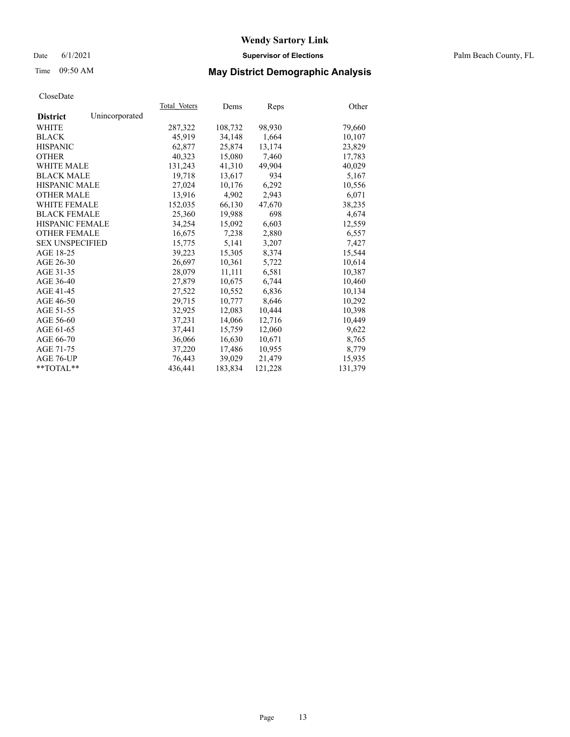## Date 6/1/2021 **Supervisor of Elections** Palm Beach County, FL

# Time 09:50 AM **May District Demographic Analysis**

|                                   | Total Voters | Dems    | <b>Reps</b> | Other   |
|-----------------------------------|--------------|---------|-------------|---------|
| Unincorporated<br><b>District</b> |              |         |             |         |
| WHITE                             | 287,322      | 108,732 | 98,930      | 79,660  |
| <b>BLACK</b>                      | 45,919       | 34,148  | 1,664       | 10,107  |
| <b>HISPANIC</b>                   | 62,877       | 25,874  | 13,174      | 23,829  |
| <b>OTHER</b>                      | 40,323       | 15,080  | 7,460       | 17,783  |
| <b>WHITE MALE</b>                 | 131,243      | 41,310  | 49,904      | 40,029  |
| <b>BLACK MALE</b>                 | 19,718       | 13,617  | 934         | 5,167   |
| <b>HISPANIC MALE</b>              | 27,024       | 10,176  | 6,292       | 10,556  |
| <b>OTHER MALE</b>                 | 13,916       | 4,902   | 2,943       | 6,071   |
| <b>WHITE FEMALE</b>               | 152,035      | 66,130  | 47,670      | 38,235  |
| <b>BLACK FEMALE</b>               | 25,360       | 19,988  | 698         | 4,674   |
| <b>HISPANIC FEMALE</b>            | 34,254       | 15,092  | 6,603       | 12,559  |
| <b>OTHER FEMALE</b>               | 16,675       | 7,238   | 2,880       | 6,557   |
| <b>SEX UNSPECIFIED</b>            | 15,775       | 5,141   | 3,207       | 7,427   |
| AGE 18-25                         | 39,223       | 15,305  | 8,374       | 15,544  |
| AGE 26-30                         | 26,697       | 10.361  | 5,722       | 10,614  |
| AGE 31-35                         | 28,079       | 11,111  | 6,581       | 10,387  |
| AGE 36-40                         | 27,879       | 10,675  | 6,744       | 10,460  |
| AGE 41-45                         | 27,522       | 10.552  | 6,836       | 10,134  |
| AGE 46-50                         | 29,715       | 10,777  | 8,646       | 10,292  |
| AGE 51-55                         | 32.925       | 12.083  | 10,444      | 10,398  |
| AGE 56-60                         | 37,231       | 14,066  | 12,716      | 10,449  |
| AGE 61-65                         | 37,441       | 15,759  | 12,060      | 9,622   |
| AGE 66-70                         | 36,066       | 16,630  | 10,671      | 8,765   |
| AGE 71-75                         | 37,220       | 17,486  | 10,955      | 8,779   |
| AGE 76-UP                         | 76.443       | 39,029  | 21,479      | 15,935  |
| $*$ TOTAL $*$                     | 436,441      | 183,834 | 121,228     | 131,379 |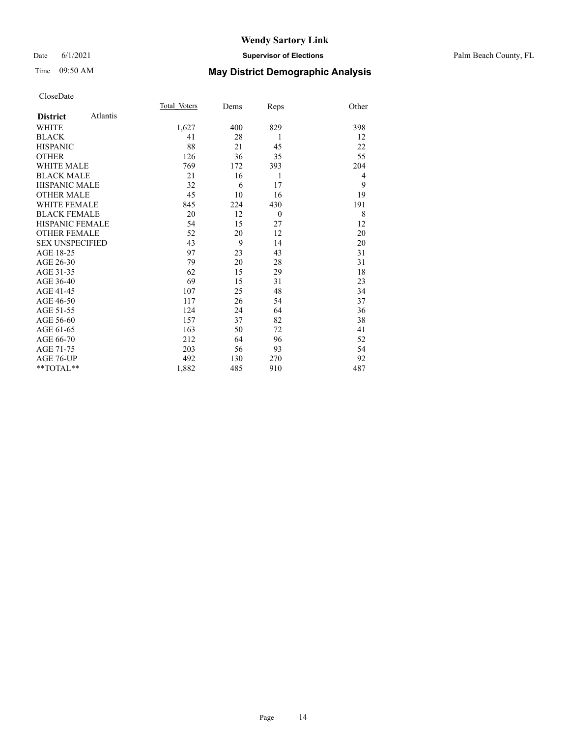### Date 6/1/2021 **Supervisor of Elections** Palm Beach County, FL

# Time 09:50 AM **May District Demographic Analysis**

| Total Voters | Dems                               | Reps         | Other          |
|--------------|------------------------------------|--------------|----------------|
|              |                                    |              |                |
| 1,627        | 400                                | 829          | 398            |
| 41           | 28                                 | 1            | 12             |
| 88           | 21                                 | 45           | 22             |
| 126          | 36                                 | 35           | 55             |
| 769          | 172                                | 393          | 204            |
| 21           | 16                                 | 1            | $\overline{4}$ |
| 32           | 6                                  | 17           | 9              |
| 45           | 10                                 | 16           | 19             |
| 845          | 224                                | 430          | 191            |
| 20           | 12                                 | $\mathbf{0}$ | 8              |
| 54           | 15                                 | 27           | 12             |
| 52           | 20                                 | 12           | 20             |
| 43           | 9                                  | 14           | 20             |
| 97           | 23                                 | 43           | 31             |
| 79           | 20                                 | 28           | 31             |
| 62           | 15                                 | 29           | 18             |
| 69           | 15                                 | 31           | 23             |
| 107          | 25                                 | 48           | 34             |
| 117          | 26                                 | 54           | 37             |
| 124          | 24                                 | 64           | 36             |
| 157          | 37                                 | 82           | 38             |
| 163          | 50                                 | 72           | 41             |
| 212          | 64                                 | 96           | 52             |
| 203          | 56                                 | 93           | 54             |
| 492          | 130                                | 270          | 92             |
| 1,882        | 485                                | 910          | 487            |
|              | Atlantis<br><b>HISPANIC FEMALE</b> |              |                |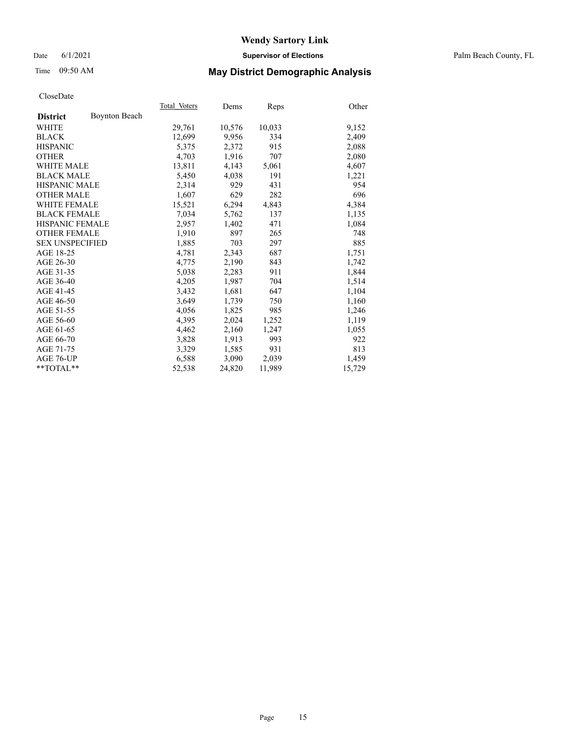## Date 6/1/2021 **Supervisor of Elections** Palm Beach County, FL

# Time 09:50 AM **May District Demographic Analysis**

|                        |                      | Total Voters | Dems   | <b>Reps</b> | Other  |
|------------------------|----------------------|--------------|--------|-------------|--------|
| <b>District</b>        | <b>Boynton Beach</b> |              |        |             |        |
| WHITE                  |                      | 29,761       | 10,576 | 10,033      | 9,152  |
| <b>BLACK</b>           |                      | 12,699       | 9,956  | 334         | 2,409  |
| <b>HISPANIC</b>        |                      | 5,375        | 2,372  | 915         | 2,088  |
| <b>OTHER</b>           |                      | 4,703        | 1,916  | 707         | 2,080  |
| <b>WHITE MALE</b>      |                      | 13,811       | 4,143  | 5,061       | 4,607  |
| <b>BLACK MALE</b>      |                      | 5,450        | 4,038  | 191         | 1,221  |
| <b>HISPANIC MALE</b>   |                      | 2,314        | 929    | 431         | 954    |
| <b>OTHER MALE</b>      |                      | 1.607        | 629    | 282         | 696    |
| <b>WHITE FEMALE</b>    |                      | 15,521       | 6,294  | 4,843       | 4,384  |
| <b>BLACK FEMALE</b>    |                      | 7,034        | 5,762  | 137         | 1,135  |
| <b>HISPANIC FEMALE</b> |                      | 2,957        | 1,402  | 471         | 1,084  |
| <b>OTHER FEMALE</b>    |                      | 1,910        | 897    | 265         | 748    |
| <b>SEX UNSPECIFIED</b> |                      | 1,885        | 703    | 297         | 885    |
| AGE 18-25              |                      | 4,781        | 2,343  | 687         | 1,751  |
| AGE 26-30              |                      | 4.775        | 2,190  | 843         | 1,742  |
| AGE 31-35              |                      | 5,038        | 2,283  | 911         | 1,844  |
| AGE 36-40              |                      | 4,205        | 1,987  | 704         | 1,514  |
| AGE 41-45              |                      | 3,432        | 1,681  | 647         | 1,104  |
| AGE 46-50              |                      | 3,649        | 1,739  | 750         | 1,160  |
| AGE 51-55              |                      | 4,056        | 1,825  | 985         | 1,246  |
| AGE 56-60              |                      | 4,395        | 2,024  | 1,252       | 1,119  |
| AGE 61-65              |                      | 4,462        | 2,160  | 1,247       | 1,055  |
| AGE 66-70              |                      | 3,828        | 1,913  | 993         | 922    |
| AGE 71-75              |                      | 3,329        | 1,585  | 931         | 813    |
| AGE 76-UP              |                      | 6,588        | 3,090  | 2,039       | 1,459  |
| $*$ TOTAL $*$          |                      | 52,538       | 24,820 | 11,989      | 15,729 |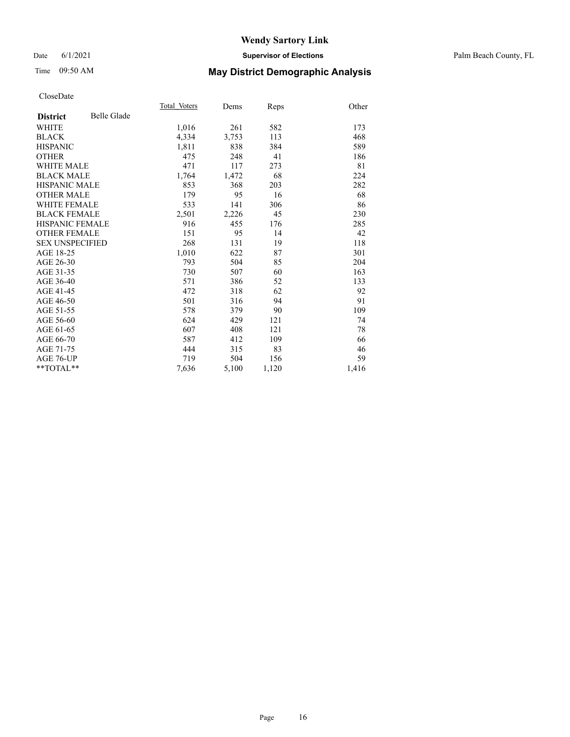# Time 09:50 AM **May District Demographic Analysis**

|                        |                    | Total Voters | Dems  | Reps  | Other |
|------------------------|--------------------|--------------|-------|-------|-------|
| <b>District</b>        | <b>Belle Glade</b> |              |       |       |       |
| WHITE                  |                    | 1,016        | 261   | 582   | 173   |
| <b>BLACK</b>           |                    | 4,334        | 3,753 | 113   | 468   |
| <b>HISPANIC</b>        |                    | 1,811        | 838   | 384   | 589   |
| <b>OTHER</b>           |                    | 475          | 248   | 41    | 186   |
| <b>WHITE MALE</b>      |                    | 471          | 117   | 273   | 81    |
| <b>BLACK MALE</b>      |                    | 1,764        | 1,472 | 68    | 224   |
| <b>HISPANIC MALE</b>   |                    | 853          | 368   | 203   | 282   |
| <b>OTHER MALE</b>      |                    | 179          | 95    | 16    | 68    |
| <b>WHITE FEMALE</b>    |                    | 533          | 141   | 306   | 86    |
| <b>BLACK FEMALE</b>    |                    | 2,501        | 2,226 | 45    | 230   |
| <b>HISPANIC FEMALE</b> |                    | 916          | 455   | 176   | 285   |
| <b>OTHER FEMALE</b>    |                    | 151          | 95    | 14    | 42    |
| <b>SEX UNSPECIFIED</b> |                    | 268          | 131   | 19    | 118   |
| AGE 18-25              |                    | 1,010        | 622   | 87    | 301   |
| AGE 26-30              |                    | 793          | 504   | 85    | 204   |
| AGE 31-35              |                    | 730          | 507   | 60    | 163   |
| AGE 36-40              |                    | 571          | 386   | 52    | 133   |
| AGE 41-45              |                    | 472          | 318   | 62    | 92    |
| AGE 46-50              |                    | 501          | 316   | 94    | 91    |
| AGE 51-55              |                    | 578          | 379   | 90    | 109   |
| AGE 56-60              |                    | 624          | 429   | 121   | 74    |
| AGE 61-65              |                    | 607          | 408   | 121   | 78    |
| AGE 66-70              |                    | 587          | 412   | 109   | 66    |
| AGE 71-75              |                    | 444          | 315   | 83    | 46    |
| AGE 76-UP              |                    | 719          | 504   | 156   | 59    |
| $*$ $TOTAL**$          |                    | 7,636        | 5,100 | 1,120 | 1,416 |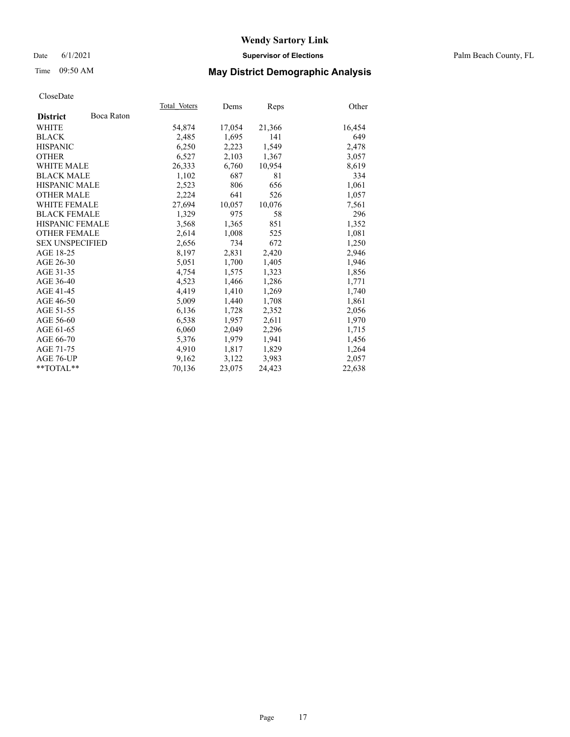Date 6/1/2021 **Supervisor of Elections** Palm Beach County, FL

## Time 09:50 AM **May District Demographic Analysis**

|                        |            | Total Voters | Dems   | <b>Reps</b> | Other  |
|------------------------|------------|--------------|--------|-------------|--------|
| <b>District</b>        | Boca Raton |              |        |             |        |
| WHITE                  |            | 54,874       | 17,054 | 21,366      | 16,454 |
| <b>BLACK</b>           |            | 2,485        | 1,695  | 141         | 649    |
| <b>HISPANIC</b>        |            | 6,250        | 2,223  | 1,549       | 2,478  |
| <b>OTHER</b>           |            | 6,527        | 2,103  | 1,367       | 3,057  |
| <b>WHITE MALE</b>      |            | 26,333       | 6,760  | 10,954      | 8,619  |
| <b>BLACK MALE</b>      |            | 1,102        | 687    | 81          | 334    |
| <b>HISPANIC MALE</b>   |            | 2,523        | 806    | 656         | 1,061  |
| <b>OTHER MALE</b>      |            | 2,224        | 641    | 526         | 1,057  |
| <b>WHITE FEMALE</b>    |            | 27,694       | 10,057 | 10,076      | 7,561  |
| <b>BLACK FEMALE</b>    |            | 1,329        | 975    | 58          | 296    |
| <b>HISPANIC FEMALE</b> |            | 3,568        | 1,365  | 851         | 1,352  |
| <b>OTHER FEMALE</b>    |            | 2,614        | 1,008  | 525         | 1,081  |
| <b>SEX UNSPECIFIED</b> |            | 2,656        | 734    | 672         | 1,250  |
| AGE 18-25              |            | 8,197        | 2,831  | 2,420       | 2,946  |
| AGE 26-30              |            | 5,051        | 1,700  | 1,405       | 1,946  |
| AGE 31-35              |            | 4,754        | 1,575  | 1,323       | 1,856  |
| AGE 36-40              |            | 4,523        | 1,466  | 1,286       | 1,771  |
| AGE 41-45              |            | 4,419        | 1,410  | 1,269       | 1,740  |
| AGE 46-50              |            | 5,009        | 1,440  | 1,708       | 1,861  |
| AGE 51-55              |            | 6,136        | 1,728  | 2,352       | 2,056  |
| AGE 56-60              |            | 6,538        | 1,957  | 2,611       | 1,970  |
| AGE 61-65              |            | 6,060        | 2,049  | 2,296       | 1,715  |
| AGE 66-70              |            | 5,376        | 1,979  | 1,941       | 1,456  |
| AGE 71-75              |            | 4,910        | 1,817  | 1,829       | 1,264  |
| AGE 76-UP              |            | 9,162        | 3,122  | 3,983       | 2,057  |
| $*$ $TOTAL**$          |            | 70,136       | 23,075 | 24,423      | 22,638 |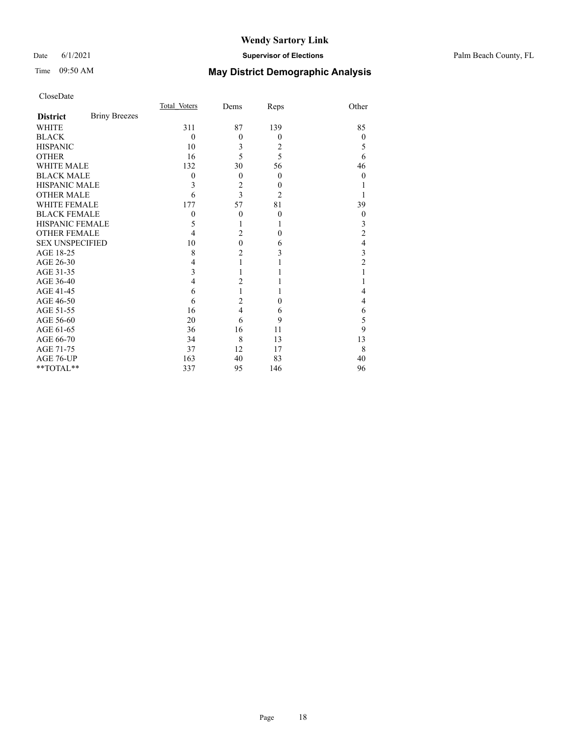# Time 09:50 AM **May District Demographic Analysis**

|                        |                      | Total Voters     | Dems           | Reps           | Other          |
|------------------------|----------------------|------------------|----------------|----------------|----------------|
| <b>District</b>        | <b>Briny Breezes</b> |                  |                |                |                |
| <b>WHITE</b>           |                      | 311              | 87             | 139            | 85             |
| <b>BLACK</b>           |                      | $\theta$         | $\theta$       | $\overline{0}$ | $\theta$       |
| <b>HISPANIC</b>        |                      | 10               | 3              | 2              | 5              |
| <b>OTHER</b>           |                      | 16               | 5              | 5              | 6              |
| <b>WHITE MALE</b>      |                      | 132              | 30             | 56             | 46             |
| <b>BLACK MALE</b>      |                      | $\boldsymbol{0}$ | $\theta$       | $\overline{0}$ | $\Omega$       |
| <b>HISPANIC MALE</b>   |                      | 3                | $\overline{c}$ | $\overline{0}$ |                |
| <b>OTHER MALE</b>      |                      | 6                | 3              | $\overline{2}$ |                |
| <b>WHITE FEMALE</b>    |                      | 177              | 57             | 81             | 39             |
| <b>BLACK FEMALE</b>    |                      | $\mathbf{0}$     | $\theta$       | $\theta$       | $\theta$       |
| HISPANIC FEMALE        |                      | 5                | 1              | 1              | 3              |
| <b>OTHER FEMALE</b>    |                      | 4                | $\overline{2}$ | $\theta$       | 2              |
| <b>SEX UNSPECIFIED</b> |                      | 10               | $\overline{0}$ | 6              | 4              |
| AGE 18-25              |                      | 8                | $\overline{c}$ | 3              | 3              |
| AGE 26-30              |                      | 4                | 1              |                | $\overline{c}$ |
| AGE 31-35              |                      | 3                |                |                |                |
| AGE 36-40              |                      | 4                | $\overline{c}$ |                |                |
| AGE 41-45              |                      | 6                | 1              | 1              | 4              |
| AGE 46-50              |                      | 6                | $\overline{c}$ | $\Omega$       | 4              |
| AGE 51-55              |                      | 16               | $\overline{4}$ | 6              | 6              |
| AGE 56-60              |                      | 20               | 6              | 9              | 5              |
| AGE 61-65              |                      | 36               | 16             | 11             | 9              |
| AGE 66-70              |                      | 34               | 8              | 13             | 13             |
| AGE 71-75              |                      | 37               | 12             | 17             | 8              |
| AGE 76-UP              |                      | 163              | 40             | 83             | 40             |
| **TOTAL**              |                      | 337              | 95             | 146            | 96             |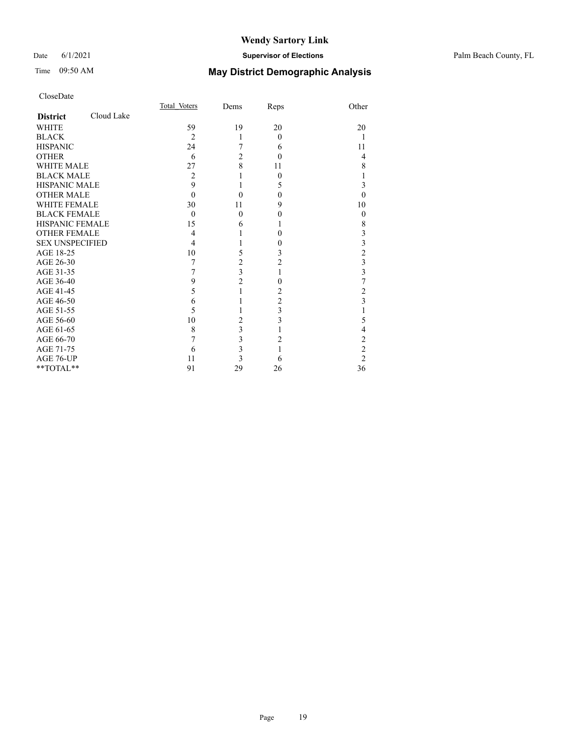## Date 6/1/2021 **Supervisor of Elections** Palm Beach County, FL

# Time 09:50 AM **May District Demographic Analysis**

|                        |            | Total Voters | Dems                    | Reps           | Other                   |
|------------------------|------------|--------------|-------------------------|----------------|-------------------------|
| <b>District</b>        | Cloud Lake |              |                         |                |                         |
| <b>WHITE</b>           |            | 59           | 19                      | 20             | 20                      |
| <b>BLACK</b>           |            | 2            | 1                       | $\theta$       |                         |
| <b>HISPANIC</b>        |            | 24           | 7                       | 6              | 11                      |
| <b>OTHER</b>           |            | 6            | $\overline{2}$          | $\theta$       | 4                       |
| <b>WHITE MALE</b>      |            | 27           | 8                       | 11             | 8                       |
| <b>BLACK MALE</b>      |            | 2            |                         | $\theta$       |                         |
| <b>HISPANIC MALE</b>   |            | 9            | 1                       | 5              | 3                       |
| <b>OTHER MALE</b>      |            | $\Omega$     | $\theta$                | $\Omega$       | $\Omega$                |
| <b>WHITE FEMALE</b>    |            | 30           | 11                      | 9              | 10                      |
| <b>BLACK FEMALE</b>    |            | $\Omega$     | $\mathbf{0}$            | 0              | $\overline{0}$          |
| <b>HISPANIC FEMALE</b> |            | 15           | 6                       |                | $\,$ $\,$               |
| <b>OTHER FEMALE</b>    |            | 4            |                         | $\theta$       | 3                       |
| <b>SEX UNSPECIFIED</b> |            | 4            |                         | 0              | $\overline{\mathbf{3}}$ |
| AGE 18-25              |            | 10           | 5                       | 3              | $\overline{c}$          |
| AGE 26-30              |            | 7            | $\overline{c}$          | 2              | $\frac{3}{3}$           |
| AGE 31-35              |            | 7            | $\overline{\mathbf{3}}$ |                |                         |
| AGE 36-40              |            | 9            | $\overline{2}$          | $\theta$       | 7                       |
| AGE 41-45              |            | 5            | $\mathbf{1}$            | 2              | $\overline{c}$          |
| AGE 46-50              |            | 6            |                         | $\overline{c}$ | $\overline{\mathbf{3}}$ |
| AGE 51-55              |            | 5            |                         | 3              |                         |
| AGE 56-60              |            | 10           | $\overline{2}$          | 3              | 5                       |
| AGE 61-65              |            | 8            | 3                       |                | 4                       |
| AGE 66-70              |            | 7            | 3                       | 2              | $\mathfrak{2}$          |
| AGE 71-75              |            | 6            | 3                       |                | $\overline{c}$          |
| AGE 76-UP              |            | 11           | 3                       | 6              | $\overline{2}$          |
| **TOTAL**              |            | 91           | 29                      | 26             | 36                      |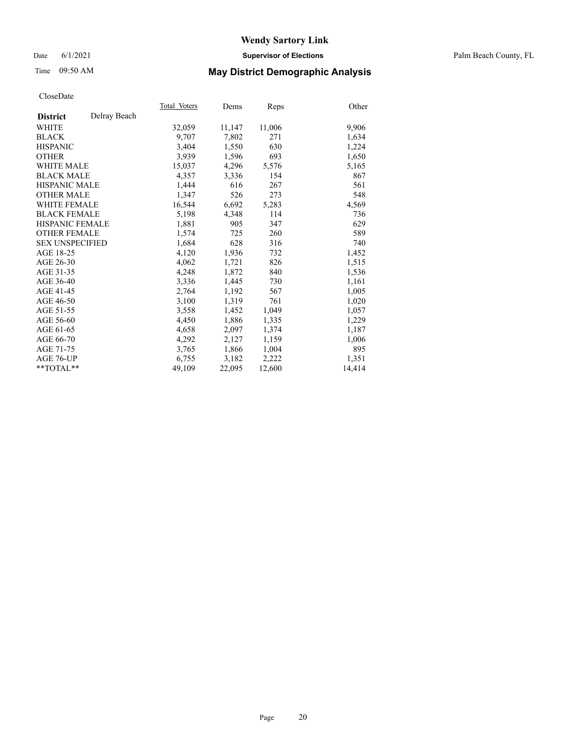## Date 6/1/2021 **Supervisor of Elections** Palm Beach County, FL

## Time 09:50 AM **May District Demographic Analysis**

|                        |              | Total Voters | Dems   | <b>Reps</b> | Other  |
|------------------------|--------------|--------------|--------|-------------|--------|
| <b>District</b>        | Delray Beach |              |        |             |        |
| WHITE                  |              | 32,059       | 11,147 | 11,006      | 9,906  |
| <b>BLACK</b>           |              | 9.707        | 7,802  | 271         | 1,634  |
| <b>HISPANIC</b>        |              | 3.404        | 1,550  | 630         | 1,224  |
| <b>OTHER</b>           |              | 3,939        | 1,596  | 693         | 1,650  |
| <b>WHITE MALE</b>      |              | 15,037       | 4,296  | 5,576       | 5,165  |
| <b>BLACK MALE</b>      |              | 4,357        | 3,336  | 154         | 867    |
| <b>HISPANIC MALE</b>   |              | 1,444        | 616    | 267         | 561    |
| <b>OTHER MALE</b>      |              | 1,347        | 526    | 273         | 548    |
| <b>WHITE FEMALE</b>    |              | 16,544       | 6,692  | 5,283       | 4,569  |
| <b>BLACK FEMALE</b>    |              | 5,198        | 4,348  | 114         | 736    |
| <b>HISPANIC FEMALE</b> |              | 1,881        | 905    | 347         | 629    |
| <b>OTHER FEMALE</b>    |              | 1,574        | 725    | 260         | 589    |
| <b>SEX UNSPECIFIED</b> |              | 1,684        | 628    | 316         | 740    |
| AGE 18-25              |              | 4,120        | 1,936  | 732         | 1,452  |
| AGE 26-30              |              | 4.062        | 1,721  | 826         | 1,515  |
| AGE 31-35              |              | 4,248        | 1,872  | 840         | 1,536  |
| AGE 36-40              |              | 3,336        | 1,445  | 730         | 1,161  |
| AGE 41-45              |              | 2,764        | 1,192  | 567         | 1,005  |
| AGE 46-50              |              | 3,100        | 1,319  | 761         | 1,020  |
| AGE 51-55              |              | 3,558        | 1,452  | 1,049       | 1,057  |
| AGE 56-60              |              | 4,450        | 1,886  | 1,335       | 1,229  |
| AGE 61-65              |              | 4,658        | 2,097  | 1,374       | 1,187  |
| AGE 66-70              |              | 4,292        | 2,127  | 1,159       | 1,006  |
| AGE 71-75              |              | 3,765        | 1,866  | 1,004       | 895    |
| AGE 76-UP              |              | 6,755        | 3,182  | 2,222       | 1,351  |
| $*$ $TOTAL**$          |              | 49,109       | 22,095 | 12,600      | 14,414 |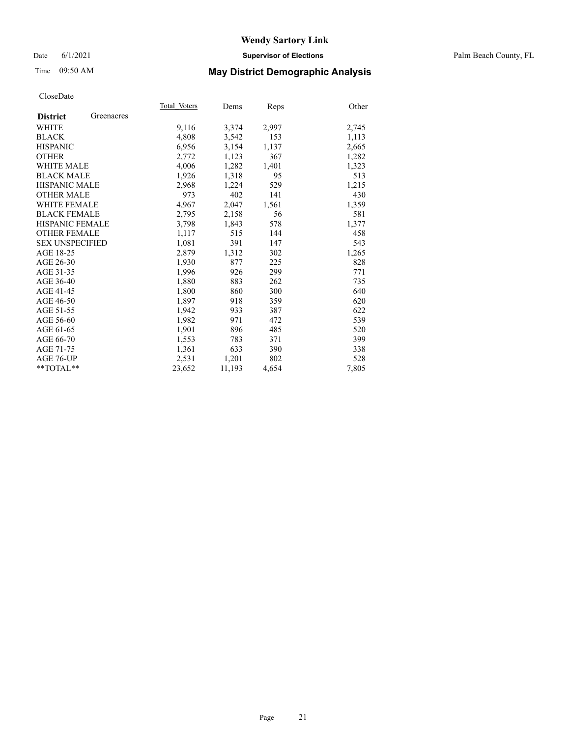## Date 6/1/2021 **Supervisor of Elections** Palm Beach County, FL

# Time 09:50 AM **May District Demographic Analysis**

|                        |            | Total Voters | Dems   | <b>Reps</b> | Other |
|------------------------|------------|--------------|--------|-------------|-------|
| <b>District</b>        | Greenacres |              |        |             |       |
| WHITE                  |            | 9,116        | 3,374  | 2,997       | 2,745 |
| <b>BLACK</b>           |            | 4,808        | 3,542  | 153         | 1,113 |
| <b>HISPANIC</b>        |            | 6,956        | 3,154  | 1,137       | 2,665 |
| <b>OTHER</b>           |            | 2,772        | 1,123  | 367         | 1,282 |
| <b>WHITE MALE</b>      |            | 4,006        | 1,282  | 1,401       | 1,323 |
| <b>BLACK MALE</b>      |            | 1,926        | 1,318  | 95          | 513   |
| <b>HISPANIC MALE</b>   |            | 2,968        | 1,224  | 529         | 1,215 |
| <b>OTHER MALE</b>      |            | 973          | 402    | 141         | 430   |
| <b>WHITE FEMALE</b>    |            | 4,967        | 2,047  | 1,561       | 1,359 |
| <b>BLACK FEMALE</b>    |            | 2,795        | 2,158  | 56          | 581   |
| <b>HISPANIC FEMALE</b> |            | 3,798        | 1,843  | 578         | 1,377 |
| <b>OTHER FEMALE</b>    |            | 1,117        | 515    | 144         | 458   |
| <b>SEX UNSPECIFIED</b> |            | 1,081        | 391    | 147         | 543   |
| AGE 18-25              |            | 2,879        | 1,312  | 302         | 1,265 |
| AGE 26-30              |            | 1.930        | 877    | 225         | 828   |
| AGE 31-35              |            | 1,996        | 926    | 299         | 771   |
| AGE 36-40              |            | 1,880        | 883    | 262         | 735   |
| AGE 41-45              |            | 1,800        | 860    | 300         | 640   |
| AGE 46-50              |            | 1,897        | 918    | 359         | 620   |
| AGE 51-55              |            | 1,942        | 933    | 387         | 622   |
| AGE 56-60              |            | 1,982        | 971    | 472         | 539   |
| AGE 61-65              |            | 1,901        | 896    | 485         | 520   |
| AGE 66-70              |            | 1,553        | 783    | 371         | 399   |
| AGE 71-75              |            | 1,361        | 633    | 390         | 338   |
| AGE 76-UP              |            | 2,531        | 1,201  | 802         | 528   |
| $*$ TOTAL $*$          |            | 23,652       | 11,193 | 4,654       | 7,805 |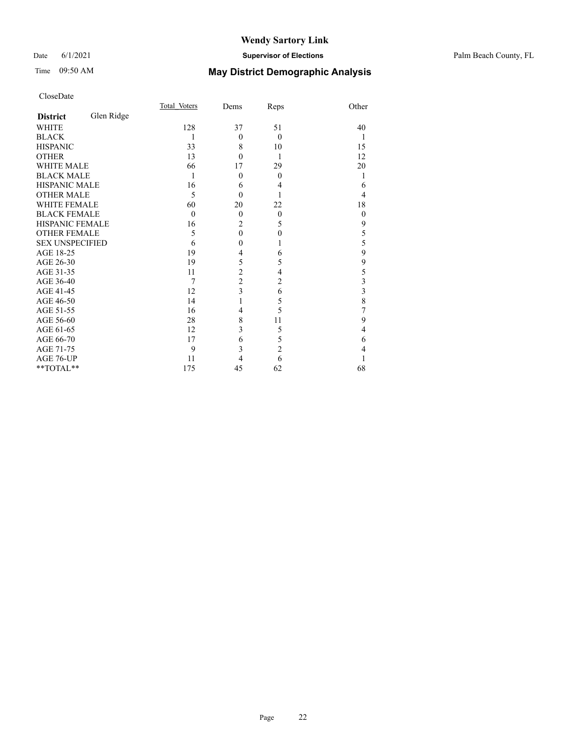## Date 6/1/2021 **Supervisor of Elections** Palm Beach County, FL

# Time 09:50 AM **May District Demographic Analysis**

|                        |            | Total Voters   | Dems           | Reps           | Other          |
|------------------------|------------|----------------|----------------|----------------|----------------|
| <b>District</b>        | Glen Ridge |                |                |                |                |
| <b>WHITE</b>           |            | 128            | 37             | 51             | 40             |
| <b>BLACK</b>           |            | 1              | $\overline{0}$ | $\theta$       | 1              |
| <b>HISPANIC</b>        |            | 33             | 8              | 10             | 15             |
| <b>OTHER</b>           |            | 13             | $\theta$       | 1              | 12             |
| <b>WHITE MALE</b>      |            | 66             | 17             | 29             | 20             |
| <b>BLACK MALE</b>      |            | 1              | $\theta$       | $\overline{0}$ | 1              |
| <b>HISPANIC MALE</b>   |            | 16             | 6              | 4              | 6              |
| <b>OTHER MALE</b>      |            | 5              | $\Omega$       |                | 4              |
| <b>WHITE FEMALE</b>    |            | 60             | 20             | 22             | 18             |
| <b>BLACK FEMALE</b>    |            | $\Omega$       | $\theta$       | $\overline{0}$ | $\overline{0}$ |
| HISPANIC FEMALE        |            | 16             | $\overline{c}$ | 5              | 9              |
| <b>OTHER FEMALE</b>    |            | 5              | $\mathbf{0}$   | $\theta$       | 5              |
| <b>SEX UNSPECIFIED</b> |            | 6              | $\mathbf{0}$   | 1              | 5              |
| AGE 18-25              |            | 19             | 4              | 6              | 9              |
| AGE 26-30              |            | 19             | 5              | 5              | 9              |
| AGE 31-35              |            | 11             | $\overline{c}$ | 4              | 5              |
| AGE 36-40              |            | $\overline{7}$ | $\overline{2}$ | $\overline{c}$ | 3              |
| AGE 41-45              |            | 12             | $\overline{3}$ | 6              | 3              |
| AGE 46-50              |            | 14             | 1              | 5              | 8              |
| AGE 51-55              |            | 16             | 4              | 5              | 7              |
| AGE 56-60              |            | 28             | 8              | 11             | 9              |
| AGE 61-65              |            | 12             | 3              | 5              | 4              |
| AGE 66-70              |            | 17             | 6              | 5              | 6              |
| AGE 71-75              |            | 9              | 3              | $\overline{c}$ | 4              |
| AGE 76-UP              |            | 11             | 4              | 6              |                |
| **TOTAL**              |            | 175            | 45             | 62             | 68             |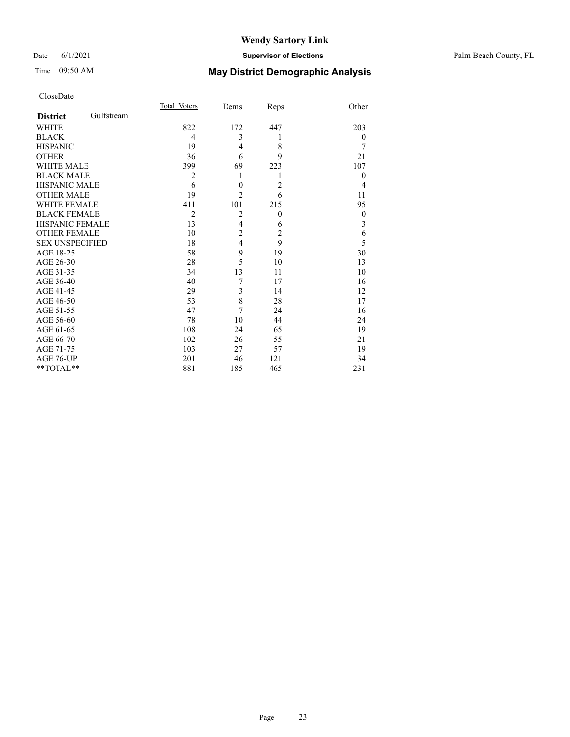# Time 09:50 AM **May District Demographic Analysis**

|                        |            | Total Voters   | Dems             | Reps           | Other            |
|------------------------|------------|----------------|------------------|----------------|------------------|
| <b>District</b>        | Gulfstream |                |                  |                |                  |
| <b>WHITE</b>           |            | 822            | 172              | 447            | 203              |
| <b>BLACK</b>           |            | 4              | 3                | 1              | $\theta$         |
| <b>HISPANIC</b>        |            | 19             | $\overline{4}$   | 8              | 7                |
| <b>OTHER</b>           |            | 36             | 6                | 9              | 21               |
| <b>WHITE MALE</b>      |            | 399            | 69               | 223            | 107              |
| <b>BLACK MALE</b>      |            | $\overline{2}$ | 1                | 1              | $\theta$         |
| <b>HISPANIC MALE</b>   |            | 6              | $\boldsymbol{0}$ | $\overline{2}$ | $\overline{4}$   |
| <b>OTHER MALE</b>      |            | 19             | $\overline{2}$   | 6              | 11               |
| <b>WHITE FEMALE</b>    |            | 411            | 101              | 215            | 95               |
| <b>BLACK FEMALE</b>    |            | $\overline{2}$ | $\overline{2}$   | $\overline{0}$ | $\boldsymbol{0}$ |
| <b>HISPANIC FEMALE</b> |            | 13             | $\overline{4}$   | 6              | 3                |
| <b>OTHER FEMALE</b>    |            | 10             | $\overline{c}$   | $\overline{2}$ | 6                |
| <b>SEX UNSPECIFIED</b> |            | 18             | $\overline{4}$   | 9              | 5                |
| AGE 18-25              |            | 58             | 9                | 19             | 30               |
| AGE 26-30              |            | 28             | 5                | 10             | 13               |
| AGE 31-35              |            | 34             | 13               | 11             | 10               |
| AGE 36-40              |            | 40             | 7                | 17             | 16               |
| AGE 41-45              |            | 29             | 3                | 14             | 12               |
| AGE 46-50              |            | 53             | 8                | 28             | 17               |
| AGE 51-55              |            | 47             | 7                | 24             | 16               |
| AGE 56-60              |            | 78             | 10               | 44             | 24               |
| AGE 61-65              |            | 108            | 24               | 65             | 19               |
| AGE 66-70              |            | 102            | 26               | 55             | 21               |
| AGE 71-75              |            | 103            | 27               | 57             | 19               |
| AGE 76-UP              |            | 201            | 46               | 121            | 34               |
| **TOTAL**              |            | 881            | 185              | 465            | 231              |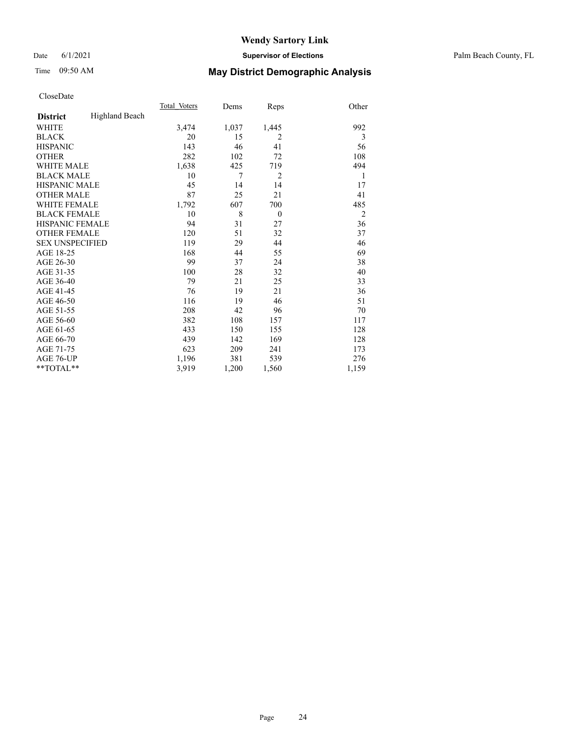## Date 6/1/2021 **Supervisor of Elections** Palm Beach County, FL

# Time 09:50 AM **May District Demographic Analysis**

|                        |                | Total Voters | Dems  | Reps           | Other          |
|------------------------|----------------|--------------|-------|----------------|----------------|
| <b>District</b>        | Highland Beach |              |       |                |                |
| WHITE                  |                | 3,474        | 1,037 | 1,445          | 992            |
| <b>BLACK</b>           |                | 20           | 15    | 2              | 3              |
| <b>HISPANIC</b>        |                | 143          | 46    | 41             | 56             |
| <b>OTHER</b>           |                | 282          | 102   | 72             | 108            |
| <b>WHITE MALE</b>      |                | 1,638        | 425   | 719            | 494            |
| <b>BLACK MALE</b>      |                | 10           | 7     | $\overline{2}$ | 1              |
| <b>HISPANIC MALE</b>   |                | 45           | 14    | 14             | 17             |
| <b>OTHER MALE</b>      |                | 87           | 25    | 21             | 41             |
| <b>WHITE FEMALE</b>    |                | 1,792        | 607   | 700            | 485            |
| <b>BLACK FEMALE</b>    |                | 10           | 8     | $\theta$       | $\overline{2}$ |
| <b>HISPANIC FEMALE</b> |                | 94           | 31    | 27             | 36             |
| <b>OTHER FEMALE</b>    |                | 120          | 51    | 32             | 37             |
| <b>SEX UNSPECIFIED</b> |                | 119          | 29    | 44             | 46             |
| AGE 18-25              |                | 168          | 44    | 55             | 69             |
| AGE 26-30              |                | 99           | 37    | 24             | 38             |
| AGE 31-35              |                | 100          | 28    | 32             | 40             |
| AGE 36-40              |                | 79           | 21    | 25             | 33             |
| AGE 41-45              |                | 76           | 19    | 21             | 36             |
| AGE 46-50              |                | 116          | 19    | 46             | 51             |
| AGE 51-55              |                | 208          | 42    | 96             | 70             |
| AGE 56-60              |                | 382          | 108   | 157            | 117            |
| AGE 61-65              |                | 433          | 150   | 155            | 128            |
| AGE 66-70              |                | 439          | 142   | 169            | 128            |
| AGE 71-75              |                | 623          | 209   | 241            | 173            |
| AGE 76-UP              |                | 1,196        | 381   | 539            | 276            |
| $*$ $TOTAL**$          |                | 3,919        | 1,200 | 1,560          | 1,159          |
|                        |                |              |       |                |                |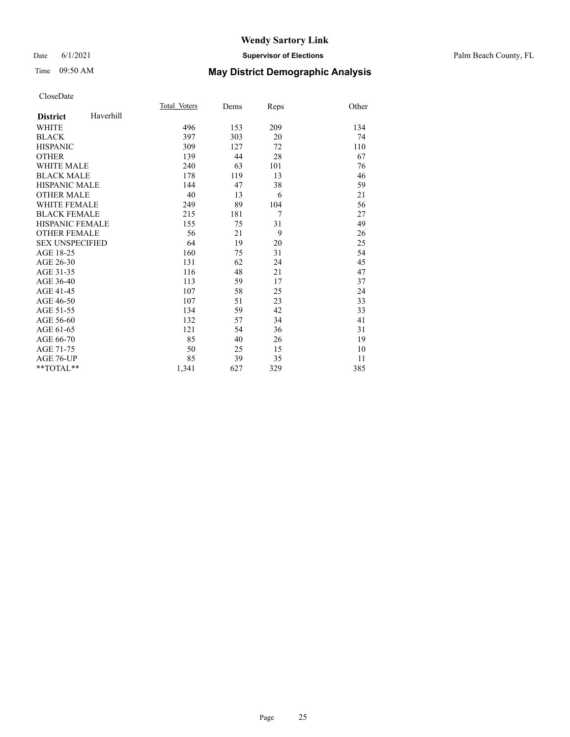## Date 6/1/2021 **Supervisor of Elections** Palm Beach County, FL

## Time 09:50 AM **May District Demographic Analysis**

|                        |           | Total Voters | Dems | Reps | Other |
|------------------------|-----------|--------------|------|------|-------|
| <b>District</b>        | Haverhill |              |      |      |       |
| <b>WHITE</b>           |           | 496          | 153  | 209  | 134   |
| <b>BLACK</b>           |           | 397          | 303  | 20   | 74    |
| <b>HISPANIC</b>        |           | 309          | 127  | 72   | 110   |
| <b>OTHER</b>           |           | 139          | 44   | 28   | 67    |
| <b>WHITE MALE</b>      |           | 240          | 63   | 101  | 76    |
| <b>BLACK MALE</b>      |           | 178          | 119  | 13   | 46    |
| <b>HISPANIC MALE</b>   |           | 144          | 47   | 38   | 59    |
| <b>OTHER MALE</b>      |           | 40           | 13   | 6    | 21    |
| <b>WHITE FEMALE</b>    |           | 249          | 89   | 104  | 56    |
| <b>BLACK FEMALE</b>    |           | 215          | 181  | 7    | 27    |
| <b>HISPANIC FEMALE</b> |           | 155          | 75   | 31   | 49    |
| <b>OTHER FEMALE</b>    |           | 56           | 21   | 9    | 26    |
| <b>SEX UNSPECIFIED</b> |           | 64           | 19   | 20   | 25    |
| AGE 18-25              |           | 160          | 75   | 31   | 54    |
| AGE 26-30              |           | 131          | 62   | 24   | 45    |
| AGE 31-35              |           | 116          | 48   | 21   | 47    |
| AGE 36-40              |           | 113          | 59   | 17   | 37    |
| AGE 41-45              |           | 107          | 58   | 25   | 24    |
| AGE 46-50              |           | 107          | 51   | 23   | 33    |
| AGE 51-55              |           | 134          | 59   | 42   | 33    |
| AGE 56-60              |           | 132          | 57   | 34   | 41    |
| AGE 61-65              |           | 121          | 54   | 36   | 31    |
| AGE 66-70              |           | 85           | 40   | 26   | 19    |
| AGE 71-75              |           | 50           | 25   | 15   | 10    |
| AGE 76-UP              |           | 85           | 39   | 35   | 11    |
| $*$ $TOTAL**$          |           | 1,341        | 627  | 329  | 385   |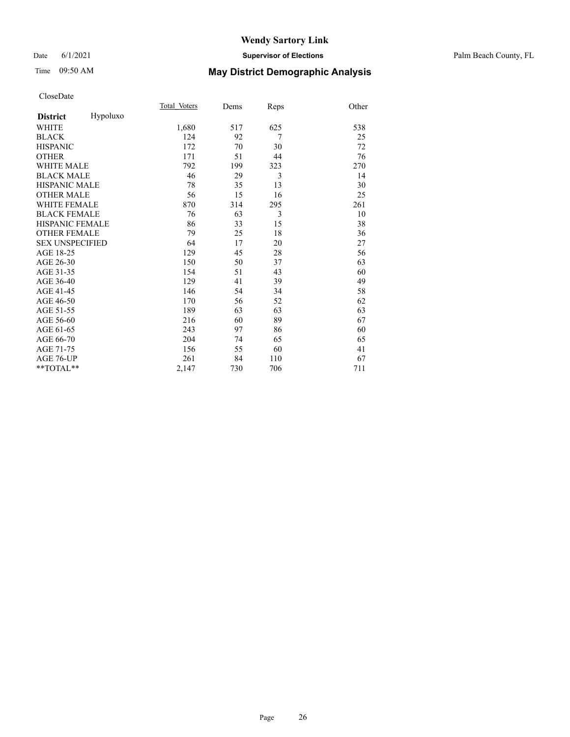### Date 6/1/2021 **Supervisor of Elections** Palm Beach County, FL

# Time 09:50 AM **May District Demographic Analysis**

|                        |          | Total Voters | Dems | Reps | Other |
|------------------------|----------|--------------|------|------|-------|
| <b>District</b>        | Hypoluxo |              |      |      |       |
| WHITE                  |          | 1,680        | 517  | 625  | 538   |
| <b>BLACK</b>           |          | 124          | 92   | 7    | 25    |
| <b>HISPANIC</b>        |          | 172          | 70   | 30   | 72    |
| <b>OTHER</b>           |          | 171          | 51   | 44   | 76    |
| <b>WHITE MALE</b>      |          | 792          | 199  | 323  | 270   |
| <b>BLACK MALE</b>      |          | 46           | 29   | 3    | 14    |
| <b>HISPANIC MALE</b>   |          | 78           | 35   | 13   | 30    |
| <b>OTHER MALE</b>      |          | 56           | 15   | 16   | 25    |
| <b>WHITE FEMALE</b>    |          | 870          | 314  | 295  | 261   |
| <b>BLACK FEMALE</b>    |          | 76           | 63   | 3    | 10    |
| HISPANIC FEMALE        |          | 86           | 33   | 15   | 38    |
| <b>OTHER FEMALE</b>    |          | 79           | 25   | 18   | 36    |
| <b>SEX UNSPECIFIED</b> |          | 64           | 17   | 20   | 27    |
| AGE 18-25              |          | 129          | 45   | 28   | 56    |
| AGE 26-30              |          | 150          | 50   | 37   | 63    |
| AGE 31-35              |          | 154          | 51   | 43   | 60    |
| AGE 36-40              |          | 129          | 41   | 39   | 49    |
| AGE 41-45              |          | 146          | 54   | 34   | 58    |
| AGE 46-50              |          | 170          | 56   | 52   | 62    |
| AGE 51-55              |          | 189          | 63   | 63   | 63    |
| AGE 56-60              |          | 216          | 60   | 89   | 67    |
| AGE 61-65              |          | 243          | 97   | 86   | 60    |
| AGE 66-70              |          | 204          | 74   | 65   | 65    |
| AGE 71-75              |          | 156          | 55   | 60   | 41    |
| AGE 76-UP              |          | 261          | 84   | 110  | 67    |
| **TOTAL**              |          | 2,147        | 730  | 706  | 711   |
|                        |          |              |      |      |       |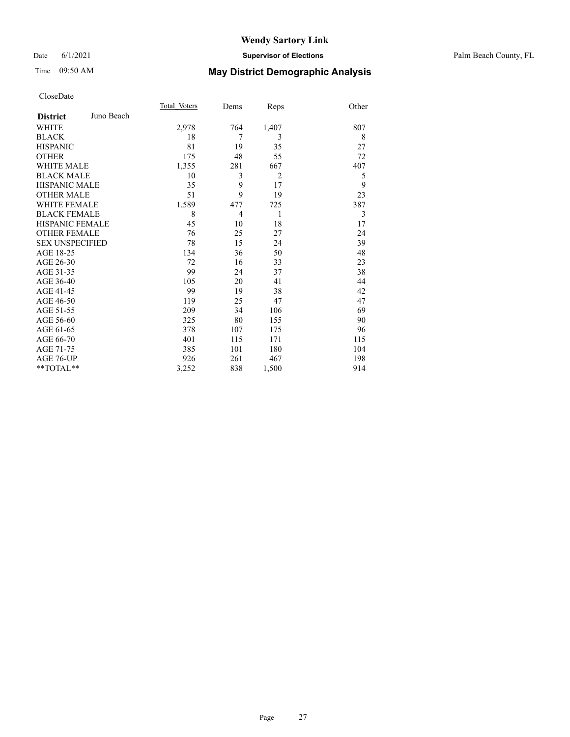## Date 6/1/2021 **Supervisor of Elections** Palm Beach County, FL

# Time 09:50 AM **May District Demographic Analysis**

|                        |            | Total Voters | Dems | Reps  | Other |
|------------------------|------------|--------------|------|-------|-------|
| <b>District</b>        | Juno Beach |              |      |       |       |
| <b>WHITE</b>           |            | 2,978        | 764  | 1,407 | 807   |
| <b>BLACK</b>           |            | 18           | 7    | 3     | 8     |
| <b>HISPANIC</b>        |            | 81           | 19   | 35    | 27    |
| <b>OTHER</b>           |            | 175          | 48   | 55    | 72    |
| <b>WHITE MALE</b>      |            | 1,355        | 281  | 667   | 407   |
| <b>BLACK MALE</b>      |            | 10           | 3    | 2     | 5     |
| <b>HISPANIC MALE</b>   |            | 35           | 9    | 17    | 9     |
| <b>OTHER MALE</b>      |            | 51           | 9    | 19    | 23    |
| <b>WHITE FEMALE</b>    |            | 1,589        | 477  | 725   | 387   |
| <b>BLACK FEMALE</b>    |            | 8            | 4    | 1     | 3     |
| <b>HISPANIC FEMALE</b> |            | 45           | 10   | 18    | 17    |
| <b>OTHER FEMALE</b>    |            | 76           | 25   | 27    | 24    |
| <b>SEX UNSPECIFIED</b> |            | 78           | 15   | 24    | 39    |
| AGE 18-25              |            | 134          | 36   | 50    | 48    |
| AGE 26-30              |            | 72           | 16   | 33    | 23    |
| AGE 31-35              |            | 99           | 24   | 37    | 38    |
| AGE 36-40              |            | 105          | 20   | 41    | 44    |
| AGE 41-45              |            | 99           | 19   | 38    | 42    |
| AGE 46-50              |            | 119          | 25   | 47    | 47    |
| AGE 51-55              |            | 209          | 34   | 106   | 69    |
| AGE 56-60              |            | 325          | 80   | 155   | 90    |
| AGE 61-65              |            | 378          | 107  | 175   | 96    |
| AGE 66-70              |            | 401          | 115  | 171   | 115   |
| AGE 71-75              |            | 385          | 101  | 180   | 104   |
| AGE 76-UP              |            | 926          | 261  | 467   | 198   |
| **TOTAL**              |            | 3,252        | 838  | 1,500 | 914   |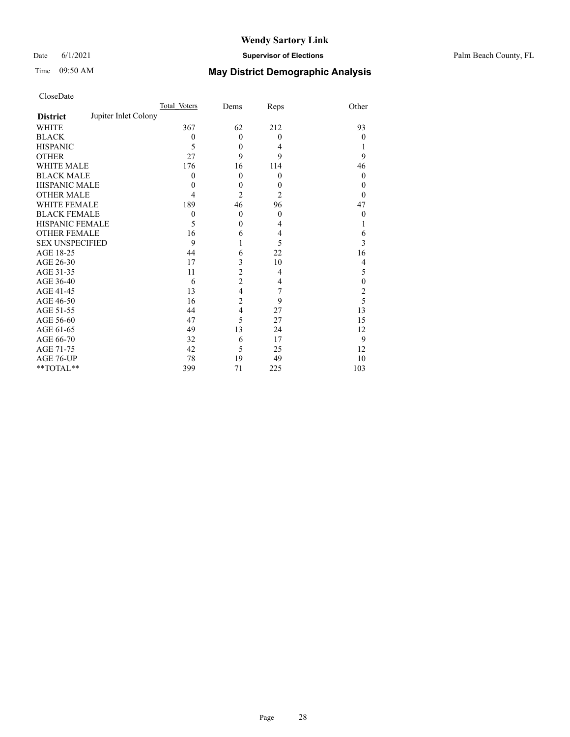## Date 6/1/2021 **Supervisor of Elections** Palm Beach County, FL

# Time 09:50 AM **May District Demographic Analysis**

|                        |                      | Total Voters | Dems           | Reps           | Other            |
|------------------------|----------------------|--------------|----------------|----------------|------------------|
| <b>District</b>        | Jupiter Inlet Colony |              |                |                |                  |
| <b>WHITE</b>           |                      | 367          | 62             | 212            | 93               |
| <b>BLACK</b>           |                      | $\theta$     | $\theta$       | $\mathbf{0}$   | $\theta$         |
| <b>HISPANIC</b>        |                      | 5            | $\theta$       | 4              |                  |
| <b>OTHER</b>           |                      | 27           | 9              | 9              | 9                |
| WHITE MALE             |                      | 176          | 16             | 114            | 46               |
| <b>BLACK MALE</b>      |                      | $\theta$     | $\theta$       | $\mathbf{0}$   | $\mathbf{0}$     |
| <b>HISPANIC MALE</b>   |                      | $\theta$     | $\mathbf{0}$   | $\theta$       | 0                |
| <b>OTHER MALE</b>      |                      | 4            | $\overline{2}$ | $\overline{2}$ | $\theta$         |
| WHITE FEMALE           |                      | 189          | 46             | 96             | 47               |
| <b>BLACK FEMALE</b>    |                      | $\theta$     | $\theta$       | $\mathbf{0}$   | $\boldsymbol{0}$ |
| <b>HISPANIC FEMALE</b> |                      | 5            | $\mathbf{0}$   | 4              |                  |
| <b>OTHER FEMALE</b>    |                      | 16           | 6              | 4              | 6                |
| <b>SEX UNSPECIFIED</b> |                      | 9            | 1              | 5              | 3                |
| AGE 18-25              |                      | 44           | 6              | 22             | 16               |
| AGE 26-30              |                      | 17           | $\mathfrak{Z}$ | 10             | 4                |
| AGE 31-35              |                      | 11           | $\overline{c}$ | 4              | 5                |
| AGE 36-40              |                      | 6            | $\overline{c}$ | 4              | $\theta$         |
| AGE 41-45              |                      | 13           | $\overline{4}$ | 7              | $\overline{c}$   |
| AGE 46-50              |                      | 16           | $\overline{c}$ | 9              | 5                |
| AGE 51-55              |                      | 44           | $\overline{4}$ | 27             | 13               |
| AGE 56-60              |                      | 47           | 5              | 27             | 15               |
| AGE 61-65              |                      | 49           | 13             | 24             | 12               |
| AGE 66-70              |                      | 32           | 6              | 17             | 9                |
| AGE 71-75              |                      | 42           | 5              | 25             | 12               |
| AGE 76-UP              |                      | 78           | 19             | 49             | 10               |
| **TOTAL**              |                      | 399          | 71             | 225            | 103              |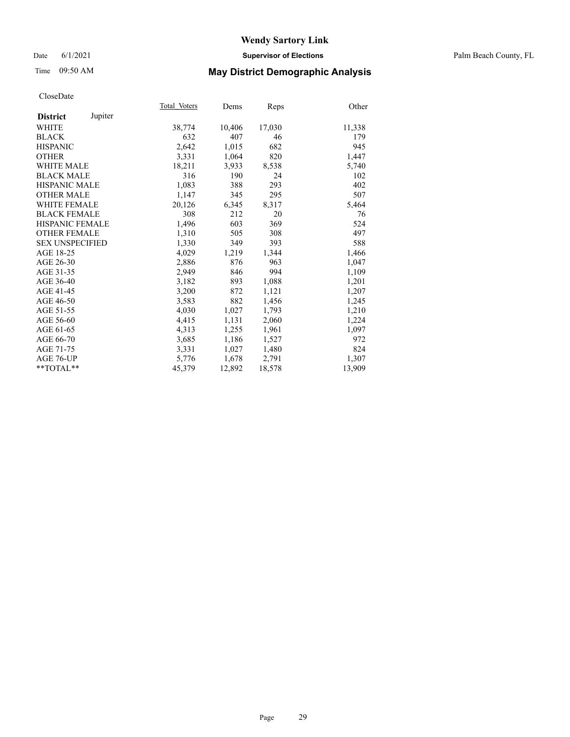## Date 6/1/2021 **Supervisor of Elections** Palm Beach County, FL

## Time 09:50 AM **May District Demographic Analysis**

|                        |         | Total Voters | Dems   | <b>Reps</b> | Other  |
|------------------------|---------|--------------|--------|-------------|--------|
| <b>District</b>        | Jupiter |              |        |             |        |
| WHITE                  |         | 38,774       | 10,406 | 17,030      | 11,338 |
| <b>BLACK</b>           |         | 632          | 407    | 46          | 179    |
| <b>HISPANIC</b>        |         | 2,642        | 1,015  | 682         | 945    |
| <b>OTHER</b>           |         | 3,331        | 1,064  | 820         | 1,447  |
| <b>WHITE MALE</b>      |         | 18,211       | 3,933  | 8,538       | 5,740  |
| <b>BLACK MALE</b>      |         | 316          | 190    | 24          | 102    |
| <b>HISPANIC MALE</b>   |         | 1,083        | 388    | 293         | 402    |
| <b>OTHER MALE</b>      |         | 1,147        | 345    | 295         | 507    |
| <b>WHITE FEMALE</b>    |         | 20,126       | 6,345  | 8,317       | 5,464  |
| <b>BLACK FEMALE</b>    |         | 308          | 212    | 20          | 76     |
| <b>HISPANIC FEMALE</b> |         | 1,496        | 603    | 369         | 524    |
| <b>OTHER FEMALE</b>    |         | 1,310        | 505    | 308         | 497    |
| <b>SEX UNSPECIFIED</b> |         | 1,330        | 349    | 393         | 588    |
| AGE 18-25              |         | 4,029        | 1,219  | 1,344       | 1,466  |
| AGE 26-30              |         | 2,886        | 876    | 963         | 1,047  |
| AGE 31-35              |         | 2,949        | 846    | 994         | 1,109  |
| AGE 36-40              |         | 3,182        | 893    | 1,088       | 1,201  |
| AGE 41-45              |         | 3,200        | 872    | 1,121       | 1,207  |
| AGE 46-50              |         | 3,583        | 882    | 1,456       | 1,245  |
| AGE 51-55              |         | 4,030        | 1,027  | 1,793       | 1,210  |
| AGE 56-60              |         | 4,415        | 1,131  | 2,060       | 1,224  |
| AGE 61-65              |         | 4,313        | 1,255  | 1,961       | 1,097  |
| AGE 66-70              |         | 3,685        | 1,186  | 1,527       | 972    |
| AGE 71-75              |         | 3,331        | 1,027  | 1,480       | 824    |
| AGE 76-UP              |         | 5,776        | 1,678  | 2,791       | 1,307  |
| $*$ TOTAL $*$          |         | 45,379       | 12,892 | 18,578      | 13,909 |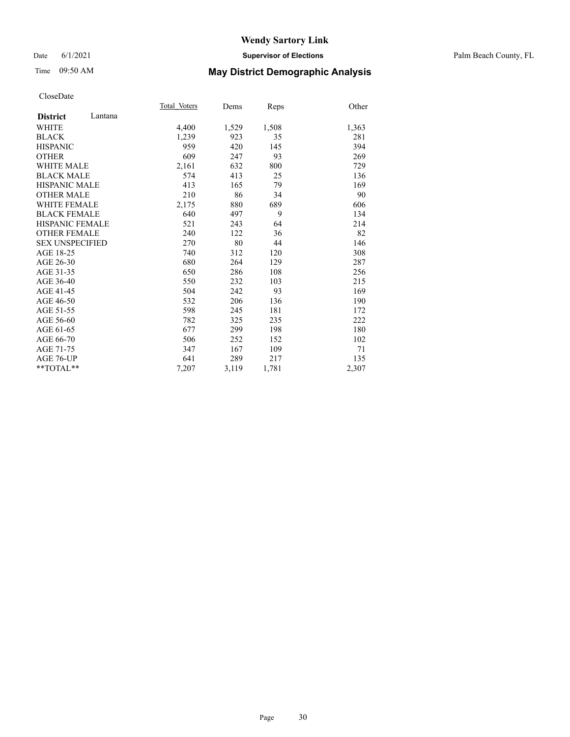### Date 6/1/2021 **Supervisor of Elections** Palm Beach County, FL

## Time 09:50 AM **May District Demographic Analysis**

|                            | Total Voters | Dems  | Reps  | Other |
|----------------------------|--------------|-------|-------|-------|
| Lantana<br><b>District</b> |              |       |       |       |
| WHITE                      | 4,400        | 1,529 | 1,508 | 1,363 |
| <b>BLACK</b>               | 1,239        | 923   | 35    | 281   |
| <b>HISPANIC</b>            | 959          | 420   | 145   | 394   |
| <b>OTHER</b>               | 609          | 247   | 93    | 269   |
| <b>WHITE MALE</b>          | 2,161        | 632   | 800   | 729   |
| <b>BLACK MALE</b>          | 574          | 413   | 25    | 136   |
| <b>HISPANIC MALE</b>       | 413          | 165   | 79    | 169   |
| <b>OTHER MALE</b>          | 210          | 86    | 34    | 90    |
| <b>WHITE FEMALE</b>        | 2,175        | 880   | 689   | 606   |
| <b>BLACK FEMALE</b>        | 640          | 497   | 9     | 134   |
| <b>HISPANIC FEMALE</b>     | 521          | 243   | 64    | 214   |
| <b>OTHER FEMALE</b>        | 240          | 122   | 36    | 82    |
| <b>SEX UNSPECIFIED</b>     | 270          | 80    | 44    | 146   |
| AGE 18-25                  | 740          | 312   | 120   | 308   |
| AGE 26-30                  | 680          | 264   | 129   | 287   |
| AGE 31-35                  | 650          | 286   | 108   | 256   |
| AGE 36-40                  | 550          | 232   | 103   | 215   |
| AGE 41-45                  | 504          | 242   | 93    | 169   |
| AGE 46-50                  | 532          | 206   | 136   | 190   |
| AGE 51-55                  | 598          | 245   | 181   | 172   |
| AGE 56-60                  | 782          | 325   | 235   | 222   |
| AGE 61-65                  | 677          | 299   | 198   | 180   |
| AGE 66-70                  | 506          | 252   | 152   | 102   |
| AGE 71-75                  | 347          | 167   | 109   | 71    |
| AGE 76-UP                  | 641          | 289   | 217   | 135   |
| $*$ $TOTAL**$              | 7,207        | 3,119 | 1,781 | 2,307 |
|                            |              |       |       |       |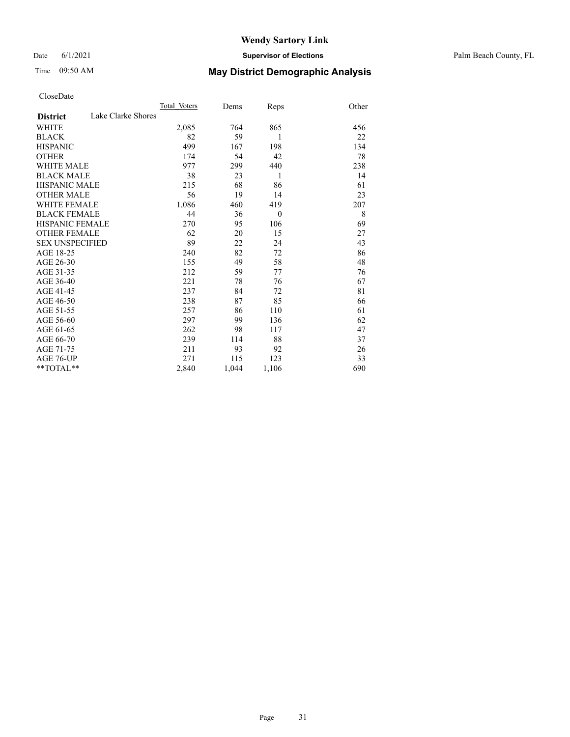### Date 6/1/2021 **Supervisor of Elections** Palm Beach County, FL

# Time 09:50 AM **May District Demographic Analysis**

|                                       | Total Voters | Dems  | Reps         | Other |
|---------------------------------------|--------------|-------|--------------|-------|
| Lake Clarke Shores<br><b>District</b> |              |       |              |       |
| <b>WHITE</b>                          | 2,085        | 764   | 865          | 456   |
| <b>BLACK</b>                          | 82           | 59    | 1            | 22    |
| <b>HISPANIC</b>                       | 499          | 167   | 198          | 134   |
| <b>OTHER</b>                          | 174          | 54    | 42           | 78    |
| WHITE MALE                            | 977          | 299   | 440          | 238   |
| <b>BLACK MALE</b>                     | 38           | 23    | 1            | 14    |
| <b>HISPANIC MALE</b>                  | 215          | 68    | 86           | 61    |
| <b>OTHER MALE</b>                     | 56           | 19    | 14           | 23    |
| <b>WHITE FEMALE</b>                   | 1,086        | 460   | 419          | 207   |
| <b>BLACK FEMALE</b>                   | 44           | 36    | $\mathbf{0}$ | 8     |
| <b>HISPANIC FEMALE</b>                | 270          | 95    | 106          | 69    |
| <b>OTHER FEMALE</b>                   | 62           | 20    | 15           | 27    |
| <b>SEX UNSPECIFIED</b>                | 89           | 22    | 24           | 43    |
| AGE 18-25                             | 240          | 82    | 72           | 86    |
| AGE 26-30                             | 155          | 49    | 58           | 48    |
| AGE 31-35                             | 212          | 59    | 77           | 76    |
| AGE 36-40                             | 221          | 78    | 76           | 67    |
| AGE 41-45                             | 237          | 84    | 72           | 81    |
| AGE 46-50                             | 238          | 87    | 85           | 66    |
| AGE 51-55                             | 257          | 86    | 110          | 61    |
| AGE 56-60                             | 297          | 99    | 136          | 62    |
| AGE 61-65                             | 262          | 98    | 117          | 47    |
| AGE 66-70                             | 239          | 114   | 88           | 37    |
| AGE 71-75                             | 211          | 93    | 92           | 26    |
| AGE 76-UP                             | 271          | 115   | 123          | 33    |
| **TOTAL**                             | 2,840        | 1,044 | 1,106        | 690   |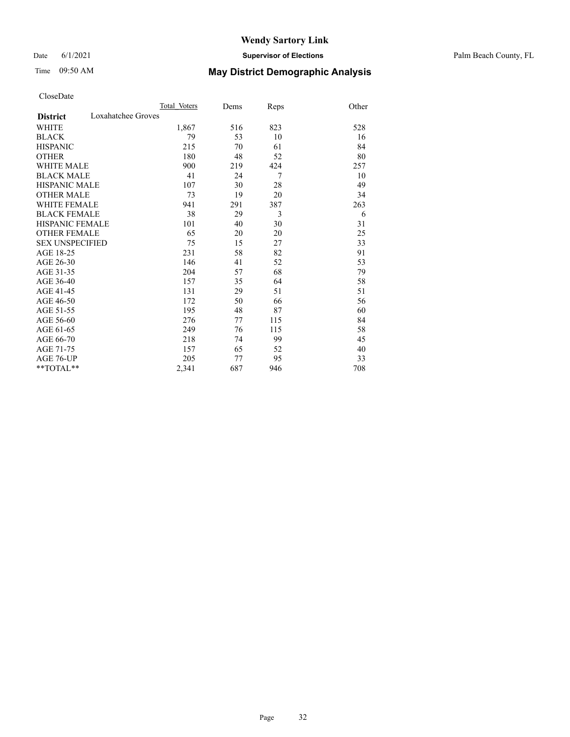### Date 6/1/2021 **Supervisor of Elections** Palm Beach County, FL

# Time 09:50 AM **May District Demographic Analysis**

|                                       | Total Voters | Dems | Reps | Other |
|---------------------------------------|--------------|------|------|-------|
| Loxahatchee Groves<br><b>District</b> |              |      |      |       |
| <b>WHITE</b>                          | 1,867        | 516  | 823  | 528   |
| <b>BLACK</b>                          | 79           | 53   | 10   | 16    |
| <b>HISPANIC</b>                       | 215          | 70   | 61   | 84    |
| <b>OTHER</b>                          | 180          | 48   | 52   | 80    |
| WHITE MALE                            | 900          | 219  | 424  | 257   |
| <b>BLACK MALE</b>                     | 41           | 24   | 7    | 10    |
| <b>HISPANIC MALE</b>                  | 107          | 30   | 28   | 49    |
| <b>OTHER MALE</b>                     | 73           | 19   | 20   | 34    |
| <b>WHITE FEMALE</b>                   | 941          | 291  | 387  | 263   |
| <b>BLACK FEMALE</b>                   | 38           | 29   | 3    | 6     |
| <b>HISPANIC FEMALE</b>                | 101          | 40   | 30   | 31    |
| <b>OTHER FEMALE</b>                   | 65           | 20   | 20   | 25    |
| <b>SEX UNSPECIFIED</b>                | 75           | 15   | 27   | 33    |
| AGE 18-25                             | 231          | 58   | 82   | 91    |
| AGE 26-30                             | 146          | 41   | 52   | 53    |
| AGE 31-35                             | 204          | 57   | 68   | 79    |
| AGE 36-40                             | 157          | 35   | 64   | 58    |
| AGE 41-45                             | 131          | 29   | 51   | 51    |
| AGE 46-50                             | 172          | 50   | 66   | 56    |
| AGE 51-55                             | 195          | 48   | 87   | 60    |
| AGE 56-60                             | 276          | 77   | 115  | 84    |
| AGE 61-65                             | 249          | 76   | 115  | 58    |
| AGE 66-70                             | 218          | 74   | 99   | 45    |
| AGE 71-75                             | 157          | 65   | 52   | 40    |
| AGE 76-UP                             | 205          | 77   | 95   | 33    |
| **TOTAL**                             | 2,341        | 687  | 946  | 708   |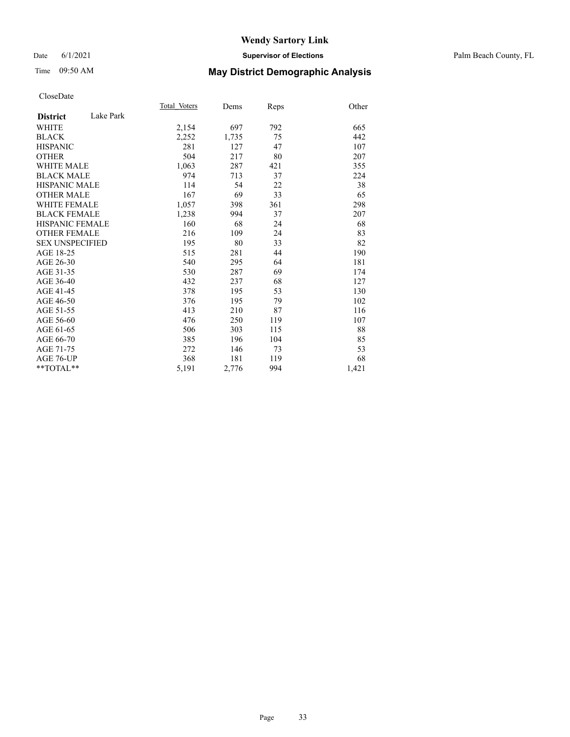### Date 6/1/2021 **Supervisor of Elections** Palm Beach County, FL

## Time 09:50 AM **May District Demographic Analysis**

|                        |           | Total Voters | Dems  | Reps | Other |
|------------------------|-----------|--------------|-------|------|-------|
| <b>District</b>        | Lake Park |              |       |      |       |
| WHITE                  |           | 2,154        | 697   | 792  | 665   |
| <b>BLACK</b>           |           | 2,252        | 1,735 | 75   | 442   |
| <b>HISPANIC</b>        |           | 281          | 127   | 47   | 107   |
| <b>OTHER</b>           |           | 504          | 217   | 80   | 207   |
| <b>WHITE MALE</b>      |           | 1,063        | 287   | 421  | 355   |
| <b>BLACK MALE</b>      |           | 974          | 713   | 37   | 224   |
| <b>HISPANIC MALE</b>   |           | 114          | 54    | 22   | 38    |
| <b>OTHER MALE</b>      |           | 167          | 69    | 33   | 65    |
| <b>WHITE FEMALE</b>    |           | 1,057        | 398   | 361  | 298   |
| <b>BLACK FEMALE</b>    |           | 1,238        | 994   | 37   | 207   |
| <b>HISPANIC FEMALE</b> |           | 160          | 68    | 24   | 68    |
| <b>OTHER FEMALE</b>    |           | 216          | 109   | 24   | 83    |
| <b>SEX UNSPECIFIED</b> |           | 195          | 80    | 33   | 82    |
| AGE 18-25              |           | 515          | 281   | 44   | 190   |
| AGE 26-30              |           | 540          | 295   | 64   | 181   |
| AGE 31-35              |           | 530          | 287   | 69   | 174   |
| AGE 36-40              |           | 432          | 237   | 68   | 127   |
| AGE 41-45              |           | 378          | 195   | 53   | 130   |
| AGE 46-50              |           | 376          | 195   | 79   | 102   |
| AGE 51-55              |           | 413          | 210   | 87   | 116   |
| AGE 56-60              |           | 476          | 250   | 119  | 107   |
| AGE 61-65              |           | 506          | 303   | 115  | 88    |
| AGE 66-70              |           | 385          | 196   | 104  | 85    |
| AGE 71-75              |           | 272          | 146   | 73   | 53    |
| AGE 76-UP              |           | 368          | 181   | 119  | 68    |
| **TOTAL**              |           | 5,191        | 2,776 | 994  | 1,421 |
|                        |           |              |       |      |       |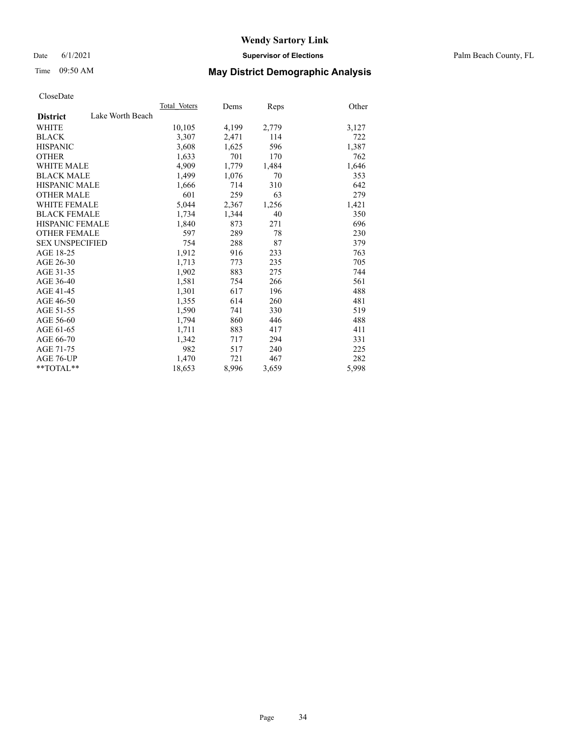Date 6/1/2021 **Supervisor of Elections** Palm Beach County, FL

# Time 09:50 AM **May District Demographic Analysis**

|                        |                  | Total Voters | Dems  | <b>Reps</b> | Other |
|------------------------|------------------|--------------|-------|-------------|-------|
| <b>District</b>        | Lake Worth Beach |              |       |             |       |
| WHITE                  |                  | 10,105       | 4,199 | 2,779       | 3,127 |
| <b>BLACK</b>           |                  | 3,307        | 2,471 | 114         | 722   |
| <b>HISPANIC</b>        |                  | 3,608        | 1,625 | 596         | 1,387 |
| <b>OTHER</b>           |                  | 1,633        | 701   | 170         | 762   |
| <b>WHITE MALE</b>      |                  | 4,909        | 1,779 | 1,484       | 1,646 |
| <b>BLACK MALE</b>      |                  | 1,499        | 1,076 | 70          | 353   |
| <b>HISPANIC MALE</b>   |                  | 1,666        | 714   | 310         | 642   |
| <b>OTHER MALE</b>      |                  | 601          | 259   | 63          | 279   |
| <b>WHITE FEMALE</b>    |                  | 5,044        | 2,367 | 1,256       | 1,421 |
| <b>BLACK FEMALE</b>    |                  | 1,734        | 1,344 | 40          | 350   |
| <b>HISPANIC FEMALE</b> |                  | 1,840        | 873   | 271         | 696   |
| <b>OTHER FEMALE</b>    |                  | 597          | 289   | 78          | 230   |
| <b>SEX UNSPECIFIED</b> |                  | 754          | 288   | 87          | 379   |
| AGE 18-25              |                  | 1,912        | 916   | 233         | 763   |
| AGE 26-30              |                  | 1,713        | 773   | 235         | 705   |
| AGE 31-35              |                  | 1,902        | 883   | 275         | 744   |
| AGE 36-40              |                  | 1,581        | 754   | 266         | 561   |
| AGE 41-45              |                  | 1,301        | 617   | 196         | 488   |
| AGE 46-50              |                  | 1,355        | 614   | 260         | 481   |
| AGE 51-55              |                  | 1,590        | 741   | 330         | 519   |
| AGE 56-60              |                  | 1,794        | 860   | 446         | 488   |
| AGE 61-65              |                  | 1,711        | 883   | 417         | 411   |
| AGE 66-70              |                  | 1,342        | 717   | 294         | 331   |
| AGE 71-75              |                  | 982          | 517   | 240         | 225   |
| AGE 76-UP              |                  | 1,470        | 721   | 467         | 282   |
| $*$ $TOTAL**$          |                  | 18,653       | 8,996 | 3,659       | 5,998 |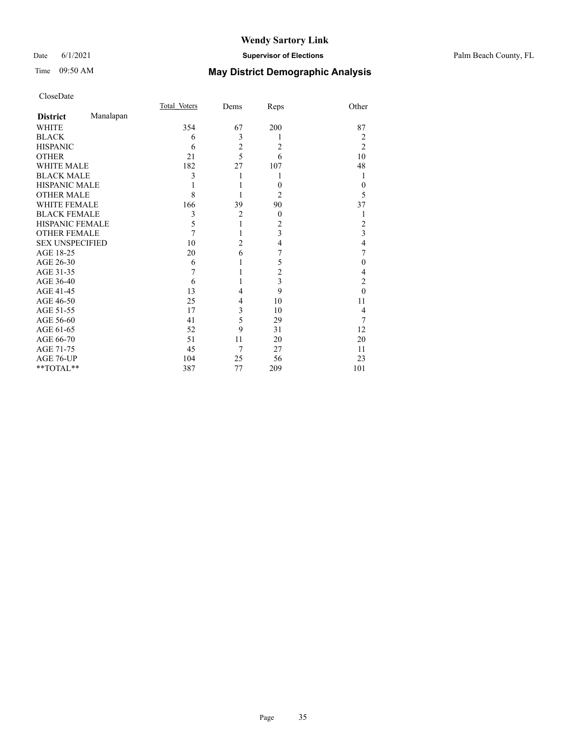## Date 6/1/2021 **Supervisor of Elections** Palm Beach County, FL

# Time 09:50 AM **May District Demographic Analysis**

|                        |           | Total Voters | Dems           | Reps           | Other          |
|------------------------|-----------|--------------|----------------|----------------|----------------|
| <b>District</b>        | Manalapan |              |                |                |                |
| WHITE                  |           | 354          | 67             | 200            | 87             |
| <b>BLACK</b>           |           | 6            | 3              |                | 2              |
| <b>HISPANIC</b>        |           | 6            | $\overline{c}$ | $\overline{2}$ | $\overline{2}$ |
| <b>OTHER</b>           |           | 21           | 5              | 6              | 10             |
| <b>WHITE MALE</b>      |           | 182          | 27             | 107            | 48             |
| <b>BLACK MALE</b>      |           | 3            | 1              |                | 1              |
| <b>HISPANIC MALE</b>   |           |              |                | $\theta$       | $\theta$       |
| <b>OTHER MALE</b>      |           | 8            |                | 2              | 5              |
| WHITE FEMALE           |           | 166          | 39             | 90             | 37             |
| <b>BLACK FEMALE</b>    |           | 3            | $\overline{2}$ | $\overline{0}$ | 1              |
| <b>HISPANIC FEMALE</b> |           | 5            | 1              | $\overline{c}$ | 2              |
| <b>OTHER FEMALE</b>    |           | 7            | 1              | 3              | 3              |
| <b>SEX UNSPECIFIED</b> |           | 10           | $\overline{2}$ | 4              | $\overline{4}$ |
| AGE 18-25              |           | 20           | 6              | 7              | 7              |
| AGE 26-30              |           | 6            | 1              | 5              | $\theta$       |
| AGE 31-35              |           | 7            | 1              | $\overline{c}$ | 4              |
| AGE 36-40              |           | 6            | 1              | 3              | $\overline{2}$ |
| AGE 41-45              |           | 13           | $\overline{4}$ | 9              | $\theta$       |
| AGE 46-50              |           | 25           | 4              | 10             | 11             |
| AGE 51-55              |           | 17           | 3              | 10             | 4              |
| AGE 56-60              |           | 41           | 5              | 29             | 7              |
| AGE 61-65              |           | 52           | 9              | 31             | 12             |
| AGE 66-70              |           | 51           | 11             | 20             | 20             |
| AGE 71-75              |           | 45           | 7              | 27             | 11             |
| AGE 76-UP              |           | 104          | 25             | 56             | 23             |
| $*$ TOTAL $**$         |           | 387          | 77             | 209            | 101            |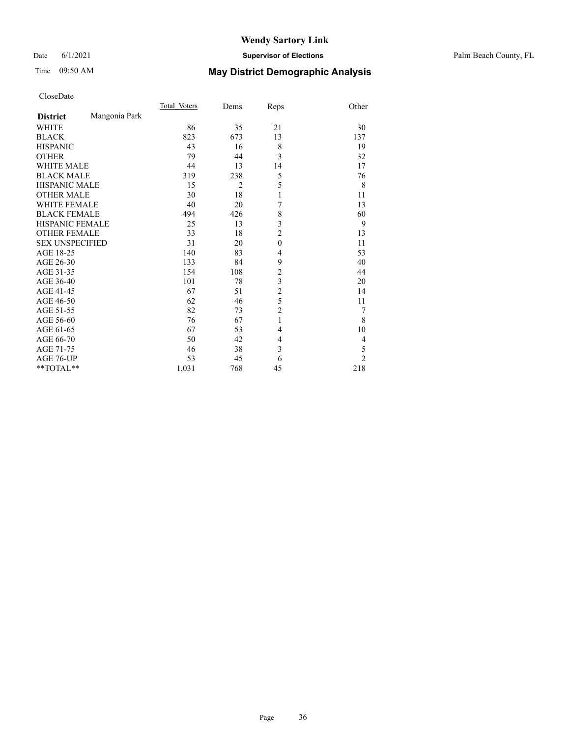### Date 6/1/2021 **Supervisor of Elections** Palm Beach County, FL

# Time 09:50 AM **May District Demographic Analysis**

|                        |               | Total Voters | Dems           | Reps           | Other          |
|------------------------|---------------|--------------|----------------|----------------|----------------|
| <b>District</b>        | Mangonia Park |              |                |                |                |
| <b>WHITE</b>           |               | 86           | 35             | 21             | 30             |
| <b>BLACK</b>           |               | 823          | 673            | 13             | 137            |
| <b>HISPANIC</b>        |               | 43           | 16             | 8              | 19             |
| <b>OTHER</b>           |               | 79           | 44             | 3              | 32             |
| <b>WHITE MALE</b>      |               | 44           | 13             | 14             | 17             |
| <b>BLACK MALE</b>      |               | 319          | 238            | 5              | 76             |
| <b>HISPANIC MALE</b>   |               | 15           | $\overline{2}$ | 5              | 8              |
| <b>OTHER MALE</b>      |               | 30           | 18             | $\mathbf{1}$   | 11             |
| <b>WHITE FEMALE</b>    |               | 40           | 20             | 7              | 13             |
| <b>BLACK FEMALE</b>    |               | 494          | 426            | 8              | 60             |
| <b>HISPANIC FEMALE</b> |               | 25           | 13             | 3              | 9              |
| <b>OTHER FEMALE</b>    |               | 33           | 18             | $\overline{2}$ | 13             |
| <b>SEX UNSPECIFIED</b> |               | 31           | 20             | $\mathbf{0}$   | 11             |
| AGE 18-25              |               | 140          | 83             | $\overline{4}$ | 53             |
| AGE 26-30              |               | 133          | 84             | 9              | 40             |
| AGE 31-35              |               | 154          | 108            | $\overline{c}$ | 44             |
| AGE 36-40              |               | 101          | 78             | 3              | 20             |
| AGE 41-45              |               | 67           | 51             | $\overline{c}$ | 14             |
| AGE 46-50              |               | 62           | 46             | 5              | 11             |
| AGE 51-55              |               | 82           | 73             | $\overline{c}$ | 7              |
| AGE 56-60              |               | 76           | 67             | 1              | 8              |
| AGE 61-65              |               | 67           | 53             | 4              | 10             |
| AGE 66-70              |               | 50           | 42             | 4              | 4              |
| AGE 71-75              |               | 46           | 38             | 3              | 5              |
| AGE 76-UP              |               | 53           | 45             | 6              | $\overline{2}$ |
| **TOTAL**              |               | 1,031        | 768            | 45             | 218            |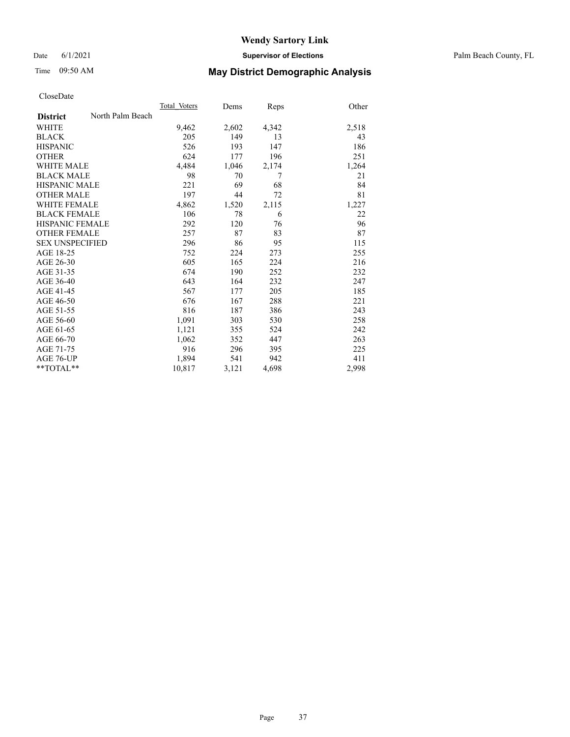Date 6/1/2021 **Supervisor of Elections** Palm Beach County, FL

# Time 09:50 AM **May District Demographic Analysis**

|                        |                  | Total Voters | Dems  | Reps  | Other |
|------------------------|------------------|--------------|-------|-------|-------|
| <b>District</b>        | North Palm Beach |              |       |       |       |
| <b>WHITE</b>           |                  | 9,462        | 2,602 | 4,342 | 2,518 |
| <b>BLACK</b>           |                  | 205          | 149   | 13    | 43    |
| <b>HISPANIC</b>        |                  | 526          | 193   | 147   | 186   |
| <b>OTHER</b>           |                  | 624          | 177   | 196   | 251   |
| WHITE MALE             |                  | 4,484        | 1,046 | 2,174 | 1,264 |
| <b>BLACK MALE</b>      |                  | 98           | 70    | 7     | 21    |
| <b>HISPANIC MALE</b>   |                  | 221          | 69    | 68    | 84    |
| <b>OTHER MALE</b>      |                  | 197          | 44    | 72    | 81    |
| <b>WHITE FEMALE</b>    |                  | 4,862        | 1,520 | 2,115 | 1,227 |
| <b>BLACK FEMALE</b>    |                  | 106          | 78    | 6     | 22    |
| <b>HISPANIC FEMALE</b> |                  | 292          | 120   | 76    | 96    |
| <b>OTHER FEMALE</b>    |                  | 257          | 87    | 83    | 87    |
| <b>SEX UNSPECIFIED</b> |                  | 296          | 86    | 95    | 115   |
| AGE 18-25              |                  | 752          | 224   | 273   | 255   |
| AGE 26-30              |                  | 605          | 165   | 224   | 216   |
| AGE 31-35              |                  | 674          | 190   | 252   | 232   |
| AGE 36-40              |                  | 643          | 164   | 232   | 247   |
| AGE 41-45              |                  | 567          | 177   | 205   | 185   |
| AGE 46-50              |                  | 676          | 167   | 288   | 221   |
| AGE 51-55              |                  | 816          | 187   | 386   | 243   |
| AGE 56-60              |                  | 1,091        | 303   | 530   | 258   |
| AGE 61-65              |                  | 1,121        | 355   | 524   | 242   |
| AGE 66-70              |                  | 1,062        | 352   | 447   | 263   |
| AGE 71-75              |                  | 916          | 296   | 395   | 225   |
| AGE 76-UP              |                  | 1.894        | 541   | 942   | 411   |
| $*$ $TOTAL**$          |                  | 10,817       | 3,121 | 4,698 | 2,998 |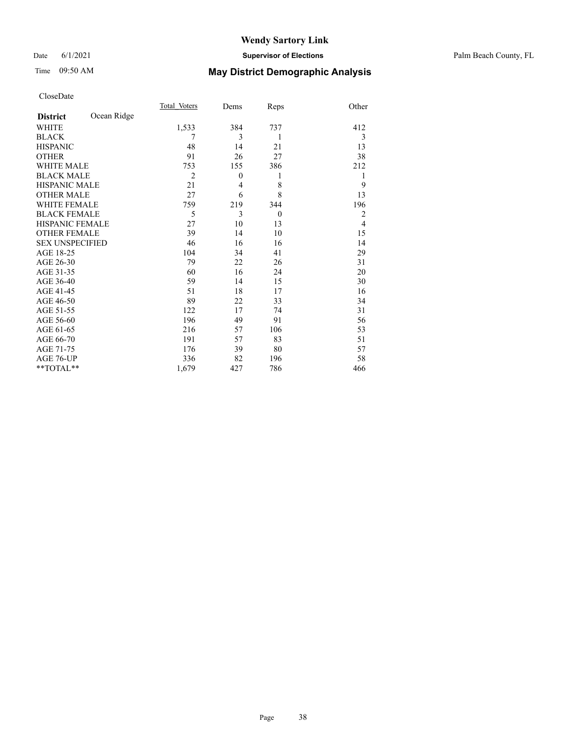# Time 09:50 AM **May District Demographic Analysis**

|                        |             | Total Voters   | Dems     | Reps           | Other          |
|------------------------|-------------|----------------|----------|----------------|----------------|
| <b>District</b>        | Ocean Ridge |                |          |                |                |
| <b>WHITE</b>           |             | 1,533          | 384      | 737            | 412            |
| <b>BLACK</b>           |             | 7              | 3        | 1              | 3              |
| <b>HISPANIC</b>        |             | 48             | 14       | 21             | 13             |
| <b>OTHER</b>           |             | 91             | 26       | 27             | 38             |
| <b>WHITE MALE</b>      |             | 753            | 155      | 386            | 212            |
| <b>BLACK MALE</b>      |             | $\overline{2}$ | $\theta$ | 1              | 1              |
| <b>HISPANIC MALE</b>   |             | 21             | 4        | 8              | 9              |
| <b>OTHER MALE</b>      |             | 27             | 6        | 8              | 13             |
| <b>WHITE FEMALE</b>    |             | 759            | 219      | 344            | 196            |
| <b>BLACK FEMALE</b>    |             | 5              | 3        | $\overline{0}$ | $\overline{2}$ |
| <b>HISPANIC FEMALE</b> |             | 27             | 10       | 13             | $\overline{4}$ |
| <b>OTHER FEMALE</b>    |             | 39             | 14       | 10             | 15             |
| <b>SEX UNSPECIFIED</b> |             | 46             | 16       | 16             | 14             |
| AGE 18-25              |             | 104            | 34       | 41             | 29             |
| AGE 26-30              |             | 79             | 22       | 26             | 31             |
| AGE 31-35              |             | 60             | 16       | 24             | 20             |
| AGE 36-40              |             | 59             | 14       | 15             | 30             |
| AGE 41-45              |             | 51             | 18       | 17             | 16             |
| AGE 46-50              |             | 89             | 22       | 33             | 34             |
| AGE 51-55              |             | 122            | 17       | 74             | 31             |
| AGE 56-60              |             | 196            | 49       | 91             | 56             |
| AGE 61-65              |             | 216            | 57       | 106            | 53             |
| AGE 66-70              |             | 191            | 57       | 83             | 51             |
| AGE 71-75              |             | 176            | 39       | 80             | 57             |
| AGE 76-UP              |             | 336            | 82       | 196            | 58             |
| $*$ $TOTAL**$          |             | 1,679          | 427      | 786            | 466            |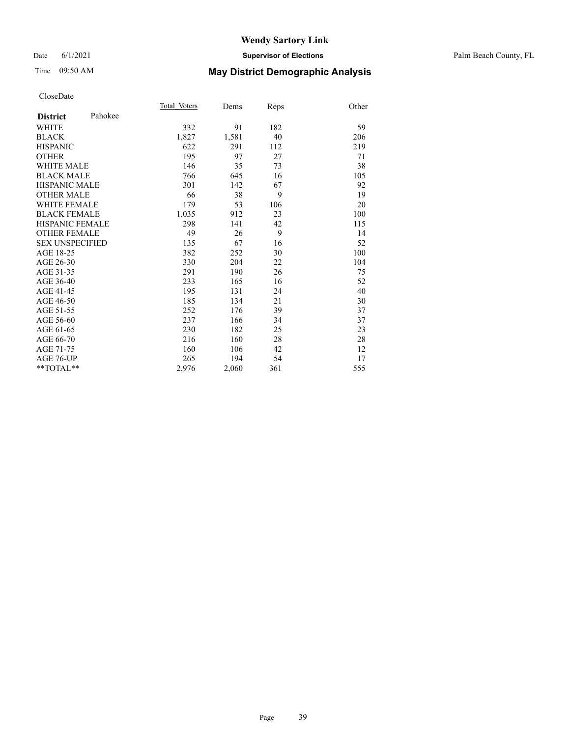#### Date 6/1/2021 **Supervisor of Elections** Palm Beach County, FL

# Time 09:50 AM **May District Demographic Analysis**

|                            | Total Voters | Dems  | Reps | Other |
|----------------------------|--------------|-------|------|-------|
| Pahokee<br><b>District</b> |              |       |      |       |
| WHITE                      | 332          | 91    | 182  | 59    |
| <b>BLACK</b>               | 1,827        | 1,581 | 40   | 206   |
| <b>HISPANIC</b>            | 622          | 291   | 112  | 219   |
| <b>OTHER</b>               | 195          | 97    | 27   | 71    |
| WHITE MALE                 | 146          | 35    | 73   | 38    |
| <b>BLACK MALE</b>          | 766          | 645   | 16   | 105   |
| <b>HISPANIC MALE</b>       | 301          | 142   | 67   | 92    |
| <b>OTHER MALE</b>          | 66           | 38    | 9    | 19    |
| <b>WHITE FEMALE</b>        | 179          | 53    | 106  | 20    |
| <b>BLACK FEMALE</b>        | 1,035        | 912   | 23   | 100   |
| <b>HISPANIC FEMALE</b>     | 298          | 141   | 42   | 115   |
| <b>OTHER FEMALE</b>        | 49           | 26    | 9    | 14    |
| <b>SEX UNSPECIFIED</b>     | 135          | 67    | 16   | 52    |
| AGE 18-25                  | 382          | 252   | 30   | 100   |
| AGE 26-30                  | 330          | 204   | 22   | 104   |
| AGE 31-35                  | 291          | 190   | 26   | 75    |
| AGE 36-40                  | 233          | 165   | 16   | 52    |
| AGE 41-45                  | 195          | 131   | 24   | 40    |
| AGE 46-50                  | 185          | 134   | 21   | 30    |
| AGE 51-55                  | 252          | 176   | 39   | 37    |
| AGE 56-60                  | 237          | 166   | 34   | 37    |
| AGE 61-65                  | 230          | 182   | 25   | 23    |
| AGE 66-70                  | 216          | 160   | 28   | 28    |
| AGE 71-75                  | 160          | 106   | 42   | 12    |
| AGE 76-UP                  | 265          | 194   | 54   | 17    |
| $*$ $TOTAL**$              | 2,976        | 2,060 | 361  | 555   |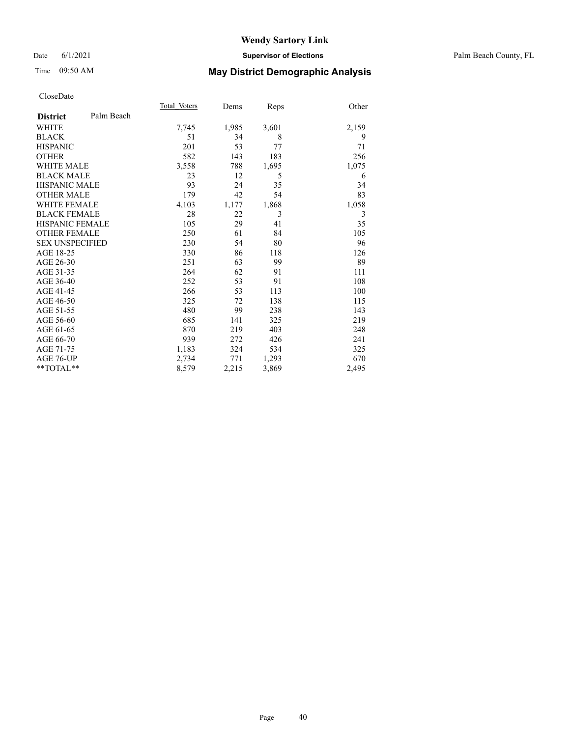#### Date 6/1/2021 **Supervisor of Elections** Palm Beach County, FL

# Time 09:50 AM **May District Demographic Analysis**

|                        |            | Total Voters | Dems  | Reps  | Other |
|------------------------|------------|--------------|-------|-------|-------|
| <b>District</b>        | Palm Beach |              |       |       |       |
| <b>WHITE</b>           |            | 7,745        | 1,985 | 3,601 | 2,159 |
| <b>BLACK</b>           |            | 51           | 34    | 8     | 9     |
| <b>HISPANIC</b>        |            | 201          | 53    | 77    | 71    |
| <b>OTHER</b>           |            | 582          | 143   | 183   | 256   |
| WHITE MALE             |            | 3,558        | 788   | 1,695 | 1,075 |
| <b>BLACK MALE</b>      |            | 23           | 12    | 5     | 6     |
| <b>HISPANIC MALE</b>   |            | 93           | 24    | 35    | 34    |
| <b>OTHER MALE</b>      |            | 179          | 42    | 54    | 83    |
| WHITE FEMALE           |            | 4,103        | 1,177 | 1,868 | 1,058 |
| <b>BLACK FEMALE</b>    |            | 28           | 22    | 3     | 3     |
| <b>HISPANIC FEMALE</b> |            | 105          | 29    | 41    | 35    |
| <b>OTHER FEMALE</b>    |            | 250          | 61    | 84    | 105   |
| <b>SEX UNSPECIFIED</b> |            | 230          | 54    | 80    | 96    |
| AGE 18-25              |            | 330          | 86    | 118   | 126   |
| AGE 26-30              |            | 251          | 63    | 99    | 89    |
| AGE 31-35              |            | 264          | 62    | 91    | 111   |
| AGE 36-40              |            | 252          | 53    | 91    | 108   |
| AGE 41-45              |            | 266          | 53    | 113   | 100   |
| AGE 46-50              |            | 325          | 72    | 138   | 115   |
| AGE 51-55              |            | 480          | 99    | 238   | 143   |
| AGE 56-60              |            | 685          | 141   | 325   | 219   |
| AGE 61-65              |            | 870          | 219   | 403   | 248   |
| AGE 66-70              |            | 939          | 272   | 426   | 241   |
| AGE 71-75              |            | 1,183        | 324   | 534   | 325   |
| AGE 76-UP              |            | 2,734        | 771   | 1,293 | 670   |
| $*$ $*$ TOTAL $*$ $*$  |            | 8,579        | 2,215 | 3,869 | 2,495 |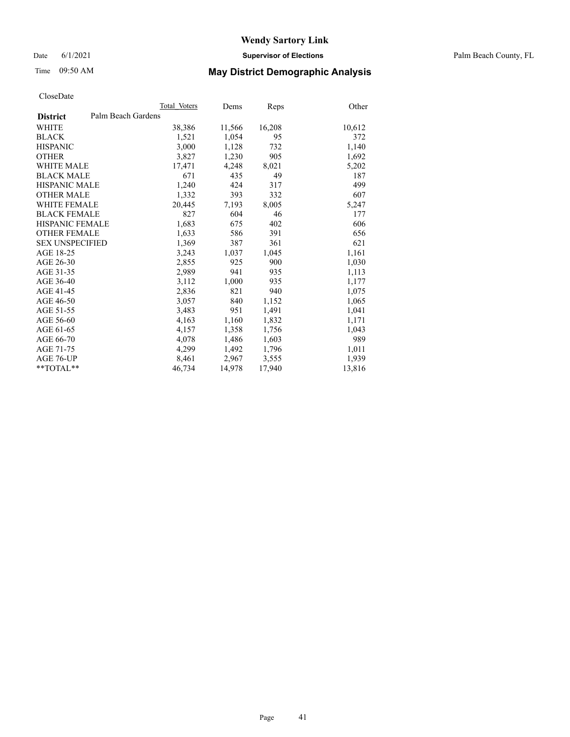Date 6/1/2021 **Supervisor of Elections** Palm Beach County, FL

# Time 09:50 AM **May District Demographic Analysis**

|                        | Total Voters       | Dems   | <b>Reps</b> | Other  |
|------------------------|--------------------|--------|-------------|--------|
| <b>District</b>        | Palm Beach Gardens |        |             |        |
| WHITE                  | 38,386             | 11,566 | 16,208      | 10,612 |
| <b>BLACK</b>           | 1,521              | 1,054  | 95          | 372    |
| <b>HISPANIC</b>        | 3,000              | 1,128  | 732         | 1,140  |
| <b>OTHER</b>           | 3,827              | 1,230  | 905         | 1,692  |
| <b>WHITE MALE</b>      | 17,471             | 4,248  | 8,021       | 5,202  |
| <b>BLACK MALE</b>      | 671                | 435    | 49          | 187    |
| <b>HISPANIC MALE</b>   | 1,240              | 424    | 317         | 499    |
| <b>OTHER MALE</b>      | 1,332              | 393    | 332         | 607    |
| <b>WHITE FEMALE</b>    | 20,445             | 7,193  | 8,005       | 5,247  |
| <b>BLACK FEMALE</b>    | 827                | 604    | 46          | 177    |
| <b>HISPANIC FEMALE</b> | 1,683              | 675    | 402         | 606    |
| <b>OTHER FEMALE</b>    | 1,633              | 586    | 391         | 656    |
| <b>SEX UNSPECIFIED</b> | 1,369              | 387    | 361         | 621    |
| AGE 18-25              | 3,243              | 1,037  | 1,045       | 1,161  |
| AGE 26-30              | 2,855              | 925    | 900         | 1,030  |
| AGE 31-35              | 2,989              | 941    | 935         | 1,113  |
| AGE 36-40              | 3,112              | 1,000  | 935         | 1,177  |
| AGE 41-45              | 2,836              | 821    | 940         | 1,075  |
| AGE 46-50              | 3,057              | 840    | 1,152       | 1,065  |
| AGE 51-55              | 3,483              | 951    | 1,491       | 1,041  |
| AGE 56-60              | 4,163              | 1,160  | 1,832       | 1,171  |
| AGE 61-65              | 4,157              | 1,358  | 1,756       | 1,043  |
| AGE 66-70              | 4,078              | 1,486  | 1,603       | 989    |
| AGE 71-75              | 4,299              | 1,492  | 1,796       | 1,011  |
| AGE 76-UP              | 8,461              | 2,967  | 3,555       | 1,939  |
| **TOTAL**              | 46,734             | 14,978 | 17,940      | 13,816 |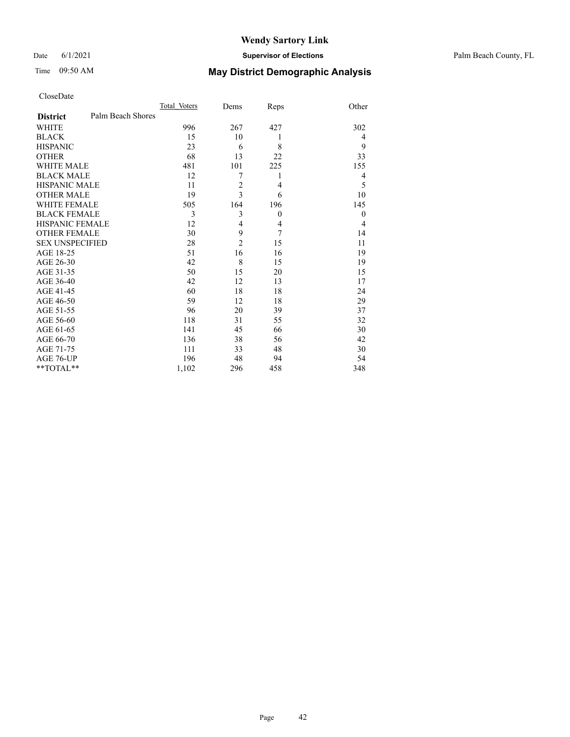#### Date 6/1/2021 **Supervisor of Elections** Palm Beach County, FL

# Time 09:50 AM **May District Demographic Analysis**

|                                      | Total Voters | Dems           | Reps           | Other    |
|--------------------------------------|--------------|----------------|----------------|----------|
| Palm Beach Shores<br><b>District</b> |              |                |                |          |
| <b>WHITE</b>                         | 996          | 267            | 427            | 302      |
| <b>BLACK</b>                         | 15           | 10             | 1              | 4        |
| <b>HISPANIC</b>                      | 23           | 6              | 8              | 9        |
| <b>OTHER</b>                         | 68           | 13             | 22             | 33       |
| <b>WHITE MALE</b>                    | 481          | 101            | 225            | 155      |
| <b>BLACK MALE</b>                    | 12           | 7              | 1              | 4        |
| <b>HISPANIC MALE</b>                 | 11           | $\overline{c}$ | $\overline{4}$ | 5        |
| <b>OTHER MALE</b>                    | 19           | 3              | 6              | 10       |
| <b>WHITE FEMALE</b>                  | 505          | 164            | 196            | 145      |
| <b>BLACK FEMALE</b>                  | 3            | 3              | $\overline{0}$ | $\theta$ |
| <b>HISPANIC FEMALE</b>               | 12           | $\overline{4}$ | $\overline{4}$ | 4        |
| <b>OTHER FEMALE</b>                  | 30           | 9              | 7              | 14       |
| <b>SEX UNSPECIFIED</b>               | 28           | $\overline{c}$ | 15             | 11       |
| AGE 18-25                            | 51           | 16             | 16             | 19       |
| AGE 26-30                            | 42           | 8              | 15             | 19       |
| AGE 31-35                            | 50           | 15             | 20             | 15       |
| AGE 36-40                            | 42           | 12             | 13             | 17       |
| AGE 41-45                            | 60           | 18             | 18             | 24       |
| AGE 46-50                            | 59           | 12             | 18             | 29       |
| AGE 51-55                            | 96           | 20             | 39             | 37       |
| AGE 56-60                            | 118          | 31             | 55             | 32       |
| AGE 61-65                            | 141          | 45             | 66             | 30       |
| AGE 66-70                            | 136          | 38             | 56             | 42       |
| AGE 71-75                            | 111          | 33             | 48             | 30       |
| AGE 76-UP                            | 196          | 48             | 94             | 54       |
| **TOTAL**                            | 1,102        | 296            | 458            | 348      |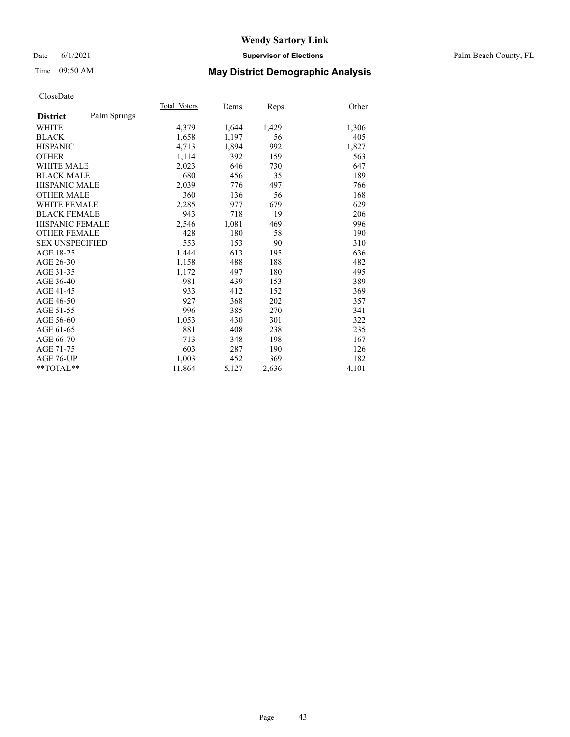#### Date 6/1/2021 **Supervisor of Elections** Palm Beach County, FL

## Time 09:50 AM **May District Demographic Analysis**

|                        |              | Total Voters | Dems  | Reps  | Other |
|------------------------|--------------|--------------|-------|-------|-------|
| <b>District</b>        | Palm Springs |              |       |       |       |
| <b>WHITE</b>           |              | 4,379        | 1,644 | 1,429 | 1,306 |
| <b>BLACK</b>           |              | 1,658        | 1,197 | 56    | 405   |
| <b>HISPANIC</b>        |              | 4,713        | 1,894 | 992   | 1,827 |
| <b>OTHER</b>           |              | 1,114        | 392   | 159   | 563   |
| WHITE MALE             |              | 2,023        | 646   | 730   | 647   |
| <b>BLACK MALE</b>      |              | 680          | 456   | 35    | 189   |
| <b>HISPANIC MALE</b>   |              | 2,039        | 776   | 497   | 766   |
| <b>OTHER MALE</b>      |              | 360          | 136   | 56    | 168   |
| <b>WHITE FEMALE</b>    |              | 2,285        | 977   | 679   | 629   |
| <b>BLACK FEMALE</b>    |              | 943          | 718   | 19    | 206   |
| <b>HISPANIC FEMALE</b> |              | 2,546        | 1,081 | 469   | 996   |
| <b>OTHER FEMALE</b>    |              | 428          | 180   | 58    | 190   |
| <b>SEX UNSPECIFIED</b> |              | 553          | 153   | 90    | 310   |
| AGE 18-25              |              | 1,444        | 613   | 195   | 636   |
| AGE 26-30              |              | 1,158        | 488   | 188   | 482   |
| AGE 31-35              |              | 1,172        | 497   | 180   | 495   |
| AGE 36-40              |              | 981          | 439   | 153   | 389   |
| AGE 41-45              |              | 933          | 412   | 152   | 369   |
| AGE 46-50              |              | 927          | 368   | 202   | 357   |
| AGE 51-55              |              | 996          | 385   | 270   | 341   |
| AGE 56-60              |              | 1,053        | 430   | 301   | 322   |
| AGE 61-65              |              | 881          | 408   | 238   | 235   |
| AGE 66-70              |              | 713          | 348   | 198   | 167   |
| AGE 71-75              |              | 603          | 287   | 190   | 126   |
| AGE 76-UP              |              | 1.003        | 452   | 369   | 182   |
| $*$ $TOTAL**$          |              | 11,864       | 5,127 | 2,636 | 4,101 |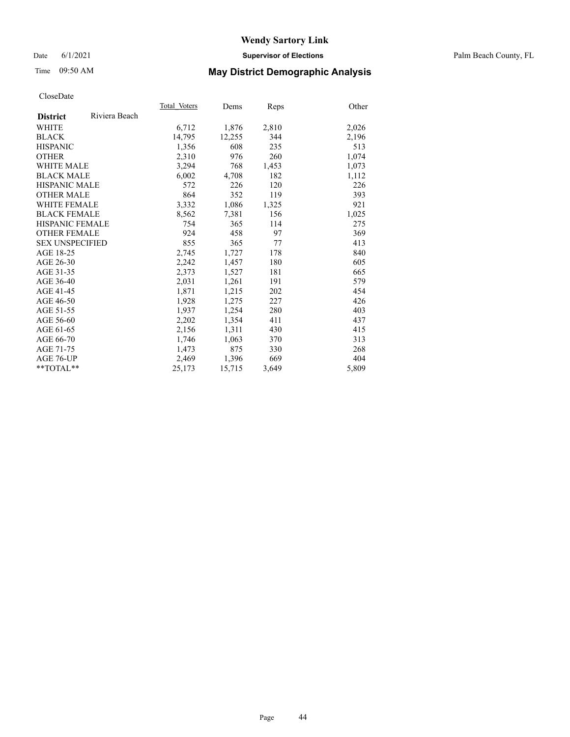#### Date 6/1/2021 **Supervisor of Elections** Palm Beach County, FL

# Time 09:50 AM **May District Demographic Analysis**

|                        |               | Total Voters | Dems   | Reps  | Other |
|------------------------|---------------|--------------|--------|-------|-------|
| <b>District</b>        | Riviera Beach |              |        |       |       |
| WHITE                  |               | 6,712        | 1,876  | 2,810 | 2,026 |
| <b>BLACK</b>           |               | 14,795       | 12,255 | 344   | 2,196 |
| <b>HISPANIC</b>        |               | 1,356        | 608    | 235   | 513   |
| <b>OTHER</b>           |               | 2,310        | 976    | 260   | 1,074 |
| WHITE MALE             |               | 3,294        | 768    | 1,453 | 1,073 |
| <b>BLACK MALE</b>      |               | 6,002        | 4,708  | 182   | 1,112 |
| <b>HISPANIC MALE</b>   |               | 572          | 226    | 120   | 226   |
| <b>OTHER MALE</b>      |               | 864          | 352    | 119   | 393   |
| <b>WHITE FEMALE</b>    |               | 3,332        | 1,086  | 1,325 | 921   |
| <b>BLACK FEMALE</b>    |               | 8,562        | 7,381  | 156   | 1,025 |
| <b>HISPANIC FEMALE</b> |               | 754          | 365    | 114   | 275   |
| <b>OTHER FEMALE</b>    |               | 924          | 458    | 97    | 369   |
| <b>SEX UNSPECIFIED</b> |               | 855          | 365    | 77    | 413   |
| AGE 18-25              |               | 2,745        | 1,727  | 178   | 840   |
| AGE 26-30              |               | 2,242        | 1,457  | 180   | 605   |
| AGE 31-35              |               | 2,373        | 1,527  | 181   | 665   |
| AGE 36-40              |               | 2,031        | 1,261  | 191   | 579   |
| AGE 41-45              |               | 1,871        | 1,215  | 202   | 454   |
| AGE 46-50              |               | 1,928        | 1,275  | 227   | 426   |
| AGE 51-55              |               | 1.937        | 1,254  | 280   | 403   |
| AGE 56-60              |               | 2,202        | 1,354  | 411   | 437   |
| AGE 61-65              |               | 2,156        | 1,311  | 430   | 415   |
| AGE 66-70              |               | 1,746        | 1,063  | 370   | 313   |
| AGE 71-75              |               | 1,473        | 875    | 330   | 268   |
| AGE 76-UP              |               | 2.469        | 1,396  | 669   | 404   |
| $*$ $TOTAL**$          |               | 25,173       | 15,715 | 3,649 | 5,809 |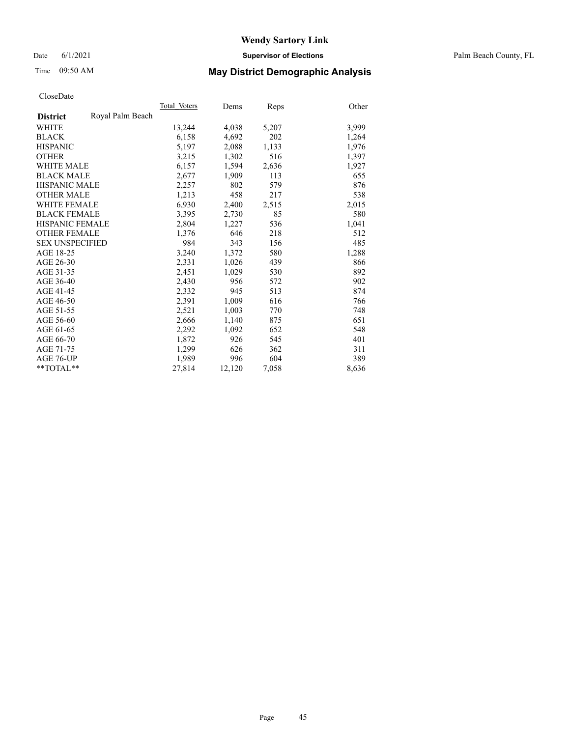Date 6/1/2021 **Supervisor of Elections** Palm Beach County, FL

# Time 09:50 AM **May District Demographic Analysis**

|                        |                  | Total Voters | Dems   | Reps  | Other |
|------------------------|------------------|--------------|--------|-------|-------|
| <b>District</b>        | Royal Palm Beach |              |        |       |       |
| WHITE                  |                  | 13,244       | 4,038  | 5,207 | 3,999 |
| <b>BLACK</b>           |                  | 6,158        | 4,692  | 202   | 1,264 |
| <b>HISPANIC</b>        |                  | 5,197        | 2,088  | 1,133 | 1,976 |
| <b>OTHER</b>           |                  | 3,215        | 1,302  | 516   | 1,397 |
| <b>WHITE MALE</b>      |                  | 6,157        | 1,594  | 2,636 | 1,927 |
| <b>BLACK MALE</b>      |                  | 2,677        | 1,909  | 113   | 655   |
| <b>HISPANIC MALE</b>   |                  | 2,257        | 802    | 579   | 876   |
| <b>OTHER MALE</b>      |                  | 1,213        | 458    | 217   | 538   |
| <b>WHITE FEMALE</b>    |                  | 6,930        | 2,400  | 2,515 | 2,015 |
| <b>BLACK FEMALE</b>    |                  | 3,395        | 2,730  | 85    | 580   |
| <b>HISPANIC FEMALE</b> |                  | 2,804        | 1,227  | 536   | 1,041 |
| <b>OTHER FEMALE</b>    |                  | 1,376        | 646    | 218   | 512   |
| <b>SEX UNSPECIFIED</b> |                  | 984          | 343    | 156   | 485   |
| AGE 18-25              |                  | 3,240        | 1,372  | 580   | 1,288 |
| AGE 26-30              |                  | 2,331        | 1,026  | 439   | 866   |
| AGE 31-35              |                  | 2,451        | 1,029  | 530   | 892   |
| AGE 36-40              |                  | 2,430        | 956    | 572   | 902   |
| AGE 41-45              |                  | 2,332        | 945    | 513   | 874   |
| AGE 46-50              |                  | 2,391        | 1,009  | 616   | 766   |
| AGE 51-55              |                  | 2,521        | 1,003  | 770   | 748   |
| AGE 56-60              |                  | 2,666        | 1,140  | 875   | 651   |
| AGE 61-65              |                  | 2,292        | 1,092  | 652   | 548   |
| AGE 66-70              |                  | 1,872        | 926    | 545   | 401   |
| AGE 71-75              |                  | 1,299        | 626    | 362   | 311   |
| AGE 76-UP              |                  | 1,989        | 996    | 604   | 389   |
| $*$ $TOTAL**$          |                  | 27,814       | 12,120 | 7,058 | 8,636 |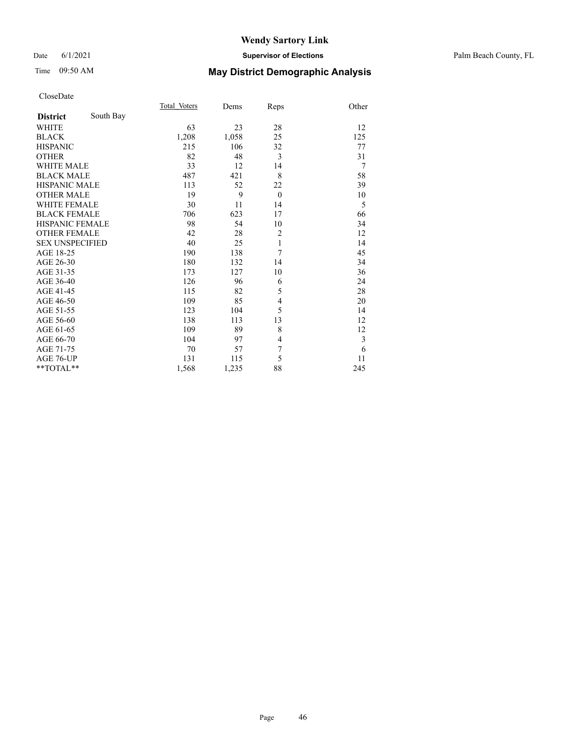#### Date 6/1/2021 **Supervisor of Elections** Palm Beach County, FL

# Time 09:50 AM **May District Demographic Analysis**

|                        |           | Total Voters | Dems  | Reps           | Other |
|------------------------|-----------|--------------|-------|----------------|-------|
| <b>District</b>        | South Bay |              |       |                |       |
| <b>WHITE</b>           |           | 63           | 23    | 28             | 12    |
| <b>BLACK</b>           |           | 1,208        | 1,058 | 25             | 125   |
| <b>HISPANIC</b>        |           | 215          | 106   | 32             | 77    |
| <b>OTHER</b>           |           | 82           | 48    | 3              | 31    |
| <b>WHITE MALE</b>      |           | 33           | 12    | 14             | 7     |
| <b>BLACK MALE</b>      |           | 487          | 421   | 8              | 58    |
| <b>HISPANIC MALE</b>   |           | 113          | 52    | 22             | 39    |
| <b>OTHER MALE</b>      |           | 19           | 9     | $\theta$       | 10    |
| <b>WHITE FEMALE</b>    |           | 30           | 11    | 14             | 5     |
| <b>BLACK FEMALE</b>    |           | 706          | 623   | 17             | 66    |
| <b>HISPANIC FEMALE</b> |           | 98           | 54    | 10             | 34    |
| <b>OTHER FEMALE</b>    |           | 42           | 28    | $\overline{2}$ | 12    |
| <b>SEX UNSPECIFIED</b> |           | 40           | 25    | 1              | 14    |
| AGE 18-25              |           | 190          | 138   | 7              | 45    |
| AGE 26-30              |           | 180          | 132   | 14             | 34    |
| AGE 31-35              |           | 173          | 127   | 10             | 36    |
| AGE 36-40              |           | 126          | 96    | 6              | 24    |
| AGE 41-45              |           | 115          | 82    | 5              | 28    |
| AGE 46-50              |           | 109          | 85    | 4              | 20    |
| AGE 51-55              |           | 123          | 104   | 5              | 14    |
| AGE 56-60              |           | 138          | 113   | 13             | 12    |
| AGE 61-65              |           | 109          | 89    | 8              | 12    |
| AGE 66-70              |           | 104          | 97    | 4              | 3     |
| AGE 71-75              |           | 70           | 57    | 7              | 6     |
| AGE 76-UP              |           | 131          | 115   | 5              | 11    |
| $*$ $TOTAL**$          |           | 1,568        | 1,235 | 88             | 245   |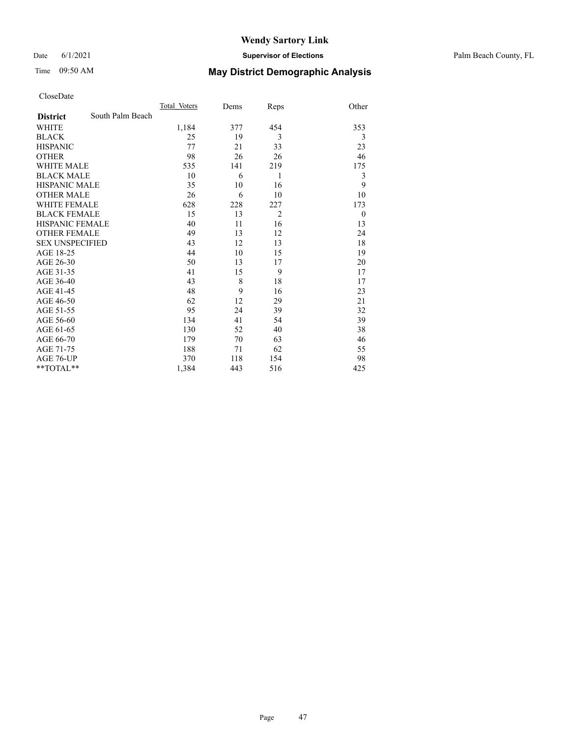#### Date 6/1/2021 **Supervisor of Elections** Palm Beach County, FL

# Time 09:50 AM **May District Demographic Analysis**

|                        |                  | Total Voters | Dems | Reps           | Other          |
|------------------------|------------------|--------------|------|----------------|----------------|
| <b>District</b>        | South Palm Beach |              |      |                |                |
| WHITE                  |                  | 1,184        | 377  | 454            | 353            |
| <b>BLACK</b>           |                  | 25           | 19   | 3              | 3              |
| <b>HISPANIC</b>        |                  | 77           | 21   | 33             | 23             |
| <b>OTHER</b>           |                  | 98           | 26   | 26             | 46             |
| <b>WHITE MALE</b>      |                  | 535          | 141  | 219            | 175            |
| <b>BLACK MALE</b>      |                  | 10           | 6    | 1              | 3              |
| <b>HISPANIC MALE</b>   |                  | 35           | 10   | 16             | 9              |
| <b>OTHER MALE</b>      |                  | 26           | 6    | 10             | 10             |
| <b>WHITE FEMALE</b>    |                  | 628          | 228  | 227            | 173            |
| <b>BLACK FEMALE</b>    |                  | 15           | 13   | $\overline{2}$ | $\overline{0}$ |
| <b>HISPANIC FEMALE</b> |                  | 40           | 11   | 16             | 13             |
| <b>OTHER FEMALE</b>    |                  | 49           | 13   | 12             | 24             |
| <b>SEX UNSPECIFIED</b> |                  | 43           | 12   | 13             | 18             |
| AGE 18-25              |                  | 44           | 10   | 15             | 19             |
| AGE 26-30              |                  | 50           | 13   | 17             | 20             |
| AGE 31-35              |                  | 41           | 15   | 9              | 17             |
| AGE 36-40              |                  | 43           | 8    | 18             | 17             |
| AGE 41-45              |                  | 48           | 9    | 16             | 23             |
| AGE 46-50              |                  | 62           | 12   | 29             | 21             |
| AGE 51-55              |                  | 95           | 24   | 39             | 32             |
| AGE 56-60              |                  | 134          | 41   | 54             | 39             |
| AGE 61-65              |                  | 130          | 52   | 40             | 38             |
| AGE 66-70              |                  | 179          | 70   | 63             | 46             |
| AGE 71-75              |                  | 188          | 71   | 62             | 55             |
| AGE 76-UP              |                  | 370          | 118  | 154            | 98             |
| **TOTAL**              |                  | 1,384        | 443  | 516            | 425            |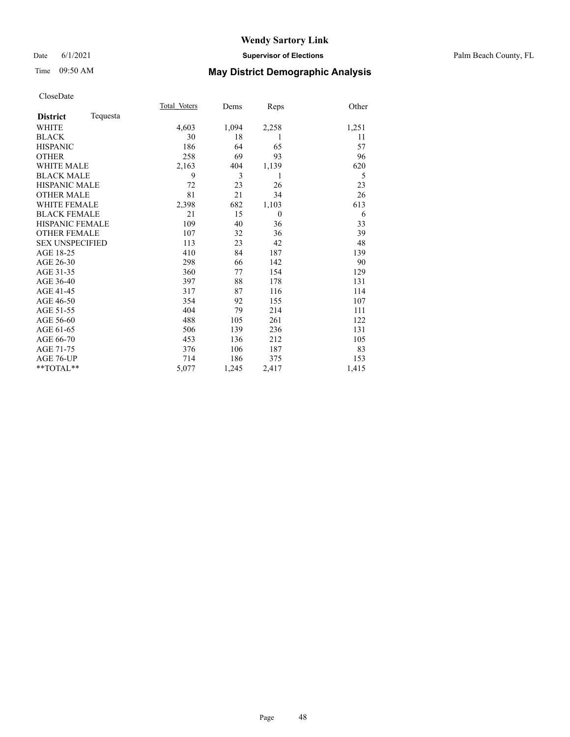#### Date 6/1/2021 **Supervisor of Elections** Palm Beach County, FL

# Time 09:50 AM **May District Demographic Analysis**

|                        |          | Total Voters | Dems  | Reps           | Other |
|------------------------|----------|--------------|-------|----------------|-------|
| <b>District</b>        | Tequesta |              |       |                |       |
| <b>WHITE</b>           |          | 4,603        | 1,094 | 2,258          | 1,251 |
| <b>BLACK</b>           |          | 30           | 18    | 1              | 11    |
| <b>HISPANIC</b>        |          | 186          | 64    | 65             | 57    |
| <b>OTHER</b>           |          | 258          | 69    | 93             | 96    |
| <b>WHITE MALE</b>      |          | 2,163        | 404   | 1,139          | 620   |
| <b>BLACK MALE</b>      |          | 9            | 3     | 1              | 5     |
| <b>HISPANIC MALE</b>   |          | 72           | 23    | 26             | 23    |
| <b>OTHER MALE</b>      |          | 81           | 21    | 34             | 26    |
| <b>WHITE FEMALE</b>    |          | 2,398        | 682   | 1,103          | 613   |
| <b>BLACK FEMALE</b>    |          | 21           | 15    | $\overline{0}$ | 6     |
| <b>HISPANIC FEMALE</b> |          | 109          | 40    | 36             | 33    |
| <b>OTHER FEMALE</b>    |          | 107          | 32    | 36             | 39    |
| <b>SEX UNSPECIFIED</b> |          | 113          | 23    | 42             | 48    |
| AGE 18-25              |          | 410          | 84    | 187            | 139   |
| AGE 26-30              |          | 298          | 66    | 142            | 90    |
| AGE 31-35              |          | 360          | 77    | 154            | 129   |
| AGE 36-40              |          | 397          | 88    | 178            | 131   |
| AGE 41-45              |          | 317          | 87    | 116            | 114   |
| AGE 46-50              |          | 354          | 92    | 155            | 107   |
| AGE 51-55              |          | 404          | 79    | 214            | 111   |
| AGE 56-60              |          | 488          | 105   | 261            | 122   |
| AGE 61-65              |          | 506          | 139   | 236            | 131   |
| AGE 66-70              |          | 453          | 136   | 212            | 105   |
| AGE 71-75              |          | 376          | 106   | 187            | 83    |
| AGE 76-UP              |          | 714          | 186   | 375            | 153   |
| $*$ $TOTAL**$          |          | 5,077        | 1,245 | 2,417          | 1,415 |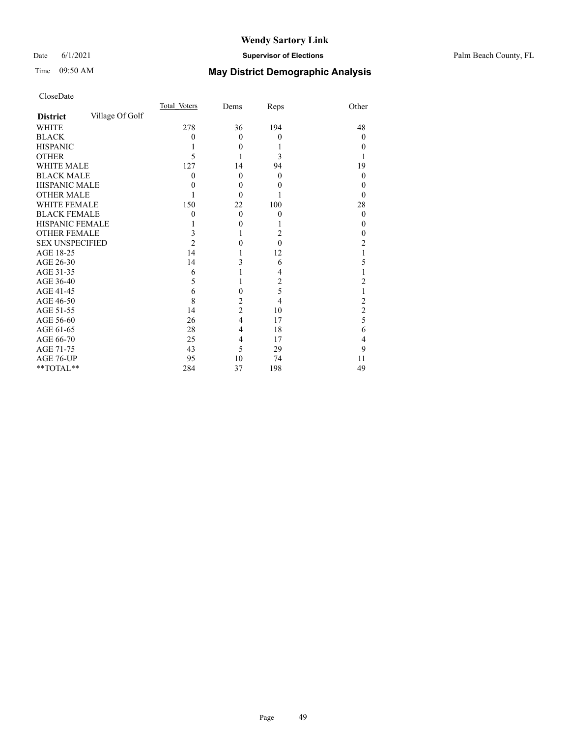#### Date 6/1/2021 **Supervisor of Elections** Palm Beach County, FL

# Time 09:50 AM **May District Demographic Analysis**

|                        |                 | Total Voters | Dems           | Reps           | Other            |
|------------------------|-----------------|--------------|----------------|----------------|------------------|
| <b>District</b>        | Village Of Golf |              |                |                |                  |
| <b>WHITE</b>           |                 | 278          | 36             | 194            | 48               |
| <b>BLACK</b>           |                 | $\theta$     | $\theta$       | $\mathbf{0}$   | $\theta$         |
| <b>HISPANIC</b>        |                 |              | $\theta$       |                | $\theta$         |
| <b>OTHER</b>           |                 | 5            |                | 3              |                  |
| <b>WHITE MALE</b>      |                 | 127          | 14             | 94             | 19               |
| <b>BLACK MALE</b>      |                 | 0            | $\theta$       | $\theta$       | $\theta$         |
| <b>HISPANIC MALE</b>   |                 | 0            | $\theta$       | 0              | 0                |
| <b>OTHER MALE</b>      |                 |              | $\theta$       |                | 0                |
| WHITE FEMALE           |                 | 150          | 22             | 100            | 28               |
| <b>BLACK FEMALE</b>    |                 | 0            | $\theta$       | $\mathbf{0}$   | $\boldsymbol{0}$ |
| <b>HISPANIC FEMALE</b> |                 |              | $\theta$       |                | $_{0}$           |
| <b>OTHER FEMALE</b>    |                 | 3            | 1              | 2              | $\theta$         |
| <b>SEX UNSPECIFIED</b> |                 | 2            | 0              | $\theta$       | 2                |
| AGE 18-25              |                 | 14           |                | 12             |                  |
| AGE 26-30              |                 | 14           | 3              | 6              | 5                |
| AGE 31-35              |                 | 6            | 1              | 4              |                  |
| AGE 36-40              |                 | 5            | 1              | $\overline{2}$ | 2                |
| AGE 41-45              |                 | 6            | 0              | 5              |                  |
| AGE 46-50              |                 | 8            | $\overline{2}$ | 4              | 2                |
| AGE 51-55              |                 | 14           | $\overline{2}$ | 10             | $\overline{c}$   |
| AGE 56-60              |                 | 26           | $\overline{4}$ | 17             | 5                |
| AGE 61-65              |                 | 28           | 4              | 18             | 6                |
| AGE 66-70              |                 | 25           | 4              | 17             | 4                |
| AGE 71-75              |                 | 43           | 5              | 29             | 9                |
| AGE 76-UP              |                 | 95           | 10             | 74             | 11               |
| **TOTAL**              |                 | 284          | 37             | 198            | 49               |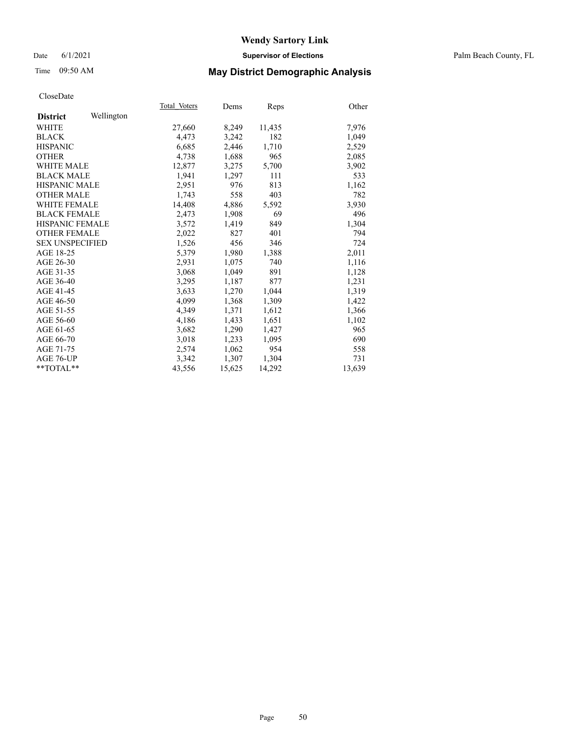#### Date 6/1/2021 **Supervisor of Elections** Palm Beach County, FL

## Time 09:50 AM **May District Demographic Analysis**

|                        |            | Total Voters | Dems   | Reps   | Other  |
|------------------------|------------|--------------|--------|--------|--------|
| <b>District</b>        | Wellington |              |        |        |        |
| WHITE                  |            | 27,660       | 8,249  | 11,435 | 7,976  |
| <b>BLACK</b>           |            | 4,473        | 3,242  | 182    | 1,049  |
| <b>HISPANIC</b>        |            | 6,685        | 2,446  | 1,710  | 2,529  |
| <b>OTHER</b>           |            | 4,738        | 1,688  | 965    | 2,085  |
| WHITE MALE             |            | 12,877       | 3,275  | 5,700  | 3,902  |
| <b>BLACK MALE</b>      |            | 1,941        | 1,297  | 111    | 533    |
| <b>HISPANIC MALE</b>   |            | 2,951        | 976    | 813    | 1,162  |
| <b>OTHER MALE</b>      |            | 1,743        | 558    | 403    | 782    |
| <b>WHITE FEMALE</b>    |            | 14,408       | 4,886  | 5,592  | 3,930  |
| <b>BLACK FEMALE</b>    |            | 2,473        | 1,908  | 69     | 496    |
| <b>HISPANIC FEMALE</b> |            | 3,572        | 1,419  | 849    | 1,304  |
| <b>OTHER FEMALE</b>    |            | 2,022        | 827    | 401    | 794    |
| <b>SEX UNSPECIFIED</b> |            | 1,526        | 456    | 346    | 724    |
| AGE 18-25              |            | 5,379        | 1,980  | 1,388  | 2,011  |
| AGE 26-30              |            | 2,931        | 1.075  | 740    | 1,116  |
| AGE 31-35              |            | 3,068        | 1,049  | 891    | 1,128  |
| AGE 36-40              |            | 3,295        | 1,187  | 877    | 1,231  |
| AGE 41-45              |            | 3,633        | 1,270  | 1,044  | 1,319  |
| AGE 46-50              |            | 4,099        | 1,368  | 1,309  | 1,422  |
| AGE 51-55              |            | 4,349        | 1,371  | 1,612  | 1,366  |
| AGE 56-60              |            | 4,186        | 1,433  | 1,651  | 1,102  |
| AGE 61-65              |            | 3,682        | 1,290  | 1,427  | 965    |
| AGE 66-70              |            | 3,018        | 1,233  | 1,095  | 690    |
| AGE 71-75              |            | 2,574        | 1,062  | 954    | 558    |
| AGE 76-UP              |            | 3.342        | 1,307  | 1,304  | 731    |
| $*$ $TOTAL**$          |            | 43,556       | 15,625 | 14,292 | 13,639 |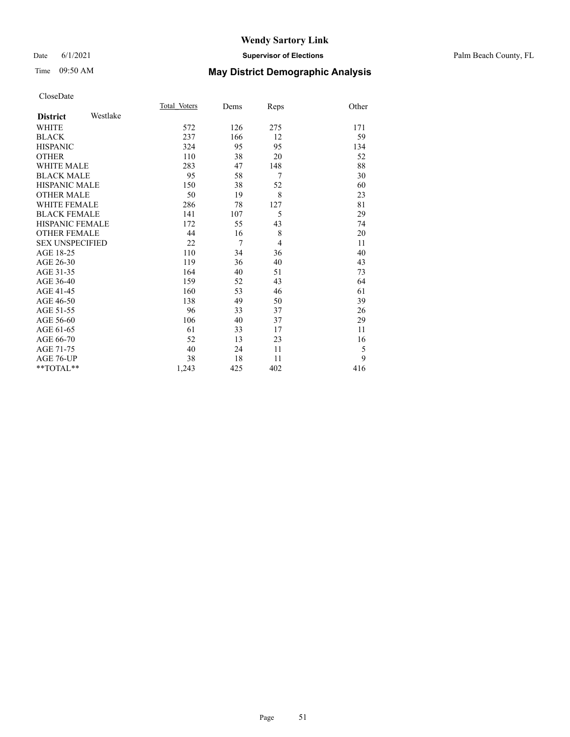#### Date 6/1/2021 **Supervisor of Elections** Palm Beach County, FL

# Time 09:50 AM **May District Demographic Analysis**

|                        |          | Total Voters | Dems           | Reps | Other |
|------------------------|----------|--------------|----------------|------|-------|
| <b>District</b>        | Westlake |              |                |      |       |
| <b>WHITE</b>           |          | 572          | 126            | 275  | 171   |
| <b>BLACK</b>           |          | 237          | 166            | 12   | 59    |
| <b>HISPANIC</b>        |          | 324          | 95             | 95   | 134   |
| <b>OTHER</b>           |          | 110          | 38             | 20   | 52    |
| WHITE MALE             |          | 283          | 47             | 148  | 88    |
| <b>BLACK MALE</b>      |          | 95           | 58             | 7    | 30    |
| <b>HISPANIC MALE</b>   |          | 150          | 38             | 52   | 60    |
| <b>OTHER MALE</b>      |          | 50           | 19             | 8    | 23    |
| <b>WHITE FEMALE</b>    |          | 286          | 78             | 127  | 81    |
| <b>BLACK FEMALE</b>    |          | 141          | 107            | 5    | 29    |
| <b>HISPANIC FEMALE</b> |          | 172          | 55             | 43   | 74    |
| <b>OTHER FEMALE</b>    |          | 44           | 16             | 8    | 20    |
| <b>SEX UNSPECIFIED</b> |          | 22           | $\overline{7}$ | 4    | 11    |
| AGE 18-25              |          | 110          | 34             | 36   | 40    |
| AGE 26-30              |          | 119          | 36             | 40   | 43    |
| AGE 31-35              |          | 164          | 40             | 51   | 73    |
| AGE 36-40              |          | 159          | 52             | 43   | 64    |
| AGE 41-45              |          | 160          | 53             | 46   | 61    |
| AGE 46-50              |          | 138          | 49             | 50   | 39    |
| AGE 51-55              |          | 96           | 33             | 37   | 26    |
| AGE 56-60              |          | 106          | 40             | 37   | 29    |
| AGE 61-65              |          | 61           | 33             | 17   | 11    |
| AGE 66-70              |          | 52           | 13             | 23   | 16    |
| AGE 71-75              |          | 40           | 24             | 11   | 5     |
| AGE 76-UP              |          | 38           | 18             | 11   | 9     |
| $*$ $TOTAL**$          |          | 1,243        | 425            | 402  | 416   |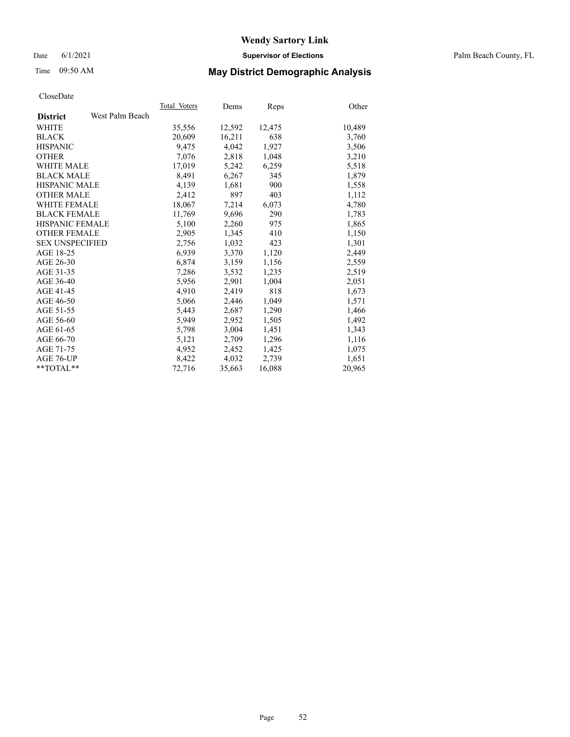#### Date 6/1/2021 **Supervisor of Elections** Palm Beach County, FL

# Time 09:50 AM **May District Demographic Analysis**

|                        |                 | Total Voters | Dems   | <b>Reps</b> | Other  |
|------------------------|-----------------|--------------|--------|-------------|--------|
| <b>District</b>        | West Palm Beach |              |        |             |        |
| WHITE                  |                 | 35,556       | 12,592 | 12,475      | 10,489 |
| <b>BLACK</b>           |                 | 20,609       | 16,211 | 638         | 3,760  |
| <b>HISPANIC</b>        |                 | 9,475        | 4,042  | 1,927       | 3,506  |
| <b>OTHER</b>           |                 | 7,076        | 2,818  | 1,048       | 3,210  |
| <b>WHITE MALE</b>      |                 | 17,019       | 5,242  | 6,259       | 5,518  |
| <b>BLACK MALE</b>      |                 | 8,491        | 6,267  | 345         | 1,879  |
| <b>HISPANIC MALE</b>   |                 | 4,139        | 1,681  | 900         | 1,558  |
| <b>OTHER MALE</b>      |                 | 2,412        | 897    | 403         | 1,112  |
| <b>WHITE FEMALE</b>    |                 | 18,067       | 7,214  | 6,073       | 4,780  |
| <b>BLACK FEMALE</b>    |                 | 11,769       | 9,696  | 290         | 1,783  |
| <b>HISPANIC FEMALE</b> |                 | 5,100        | 2,260  | 975         | 1,865  |
| <b>OTHER FEMALE</b>    |                 | 2,905        | 1,345  | 410         | 1,150  |
| <b>SEX UNSPECIFIED</b> |                 | 2,756        | 1,032  | 423         | 1,301  |
| AGE 18-25              |                 | 6,939        | 3,370  | 1,120       | 2,449  |
| AGE 26-30              |                 | 6,874        | 3,159  | 1,156       | 2,559  |
| AGE 31-35              |                 | 7,286        | 3,532  | 1,235       | 2,519  |
| AGE 36-40              |                 | 5,956        | 2,901  | 1,004       | 2,051  |
| AGE 41-45              |                 | 4,910        | 2,419  | 818         | 1,673  |
| AGE 46-50              |                 | 5,066        | 2,446  | 1,049       | 1,571  |
| AGE 51-55              |                 | 5,443        | 2,687  | 1,290       | 1,466  |
| AGE 56-60              |                 | 5,949        | 2,952  | 1,505       | 1,492  |
| AGE 61-65              |                 | 5,798        | 3,004  | 1,451       | 1,343  |
| AGE 66-70              |                 | 5,121        | 2,709  | 1,296       | 1,116  |
| AGE 71-75              |                 | 4,952        | 2,452  | 1,425       | 1,075  |
| AGE 76-UP              |                 | 8,422        | 4,032  | 2,739       | 1,651  |
| $*$ $TOTAL**$          |                 | 72,716       | 35,663 | 16,088      | 20,965 |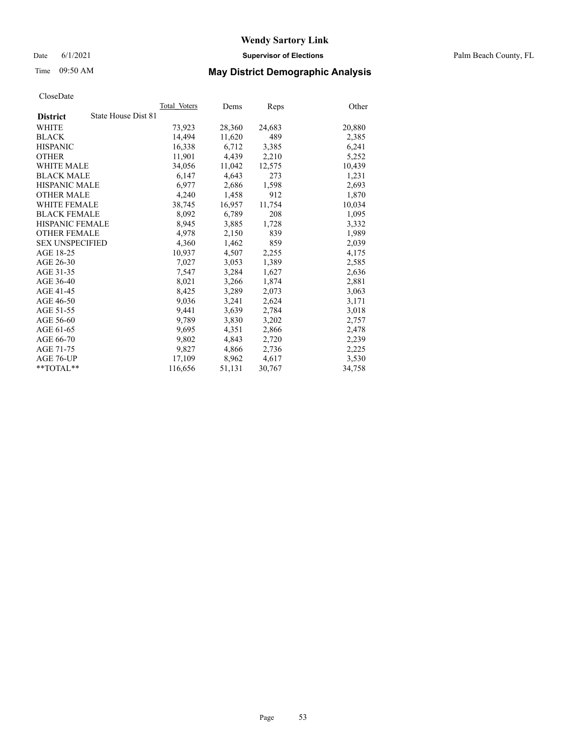Date 6/1/2021 **Supervisor of Elections** Palm Beach County, FL

# Time 09:50 AM **May District Demographic Analysis**

|                                        | Total Voters | Dems   | <b>Reps</b> | Other  |
|----------------------------------------|--------------|--------|-------------|--------|
| State House Dist 81<br><b>District</b> |              |        |             |        |
| WHITE                                  | 73,923       | 28,360 | 24,683      | 20,880 |
| <b>BLACK</b>                           | 14,494       | 11,620 | 489         | 2,385  |
| <b>HISPANIC</b>                        | 16,338       | 6,712  | 3,385       | 6,241  |
| <b>OTHER</b>                           | 11,901       | 4,439  | 2,210       | 5,252  |
| <b>WHITE MALE</b>                      | 34,056       | 11,042 | 12,575      | 10,439 |
| <b>BLACK MALE</b>                      | 6,147        | 4,643  | 273         | 1,231  |
| <b>HISPANIC MALE</b>                   | 6,977        | 2,686  | 1,598       | 2,693  |
| <b>OTHER MALE</b>                      | 4,240        | 1,458  | 912         | 1,870  |
| <b>WHITE FEMALE</b>                    | 38,745       | 16,957 | 11,754      | 10,034 |
| <b>BLACK FEMALE</b>                    | 8,092        | 6,789  | 208         | 1,095  |
| <b>HISPANIC FEMALE</b>                 | 8,945        | 3,885  | 1,728       | 3,332  |
| <b>OTHER FEMALE</b>                    | 4,978        | 2,150  | 839         | 1,989  |
| <b>SEX UNSPECIFIED</b>                 | 4,360        | 1,462  | 859         | 2,039  |
| AGE 18-25                              | 10,937       | 4,507  | 2,255       | 4,175  |
| AGE 26-30                              | 7,027        | 3.053  | 1,389       | 2,585  |
| AGE 31-35                              | 7,547        | 3,284  | 1,627       | 2,636  |
| AGE 36-40                              | 8,021        | 3,266  | 1,874       | 2,881  |
| AGE 41-45                              | 8,425        | 3,289  | 2,073       | 3,063  |
| AGE 46-50                              | 9,036        | 3,241  | 2,624       | 3,171  |
| AGE 51-55                              | 9,441        | 3,639  | 2,784       | 3,018  |
| AGE 56-60                              | 9,789        | 3,830  | 3,202       | 2,757  |
| AGE 61-65                              | 9,695        | 4,351  | 2,866       | 2,478  |
| AGE 66-70                              | 9,802        | 4,843  | 2,720       | 2,239  |
| AGE 71-75                              | 9,827        | 4,866  | 2,736       | 2,225  |
| AGE 76-UP                              | 17,109       | 8,962  | 4,617       | 3,530  |
| **TOTAL**                              | 116,656      | 51,131 | 30,767      | 34,758 |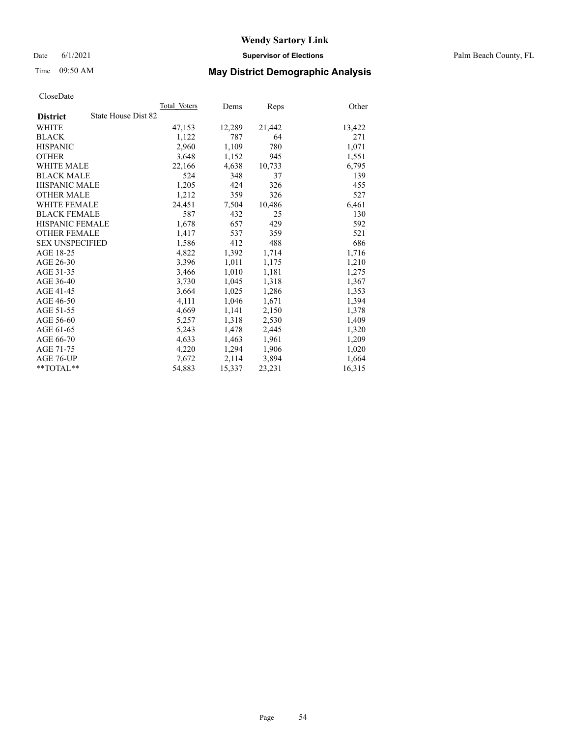Date 6/1/2021 **Supervisor of Elections** Palm Beach County, FL

# Time 09:50 AM **May District Demographic Analysis**

|                                        | Total Voters | Dems   | Reps   | Other  |
|----------------------------------------|--------------|--------|--------|--------|
| State House Dist 82<br><b>District</b> |              |        |        |        |
| WHITE                                  | 47,153       | 12,289 | 21,442 | 13,422 |
| <b>BLACK</b>                           | 1,122        | 787    | 64     | 271    |
| <b>HISPANIC</b>                        | 2,960        | 1,109  | 780    | 1,071  |
| <b>OTHER</b>                           | 3,648        | 1,152  | 945    | 1,551  |
| <b>WHITE MALE</b>                      | 22,166       | 4,638  | 10,733 | 6,795  |
| <b>BLACK MALE</b>                      | 524          | 348    | 37     | 139    |
| <b>HISPANIC MALE</b>                   | 1,205        | 424    | 326    | 455    |
| <b>OTHER MALE</b>                      | 1,212        | 359    | 326    | 527    |
| <b>WHITE FEMALE</b>                    | 24,451       | 7,504  | 10,486 | 6,461  |
| <b>BLACK FEMALE</b>                    | 587          | 432    | 25     | 130    |
| HISPANIC FEMALE                        | 1,678        | 657    | 429    | 592    |
| <b>OTHER FEMALE</b>                    | 1,417        | 537    | 359    | 521    |
| <b>SEX UNSPECIFIED</b>                 | 1,586        | 412    | 488    | 686    |
| AGE 18-25                              | 4,822        | 1,392  | 1,714  | 1,716  |
| AGE 26-30                              | 3,396        | 1,011  | 1,175  | 1,210  |
| AGE 31-35                              | 3,466        | 1,010  | 1,181  | 1,275  |
| AGE 36-40                              | 3,730        | 1,045  | 1,318  | 1,367  |
| AGE 41-45                              | 3,664        | 1,025  | 1,286  | 1,353  |
| AGE 46-50                              | 4,111        | 1,046  | 1,671  | 1,394  |
| AGE 51-55                              | 4,669        | 1,141  | 2,150  | 1,378  |
| AGE 56-60                              | 5,257        | 1,318  | 2,530  | 1,409  |
| AGE 61-65                              | 5,243        | 1,478  | 2,445  | 1,320  |
| AGE 66-70                              | 4,633        | 1,463  | 1,961  | 1,209  |
| AGE 71-75                              | 4,220        | 1,294  | 1,906  | 1,020  |
| AGE 76-UP                              | 7,672        | 2,114  | 3,894  | 1,664  |
| $*$ $TOTAL**$                          | 54,883       | 15,337 | 23,231 | 16,315 |
|                                        |              |        |        |        |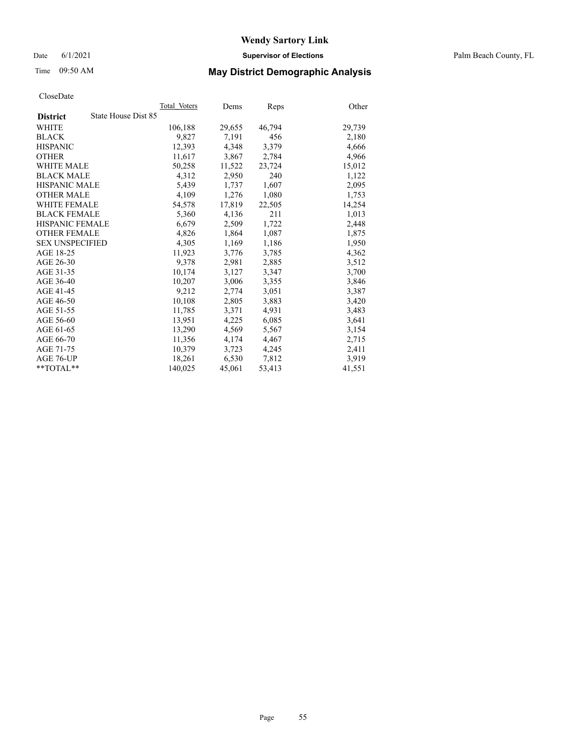Date 6/1/2021 **Supervisor of Elections** Palm Beach County, FL

# Time 09:50 AM **May District Demographic Analysis**

|                                        | Total Voters | Dems   | <b>Reps</b> | Other  |
|----------------------------------------|--------------|--------|-------------|--------|
| State House Dist 85<br><b>District</b> |              |        |             |        |
| WHITE                                  | 106,188      | 29,655 | 46,794      | 29,739 |
| <b>BLACK</b>                           | 9,827        | 7,191  | 456         | 2,180  |
| <b>HISPANIC</b>                        | 12,393       | 4,348  | 3,379       | 4,666  |
| <b>OTHER</b>                           | 11,617       | 3,867  | 2,784       | 4,966  |
| <b>WHITE MALE</b>                      | 50,258       | 11,522 | 23,724      | 15,012 |
| <b>BLACK MALE</b>                      | 4,312        | 2,950  | 240         | 1,122  |
| <b>HISPANIC MALE</b>                   | 5,439        | 1,737  | 1,607       | 2,095  |
| <b>OTHER MALE</b>                      | 4,109        | 1,276  | 1,080       | 1,753  |
| <b>WHITE FEMALE</b>                    | 54,578       | 17,819 | 22,505      | 14,254 |
| <b>BLACK FEMALE</b>                    | 5,360        | 4,136  | 211         | 1,013  |
| <b>HISPANIC FEMALE</b>                 | 6,679        | 2,509  | 1,722       | 2,448  |
| <b>OTHER FEMALE</b>                    | 4,826        | 1,864  | 1,087       | 1,875  |
| <b>SEX UNSPECIFIED</b>                 | 4,305        | 1,169  | 1,186       | 1,950  |
| AGE 18-25                              | 11,923       | 3,776  | 3,785       | 4,362  |
| AGE 26-30                              | 9,378        | 2,981  | 2,885       | 3,512  |
| AGE 31-35                              | 10,174       | 3,127  | 3,347       | 3,700  |
| AGE 36-40                              | 10,207       | 3,006  | 3,355       | 3,846  |
| AGE 41-45                              | 9,212        | 2,774  | 3,051       | 3,387  |
| AGE 46-50                              | 10,108       | 2,805  | 3,883       | 3,420  |
| AGE 51-55                              | 11,785       | 3,371  | 4,931       | 3,483  |
| AGE 56-60                              | 13,951       | 4,225  | 6,085       | 3,641  |
| AGE 61-65                              | 13,290       | 4,569  | 5,567       | 3,154  |
| AGE 66-70                              | 11,356       | 4,174  | 4,467       | 2,715  |
| AGE 71-75                              | 10,379       | 3,723  | 4,245       | 2,411  |
| AGE 76-UP                              | 18,261       | 6,530  | 7,812       | 3,919  |
| $*$ $TOTAL**$                          | 140,025      | 45,061 | 53,413      | 41,551 |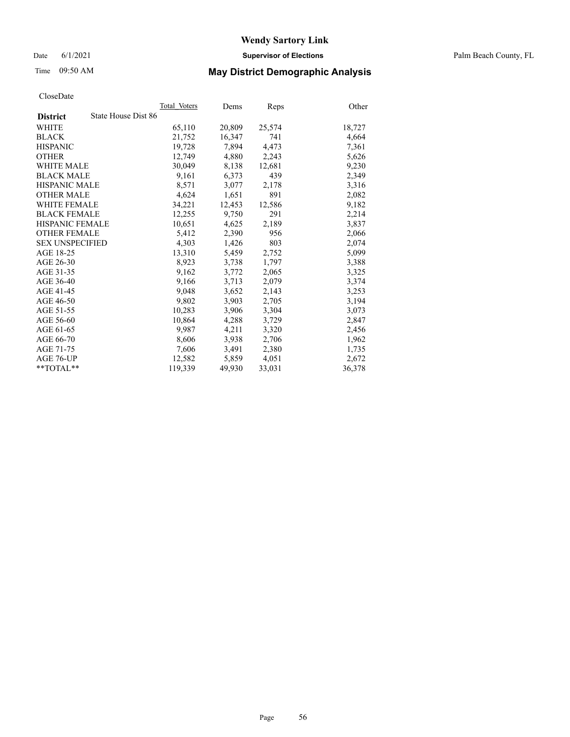Date 6/1/2021 **Supervisor of Elections** Palm Beach County, FL

# Time 09:50 AM **May District Demographic Analysis**

|                        | Total Voters        | Dems   | <b>Reps</b> | Other  |
|------------------------|---------------------|--------|-------------|--------|
| <b>District</b>        | State House Dist 86 |        |             |        |
| WHITE                  | 65,110              | 20,809 | 25,574      | 18,727 |
| <b>BLACK</b>           | 21,752              | 16,347 | 741         | 4,664  |
| <b>HISPANIC</b>        | 19,728              | 7.894  | 4.473       | 7,361  |
| <b>OTHER</b>           | 12,749              | 4,880  | 2,243       | 5,626  |
| <b>WHITE MALE</b>      | 30,049              | 8,138  | 12,681      | 9,230  |
| <b>BLACK MALE</b>      | 9,161               | 6,373  | 439         | 2,349  |
| <b>HISPANIC MALE</b>   | 8,571               | 3,077  | 2,178       | 3,316  |
| <b>OTHER MALE</b>      | 4,624               | 1,651  | 891         | 2,082  |
| <b>WHITE FEMALE</b>    | 34,221              | 12,453 | 12,586      | 9,182  |
| <b>BLACK FEMALE</b>    | 12,255              | 9,750  | 291         | 2,214  |
| <b>HISPANIC FEMALE</b> | 10,651              | 4,625  | 2,189       | 3,837  |
| <b>OTHER FEMALE</b>    | 5,412               | 2,390  | 956         | 2,066  |
| <b>SEX UNSPECIFIED</b> | 4,303               | 1,426  | 803         | 2,074  |
| AGE 18-25              | 13,310              | 5,459  | 2,752       | 5,099  |
| AGE 26-30              | 8,923               | 3,738  | 1,797       | 3,388  |
| AGE 31-35              | 9,162               | 3,772  | 2,065       | 3,325  |
| AGE 36-40              | 9,166               | 3,713  | 2,079       | 3,374  |
| AGE 41-45              | 9,048               | 3,652  | 2,143       | 3,253  |
| AGE 46-50              | 9,802               | 3,903  | 2,705       | 3,194  |
| AGE 51-55              | 10,283              | 3,906  | 3,304       | 3,073  |
| AGE 56-60              | 10,864              | 4,288  | 3,729       | 2,847  |
| AGE 61-65              | 9,987               | 4,211  | 3,320       | 2,456  |
| AGE 66-70              | 8,606               | 3,938  | 2,706       | 1,962  |
| AGE 71-75              | 7,606               | 3,491  | 2,380       | 1,735  |
| AGE 76-UP              | 12,582              | 5,859  | 4,051       | 2,672  |
| $*$ $TOTAL**$          | 119,339             | 49,930 | 33,031      | 36,378 |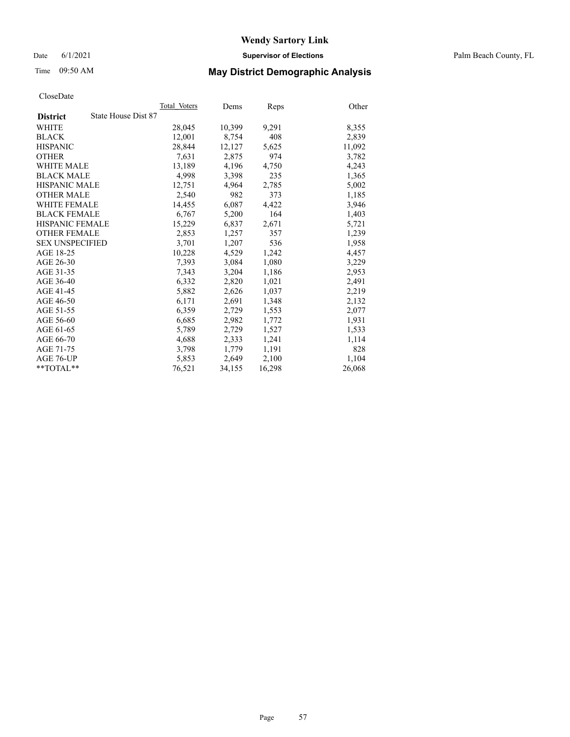Date 6/1/2021 **Supervisor of Elections** Palm Beach County, FL

## Time 09:50 AM **May District Demographic Analysis**

|                                        | Total Voters | Dems   | <b>Reps</b> | Other  |
|----------------------------------------|--------------|--------|-------------|--------|
| State House Dist 87<br><b>District</b> |              |        |             |        |
| WHITE                                  | 28,045       | 10,399 | 9,291       | 8,355  |
| <b>BLACK</b>                           | 12,001       | 8,754  | 408         | 2,839  |
| <b>HISPANIC</b>                        | 28,844       | 12,127 | 5,625       | 11,092 |
| <b>OTHER</b>                           | 7,631        | 2,875  | 974         | 3,782  |
| <b>WHITE MALE</b>                      | 13,189       | 4,196  | 4,750       | 4,243  |
| <b>BLACK MALE</b>                      | 4,998        | 3,398  | 235         | 1,365  |
| <b>HISPANIC MALE</b>                   | 12,751       | 4,964  | 2,785       | 5,002  |
| <b>OTHER MALE</b>                      | 2,540        | 982    | 373         | 1,185  |
| <b>WHITE FEMALE</b>                    | 14,455       | 6,087  | 4,422       | 3,946  |
| <b>BLACK FEMALE</b>                    | 6,767        | 5,200  | 164         | 1,403  |
| HISPANIC FEMALE                        | 15,229       | 6,837  | 2,671       | 5,721  |
| <b>OTHER FEMALE</b>                    | 2,853        | 1,257  | 357         | 1,239  |
| <b>SEX UNSPECIFIED</b>                 | 3,701        | 1,207  | 536         | 1,958  |
| AGE 18-25                              | 10,228       | 4,529  | 1,242       | 4,457  |
| AGE 26-30                              | 7,393        | 3,084  | 1,080       | 3,229  |
| AGE 31-35                              | 7,343        | 3,204  | 1,186       | 2,953  |
| AGE 36-40                              | 6,332        | 2,820  | 1,021       | 2,491  |
| AGE 41-45                              | 5,882        | 2,626  | 1,037       | 2,219  |
| AGE 46-50                              | 6,171        | 2,691  | 1,348       | 2,132  |
| AGE 51-55                              | 6,359        | 2,729  | 1,553       | 2,077  |
| AGE 56-60                              | 6,685        | 2,982  | 1,772       | 1,931  |
| AGE 61-65                              | 5,789        | 2,729  | 1,527       | 1,533  |
| AGE 66-70                              | 4,688        | 2,333  | 1,241       | 1,114  |
| AGE 71-75                              | 3,798        | 1,779  | 1,191       | 828    |
| AGE 76-UP                              | 5,853        | 2,649  | 2,100       | 1,104  |
| $*$ TOTAL $*$                          | 76,521       | 34,155 | 16,298      | 26,068 |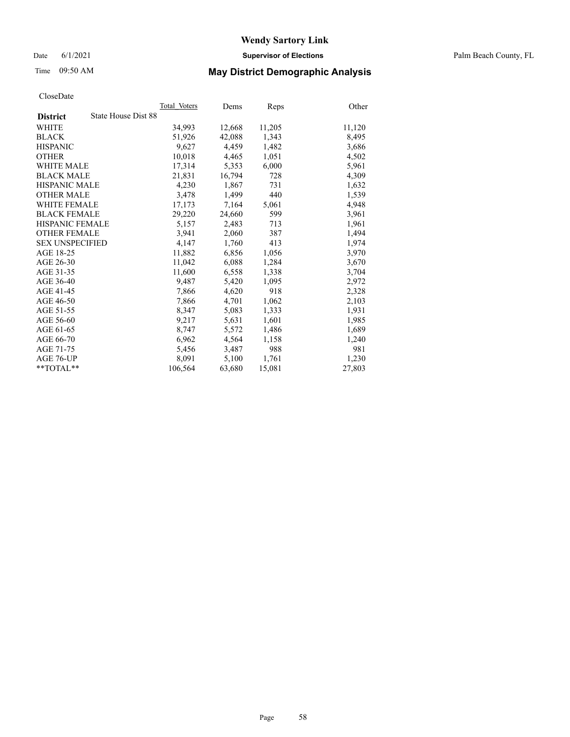Date 6/1/2021 **Supervisor of Elections** Palm Beach County, FL

# Time 09:50 AM **May District Demographic Analysis**

|                                        | Total Voters | Dems   | <b>Reps</b> | Other  |
|----------------------------------------|--------------|--------|-------------|--------|
| State House Dist 88<br><b>District</b> |              |        |             |        |
| WHITE                                  | 34,993       | 12,668 | 11,205      | 11,120 |
| <b>BLACK</b>                           | 51,926       | 42,088 | 1,343       | 8,495  |
| <b>HISPANIC</b>                        | 9.627        | 4,459  | 1,482       | 3,686  |
| <b>OTHER</b>                           | 10,018       | 4,465  | 1,051       | 4,502  |
| <b>WHITE MALE</b>                      | 17,314       | 5,353  | 6,000       | 5,961  |
| <b>BLACK MALE</b>                      | 21,831       | 16,794 | 728         | 4,309  |
| HISPANIC MALE                          | 4,230        | 1,867  | 731         | 1,632  |
| <b>OTHER MALE</b>                      | 3,478        | 1,499  | 440         | 1,539  |
| <b>WHITE FEMALE</b>                    | 17,173       | 7,164  | 5,061       | 4,948  |
| <b>BLACK FEMALE</b>                    | 29,220       | 24,660 | 599         | 3,961  |
| <b>HISPANIC FEMALE</b>                 | 5,157        | 2,483  | 713         | 1,961  |
| <b>OTHER FEMALE</b>                    | 3,941        | 2,060  | 387         | 1,494  |
| <b>SEX UNSPECIFIED</b>                 | 4,147        | 1,760  | 413         | 1,974  |
| AGE 18-25                              | 11,882       | 6,856  | 1,056       | 3,970  |
| AGE 26-30                              | 11,042       | 6,088  | 1,284       | 3,670  |
| AGE 31-35                              | 11,600       | 6,558  | 1,338       | 3,704  |
| AGE 36-40                              | 9,487        | 5,420  | 1,095       | 2,972  |
| AGE 41-45                              | 7,866        | 4,620  | 918         | 2,328  |
| AGE 46-50                              | 7,866        | 4,701  | 1,062       | 2,103  |
| AGE 51-55                              | 8,347        | 5,083  | 1,333       | 1,931  |
| AGE 56-60                              | 9,217        | 5,631  | 1,601       | 1,985  |
| AGE 61-65                              | 8,747        | 5,572  | 1,486       | 1,689  |
| AGE 66-70                              | 6,962        | 4,564  | 1,158       | 1,240  |
| AGE 71-75                              | 5,456        | 3,487  | 988         | 981    |
| AGE 76-UP                              | 8,091        | 5,100  | 1,761       | 1,230  |
| $*$ $TOTAL**$                          | 106,564      | 63,680 | 15,081      | 27,803 |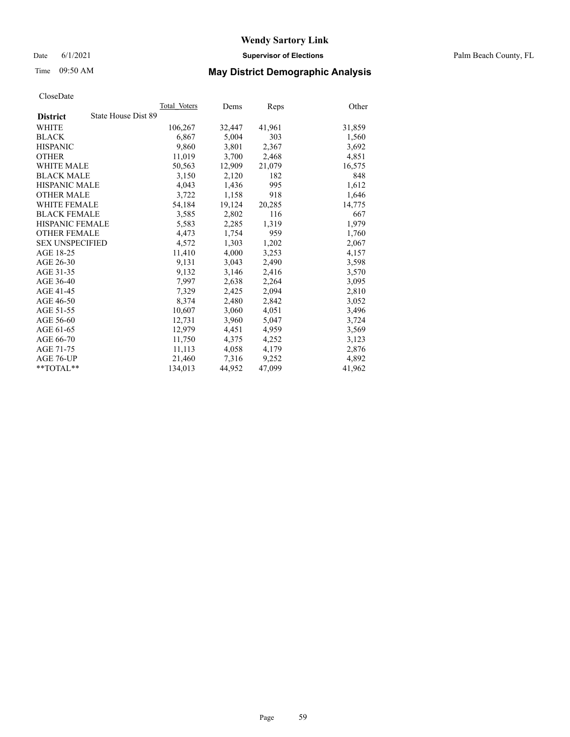Date 6/1/2021 **Supervisor of Elections** Palm Beach County, FL

# Time 09:50 AM **May District Demographic Analysis**

|                                        | Total Voters | Dems   | Reps   | Other  |
|----------------------------------------|--------------|--------|--------|--------|
| State House Dist 89<br><b>District</b> |              |        |        |        |
| WHITE                                  | 106,267      | 32,447 | 41,961 | 31,859 |
| <b>BLACK</b>                           | 6,867        | 5,004  | 303    | 1,560  |
| <b>HISPANIC</b>                        | 9,860        | 3,801  | 2,367  | 3,692  |
| <b>OTHER</b>                           | 11,019       | 3,700  | 2,468  | 4,851  |
| <b>WHITE MALE</b>                      | 50,563       | 12,909 | 21,079 | 16,575 |
| <b>BLACK MALE</b>                      | 3,150        | 2,120  | 182    | 848    |
| <b>HISPANIC MALE</b>                   | 4,043        | 1,436  | 995    | 1,612  |
| <b>OTHER MALE</b>                      | 3,722        | 1,158  | 918    | 1,646  |
| <b>WHITE FEMALE</b>                    | 54,184       | 19,124 | 20,285 | 14,775 |
| <b>BLACK FEMALE</b>                    | 3,585        | 2,802  | 116    | 667    |
| HISPANIC FEMALE                        | 5,583        | 2,285  | 1,319  | 1,979  |
| <b>OTHER FEMALE</b>                    | 4,473        | 1,754  | 959    | 1,760  |
| <b>SEX UNSPECIFIED</b>                 | 4,572        | 1,303  | 1,202  | 2,067  |
| AGE 18-25                              | 11,410       | 4,000  | 3,253  | 4,157  |
| AGE 26-30                              | 9,131        | 3,043  | 2,490  | 3,598  |
| AGE 31-35                              | 9,132        | 3,146  | 2,416  | 3,570  |
| AGE 36-40                              | 7,997        | 2,638  | 2,264  | 3,095  |
| AGE 41-45                              | 7,329        | 2,425  | 2,094  | 2,810  |
| AGE 46-50                              | 8,374        | 2,480  | 2,842  | 3,052  |
| AGE 51-55                              | 10,607       | 3,060  | 4,051  | 3,496  |
| AGE 56-60                              | 12,731       | 3,960  | 5,047  | 3,724  |
| AGE 61-65                              | 12,979       | 4,451  | 4,959  | 3,569  |
| AGE 66-70                              | 11,750       | 4,375  | 4,252  | 3,123  |
| AGE 71-75                              | 11,113       | 4,058  | 4,179  | 2,876  |
| AGE 76-UP                              | 21,460       | 7,316  | 9,252  | 4,892  |
| $*$ $TOTAL**$                          | 134,013      | 44,952 | 47,099 | 41,962 |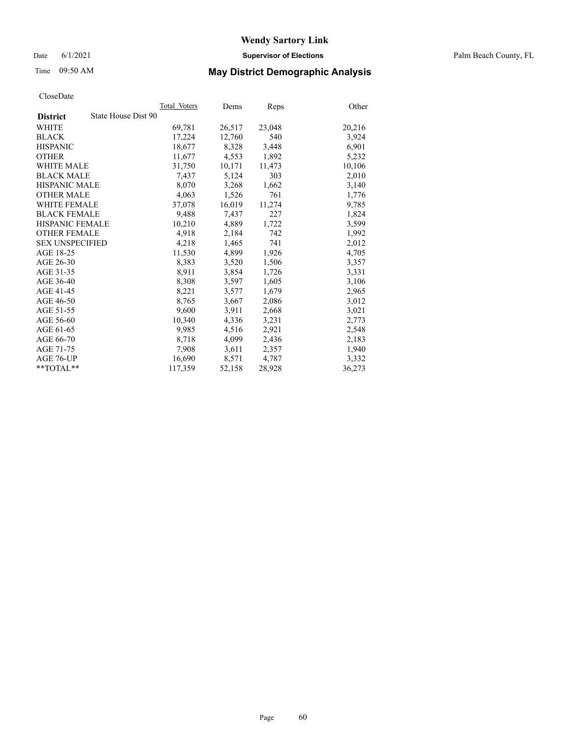Date 6/1/2021 **Supervisor of Elections** Palm Beach County, FL

# Time 09:50 AM **May District Demographic Analysis**

|                                        | Total Voters | Dems   | <b>Reps</b> | Other  |
|----------------------------------------|--------------|--------|-------------|--------|
| State House Dist 90<br><b>District</b> |              |        |             |        |
| WHITE                                  | 69,781       | 26,517 | 23,048      | 20,216 |
| <b>BLACK</b>                           | 17,224       | 12,760 | 540         | 3,924  |
| <b>HISPANIC</b>                        | 18,677       | 8,328  | 3,448       | 6,901  |
| <b>OTHER</b>                           | 11,677       | 4,553  | 1,892       | 5,232  |
| <b>WHITE MALE</b>                      | 31,750       | 10,171 | 11,473      | 10,106 |
| <b>BLACK MALE</b>                      | 7,437        | 5,124  | 303         | 2,010  |
| <b>HISPANIC MALE</b>                   | 8,070        | 3,268  | 1,662       | 3,140  |
| <b>OTHER MALE</b>                      | 4,063        | 1,526  | 761         | 1,776  |
| <b>WHITE FEMALE</b>                    | 37,078       | 16,019 | 11,274      | 9,785  |
| <b>BLACK FEMALE</b>                    | 9,488        | 7,437  | 227         | 1,824  |
| <b>HISPANIC FEMALE</b>                 | 10,210       | 4,889  | 1,722       | 3,599  |
| <b>OTHER FEMALE</b>                    | 4,918        | 2,184  | 742         | 1,992  |
| <b>SEX UNSPECIFIED</b>                 | 4,218        | 1,465  | 741         | 2,012  |
| AGE 18-25                              | 11,530       | 4,899  | 1,926       | 4,705  |
| AGE 26-30                              | 8,383        | 3,520  | 1,506       | 3,357  |
| AGE 31-35                              | 8,911        | 3,854  | 1,726       | 3,331  |
| AGE 36-40                              | 8,308        | 3,597  | 1,605       | 3,106  |
| AGE 41-45                              | 8,221        | 3,577  | 1,679       | 2,965  |
| AGE 46-50                              | 8,765        | 3,667  | 2,086       | 3,012  |
| AGE 51-55                              | 9,600        | 3,911  | 2,668       | 3,021  |
| AGE 56-60                              | 10,340       | 4,336  | 3,231       | 2,773  |
| AGE 61-65                              | 9,985        | 4,516  | 2,921       | 2,548  |
| AGE 66-70                              | 8,718        | 4,099  | 2,436       | 2,183  |
| AGE 71-75                              | 7,908        | 3,611  | 2,357       | 1,940  |
| AGE 76-UP                              | 16,690       | 8,571  | 4,787       | 3,332  |
| $*$ TOTAL $*$                          | 117,359      | 52,158 | 28,928      | 36,273 |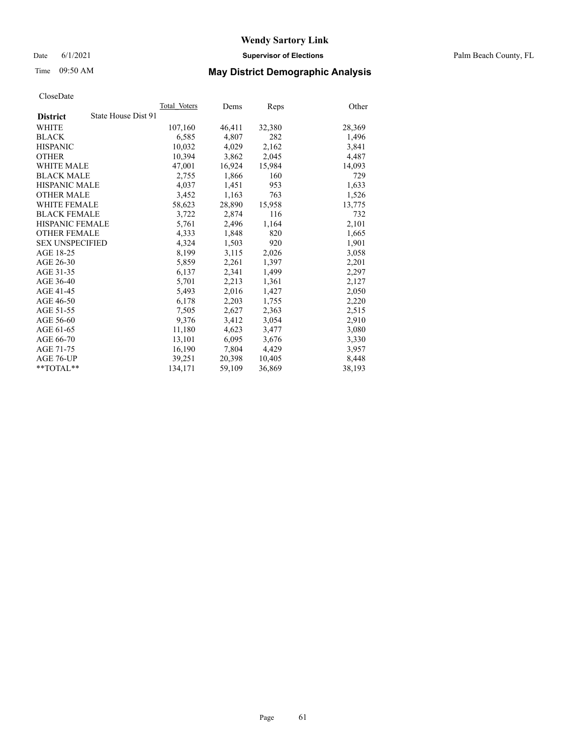Date 6/1/2021 **Supervisor of Elections** Palm Beach County, FL

# Time 09:50 AM **May District Demographic Analysis**

|                                        | Total Voters | Dems   | Reps   | Other  |
|----------------------------------------|--------------|--------|--------|--------|
| State House Dist 91<br><b>District</b> |              |        |        |        |
| WHITE                                  | 107,160      | 46,411 | 32,380 | 28,369 |
| <b>BLACK</b>                           | 6,585        | 4,807  | 282    | 1,496  |
| <b>HISPANIC</b>                        | 10.032       | 4,029  | 2,162  | 3,841  |
| <b>OTHER</b>                           | 10,394       | 3,862  | 2,045  | 4,487  |
| <b>WHITE MALE</b>                      | 47,001       | 16,924 | 15,984 | 14,093 |
| <b>BLACK MALE</b>                      | 2,755        | 1,866  | 160    | 729    |
| <b>HISPANIC MALE</b>                   | 4,037        | 1,451  | 953    | 1,633  |
| <b>OTHER MALE</b>                      | 3,452        | 1,163  | 763    | 1,526  |
| <b>WHITE FEMALE</b>                    | 58,623       | 28,890 | 15,958 | 13,775 |
| <b>BLACK FEMALE</b>                    | 3,722        | 2,874  | 116    | 732    |
| <b>HISPANIC FEMALE</b>                 | 5,761        | 2,496  | 1,164  | 2,101  |
| <b>OTHER FEMALE</b>                    | 4,333        | 1,848  | 820    | 1,665  |
| <b>SEX UNSPECIFIED</b>                 | 4,324        | 1,503  | 920    | 1,901  |
| AGE 18-25                              | 8,199        | 3,115  | 2,026  | 3,058  |
| AGE 26-30                              | 5,859        | 2,261  | 1,397  | 2,201  |
| AGE 31-35                              | 6,137        | 2,341  | 1,499  | 2,297  |
| AGE 36-40                              | 5,701        | 2,213  | 1,361  | 2,127  |
| AGE 41-45                              | 5,493        | 2,016  | 1,427  | 2,050  |
| AGE 46-50                              | 6,178        | 2,203  | 1,755  | 2,220  |
| AGE 51-55                              | 7,505        | 2,627  | 2,363  | 2,515  |
| AGE 56-60                              | 9,376        | 3,412  | 3,054  | 2,910  |
| AGE 61-65                              | 11,180       | 4,623  | 3,477  | 3,080  |
| AGE 66-70                              | 13,101       | 6,095  | 3,676  | 3,330  |
| AGE 71-75                              | 16,190       | 7,804  | 4,429  | 3,957  |
| AGE 76-UP                              | 39,251       | 20,398 | 10,405 | 8,448  |
| $*$ $TOTAL**$                          | 134,171      | 59,109 | 36,869 | 38,193 |
|                                        |              |        |        |        |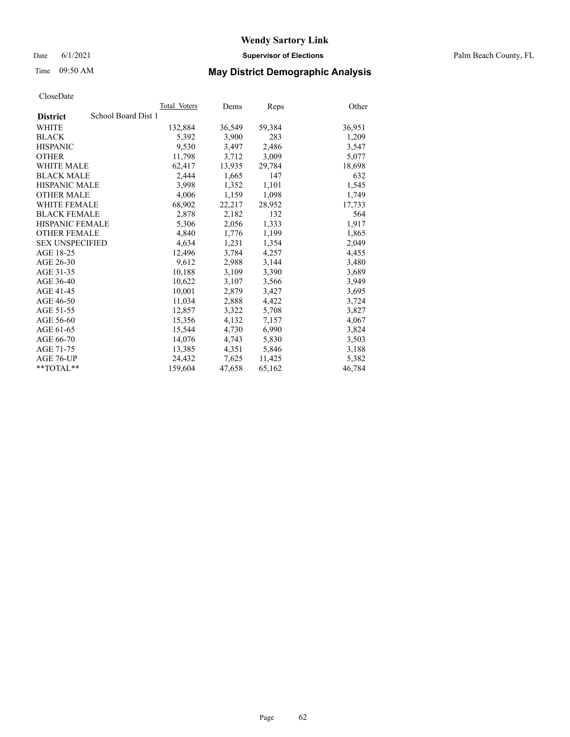Date 6/1/2021 **Supervisor of Elections** Palm Beach County, FL

# Time 09:50 AM **May District Demographic Analysis**

|                                        | Total Voters | Dems   | Reps   | Other  |
|----------------------------------------|--------------|--------|--------|--------|
| School Board Dist 1<br><b>District</b> |              |        |        |        |
| WHITE                                  | 132,884      | 36,549 | 59,384 | 36,951 |
| <b>BLACK</b>                           | 5,392        | 3,900  | 283    | 1,209  |
| <b>HISPANIC</b>                        | 9,530        | 3,497  | 2,486  | 3,547  |
| <b>OTHER</b>                           | 11,798       | 3,712  | 3,009  | 5,077  |
| <b>WHITE MALE</b>                      | 62,417       | 13,935 | 29,784 | 18,698 |
| <b>BLACK MALE</b>                      | 2,444        | 1,665  | 147    | 632    |
| <b>HISPANIC MALE</b>                   | 3,998        | 1,352  | 1,101  | 1,545  |
| <b>OTHER MALE</b>                      | 4,006        | 1,159  | 1,098  | 1,749  |
| <b>WHITE FEMALE</b>                    | 68,902       | 22,217 | 28,952 | 17,733 |
| <b>BLACK FEMALE</b>                    | 2,878        | 2.182  | 132    | 564    |
| <b>HISPANIC FEMALE</b>                 | 5,306        | 2,056  | 1,333  | 1,917  |
| <b>OTHER FEMALE</b>                    | 4,840        | 1,776  | 1,199  | 1,865  |
| <b>SEX UNSPECIFIED</b>                 | 4.634        | 1,231  | 1,354  | 2,049  |
| AGE 18-25                              | 12,496       | 3,784  | 4,257  | 4,455  |
| AGE 26-30                              | 9,612        | 2,988  | 3,144  | 3,480  |
| AGE 31-35                              | 10,188       | 3,109  | 3,390  | 3,689  |
| AGE 36-40                              | 10,622       | 3,107  | 3,566  | 3,949  |
| AGE 41-45                              | 10,001       | 2,879  | 3,427  | 3,695  |
| AGE 46-50                              | 11,034       | 2,888  | 4,422  | 3,724  |
| AGE 51-55                              | 12,857       | 3,322  | 5,708  | 3,827  |
| AGE 56-60                              | 15,356       | 4,132  | 7,157  | 4,067  |
| AGE 61-65                              | 15,544       | 4,730  | 6,990  | 3,824  |
| AGE 66-70                              | 14,076       | 4,743  | 5,830  | 3,503  |
| AGE 71-75                              | 13,385       | 4,351  | 5,846  | 3,188  |
| AGE 76-UP                              | 24,432       | 7,625  | 11,425 | 5,382  |
| $*$ TOTAL $*$                          | 159,604      | 47,658 | 65,162 | 46,784 |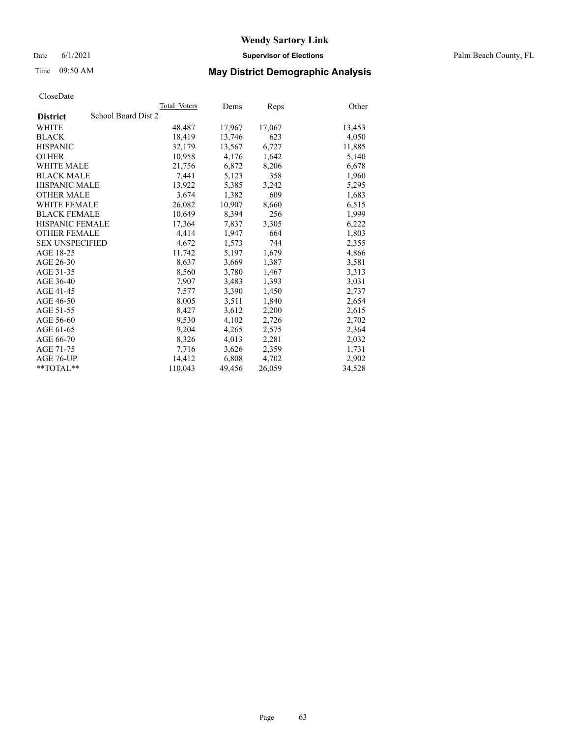# Time 09:50 AM **May District Demographic Analysis**

|                                        | Total Voters | Dems   | <b>Reps</b> | Other  |
|----------------------------------------|--------------|--------|-------------|--------|
| School Board Dist 2<br><b>District</b> |              |        |             |        |
| WHITE                                  | 48,487       | 17,967 | 17,067      | 13,453 |
| <b>BLACK</b>                           | 18,419       | 13,746 | 623         | 4,050  |
| <b>HISPANIC</b>                        | 32.179       | 13,567 | 6,727       | 11,885 |
| <b>OTHER</b>                           | 10,958       | 4,176  | 1,642       | 5,140  |
| <b>WHITE MALE</b>                      | 21,756       | 6,872  | 8,206       | 6,678  |
| <b>BLACK MALE</b>                      | 7,441        | 5,123  | 358         | 1,960  |
| HISPANIC MALE                          | 13,922       | 5,385  | 3,242       | 5,295  |
| <b>OTHER MALE</b>                      | 3,674        | 1,382  | 609         | 1,683  |
| <b>WHITE FEMALE</b>                    | 26,082       | 10,907 | 8,660       | 6,515  |
| <b>BLACK FEMALE</b>                    | 10,649       | 8,394  | 256         | 1,999  |
| <b>HISPANIC FEMALE</b>                 | 17,364       | 7,837  | 3,305       | 6,222  |
| <b>OTHER FEMALE</b>                    | 4,414        | 1,947  | 664         | 1,803  |
| <b>SEX UNSPECIFIED</b>                 | 4.672        | 1,573  | 744         | 2,355  |
| AGE 18-25                              | 11,742       | 5,197  | 1,679       | 4,866  |
| AGE 26-30                              | 8,637        | 3,669  | 1,387       | 3,581  |
| AGE 31-35                              | 8,560        | 3,780  | 1,467       | 3,313  |
| AGE 36-40                              | 7,907        | 3,483  | 1,393       | 3,031  |
| AGE 41-45                              | 7,577        | 3,390  | 1,450       | 2,737  |
| AGE 46-50                              | 8,005        | 3,511  | 1,840       | 2,654  |
| AGE 51-55                              | 8,427        | 3,612  | 2,200       | 2,615  |
| AGE 56-60                              | 9,530        | 4,102  | 2,726       | 2,702  |
| AGE 61-65                              | 9,204        | 4,265  | 2,575       | 2,364  |
| AGE 66-70                              | 8,326        | 4,013  | 2,281       | 2,032  |
| AGE 71-75                              | 7,716        | 3,626  | 2,359       | 1,731  |
| AGE 76-UP                              | 14,412       | 6,808  | 4,702       | 2,902  |
| $*$ TOTAL $*$                          | 110,043      | 49,456 | 26,059      | 34,528 |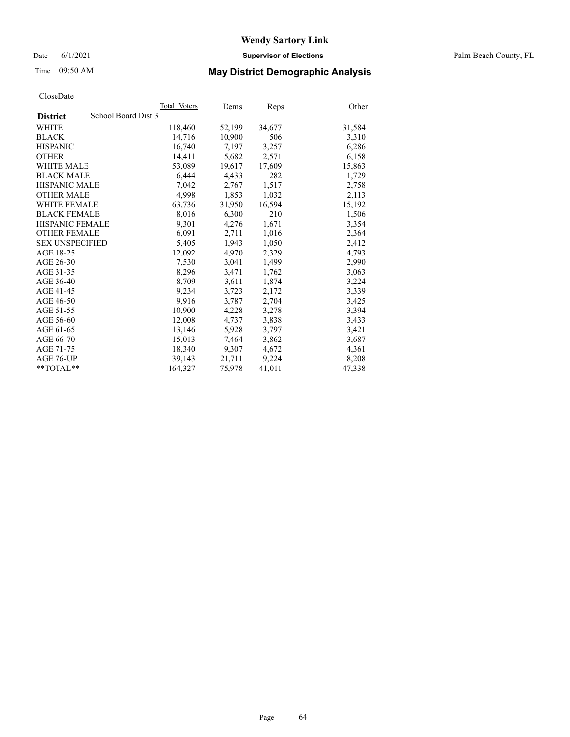Date 6/1/2021 **Supervisor of Elections** Palm Beach County, FL

# Time 09:50 AM **May District Demographic Analysis**

|                                        | Total Voters | Dems   | <b>Reps</b> | Other  |
|----------------------------------------|--------------|--------|-------------|--------|
| School Board Dist 3<br><b>District</b> |              |        |             |        |
| WHITE                                  | 118,460      | 52,199 | 34,677      | 31,584 |
| <b>BLACK</b>                           | 14,716       | 10,900 | 506         | 3,310  |
| <b>HISPANIC</b>                        | 16.740       | 7.197  | 3,257       | 6,286  |
| <b>OTHER</b>                           | 14,411       | 5,682  | 2,571       | 6,158  |
| <b>WHITE MALE</b>                      | 53,089       | 19,617 | 17,609      | 15,863 |
| <b>BLACK MALE</b>                      | 6,444        | 4,433  | 282         | 1,729  |
| <b>HISPANIC MALE</b>                   | 7,042        | 2,767  | 1,517       | 2,758  |
| <b>OTHER MALE</b>                      | 4,998        | 1,853  | 1,032       | 2,113  |
| <b>WHITE FEMALE</b>                    | 63,736       | 31,950 | 16,594      | 15,192 |
| <b>BLACK FEMALE</b>                    | 8,016        | 6,300  | 210         | 1,506  |
| HISPANIC FEMALE                        | 9,301        | 4,276  | 1,671       | 3,354  |
| <b>OTHER FEMALE</b>                    | 6.091        | 2,711  | 1,016       | 2,364  |
| <b>SEX UNSPECIFIED</b>                 | 5,405        | 1,943  | 1,050       | 2,412  |
| AGE 18-25                              | 12,092       | 4,970  | 2,329       | 4,793  |
| AGE 26-30                              | 7.530        | 3.041  | 1,499       | 2,990  |
| AGE 31-35                              | 8,296        | 3,471  | 1,762       | 3,063  |
| AGE 36-40                              | 8,709        | 3,611  | 1,874       | 3,224  |
| AGE 41-45                              | 9,234        | 3,723  | 2,172       | 3,339  |
| AGE 46-50                              | 9,916        | 3,787  | 2,704       | 3,425  |
| AGE 51-55                              | 10,900       | 4,228  | 3,278       | 3,394  |
| AGE 56-60                              | 12,008       | 4,737  | 3,838       | 3,433  |
| AGE 61-65                              | 13,146       | 5,928  | 3,797       | 3,421  |
| AGE 66-70                              | 15,013       | 7,464  | 3,862       | 3,687  |
| AGE 71-75                              | 18,340       | 9,307  | 4,672       | 4,361  |
| AGE 76-UP                              | 39,143       | 21,711 | 9,224       | 8,208  |
| $*$ $TOTAL**$                          | 164,327      | 75,978 | 41,011      | 47,338 |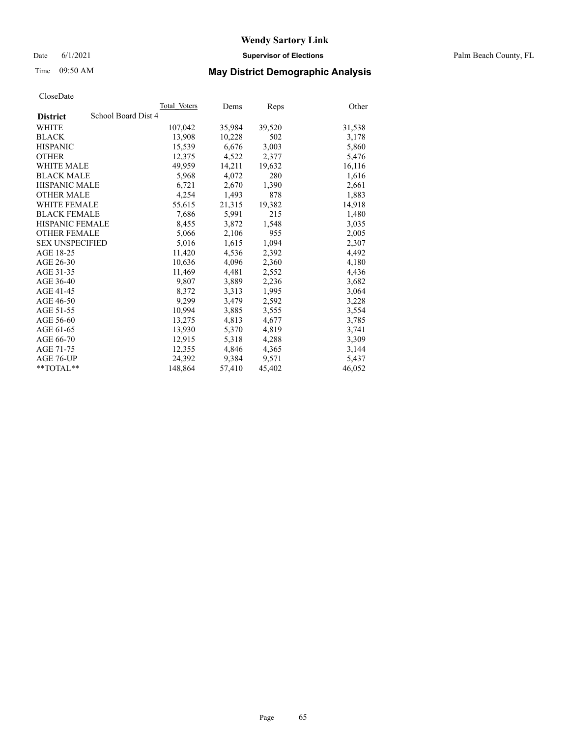Date 6/1/2021 **Supervisor of Elections** Palm Beach County, FL

# Time 09:50 AM **May District Demographic Analysis**

|                                        | Total Voters | Dems   | <b>Reps</b> | Other  |
|----------------------------------------|--------------|--------|-------------|--------|
| School Board Dist 4<br><b>District</b> |              |        |             |        |
| WHITE                                  | 107,042      | 35,984 | 39,520      | 31,538 |
| <b>BLACK</b>                           | 13,908       | 10,228 | 502         | 3,178  |
| <b>HISPANIC</b>                        | 15,539       | 6,676  | 3,003       | 5,860  |
| <b>OTHER</b>                           | 12,375       | 4,522  | 2,377       | 5,476  |
| <b>WHITE MALE</b>                      | 49,959       | 14,211 | 19,632      | 16,116 |
| <b>BLACK MALE</b>                      | 5,968        | 4,072  | 280         | 1,616  |
| <b>HISPANIC MALE</b>                   | 6,721        | 2,670  | 1,390       | 2,661  |
| <b>OTHER MALE</b>                      | 4,254        | 1,493  | 878         | 1,883  |
| <b>WHITE FEMALE</b>                    | 55,615       | 21,315 | 19,382      | 14,918 |
| <b>BLACK FEMALE</b>                    | 7,686        | 5,991  | 215         | 1,480  |
| <b>HISPANIC FEMALE</b>                 | 8,455        | 3,872  | 1,548       | 3,035  |
| <b>OTHER FEMALE</b>                    | 5,066        | 2,106  | 955         | 2,005  |
| <b>SEX UNSPECIFIED</b>                 | 5,016        | 1,615  | 1,094       | 2,307  |
| AGE 18-25                              | 11,420       | 4,536  | 2,392       | 4,492  |
| AGE 26-30                              | 10,636       | 4,096  | 2,360       | 4,180  |
| AGE 31-35                              | 11,469       | 4,481  | 2,552       | 4,436  |
| AGE 36-40                              | 9,807        | 3,889  | 2,236       | 3,682  |
| AGE 41-45                              | 8,372        | 3,313  | 1,995       | 3,064  |
| AGE 46-50                              | 9.299        | 3,479  | 2,592       | 3,228  |
| AGE 51-55                              | 10.994       | 3,885  | 3,555       | 3,554  |
| AGE 56-60                              | 13,275       | 4,813  | 4,677       | 3,785  |
| AGE 61-65                              | 13,930       | 5,370  | 4,819       | 3,741  |
| AGE 66-70                              | 12,915       | 5,318  | 4,288       | 3,309  |
| AGE 71-75                              | 12,355       | 4,846  | 4,365       | 3,144  |
| AGE 76-UP                              | 24,392       | 9,384  | 9,571       | 5,437  |
| $*$ TOTAL $*$                          | 148,864      | 57,410 | 45,402      | 46,052 |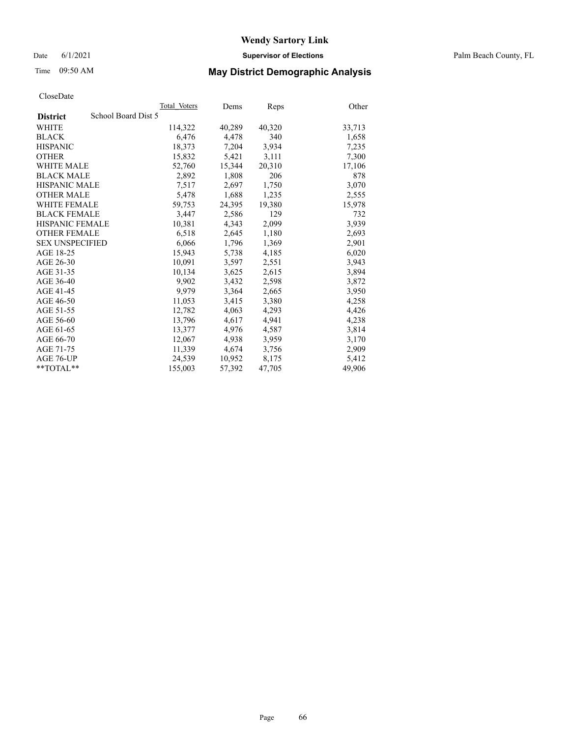Date 6/1/2021 **Supervisor of Elections** Palm Beach County, FL

# Time 09:50 AM **May District Demographic Analysis**

|                        | Total Voters        | Dems   | <b>Reps</b> | Other  |
|------------------------|---------------------|--------|-------------|--------|
| <b>District</b>        | School Board Dist 5 |        |             |        |
| WHITE                  | 114,322             | 40,289 | 40,320      | 33,713 |
| <b>BLACK</b>           | 6,476               | 4,478  | 340         | 1,658  |
| <b>HISPANIC</b>        | 18,373              | 7,204  | 3,934       | 7,235  |
| <b>OTHER</b>           | 15,832              | 5,421  | 3,111       | 7,300  |
| <b>WHITE MALE</b>      | 52,760              | 15,344 | 20,310      | 17,106 |
| <b>BLACK MALE</b>      | 2,892               | 1,808  | 206         | 878    |
| <b>HISPANIC MALE</b>   | 7,517               | 2,697  | 1,750       | 3,070  |
| <b>OTHER MALE</b>      | 5,478               | 1,688  | 1,235       | 2,555  |
| <b>WHITE FEMALE</b>    | 59,753              | 24,395 | 19,380      | 15,978 |
| <b>BLACK FEMALE</b>    | 3.447               | 2,586  | 129         | 732    |
| HISPANIC FEMALE        | 10,381              | 4,343  | 2,099       | 3,939  |
| <b>OTHER FEMALE</b>    | 6,518               | 2,645  | 1,180       | 2,693  |
| <b>SEX UNSPECIFIED</b> | 6,066               | 1,796  | 1,369       | 2,901  |
| AGE 18-25              | 15,943              | 5,738  | 4,185       | 6,020  |
| AGE 26-30              | 10,091              | 3,597  | 2,551       | 3,943  |
| AGE 31-35              | 10,134              | 3,625  | 2,615       | 3,894  |
| AGE 36-40              | 9,902               | 3,432  | 2,598       | 3,872  |
| AGE 41-45              | 9,979               | 3,364  | 2,665       | 3,950  |
| AGE 46-50              | 11,053              | 3,415  | 3,380       | 4,258  |
| AGE 51-55              | 12,782              | 4,063  | 4,293       | 4,426  |
| AGE 56-60              | 13,796              | 4,617  | 4,941       | 4,238  |
| AGE 61-65              | 13,377              | 4,976  | 4,587       | 3,814  |
| AGE 66-70              | 12,067              | 4,938  | 3,959       | 3,170  |
| AGE 71-75              | 11,339              | 4,674  | 3,756       | 2,909  |
| AGE 76-UP              | 24,539              | 10,952 | 8,175       | 5,412  |
| $*$ $TOTAL**$          | 155,003             | 57,392 | 47,705      | 49,906 |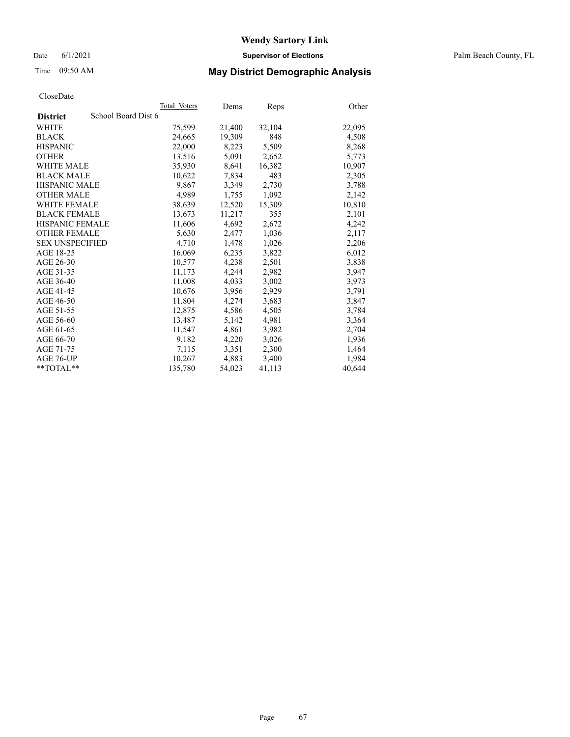#### Date 6/1/2021 **Supervisor of Elections** Palm Beach County, FL

# Time 09:50 AM **May District Demographic Analysis**

|                                        | Total Voters | Dems   | <b>Reps</b> | Other  |
|----------------------------------------|--------------|--------|-------------|--------|
| School Board Dist 6<br><b>District</b> |              |        |             |        |
| WHITE                                  | 75,599       | 21,400 | 32,104      | 22,095 |
| <b>BLACK</b>                           | 24,665       | 19.309 | 848         | 4,508  |
| <b>HISPANIC</b>                        | 22,000       | 8,223  | 5,509       | 8,268  |
| <b>OTHER</b>                           | 13,516       | 5,091  | 2,652       | 5,773  |
| <b>WHITE MALE</b>                      | 35,930       | 8,641  | 16,382      | 10,907 |
| <b>BLACK MALE</b>                      | 10,622       | 7,834  | 483         | 2,305  |
| <b>HISPANIC MALE</b>                   | 9,867        | 3,349  | 2,730       | 3,788  |
| <b>OTHER MALE</b>                      | 4,989        | 1,755  | 1,092       | 2,142  |
| <b>WHITE FEMALE</b>                    | 38,639       | 12,520 | 15,309      | 10,810 |
| <b>BLACK FEMALE</b>                    | 13,673       | 11,217 | 355         | 2,101  |
| <b>HISPANIC FEMALE</b>                 | 11,606       | 4,692  | 2,672       | 4,242  |
| <b>OTHER FEMALE</b>                    | 5,630        | 2,477  | 1,036       | 2,117  |
| <b>SEX UNSPECIFIED</b>                 | 4,710        | 1,478  | 1,026       | 2,206  |
| AGE 18-25                              | 16,069       | 6,235  | 3,822       | 6,012  |
| AGE 26-30                              | 10,577       | 4,238  | 2,501       | 3,838  |
| AGE 31-35                              | 11,173       | 4,244  | 2,982       | 3,947  |
| AGE 36-40                              | 11,008       | 4,033  | 3,002       | 3,973  |
| AGE 41-45                              | 10,676       | 3,956  | 2,929       | 3,791  |
| AGE 46-50                              | 11,804       | 4,274  | 3,683       | 3,847  |
| AGE 51-55                              | 12,875       | 4,586  | 4,505       | 3,784  |
| AGE 56-60                              | 13,487       | 5,142  | 4,981       | 3,364  |
| AGE 61-65                              | 11,547       | 4,861  | 3,982       | 2,704  |
| AGE 66-70                              | 9,182        | 4,220  | 3,026       | 1,936  |
| AGE 71-75                              | 7,115        | 3,351  | 2,300       | 1,464  |
| AGE 76-UP                              | 10,267       | 4,883  | 3,400       | 1,984  |
| $*$ TOTAL $*$                          | 135,780      | 54,023 | 41,113      | 40,644 |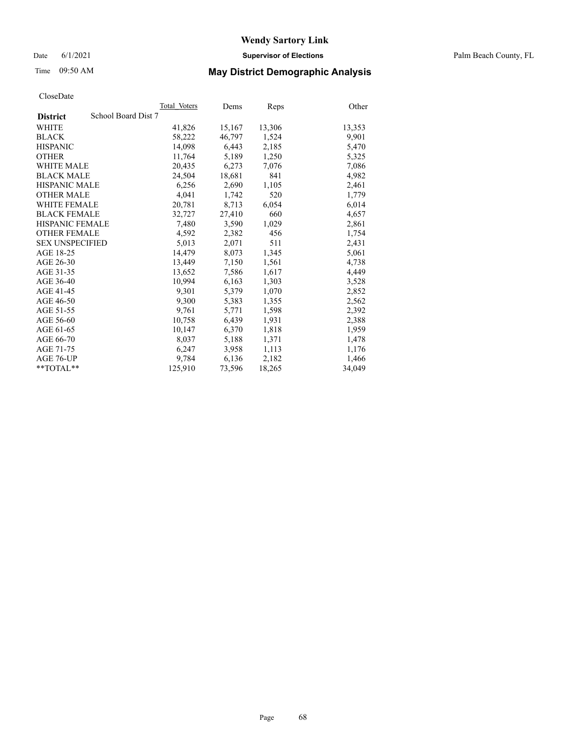# Time 09:50 AM **May District Demographic Analysis**

|                                        | Total Voters | Dems   | Reps   | Other  |
|----------------------------------------|--------------|--------|--------|--------|
| School Board Dist 7<br><b>District</b> |              |        |        |        |
| WHITE                                  | 41,826       | 15,167 | 13,306 | 13,353 |
| <b>BLACK</b>                           | 58,222       | 46,797 | 1,524  | 9,901  |
| <b>HISPANIC</b>                        | 14,098       | 6,443  | 2,185  | 5,470  |
| <b>OTHER</b>                           | 11,764       | 5,189  | 1,250  | 5,325  |
| <b>WHITE MALE</b>                      | 20,435       | 6,273  | 7,076  | 7,086  |
| <b>BLACK MALE</b>                      | 24,504       | 18,681 | 841    | 4,982  |
| <b>HISPANIC MALE</b>                   | 6,256        | 2,690  | 1,105  | 2,461  |
| <b>OTHER MALE</b>                      | 4,041        | 1,742  | 520    | 1,779  |
| <b>WHITE FEMALE</b>                    | 20,781       | 8,713  | 6,054  | 6,014  |
| <b>BLACK FEMALE</b>                    | 32,727       | 27,410 | 660    | 4,657  |
| <b>HISPANIC FEMALE</b>                 | 7,480        | 3,590  | 1,029  | 2,861  |
| <b>OTHER FEMALE</b>                    | 4,592        | 2,382  | 456    | 1,754  |
| <b>SEX UNSPECIFIED</b>                 | 5,013        | 2,071  | 511    | 2,431  |
| AGE 18-25                              | 14,479       | 8,073  | 1,345  | 5,061  |
| AGE 26-30                              | 13.449       | 7,150  | 1,561  | 4,738  |
| AGE 31-35                              | 13,652       | 7,586  | 1,617  | 4,449  |
| AGE 36-40                              | 10,994       | 6,163  | 1,303  | 3,528  |
| AGE 41-45                              | 9,301        | 5,379  | 1,070  | 2,852  |
| AGE 46-50                              | 9,300        | 5,383  | 1,355  | 2,562  |
| AGE 51-55                              | 9,761        | 5,771  | 1,598  | 2,392  |
| AGE 56-60                              | 10,758       | 6,439  | 1,931  | 2,388  |
| AGE 61-65                              | 10,147       | 6,370  | 1,818  | 1,959  |
| AGE 66-70                              | 8.037        | 5,188  | 1,371  | 1,478  |
| AGE 71-75                              | 6,247        | 3,958  | 1,113  | 1,176  |
| AGE 76-UP                              | 9.784        | 6,136  | 2,182  | 1,466  |
| $*$ $TOTAL**$                          | 125,910      | 73,596 | 18,265 | 34,049 |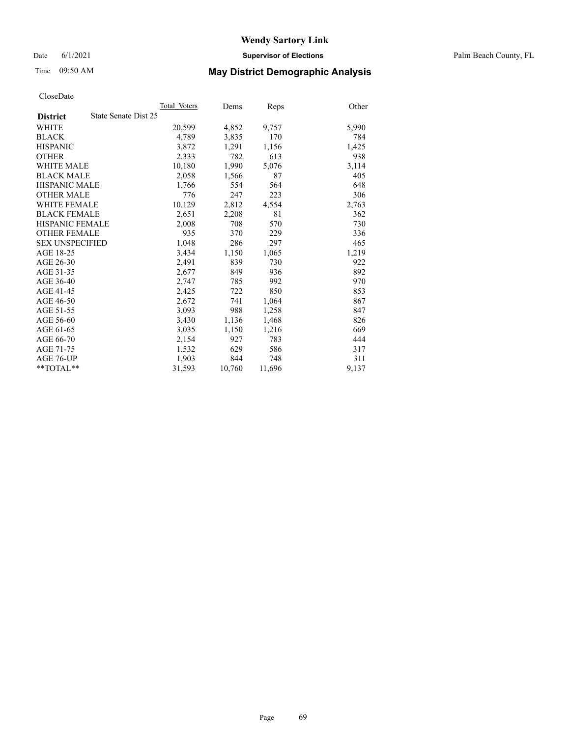Date 6/1/2021 **Supervisor of Elections** Palm Beach County, FL

# Time 09:50 AM **May District Demographic Analysis**

|                        | Total Voters         | Dems   | <b>Reps</b> | Other |
|------------------------|----------------------|--------|-------------|-------|
| <b>District</b>        | State Senate Dist 25 |        |             |       |
| WHITE                  | 20,599               | 4,852  | 9,757       | 5,990 |
| <b>BLACK</b>           | 4,789                | 3,835  | 170         | 784   |
| <b>HISPANIC</b>        | 3,872                | 1,291  | 1,156       | 1,425 |
| <b>OTHER</b>           | 2,333                | 782    | 613         | 938   |
| WHITE MALE             | 10,180               | 1,990  | 5,076       | 3,114 |
| <b>BLACK MALE</b>      | 2,058                | 1,566  | 87          | 405   |
| <b>HISPANIC MALE</b>   | 1,766                | 554    | 564         | 648   |
| <b>OTHER MALE</b>      | 776                  | 247    | 223         | 306   |
| <b>WHITE FEMALE</b>    | 10,129               | 2,812  | 4,554       | 2,763 |
| <b>BLACK FEMALE</b>    | 2,651                | 2,208  | 81          | 362   |
| <b>HISPANIC FEMALE</b> | 2,008                | 708    | 570         | 730   |
| <b>OTHER FEMALE</b>    | 935                  | 370    | 229         | 336   |
| <b>SEX UNSPECIFIED</b> | 1,048                | 286    | 297         | 465   |
| AGE 18-25              | 3,434                | 1,150  | 1,065       | 1,219 |
| AGE 26-30              | 2,491                | 839    | 730         | 922   |
| AGE 31-35              | 2,677                | 849    | 936         | 892   |
| AGE 36-40              | 2,747                | 785    | 992         | 970   |
| AGE 41-45              | 2,425                | 722    | 850         | 853   |
| AGE 46-50              | 2,672                | 741    | 1,064       | 867   |
| AGE 51-55              | 3.093                | 988    | 1,258       | 847   |
| AGE 56-60              | 3,430                | 1,136  | 1,468       | 826   |
| AGE 61-65              | 3,035                | 1,150  | 1,216       | 669   |
| AGE 66-70              | 2,154                | 927    | 783         | 444   |
| AGE 71-75              | 1,532                | 629    | 586         | 317   |
| AGE 76-UP              | 1,903                | 844    | 748         | 311   |
| $*$ $TOTAL**$          | 31,593               | 10,760 | 11,696      | 9,137 |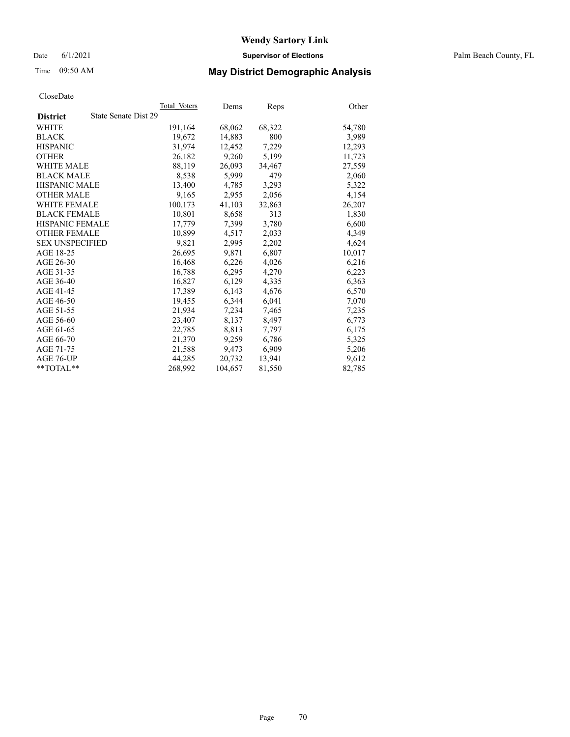Date 6/1/2021 **Supervisor of Elections** Palm Beach County, FL

# Time 09:50 AM **May District Demographic Analysis**

|                        |                      | Total Voters | Dems    | <b>Reps</b> | Other  |
|------------------------|----------------------|--------------|---------|-------------|--------|
| <b>District</b>        | State Senate Dist 29 |              |         |             |        |
| WHITE                  |                      | 191,164      | 68,062  | 68,322      | 54,780 |
| <b>BLACK</b>           |                      | 19,672       | 14,883  | 800         | 3,989  |
| <b>HISPANIC</b>        |                      | 31,974       | 12.452  | 7,229       | 12,293 |
| <b>OTHER</b>           |                      | 26,182       | 9,260   | 5,199       | 11,723 |
| <b>WHITE MALE</b>      |                      | 88,119       | 26,093  | 34,467      | 27,559 |
| <b>BLACK MALE</b>      |                      | 8,538        | 5,999   | 479         | 2,060  |
| <b>HISPANIC MALE</b>   |                      | 13,400       | 4,785   | 3,293       | 5,322  |
| <b>OTHER MALE</b>      |                      | 9,165        | 2,955   | 2,056       | 4,154  |
| <b>WHITE FEMALE</b>    |                      | 100,173      | 41,103  | 32,863      | 26,207 |
| <b>BLACK FEMALE</b>    |                      | 10,801       | 8,658   | 313         | 1,830  |
| HISPANIC FEMALE        |                      | 17,779       | 7,399   | 3,780       | 6,600  |
| <b>OTHER FEMALE</b>    |                      | 10.899       | 4,517   | 2,033       | 4,349  |
| <b>SEX UNSPECIFIED</b> |                      | 9,821        | 2,995   | 2,202       | 4,624  |
| AGE 18-25              |                      | 26,695       | 9,871   | 6,807       | 10,017 |
| AGE 26-30              |                      | 16,468       | 6,226   | 4,026       | 6,216  |
| AGE 31-35              |                      | 16,788       | 6,295   | 4,270       | 6,223  |
| AGE 36-40              |                      | 16,827       | 6,129   | 4,335       | 6,363  |
| AGE 41-45              |                      | 17,389       | 6,143   | 4,676       | 6,570  |
| AGE 46-50              |                      | 19,455       | 6,344   | 6,041       | 7,070  |
| AGE 51-55              |                      | 21.934       | 7,234   | 7,465       | 7,235  |
| AGE 56-60              |                      | 23,407       | 8,137   | 8,497       | 6,773  |
| AGE 61-65              |                      | 22,785       | 8,813   | 7,797       | 6,175  |
| AGE 66-70              |                      | 21,370       | 9,259   | 6,786       | 5,325  |
| AGE 71-75              |                      | 21,588       | 9,473   | 6,909       | 5,206  |
| AGE 76-UP              |                      | 44,285       | 20,732  | 13,941      | 9,612  |
| **TOTAL**              |                      | 268,992      | 104,657 | 81,550      | 82,785 |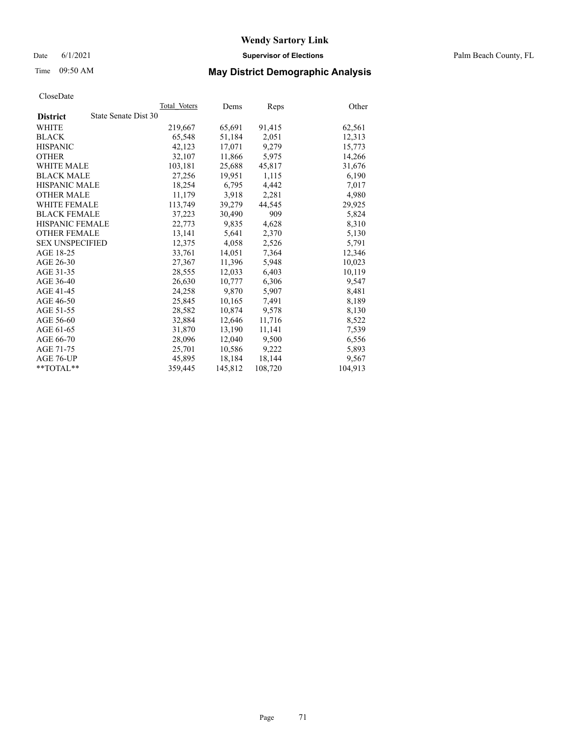# Time 09:50 AM **May District Demographic Analysis**

|                                         | Total Voters | Dems    | <b>Reps</b> | Other   |
|-----------------------------------------|--------------|---------|-------------|---------|
| State Senate Dist 30<br><b>District</b> |              |         |             |         |
| WHITE                                   | 219,667      | 65,691  | 91,415      | 62,561  |
| <b>BLACK</b>                            | 65,548       | 51,184  | 2,051       | 12,313  |
| <b>HISPANIC</b>                         | 42,123       | 17.071  | 9,279       | 15,773  |
| <b>OTHER</b>                            | 32,107       | 11,866  | 5,975       | 14,266  |
| <b>WHITE MALE</b>                       | 103,181      | 25,688  | 45,817      | 31,676  |
| <b>BLACK MALE</b>                       | 27,256       | 19,951  | 1,115       | 6,190   |
| <b>HISPANIC MALE</b>                    | 18,254       | 6,795   | 4,442       | 7,017   |
| <b>OTHER MALE</b>                       | 11,179       | 3,918   | 2,281       | 4,980   |
| <b>WHITE FEMALE</b>                     | 113,749      | 39,279  | 44,545      | 29,925  |
| <b>BLACK FEMALE</b>                     | 37,223       | 30,490  | 909         | 5,824   |
| <b>HISPANIC FEMALE</b>                  | 22,773       | 9,835   | 4,628       | 8,310   |
| <b>OTHER FEMALE</b>                     | 13,141       | 5,641   | 2,370       | 5,130   |
| <b>SEX UNSPECIFIED</b>                  | 12.375       | 4,058   | 2,526       | 5,791   |
| AGE 18-25                               | 33,761       | 14,051  | 7,364       | 12,346  |
| AGE 26-30                               | 27,367       | 11,396  | 5,948       | 10,023  |
| AGE 31-35                               | 28,555       | 12,033  | 6,403       | 10,119  |
| AGE 36-40                               | 26,630       | 10,777  | 6,306       | 9,547   |
| AGE 41-45                               | 24,258       | 9.870   | 5,907       | 8,481   |
| AGE 46-50                               | 25,845       | 10,165  | 7,491       | 8,189   |
| AGE 51-55                               | 28,582       | 10,874  | 9,578       | 8,130   |
| AGE 56-60                               | 32,884       | 12,646  | 11,716      | 8,522   |
| AGE 61-65                               | 31,870       | 13,190  | 11,141      | 7,539   |
| AGE 66-70                               | 28,096       | 12,040  | 9,500       | 6,556   |
| AGE 71-75                               | 25,701       | 10,586  | 9,222       | 5,893   |
| AGE 76-UP                               | 45,895       | 18,184  | 18,144      | 9,567   |
| $*$ TOTAL $*$                           | 359,445      | 145,812 | 108,720     | 104,913 |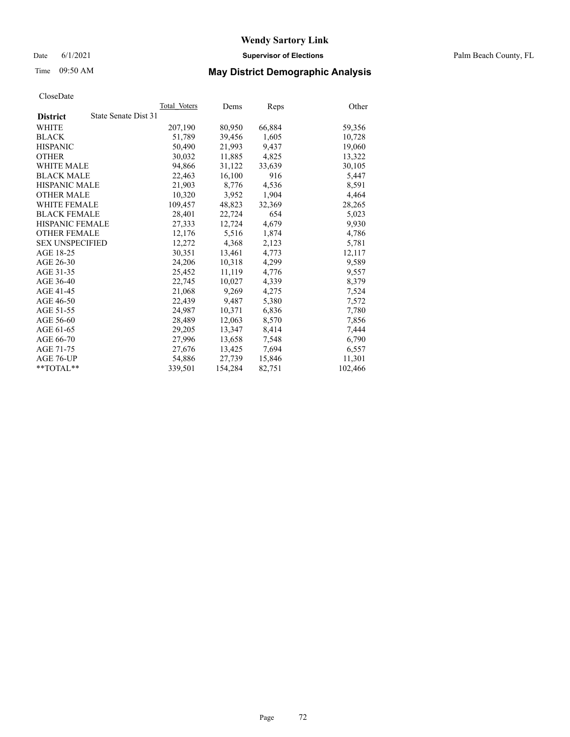#### Date 6/1/2021 **Supervisor of Elections** Palm Beach County, FL

# Time 09:50 AM **May District Demographic Analysis**

|                                         | Total Voters | Dems    | <b>Reps</b> | Other   |
|-----------------------------------------|--------------|---------|-------------|---------|
| State Senate Dist 31<br><b>District</b> |              |         |             |         |
| WHITE                                   | 207,190      | 80,950  | 66,884      | 59,356  |
| <b>BLACK</b>                            | 51,789       | 39,456  | 1,605       | 10,728  |
| <b>HISPANIC</b>                         | 50.490       | 21,993  | 9,437       | 19,060  |
| <b>OTHER</b>                            | 30,032       | 11,885  | 4,825       | 13,322  |
| <b>WHITE MALE</b>                       | 94,866       | 31,122  | 33,639      | 30,105  |
| <b>BLACK MALE</b>                       | 22,463       | 16,100  | 916         | 5,447   |
| <b>HISPANIC MALE</b>                    | 21,903       | 8,776   | 4,536       | 8,591   |
| <b>OTHER MALE</b>                       | 10.320       | 3,952   | 1,904       | 4,464   |
| <b>WHITE FEMALE</b>                     | 109,457      | 48,823  | 32,369      | 28,265  |
| <b>BLACK FEMALE</b>                     | 28,401       | 22,724  | 654         | 5,023   |
| <b>HISPANIC FEMALE</b>                  | 27,333       | 12,724  | 4,679       | 9,930   |
| <b>OTHER FEMALE</b>                     | 12,176       | 5,516   | 1,874       | 4,786   |
| <b>SEX UNSPECIFIED</b>                  | 12,272       | 4,368   | 2,123       | 5,781   |
| AGE 18-25                               | 30,351       | 13,461  | 4,773       | 12,117  |
| AGE 26-30                               | 24,206       | 10,318  | 4,299       | 9,589   |
| AGE 31-35                               | 25,452       | 11,119  | 4,776       | 9,557   |
| AGE 36-40                               | 22,745       | 10,027  | 4,339       | 8,379   |
| AGE 41-45                               | 21,068       | 9,269   | 4,275       | 7,524   |
| AGE 46-50                               | 22,439       | 9,487   | 5,380       | 7,572   |
| AGE 51-55                               | 24.987       | 10,371  | 6,836       | 7,780   |
| AGE 56-60                               | 28,489       | 12,063  | 8,570       | 7,856   |
| AGE 61-65                               | 29,205       | 13,347  | 8,414       | 7,444   |
| AGE 66-70                               | 27,996       | 13,658  | 7,548       | 6,790   |
| AGE 71-75                               | 27,676       | 13,425  | 7,694       | 6,557   |
| AGE 76-UP                               | 54,886       | 27,739  | 15,846      | 11,301  |
| **TOTAL**                               | 339,501      | 154,284 | 82,751      | 102,466 |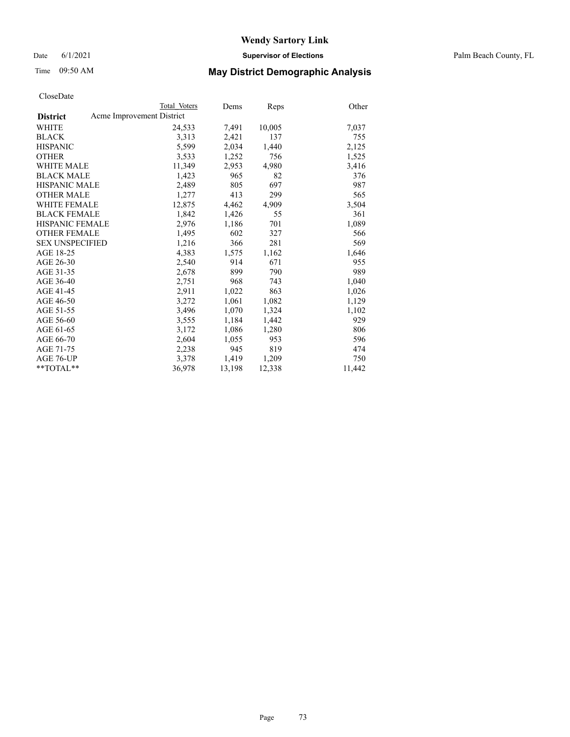Date 6/1/2021 **Supervisor of Elections** Palm Beach County, FL

## Time 09:50 AM **May District Demographic Analysis**

| Total Voters              | Dems   | Reps   | Other  |
|---------------------------|--------|--------|--------|
| Acme Improvement District |        |        |        |
| 24,533                    | 7,491  | 10,005 | 7,037  |
| 3,313                     | 2,421  | 137    | 755    |
| 5,599                     | 2,034  | 1,440  | 2,125  |
| 3,533                     | 1,252  | 756    | 1,525  |
| 11,349                    | 2,953  | 4,980  | 3,416  |
| 1,423                     | 965    | 82     | 376    |
| 2,489                     | 805    | 697    | 987    |
| 1,277                     | 413    | 299    | 565    |
| 12,875                    | 4,462  | 4,909  | 3,504  |
| 1,842                     | 1,426  | 55     | 361    |
| 2,976                     | 1,186  | 701    | 1,089  |
| 1,495                     | 602    | 327    | 566    |
| 1,216                     | 366    | 281    | 569    |
| 4,383                     | 1,575  | 1,162  | 1,646  |
| 2,540                     | 914    | 671    | 955    |
| 2,678                     | 899    | 790    | 989    |
| 2,751                     | 968    | 743    | 1,040  |
| 2,911                     | 1,022  | 863    | 1,026  |
| 3,272                     | 1,061  | 1,082  | 1,129  |
| 3,496                     | 1,070  | 1,324  | 1,102  |
| 3,555                     | 1,184  | 1,442  | 929    |
| 3,172                     | 1,086  | 1,280  | 806    |
| 2,604                     | 1,055  | 953    | 596    |
| 2,238                     | 945    | 819    | 474    |
| 3,378                     | 1,419  | 1,209  | 750    |
| 36,978                    | 13,198 | 12,338 | 11,442 |
|                           |        |        |        |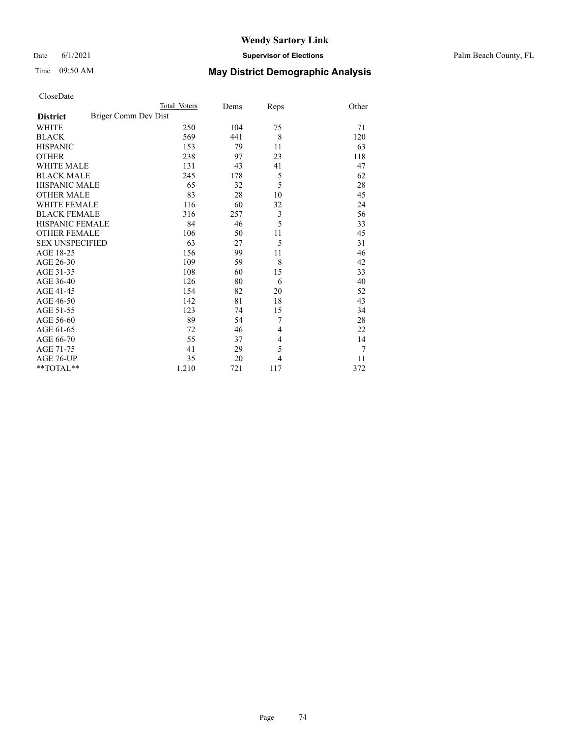#### Date 6/1/2021 **Supervisor of Elections** Palm Beach County, FL

# Time 09:50 AM **May District Demographic Analysis**

|                                         | Total Voters | Dems | Reps           | Other |
|-----------------------------------------|--------------|------|----------------|-------|
| Briger Comm Dev Dist<br><b>District</b> |              |      |                |       |
| <b>WHITE</b>                            | 250          | 104  | 75             | 71    |
| <b>BLACK</b>                            | 569          | 441  | 8              | 120   |
| <b>HISPANIC</b>                         | 153          | 79   | 11             | 63    |
| <b>OTHER</b>                            | 238          | 97   | 23             | 118   |
| <b>WHITE MALE</b>                       | 131          | 43   | 41             | 47    |
| <b>BLACK MALE</b>                       | 245          | 178  | 5              | 62    |
| <b>HISPANIC MALE</b>                    | 65           | 32   | 5              | 28    |
| <b>OTHER MALE</b>                       | 83           | 28   | 10             | 45    |
| <b>WHITE FEMALE</b>                     | 116          | 60   | 32             | 24    |
| <b>BLACK FEMALE</b>                     | 316          | 257  | 3              | 56    |
| <b>HISPANIC FEMALE</b>                  | 84           | 46   | 5              | 33    |
| <b>OTHER FEMALE</b>                     | 106          | 50   | 11             | 45    |
| <b>SEX UNSPECIFIED</b>                  | 63           | 27   | 5              | 31    |
| AGE 18-25                               | 156          | 99   | 11             | 46    |
| AGE 26-30                               | 109          | 59   | 8              | 42    |
| AGE 31-35                               | 108          | 60   | 15             | 33    |
| AGE 36-40                               | 126          | 80   | 6              | 40    |
| AGE 41-45                               | 154          | 82   | 20             | 52    |
| AGE 46-50                               | 142          | 81   | 18             | 43    |
| AGE 51-55                               | 123          | 74   | 15             | 34    |
| AGE 56-60                               | 89           | 54   | 7              | 28    |
| AGE 61-65                               | 72           | 46   | 4              | 22    |
| AGE 66-70                               | 55           | 37   | $\overline{4}$ | 14    |
| AGE 71-75                               | 41           | 29   | 5              | 7     |
| AGE 76-UP                               | 35           | 20   | 4              | 11    |
| **TOTAL**                               | 1,210        | 721  | 117            | 372   |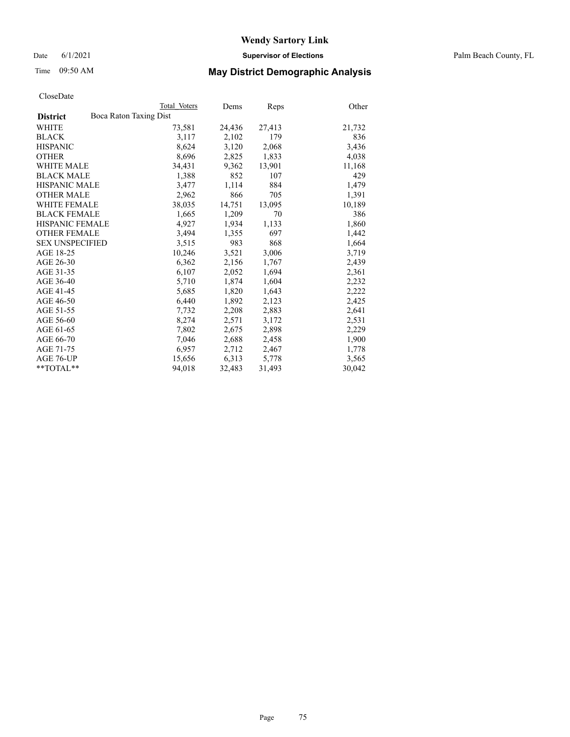Date 6/1/2021 **Supervisor of Elections** Palm Beach County, FL

# Time 09:50 AM **May District Demographic Analysis**

| ClustDate              |                        |              |        |        |        |
|------------------------|------------------------|--------------|--------|--------|--------|
|                        |                        | Total Voters | Dems   | Reps   | Other  |
| <b>District</b>        | Boca Raton Taxing Dist |              |        |        |        |
| WHITE                  |                        | 73,581       | 24,436 | 27,413 | 21,732 |
| <b>BLACK</b>           |                        | 3,117        | 2,102  | 179    | 836    |
| <b>HISPANIC</b>        |                        | 8,624        | 3,120  | 2,068  | 3,436  |
| <b>OTHER</b>           |                        | 8,696        | 2,825  | 1,833  | 4,038  |
| <b>WHITE MALE</b>      |                        | 34,431       | 9,362  | 13,901 | 11,168 |
| <b>BLACK MALE</b>      |                        | 1,388        | 852    | 107    | 429    |
| <b>HISPANIC MALE</b>   |                        | 3,477        | 1,114  | 884    | 1,479  |
| <b>OTHER MALE</b>      |                        | 2,962        | 866    | 705    | 1,391  |
| <b>WHITE FEMALE</b>    |                        | 38,035       | 14,751 | 13,095 | 10,189 |
| <b>BLACK FEMALE</b>    |                        | 1,665        | 1,209  | 70     | 386    |
| <b>HISPANIC FEMALE</b> |                        | 4,927        | 1,934  | 1,133  | 1,860  |
| <b>OTHER FEMALE</b>    |                        | 3,494        | 1,355  | 697    | 1,442  |
| <b>SEX UNSPECIFIED</b> |                        | 3,515        | 983    | 868    | 1,664  |
| AGE 18-25              |                        | 10,246       | 3,521  | 3,006  | 3,719  |
| AGE 26-30              |                        | 6,362        | 2,156  | 1,767  | 2,439  |
| AGE 31-35              |                        | 6,107        | 2,052  | 1,694  | 2,361  |
| AGE 36-40              |                        | 5,710        | 1,874  | 1,604  | 2,232  |
| AGE 41-45              |                        | 5,685        | 1,820  | 1,643  | 2,222  |
| AGE 46-50              |                        | 6,440        | 1,892  | 2,123  | 2,425  |
| AGE 51-55              |                        | 7,732        | 2,208  | 2,883  | 2,641  |
| AGE 56-60              |                        | 8,274        | 2,571  | 3,172  | 2,531  |
| AGE 61-65              |                        | 7,802        | 2,675  | 2,898  | 2,229  |
| AGE 66-70              |                        | 7,046        | 2,688  | 2,458  | 1,900  |
| AGE 71-75              |                        | 6,957        | 2,712  | 2,467  | 1,778  |
| AGE 76-UP              |                        | 15,656       | 6,313  | 5,778  | 3,565  |
| $*$ $TOTAL**$          |                        | 94,018       | 32,483 | 31,493 | 30,042 |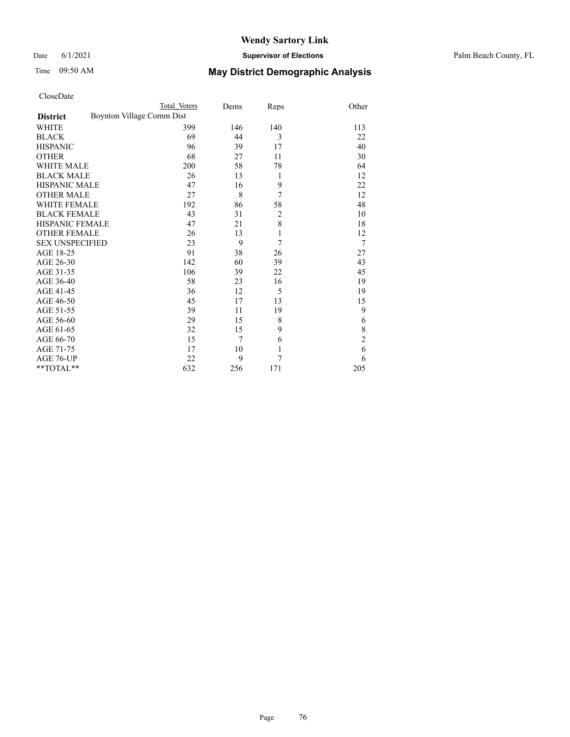#### Date 6/1/2021 **Supervisor of Elections** Palm Beach County, FL

|                        | Total Voters              | Dems           | Reps           | Other          |
|------------------------|---------------------------|----------------|----------------|----------------|
| <b>District</b>        | Boynton Village Comm Dist |                |                |                |
| <b>WHITE</b>           | 399                       | 146            | 140            | 113            |
| <b>BLACK</b>           | 69                        | 44             | 3              | 22             |
| <b>HISPANIC</b>        | 96                        | 39             | 17             | 40             |
| <b>OTHER</b>           | 68                        | 27             | 11             | 30             |
| <b>WHITE MALE</b>      | 200                       | 58             | 78             | 64             |
| <b>BLACK MALE</b>      | 26                        | 13             | 1              | 12             |
| <b>HISPANIC MALE</b>   | 47                        | 16             | 9              | 22             |
| <b>OTHER MALE</b>      | 27                        | 8              | 7              | 12             |
| WHITE FEMALE           | 192                       | 86             | 58             | 48             |
| <b>BLACK FEMALE</b>    | 43                        | 31             | $\overline{c}$ | 10             |
| <b>HISPANIC FEMALE</b> | 47                        | 21             | 8              | 18             |
| <b>OTHER FEMALE</b>    | 26                        | 13             | $\mathbf{1}$   | 12             |
| <b>SEX UNSPECIFIED</b> | 23                        | 9              | 7              | 7              |
| AGE 18-25              | 91                        | 38             | 26             | 27             |
| AGE 26-30              | 142                       | 60             | 39             | 43             |
| AGE 31-35              | 106                       | 39             | 22             | 45             |
| AGE 36-40              | 58                        | 23             | 16             | 19             |
| AGE 41-45              | 36                        | 12             | 5              | 19             |
| AGE 46-50              | 45                        | 17             | 13             | 15             |
| AGE 51-55              | 39                        | 11             | 19             | 9              |
| AGE 56-60              | 29                        | 15             | 8              | 6              |
| AGE 61-65              | 32                        | 15             | 9              | 8              |
| AGE 66-70              | 15                        | $\overline{7}$ | 6              | $\overline{c}$ |
| AGE 71-75              | 17                        | 10             | $\mathbf{1}$   | 6              |
| AGE 76-UP              | 22                        | 9              | 7              | 6              |
| $*$ $TOTAL**$          | 632                       | 256            | 171            | 205            |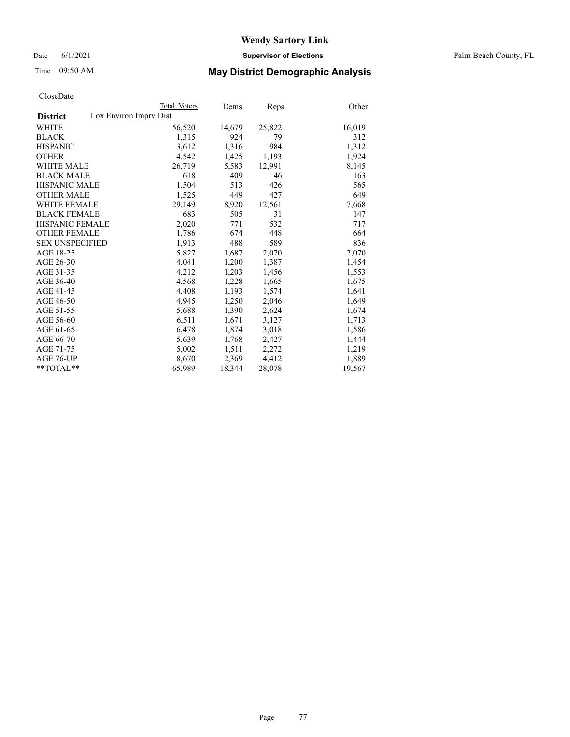Date 6/1/2021 **Supervisor of Elections** Palm Beach County, FL

# Time 09:50 AM **May District Demographic Analysis**

|                                           | Total Voters | Dems   | <b>Reps</b> | Other  |
|-------------------------------------------|--------------|--------|-------------|--------|
| Lox Environ Imprv Dist<br><b>District</b> |              |        |             |        |
| WHITE                                     | 56,520       | 14,679 | 25,822      | 16,019 |
| <b>BLACK</b>                              | 1,315        | 924    | 79          | 312    |
| <b>HISPANIC</b>                           | 3,612        | 1,316  | 984         | 1,312  |
| <b>OTHER</b>                              | 4,542        | 1,425  | 1,193       | 1,924  |
| <b>WHITE MALE</b>                         | 26,719       | 5,583  | 12,991      | 8,145  |
| <b>BLACK MALE</b>                         | 618          | 409    | 46          | 163    |
| <b>HISPANIC MALE</b>                      | 1,504        | 513    | 426         | 565    |
| <b>OTHER MALE</b>                         | 1,525        | 449    | 427         | 649    |
| <b>WHITE FEMALE</b>                       | 29,149       | 8,920  | 12,561      | 7,668  |
| <b>BLACK FEMALE</b>                       | 683          | 505    | 31          | 147    |
| <b>HISPANIC FEMALE</b>                    | 2,020        | 771    | 532         | 717    |
| <b>OTHER FEMALE</b>                       | 1,786        | 674    | 448         | 664    |
| <b>SEX UNSPECIFIED</b>                    | 1,913        | 488    | 589         | 836    |
| AGE 18-25                                 | 5,827        | 1,687  | 2,070       | 2,070  |
| AGE 26-30                                 | 4.041        | 1,200  | 1,387       | 1,454  |
| AGE 31-35                                 | 4,212        | 1,203  | 1,456       | 1,553  |
| AGE 36-40                                 | 4,568        | 1,228  | 1,665       | 1,675  |
| AGE 41-45                                 | 4,408        | 1,193  | 1,574       | 1,641  |
| AGE 46-50                                 | 4,945        | 1,250  | 2,046       | 1,649  |
| AGE 51-55                                 | 5,688        | 1,390  | 2,624       | 1,674  |
| AGE 56-60                                 | 6,511        | 1,671  | 3,127       | 1,713  |
| AGE 61-65                                 | 6,478        | 1,874  | 3,018       | 1,586  |
| AGE 66-70                                 | 5,639        | 1,768  | 2,427       | 1,444  |
| AGE 71-75                                 | 5,002        | 1,511  | 2,272       | 1,219  |
| AGE 76-UP                                 | 8,670        | 2,369  | 4,412       | 1,889  |
| $*$ $TOTAL**$                             | 65,989       | 18,344 | 28,078      | 19,567 |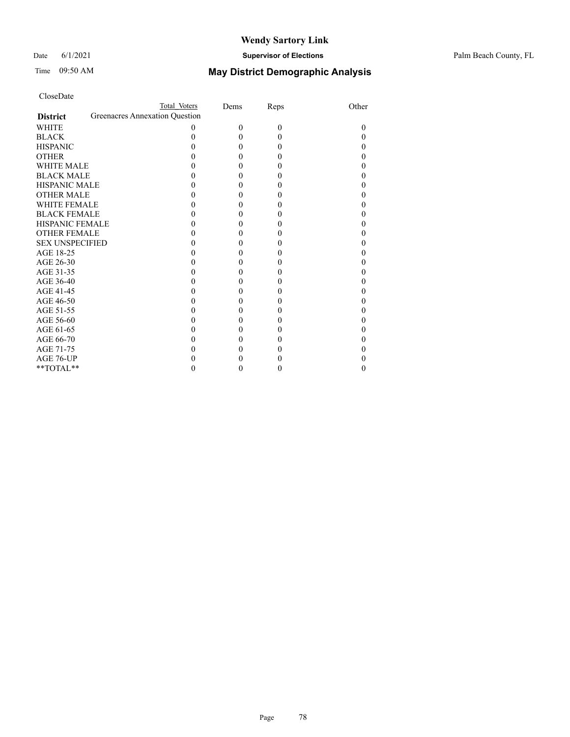#### Date 6/1/2021 **Supervisor of Elections** Palm Beach County, FL

| CloseDate |
|-----------|
|-----------|

|                        | Total Voters                   |   | Dems     | Reps         | Other  |
|------------------------|--------------------------------|---|----------|--------------|--------|
| <b>District</b>        | Greenacres Annexation Question |   |          |              |        |
| <b>WHITE</b>           |                                | 0 | $\theta$ | $\theta$     | $_{0}$ |
| <b>BLACK</b>           |                                |   | 0        | $\theta$     | 0      |
| <b>HISPANIC</b>        |                                |   | 0        | $\theta$     |        |
| <b>OTHER</b>           |                                |   |          | $\theta$     |        |
| <b>WHITE MALE</b>      |                                |   |          | $\theta$     |        |
| <b>BLACK MALE</b>      |                                |   |          | $\theta$     |        |
| <b>HISPANIC MALE</b>   |                                |   |          | $\theta$     |        |
| <b>OTHER MALE</b>      |                                |   |          | $\theta$     |        |
| <b>WHITE FEMALE</b>    |                                |   |          | $\mathbf{0}$ |        |
| <b>BLACK FEMALE</b>    |                                |   |          | $\theta$     |        |
| <b>HISPANIC FEMALE</b> |                                |   |          | $\theta$     |        |
| <b>OTHER FEMALE</b>    |                                |   |          | $\theta$     |        |
| <b>SEX UNSPECIFIED</b> |                                |   |          | $\theta$     |        |
| AGE 18-25              |                                |   |          | $\theta$     |        |
| AGE 26-30              |                                |   |          | $\theta$     |        |
| AGE 31-35              |                                |   |          | $\theta$     |        |
| AGE 36-40              |                                |   |          | 0            |        |
| AGE 41-45              |                                |   |          | $\mathbf{0}$ |        |
| AGE 46-50              |                                |   |          | $\theta$     |        |
| AGE 51-55              |                                |   |          | $\theta$     |        |
| AGE 56-60              |                                |   |          | $\theta$     |        |
| AGE 61-65              |                                |   |          | $\theta$     |        |
| AGE 66-70              |                                |   |          | $\theta$     |        |
| AGE 71-75              |                                |   |          |              |        |
| AGE 76-UP              |                                |   |          |              |        |
| $*$ $TOTAL**$          |                                |   |          | $\theta$     | 0      |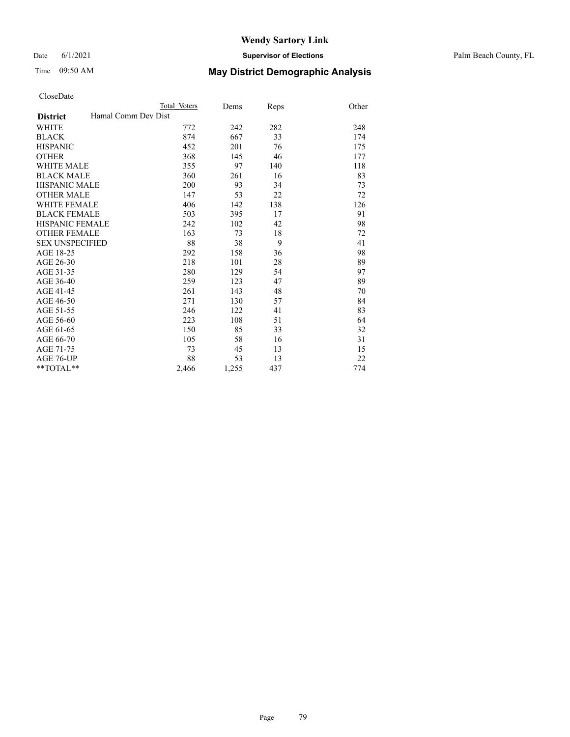#### Date 6/1/2021 **Supervisor of Elections** Palm Beach County, FL

# Time 09:50 AM **May District Demographic Analysis**

|                                        | Total Voters | Dems  | Reps | Other |
|----------------------------------------|--------------|-------|------|-------|
| Hamal Comm Dev Dist<br><b>District</b> |              |       |      |       |
| <b>WHITE</b>                           | 772          | 242   | 282  | 248   |
| <b>BLACK</b>                           | 874          | 667   | 33   | 174   |
| <b>HISPANIC</b>                        | 452          | 201   | 76   | 175   |
| <b>OTHER</b>                           | 368          | 145   | 46   | 177   |
| <b>WHITE MALE</b>                      | 355          | 97    | 140  | 118   |
| <b>BLACK MALE</b>                      | 360          | 261   | 16   | 83    |
| <b>HISPANIC MALE</b>                   | 200          | 93    | 34   | 73    |
| <b>OTHER MALE</b>                      | 147          | 53    | 22   | 72    |
| <b>WHITE FEMALE</b>                    | 406          | 142   | 138  | 126   |
| <b>BLACK FEMALE</b>                    | 503          | 395   | 17   | 91    |
| <b>HISPANIC FEMALE</b>                 | 242          | 102   | 42   | 98    |
| <b>OTHER FEMALE</b>                    | 163          | 73    | 18   | 72    |
| <b>SEX UNSPECIFIED</b>                 | 88           | 38    | 9    | 41    |
| AGE 18-25                              | 292          | 158   | 36   | 98    |
| AGE 26-30                              | 218          | 101   | 28   | 89    |
| AGE 31-35                              | 280          | 129   | 54   | 97    |
| AGE 36-40                              | 259          | 123   | 47   | 89    |
| AGE 41-45                              | 261          | 143   | 48   | 70    |
| AGE 46-50                              | 271          | 130   | 57   | 84    |
| AGE 51-55                              | 246          | 122   | 41   | 83    |
| AGE 56-60                              | 223          | 108   | 51   | 64    |
| AGE 61-65                              | 150          | 85    | 33   | 32    |
| AGE 66-70                              | 105          | 58    | 16   | 31    |
| AGE 71-75                              | 73           | 45    | 13   | 15    |
| AGE 76-UP                              | 88           | 53    | 13   | 22    |
| $*$ $TOTAL**$                          | 2,466        | 1,255 | 437  | 774   |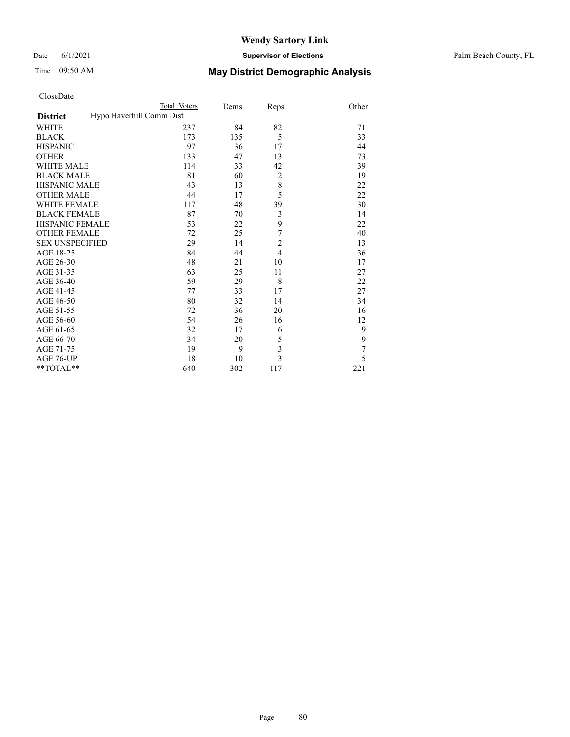#### Date 6/1/2021 **Supervisor of Elections** Palm Beach County, FL

|                                             | Total Voters | Dems | Reps           | Other |
|---------------------------------------------|--------------|------|----------------|-------|
| Hypo Haverhill Comm Dist<br><b>District</b> |              |      |                |       |
| WHITE                                       | 237          | 84   | 82             | 71    |
| <b>BLACK</b>                                | 173          | 135  | 5              | 33    |
| <b>HISPANIC</b>                             | 97           | 36   | 17             | 44    |
| <b>OTHER</b>                                | 133          | 47   | 13             | 73    |
| <b>WHITE MALE</b>                           | 114          | 33   | 42             | 39    |
| <b>BLACK MALE</b>                           | 81           | 60   | $\overline{c}$ | 19    |
| <b>HISPANIC MALE</b>                        | 43           | 13   | 8              | 22    |
| <b>OTHER MALE</b>                           | 44           | 17   | 5              | 22    |
| <b>WHITE FEMALE</b>                         | 117          | 48   | 39             | 30    |
| <b>BLACK FEMALE</b>                         | 87           | 70   | 3              | 14    |
| <b>HISPANIC FEMALE</b>                      | 53           | 22   | 9              | 22    |
| <b>OTHER FEMALE</b>                         | 72           | 25   | 7              | 40    |
| <b>SEX UNSPECIFIED</b>                      | 29           | 14   | $\overline{c}$ | 13    |
| AGE 18-25                                   | 84           | 44   | $\overline{4}$ | 36    |
| AGE 26-30                                   | 48           | 21   | 10             | 17    |
| AGE 31-35                                   | 63           | 25   | 11             | 27    |
| AGE 36-40                                   | 59           | 29   | 8              | 22    |
| AGE 41-45                                   | 77           | 33   | 17             | 27    |
| AGE 46-50                                   | 80           | 32   | 14             | 34    |
| AGE 51-55                                   | 72           | 36   | 20             | 16    |
| AGE 56-60                                   | 54           | 26   | 16             | 12    |
| AGE 61-65                                   | 32           | 17   | 6              | 9     |
| AGE 66-70                                   | 34           | 20   | 5              | 9     |
| AGE 71-75                                   | 19           | 9    | 3              | 7     |
| AGE 76-UP                                   | 18           | 10   | $\overline{3}$ | 5     |
| $*$ $TOTAL**$                               | 640          | 302  | 117            | 221   |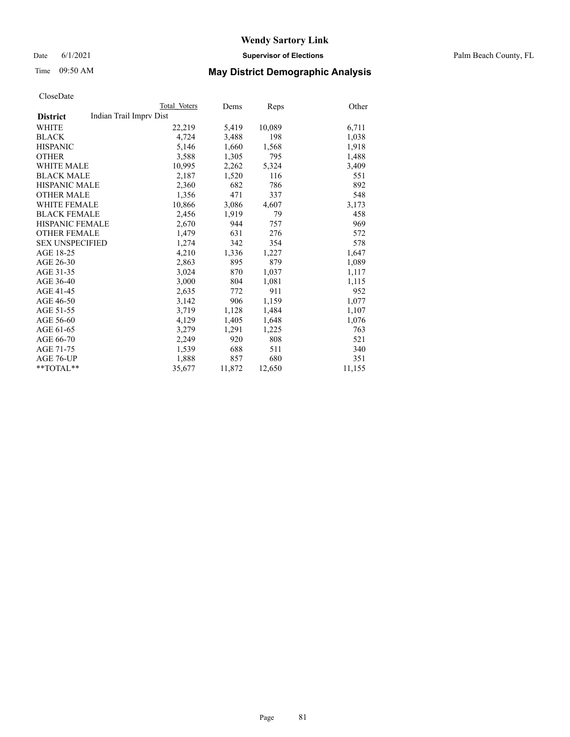Date 6/1/2021 **Supervisor of Elections** Palm Beach County, FL

## Time 09:50 AM **May District Demographic Analysis**

|                                            | Total Voters | Dems   | Reps   | Other  |
|--------------------------------------------|--------------|--------|--------|--------|
| Indian Trail Imprv Dist<br><b>District</b> |              |        |        |        |
| WHITE                                      | 22,219       | 5,419  | 10,089 | 6,711  |
| <b>BLACK</b>                               | 4,724        | 3,488  | 198    | 1,038  |
| <b>HISPANIC</b>                            | 5,146        | 1,660  | 1,568  | 1,918  |
| <b>OTHER</b>                               | 3,588        | 1,305  | 795    | 1,488  |
| <b>WHITE MALE</b>                          | 10,995       | 2,262  | 5,324  | 3,409  |
| <b>BLACK MALE</b>                          | 2,187        | 1,520  | 116    | 551    |
| <b>HISPANIC MALE</b>                       | 2,360        | 682    | 786    | 892    |
| <b>OTHER MALE</b>                          | 1,356        | 471    | 337    | 548    |
| <b>WHITE FEMALE</b>                        | 10,866       | 3,086  | 4,607  | 3,173  |
| <b>BLACK FEMALE</b>                        | 2,456        | 1,919  | 79     | 458    |
| HISPANIC FEMALE                            | 2,670        | 944    | 757    | 969    |
| <b>OTHER FEMALE</b>                        | 1,479        | 631    | 276    | 572    |
| <b>SEX UNSPECIFIED</b>                     | 1,274        | 342    | 354    | 578    |
| AGE 18-25                                  | 4,210        | 1,336  | 1,227  | 1,647  |
| AGE 26-30                                  | 2,863        | 895    | 879    | 1,089  |
| AGE 31-35                                  | 3,024        | 870    | 1,037  | 1,117  |
| AGE 36-40                                  | 3,000        | 804    | 1,081  | 1,115  |
| AGE 41-45                                  | 2,635        | 772    | 911    | 952    |
| AGE 46-50                                  | 3,142        | 906    | 1,159  | 1,077  |
| AGE 51-55                                  | 3,719        | 1,128  | 1,484  | 1,107  |
| AGE 56-60                                  | 4,129        | 1,405  | 1,648  | 1,076  |
| AGE 61-65                                  | 3,279        | 1,291  | 1,225  | 763    |
| AGE 66-70                                  | 2,249        | 920    | 808    | 521    |
| AGE 71-75                                  | 1,539        | 688    | 511    | 340    |
| AGE 76-UP                                  | 1,888        | 857    | 680    | 351    |
| $*$ $TOTAL**$                              | 35,677       | 11,872 | 12,650 | 11,155 |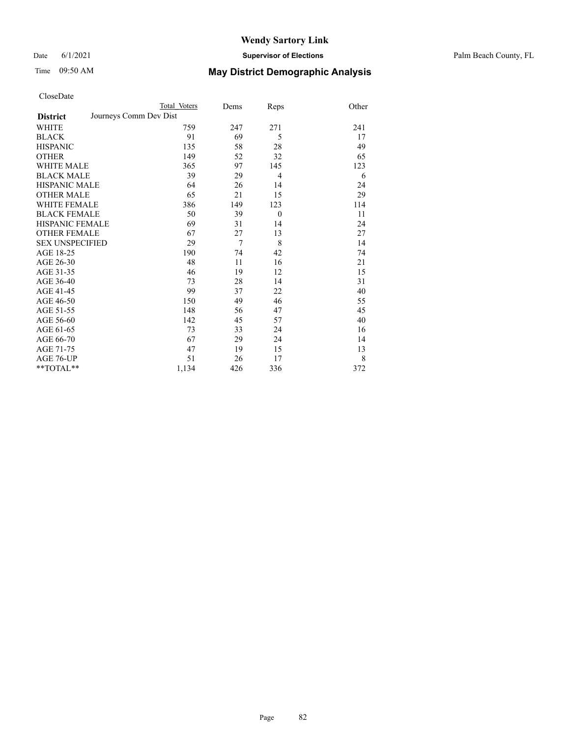Date 6/1/2021 **Supervisor of Elections** Palm Beach County, FL

|                     |                        | Total Voters | Dems           | Reps           | Other |
|---------------------|------------------------|--------------|----------------|----------------|-------|
| <b>District</b>     | Journeys Comm Dev Dist |              |                |                |       |
| WHITE               |                        | 759          | 247            | 271            | 241   |
| BLACK               |                        | 91           | 69             | 5              | 17    |
| HISPANIC            |                        | 135          | 58             | 28             | 49    |
| OTHER               |                        | 149          | 52             | 32             | 65    |
| WHITE MALE          |                        | 365          | 97             | 145            | 123   |
| <b>BLACK MALE</b>   |                        | 39           | 29             | $\overline{4}$ | 6     |
| HISPANIC MALE       |                        | 64           | 26             | 14             | 24    |
| OTHER MALE          |                        | 65           | 21             | 15             | 29    |
| WHITE FEMALE        |                        | 386          | 149            | 123            | 114   |
| <b>BLACK FEMALE</b> |                        | 50           | 39             | $\theta$       | 11    |
| HISPANIC FEMALE     |                        | 69           | 31             | 14             | 24    |
| <b>OTHER FEMALE</b> |                        | 67           | 27             | 13             | 27    |
| SEX UNSPECIFIED     |                        | 29           | $\overline{7}$ | 8              | 14    |
| AGE 18-25           |                        | 190          | 74             | 42             | 74    |
| AGE 26-30           |                        | 48           | 11             | 16             | 21    |
| AGE 31-35           |                        | 46           | 19             | 12             | 15    |
| AGE 36-40           |                        | 73           | 28             | 14             | 31    |
| AGE 41-45           |                        | 99           | 37             | 22             | 40    |
| AGE 46-50           |                        | 150          | 49             | 46             | 55    |
| AGE 51-55           |                        | 148          | 56             | 47             | 45    |
| AGE 56-60           |                        | 142          | 45             | 57             | 40    |
| AGE 61-65           |                        | 73           | 33             | 24             | 16    |
| AGE 66-70           |                        | 67           | 29             | 24             | 14    |
| AGE 71-75           |                        | 47           | 19             | 15             | 13    |
| AGE 76-UP           |                        | 51           | 26             | 17             | 8     |
| $*$ $TOTAL**$       |                        | 1,134        | 426            | 336            | 372   |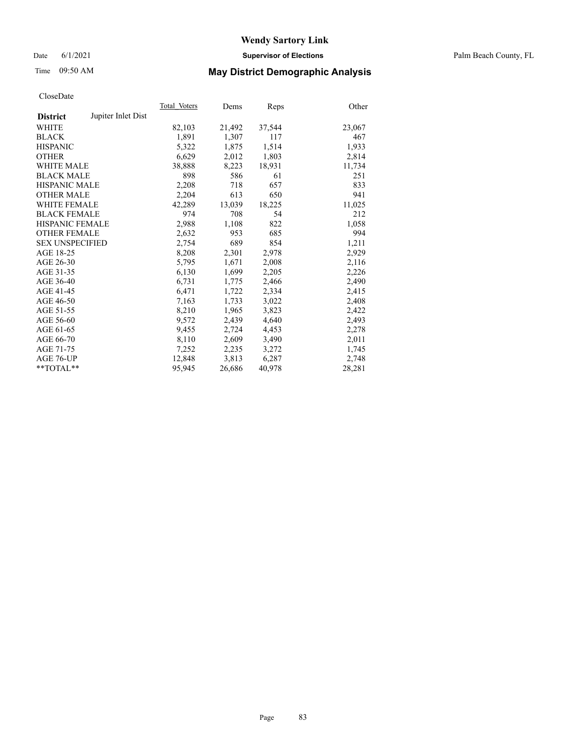#### Date 6/1/2021 **Supervisor of Elections** Palm Beach County, FL

# Time 09:50 AM **May District Demographic Analysis**

|                        |                    | Total Voters | Dems   | <b>Reps</b> | Other  |
|------------------------|--------------------|--------------|--------|-------------|--------|
| <b>District</b>        | Jupiter Inlet Dist |              |        |             |        |
| WHITE                  |                    | 82,103       | 21,492 | 37,544      | 23,067 |
| <b>BLACK</b>           |                    | 1,891        | 1,307  | 117         | 467    |
| <b>HISPANIC</b>        |                    | 5,322        | 1,875  | 1,514       | 1,933  |
| <b>OTHER</b>           |                    | 6,629        | 2,012  | 1,803       | 2,814  |
| <b>WHITE MALE</b>      |                    | 38,888       | 8,223  | 18,931      | 11,734 |
| <b>BLACK MALE</b>      |                    | 898          | 586    | 61          | 251    |
| <b>HISPANIC MALE</b>   |                    | 2,208        | 718    | 657         | 833    |
| <b>OTHER MALE</b>      |                    | 2,204        | 613    | 650         | 941    |
| <b>WHITE FEMALE</b>    |                    | 42,289       | 13,039 | 18,225      | 11,025 |
| <b>BLACK FEMALE</b>    |                    | 974          | 708    | 54          | 212    |
| <b>HISPANIC FEMALE</b> |                    | 2,988        | 1,108  | 822         | 1,058  |
| <b>OTHER FEMALE</b>    |                    | 2,632        | 953    | 685         | 994    |
| <b>SEX UNSPECIFIED</b> |                    | 2,754        | 689    | 854         | 1,211  |
| AGE 18-25              |                    | 8,208        | 2,301  | 2,978       | 2,929  |
| AGE 26-30              |                    | 5,795        | 1,671  | 2,008       | 2,116  |
| AGE 31-35              |                    | 6,130        | 1,699  | 2,205       | 2,226  |
| AGE 36-40              |                    | 6,731        | 1,775  | 2,466       | 2,490  |
| AGE 41-45              |                    | 6,471        | 1,722  | 2,334       | 2,415  |
| AGE 46-50              |                    | 7,163        | 1,733  | 3,022       | 2,408  |
| AGE 51-55              |                    | 8,210        | 1,965  | 3,823       | 2,422  |
| AGE 56-60              |                    | 9,572        | 2,439  | 4,640       | 2,493  |
| AGE 61-65              |                    | 9,455        | 2,724  | 4,453       | 2,278  |
| AGE 66-70              |                    | 8,110        | 2,609  | 3,490       | 2,011  |
| AGE 71-75              |                    | 7,252        | 2,235  | 3,272       | 1,745  |
| AGE 76-UP              |                    | 12,848       | 3,813  | 6,287       | 2,748  |
| **TOTAL**              |                    | 95,945       | 26,686 | 40,978      | 28,281 |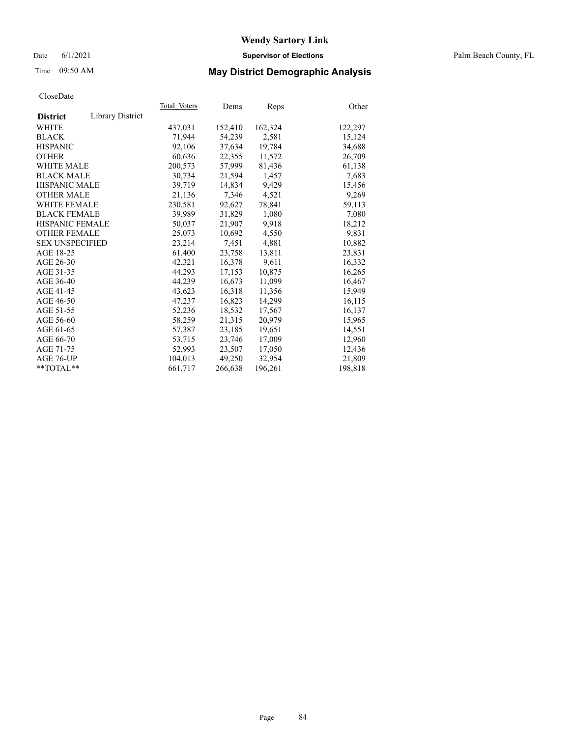#### Date 6/1/2021 **Supervisor of Elections** Palm Beach County, FL

# Time 09:50 AM **May District Demographic Analysis**

|                        |                  | Total Voters | Dems    | <b>Reps</b> | Other   |
|------------------------|------------------|--------------|---------|-------------|---------|
| <b>District</b>        | Library District |              |         |             |         |
| WHITE                  |                  | 437,031      | 152,410 | 162,324     | 122,297 |
| <b>BLACK</b>           |                  | 71.944       | 54,239  | 2,581       | 15,124  |
| <b>HISPANIC</b>        |                  | 92,106       | 37.634  | 19,784      | 34,688  |
| <b>OTHER</b>           |                  | 60,636       | 22,355  | 11,572      | 26,709  |
| <b>WHITE MALE</b>      |                  | 200,573      | 57,999  | 81,436      | 61,138  |
| <b>BLACK MALE</b>      |                  | 30,734       | 21,594  | 1,457       | 7,683   |
| <b>HISPANIC MALE</b>   |                  | 39,719       | 14,834  | 9,429       | 15,456  |
| <b>OTHER MALE</b>      |                  | 21,136       | 7,346   | 4,521       | 9,269   |
| <b>WHITE FEMALE</b>    |                  | 230,581      | 92,627  | 78,841      | 59,113  |
| <b>BLACK FEMALE</b>    |                  | 39,989       | 31,829  | 1,080       | 7,080   |
| <b>HISPANIC FEMALE</b> |                  | 50,037       | 21,907  | 9,918       | 18,212  |
| <b>OTHER FEMALE</b>    |                  | 25,073       | 10,692  | 4,550       | 9,831   |
| <b>SEX UNSPECIFIED</b> |                  | 23,214       | 7,451   | 4,881       | 10,882  |
| AGE 18-25              |                  | 61,400       | 23,758  | 13,811      | 23,831  |
| AGE 26-30              |                  | 42,321       | 16,378  | 9,611       | 16,332  |
| AGE 31-35              |                  | 44,293       | 17,153  | 10,875      | 16,265  |
| AGE 36-40              |                  | 44,239       | 16,673  | 11,099      | 16,467  |
| AGE 41-45              |                  | 43,623       | 16,318  | 11,356      | 15,949  |
| AGE 46-50              |                  | 47,237       | 16,823  | 14,299      | 16,115  |
| AGE 51-55              |                  | 52,236       | 18,532  | 17,567      | 16,137  |
| AGE 56-60              |                  | 58,259       | 21,315  | 20,979      | 15,965  |
| AGE 61-65              |                  | 57,387       | 23,185  | 19,651      | 14,551  |
| AGE 66-70              |                  | 53,715       | 23,746  | 17,009      | 12,960  |
| AGE 71-75              |                  | 52,993       | 23,507  | 17,050      | 12,436  |
| AGE 76-UP              |                  | 104,013      | 49,250  | 32,954      | 21,809  |
| $*$ TOTAL $*$          |                  | 661,717      | 266,638 | 196,261     | 198,818 |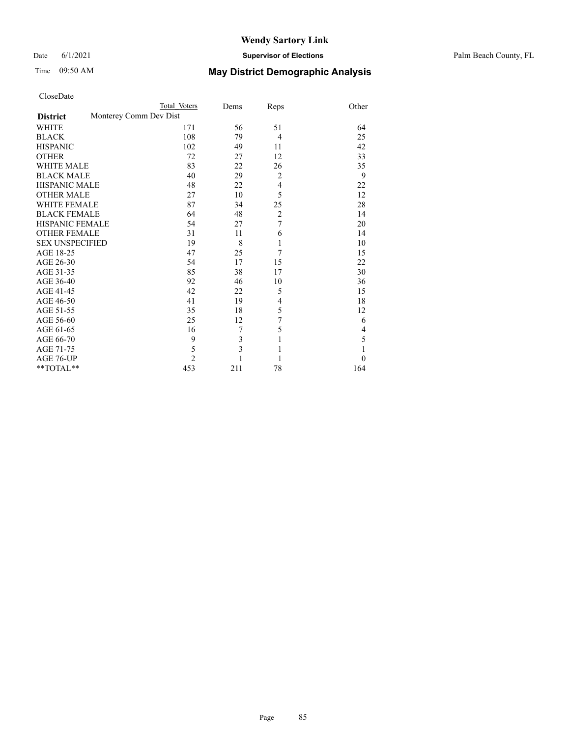#### Date 6/1/2021 **Supervisor of Elections** Palm Beach County, FL

|                        | Total Voters           | Dems | Reps           | Other    |
|------------------------|------------------------|------|----------------|----------|
| <b>District</b>        | Monterey Comm Dev Dist |      |                |          |
| <b>WHITE</b>           | 171                    | 56   | 51             | 64       |
| <b>BLACK</b>           | 108                    | 79   | $\overline{4}$ | 25       |
| <b>HISPANIC</b>        | 102                    | 49   | 11             | 42       |
| <b>OTHER</b>           | 72                     | 27   | 12             | 33       |
| <b>WHITE MALE</b>      | 83                     | 22   | 26             | 35       |
| <b>BLACK MALE</b>      | 40                     | 29   | $\overline{2}$ | 9        |
| <b>HISPANIC MALE</b>   | 48                     | 22   | $\overline{4}$ | 22       |
| <b>OTHER MALE</b>      | 27                     | 10   | 5              | 12       |
| <b>WHITE FEMALE</b>    | 87                     | 34   | 25             | 28       |
| <b>BLACK FEMALE</b>    | 64                     | 48   | $\overline{c}$ | 14       |
| HISPANIC FEMALE        | 54                     | 27   | $\overline{7}$ | 20       |
| <b>OTHER FEMALE</b>    | 31                     | 11   | 6              | 14       |
| <b>SEX UNSPECIFIED</b> | 19                     | 8    | $\mathbf{1}$   | 10       |
| AGE 18-25              | 47                     | 25   | 7              | 15       |
| AGE 26-30              | 54                     | 17   | 15             | 22       |
| AGE 31-35              | 85                     | 38   | 17             | 30       |
| AGE 36-40              | 92                     | 46   | 10             | 36       |
| AGE 41-45              | 42                     | 22   | 5              | 15       |
| AGE 46-50              | 41                     | 19   | 4              | 18       |
| AGE 51-55              | 35                     | 18   | 5              | 12       |
| AGE 56-60              | 25                     | 12   | $\overline{7}$ | 6        |
| AGE 61-65              | 16                     | 7    | 5              | 4        |
| AGE 66-70              | 9                      | 3    | $\mathbf{1}$   | 5        |
| AGE 71-75              | 5                      | 3    | 1              | 1        |
| AGE 76-UP              | $\overline{c}$         |      | 1              | $\theta$ |
| **TOTAL**              | 453                    | 211  | 78             | 164      |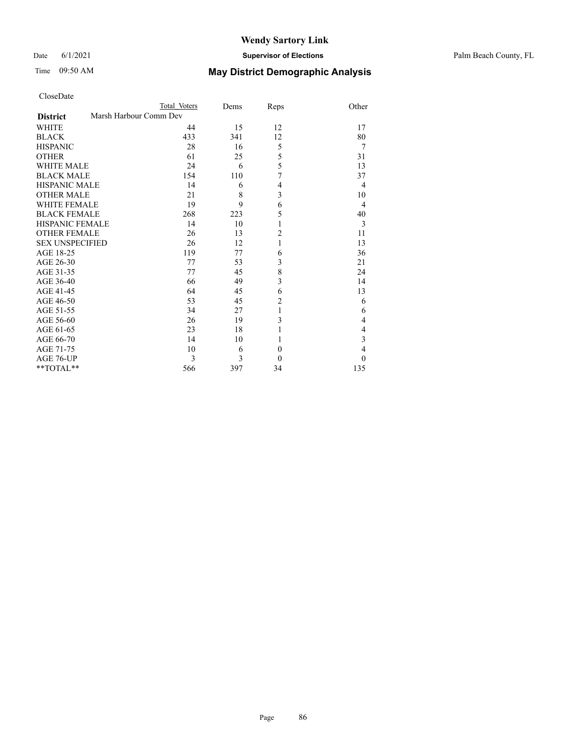#### Date 6/1/2021 **Supervisor of Elections** Palm Beach County, FL

| CloseDate |
|-----------|
|-----------|

|                                           | Total Voters | Dems | Reps             | Other          |
|-------------------------------------------|--------------|------|------------------|----------------|
| Marsh Harbour Comm Dev<br><b>District</b> |              |      |                  |                |
| <b>WHITE</b>                              | 44           | 15   | 12               | 17             |
| <b>BLACK</b>                              | 433          | 341  | 12               | 80             |
| <b>HISPANIC</b>                           | 28           | 16   | 5                | 7              |
| <b>OTHER</b>                              | 61           | 25   | 5                | 31             |
| <b>WHITE MALE</b>                         | 24           | 6    | 5                | 13             |
| <b>BLACK MALE</b>                         | 154          | 110  | 7                | 37             |
| <b>HISPANIC MALE</b>                      | 14           | 6    | 4                | 4              |
| <b>OTHER MALE</b>                         | 21           | 8    | 3                | 10             |
| <b>WHITE FEMALE</b>                       | 19           | 9    | 6                | 4              |
| <b>BLACK FEMALE</b>                       | 268          | 223  | 5                | 40             |
| HISPANIC FEMALE                           | 14           | 10   | 1                | 3              |
| <b>OTHER FEMALE</b>                       | 26           | 13   | $\overline{c}$   | 11             |
| <b>SEX UNSPECIFIED</b>                    | 26           | 12   | 1                | 13             |
| AGE 18-25                                 | 119          | 77   | 6                | 36             |
| AGE 26-30                                 | 77           | 53   | 3                | 21             |
| AGE 31-35                                 | 77           | 45   | 8                | 24             |
| AGE 36-40                                 | 66           | 49   | 3                | 14             |
| AGE 41-45                                 | 64           | 45   | 6                | 13             |
| AGE 46-50                                 | 53           | 45   | $\overline{c}$   | 6              |
| AGE 51-55                                 | 34           | 27   | 1                | 6              |
| AGE 56-60                                 | 26           | 19   | 3                | 4              |
| AGE 61-65                                 | 23           | 18   |                  | 4              |
| AGE 66-70                                 | 14           | 10   | 1                | 3              |
| AGE 71-75                                 | 10           | 6    | $\boldsymbol{0}$ | $\overline{4}$ |
| AGE 76-UP                                 | 3            | 3    | $\theta$         | $\theta$       |
| $*$ $TOTAL**$                             | 566          | 397  | 34               | 135            |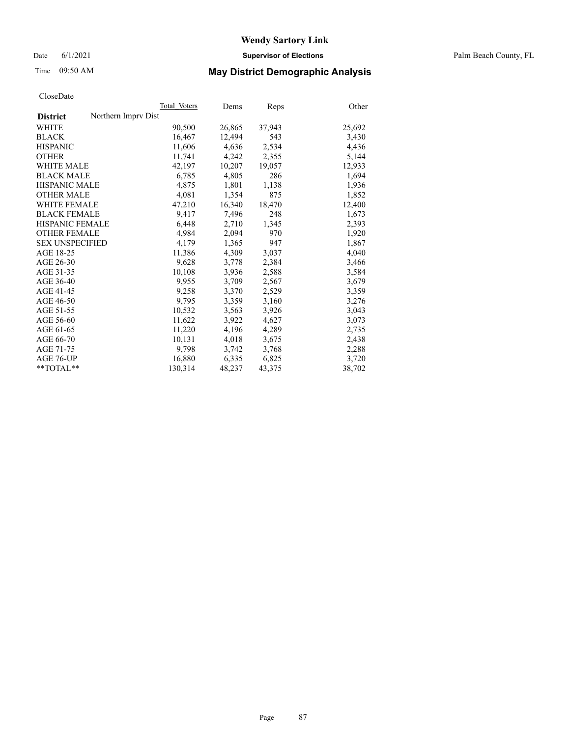Date 6/1/2021 **Supervisor of Elections** Palm Beach County, FL

## Time 09:50 AM **May District Demographic Analysis**

|                                        | Total Voters | Dems   | <b>Reps</b> | Other  |
|----------------------------------------|--------------|--------|-------------|--------|
| Northern Imprv Dist<br><b>District</b> |              |        |             |        |
| WHITE                                  | 90,500       | 26,865 | 37,943      | 25,692 |
| <b>BLACK</b>                           | 16,467       | 12,494 | 543         | 3,430  |
| <b>HISPANIC</b>                        | 11.606       | 4.636  | 2,534       | 4,436  |
| <b>OTHER</b>                           | 11,741       | 4,242  | 2,355       | 5,144  |
| <b>WHITE MALE</b>                      | 42,197       | 10,207 | 19,057      | 12,933 |
| <b>BLACK MALE</b>                      | 6,785        | 4,805  | 286         | 1,694  |
| <b>HISPANIC MALE</b>                   | 4,875        | 1,801  | 1,138       | 1,936  |
| <b>OTHER MALE</b>                      | 4,081        | 1,354  | 875         | 1,852  |
| <b>WHITE FEMALE</b>                    | 47,210       | 16,340 | 18,470      | 12,400 |
| <b>BLACK FEMALE</b>                    | 9,417        | 7,496  | 248         | 1,673  |
| HISPANIC FEMALE                        | 6,448        | 2,710  | 1,345       | 2,393  |
| <b>OTHER FEMALE</b>                    | 4,984        | 2,094  | 970         | 1,920  |
| <b>SEX UNSPECIFIED</b>                 | 4,179        | 1,365  | 947         | 1,867  |
| AGE 18-25                              | 11,386       | 4,309  | 3,037       | 4,040  |
| AGE 26-30                              | 9,628        | 3,778  | 2,384       | 3,466  |
| AGE 31-35                              | 10,108       | 3,936  | 2,588       | 3,584  |
| AGE 36-40                              | 9,955        | 3,709  | 2,567       | 3,679  |
| AGE 41-45                              | 9,258        | 3,370  | 2,529       | 3,359  |
| AGE 46-50                              | 9,795        | 3,359  | 3,160       | 3,276  |
| AGE 51-55                              | 10,532       | 3,563  | 3,926       | 3,043  |
| AGE 56-60                              | 11,622       | 3,922  | 4,627       | 3,073  |
| AGE 61-65                              | 11,220       | 4,196  | 4,289       | 2,735  |
| AGE 66-70                              | 10,131       | 4,018  | 3,675       | 2,438  |
| AGE 71-75                              | 9,798        | 3,742  | 3,768       | 2,288  |
| AGE 76-UP                              | 16,880       | 6,335  | 6,825       | 3,720  |
| $*$ $TOTAL**$                          | 130,314      | 48,237 | 43,375      | 38,702 |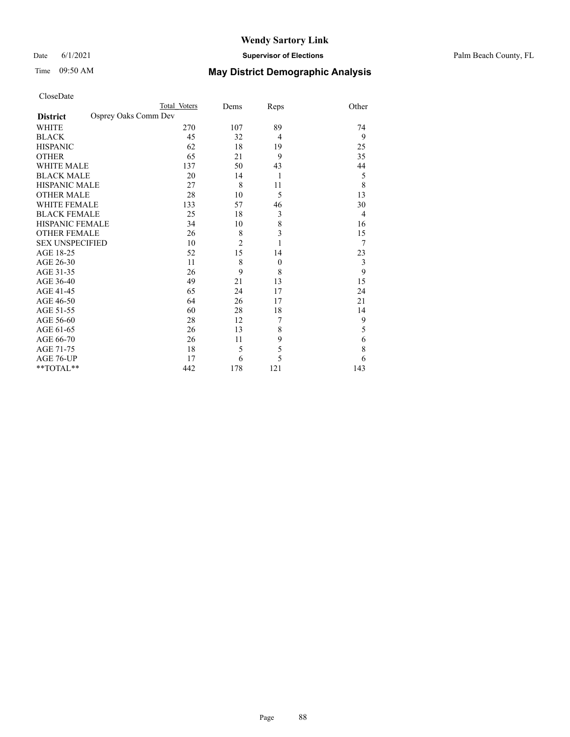#### Date 6/1/2021 **Supervisor of Elections** Palm Beach County, FL

| CloseDate |
|-----------|
|-----------|

|                        |                      | Total Voters | Dems           | Reps             | Other |
|------------------------|----------------------|--------------|----------------|------------------|-------|
| <b>District</b>        | Osprey Oaks Comm Dev |              |                |                  |       |
| WHITE                  |                      | 270          | 107            | 89               | 74    |
| BLACK                  |                      | 45           | 32             | $\overline{4}$   | 9     |
| HISPANIC               |                      | 62           | 18             | 19               | 25    |
| OTHER                  |                      | 65           | 21             | 9                | 35    |
| WHITE MALE             |                      | 137          | 50             | 43               | 44    |
| <b>BLACK MALE</b>      |                      | 20           | 14             | 1                | 5     |
| HISPANIC MALE          |                      | 27           | 8              | 11               | 8     |
| OTHER MALE             |                      | 28           | 10             | 5                | 13    |
| WHITE FEMALE           |                      | 133          | 57             | 46               | 30    |
| BLACK FEMALE           |                      | 25           | 18             | 3                | 4     |
| HISPANIC FEMALE        |                      | 34           | 10             | 8                | 16    |
| OTHER FEMALE           |                      | 26           | 8              | 3                | 15    |
| <b>SEX UNSPECIFIED</b> |                      | 10           | $\overline{2}$ | 1                | 7     |
| AGE 18-25              |                      | 52           | 15             | 14               | 23    |
| AGE 26-30              |                      | 11           | 8              | $\boldsymbol{0}$ | 3     |
| AGE 31-35              |                      | 26           | 9              | 8                | 9     |
| AGE 36-40              |                      | 49           | 21             | 13               | 15    |
| AGE 41-45              |                      | 65           | 24             | 17               | 24    |
| AGE 46-50              |                      | 64           | 26             | 17               | 21    |
| AGE 51-55              |                      | 60           | 28             | 18               | 14    |
| AGE 56-60              |                      | 28           | 12             | 7                | 9     |
| AGE 61-65              |                      | 26           | 13             | 8                | 5     |
| AGE 66-70              |                      | 26           | 11             | 9                | 6     |
| AGE 71-75              |                      | 18           | 5              | 5                | 8     |
| AGE 76-UP              |                      | 17           | 6              | 5                | 6     |
| $*$ $TOTAL**$          |                      | 442          | 178            | 121              | 143   |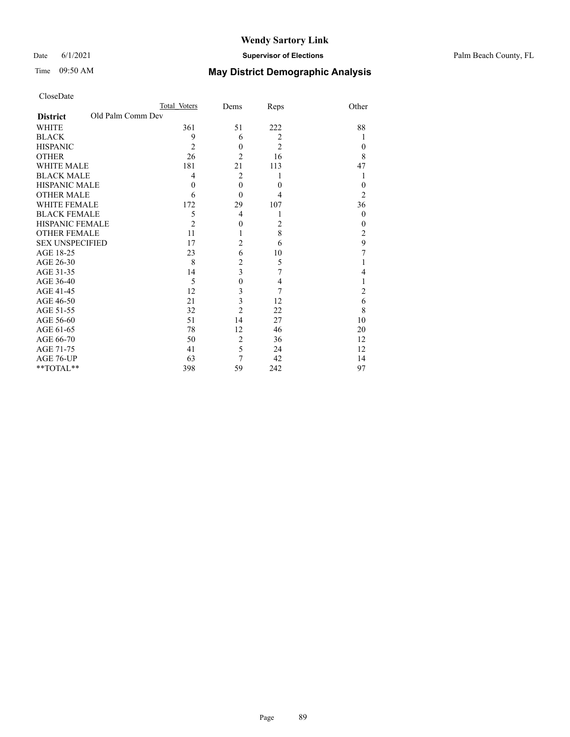#### Date 6/1/2021 **Supervisor of Elections** Palm Beach County, FL

|                        |                   | Total Voters   | Dems           | Reps           | Other          |
|------------------------|-------------------|----------------|----------------|----------------|----------------|
| <b>District</b>        | Old Palm Comm Dev |                |                |                |                |
| WHITE                  |                   | 361            | 51             | 222            | 88             |
| BLACK                  |                   | 9              | 6              | $\overline{2}$ | 1              |
| <b>HISPANIC</b>        |                   | $\overline{2}$ | $\theta$       | $\overline{2}$ | $\Omega$       |
| OTHER                  |                   | 26             | $\overline{2}$ | 16             | 8              |
| WHITE MALE             |                   | 181            | 21             | 113            | 47             |
| <b>BLACK MALE</b>      |                   | 4              | $\overline{2}$ | 1              | 1              |
| HISPANIC MALE          |                   | $\theta$       | $\theta$       | $\theta$       | $\theta$       |
| OTHER MALE             |                   | 6              | $\theta$       | 4              | $\overline{2}$ |
| WHITE FEMALE           |                   | 172            | 29             | 107            | 36             |
| <b>BLACK FEMALE</b>    |                   | 5              | 4              | 1              | $\mathbf{0}$   |
| HISPANIC FEMALE        |                   | $\overline{2}$ | $\theta$       | $\overline{2}$ | $\overline{0}$ |
| <b>OTHER FEMALE</b>    |                   | 11             | 1              | 8              | $\overline{2}$ |
| <b>SEX UNSPECIFIED</b> |                   | 17             | 2              | 6              | 9              |
| AGE 18-25              |                   | 23             | 6              | 10             | 7              |
| AGE 26-30              |                   | 8              | 2              | 5              |                |
| AGE 31-35              |                   | 14             | 3              | $\overline{7}$ | 4              |
| AGE 36-40              |                   | 5              | $\theta$       | $\overline{4}$ |                |
| AGE 41-45              |                   | 12             | 3              | 7              | 2              |
| AGE 46-50              |                   | 21             | 3              | 12             | 6              |
| AGE 51-55              |                   | 32             | $\overline{2}$ | 22             | 8              |
| AGE 56-60              |                   | 51             | 14             | 27             | 10             |
| AGE 61-65              |                   | 78             | 12             | 46             | 20             |
| AGE 66-70              |                   | 50             | $\overline{2}$ | 36             | 12             |
| AGE 71-75              |                   | 41             | 5              | 24             | 12             |
| AGE 76-UP              |                   | 63             | 7              | 42             | 14             |
| **TOTAL**              |                   | 398            | 59             | 242            | 97             |
|                        |                   |                |                |                |                |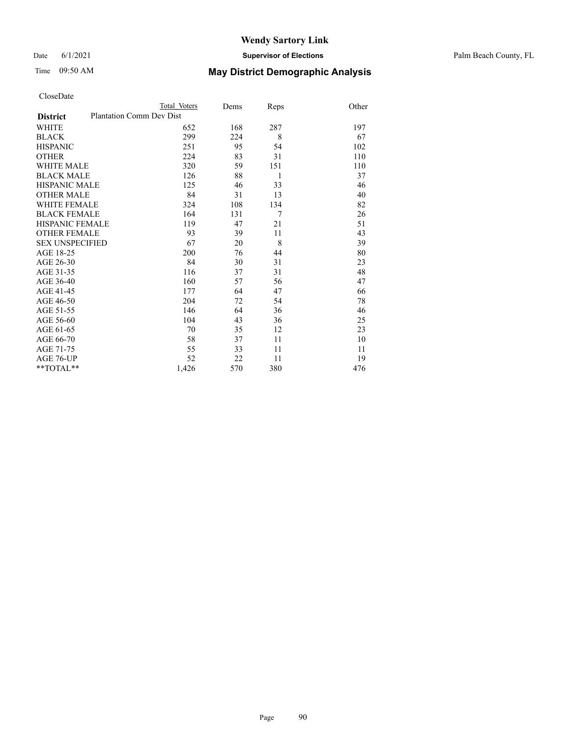Date 6/1/2021 **Supervisor of Elections** Palm Beach County, FL

| CloseDate |
|-----------|
|-----------|

|                     |                                 | Total Voters | Dems | Reps | Other |
|---------------------|---------------------------------|--------------|------|------|-------|
| <b>District</b>     | <b>Plantation Comm Dev Dist</b> |              |      |      |       |
| WHITE               |                                 | 652          | 168  | 287  | 197   |
| BLACK               |                                 | 299          | 224  | 8    | 67    |
| <b>HISPANIC</b>     |                                 | 251          | 95   | 54   | 102   |
| OTHER               |                                 | 224          | 83   | 31   | 110   |
| WHITE MALE          |                                 | 320          | 59   | 151  | 110   |
| <b>BLACK MALE</b>   |                                 | 126          | 88   | 1    | 37    |
| HISPANIC MALE       |                                 | 125          | 46   | 33   | 46    |
| <b>OTHER MALE</b>   |                                 | 84           | 31   | 13   | 40    |
| WHITE FEMALE        |                                 | 324          | 108  | 134  | 82    |
| BLACK FEMALE        |                                 | 164          | 131  | 7    | 26    |
| HISPANIC FEMALE     |                                 | 119          | 47   | 21   | 51    |
| <b>OTHER FEMALE</b> |                                 | 93           | 39   | 11   | 43    |
| SEX UNSPECIFIED     |                                 | 67           | 20   | 8    | 39    |
| AGE 18-25           |                                 | 200          | 76   | 44   | 80    |
| AGE 26-30           |                                 | 84           | 30   | 31   | 23    |
| AGE 31-35           |                                 | 116          | 37   | 31   | 48    |
| AGE 36-40           |                                 | 160          | 57   | 56   | 47    |
| AGE 41-45           |                                 | 177          | 64   | 47   | 66    |
| AGE 46-50           |                                 | 204          | 72   | 54   | 78    |
| AGE 51-55           |                                 | 146          | 64   | 36   | 46    |
| AGE 56-60           |                                 | 104          | 43   | 36   | 25    |
| AGE 61-65           |                                 | 70           | 35   | 12   | 23    |
| AGE 66-70           |                                 | 58           | 37   | 11   | 10    |
| AGE 71-75           |                                 | 55           | 33   | 11   | 11    |
| AGE 76-UP           |                                 | 52           | 22   | 11   | 19    |
| $*$ $TOTAL**$       |                                 | 1,426        | 570  | 380  | 476   |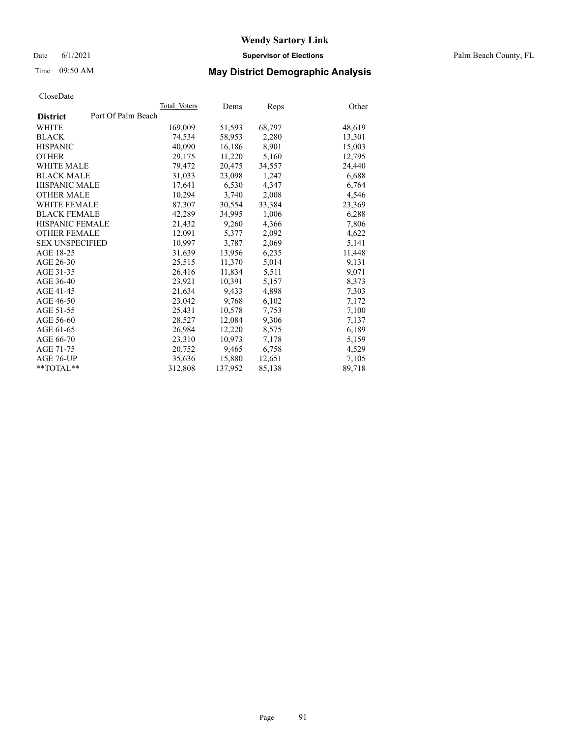Date 6/1/2021 **Supervisor of Elections** Palm Beach County, FL

## Time 09:50 AM **May District Demographic Analysis**

|                    | Dems         | <b>Reps</b> | Other  |
|--------------------|--------------|-------------|--------|
| Port Of Palm Beach |              |             |        |
| 169,009            | 51,593       | 68,797      | 48,619 |
| 74,534             | 58,953       | 2,280       | 13,301 |
| 40.090             | 16,186       | 8,901       | 15,003 |
| 29,175             | 11,220       | 5,160       | 12,795 |
| 79,472             | 20.475       | 34,557      | 24,440 |
| 31,033             | 23,098       | 1,247       | 6,688  |
| 17,641             | 6,530        | 4,347       | 6,764  |
| 10,294             | 3,740        | 2,008       | 4,546  |
| 87,307             | 30,554       | 33,384      | 23,369 |
| 42,289             | 34,995       | 1,006       | 6,288  |
| 21,432             | 9,260        | 4,366       | 7,806  |
| 12.091             | 5,377        | 2,092       | 4,622  |
| 10.997             | 3,787        | 2,069       | 5,141  |
| 31,639             | 13,956       | 6,235       | 11,448 |
| 25,515             | 11,370       | 5,014       | 9,131  |
| 26,416             | 11,834       | 5,511       | 9,071  |
| 23,921             | 10,391       | 5,157       | 8,373  |
| 21,634             | 9,433        | 4,898       | 7,303  |
| 23,042             | 9,768        | 6,102       | 7,172  |
| 25.431             | 10,578       | 7,753       | 7,100  |
| 28,527             | 12,084       | 9,306       | 7,137  |
| 26,984             | 12,220       | 8,575       | 6,189  |
| 23,310             | 10,973       | 7,178       | 5,159  |
| 20,752             | 9,465        | 6,758       | 4,529  |
| 35.636             | 15,880       | 12,651      | 7,105  |
| 312,808            | 137,952      | 85,138      | 89,718 |
|                    | Total Voters |             |        |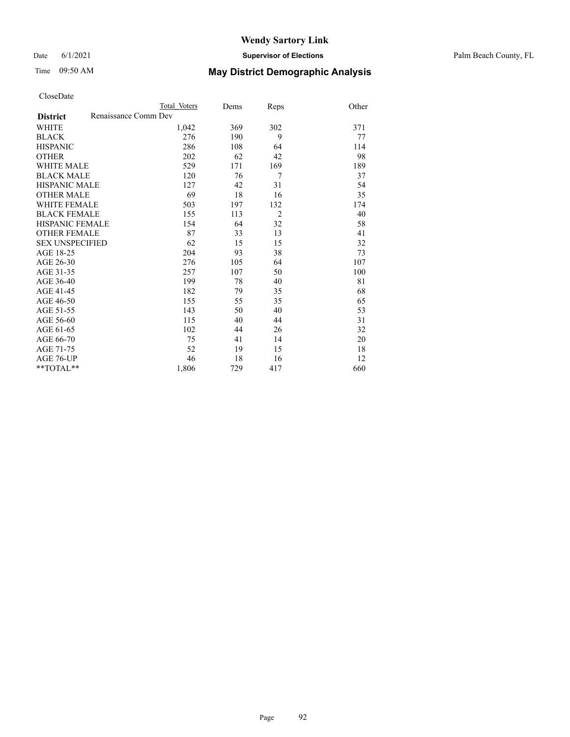#### Date 6/1/2021 **Supervisor of Elections** Palm Beach County, FL

# Time 09:50 AM **May District Demographic Analysis**

|                                         | Total Voters | Dems | Reps           | Other |
|-----------------------------------------|--------------|------|----------------|-------|
| Renaissance Comm Dev<br><b>District</b> |              |      |                |       |
| <b>WHITE</b>                            | 1,042        | 369  | 302            | 371   |
| <b>BLACK</b>                            | 276          | 190  | 9              | 77    |
| <b>HISPANIC</b>                         | 286          | 108  | 64             | 114   |
| <b>OTHER</b>                            | 202          | 62   | 42             | 98    |
| WHITE MALE                              | 529          | 171  | 169            | 189   |
| <b>BLACK MALE</b>                       | 120          | 76   | 7              | 37    |
| <b>HISPANIC MALE</b>                    | 127          | 42   | 31             | 54    |
| <b>OTHER MALE</b>                       | 69           | 18   | 16             | 35    |
| WHITE FEMALE                            | 503          | 197  | 132            | 174   |
| <b>BLACK FEMALE</b>                     | 155          | 113  | $\overline{2}$ | 40    |
| <b>HISPANIC FEMALE</b>                  | 154          | 64   | 32             | 58    |
| <b>OTHER FEMALE</b>                     | 87           | 33   | 13             | 41    |
| <b>SEX UNSPECIFIED</b>                  | 62           | 15   | 15             | 32    |
| AGE 18-25                               | 204          | 93   | 38             | 73    |
| AGE 26-30                               | 276          | 105  | 64             | 107   |
| AGE 31-35                               | 257          | 107  | 50             | 100   |
| AGE 36-40                               | 199          | 78   | 40             | 81    |
| AGE 41-45                               | 182          | 79   | 35             | 68    |
| AGE 46-50                               | 155          | 55   | 35             | 65    |
| AGE 51-55                               | 143          | 50   | 40             | 53    |
| AGE 56-60                               | 115          | 40   | 44             | 31    |
| AGE 61-65                               | 102          | 44   | 26             | 32    |
| AGE 66-70                               | 75           | 41   | 14             | 20    |
| AGE 71-75                               | 52           | 19   | 15             | 18    |
| AGE 76-UP                               | 46           | 18   | 16             | 12    |
| $*$ $TOTAL**$                           | 1,806        | 729  | 417            | 660   |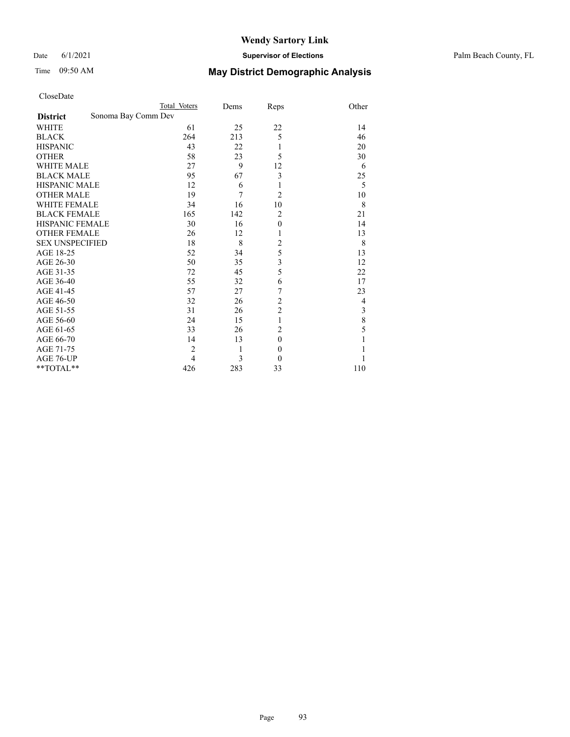#### Date 6/1/2021 **Supervisor of Elections** Palm Beach County, FL

|                        | Total Voters        | Dems | Reps             | Other |
|------------------------|---------------------|------|------------------|-------|
| <b>District</b>        | Sonoma Bay Comm Dev |      |                  |       |
| WHITE                  | 61                  | 25   | 22               | 14    |
| <b>BLACK</b>           | 264                 | 213  | 5                | 46    |
| <b>HISPANIC</b>        | 43                  | 22   | 1                | 20    |
| <b>OTHER</b>           | 58                  | 23   | 5                | 30    |
| <b>WHITE MALE</b>      | 27                  | 9    | 12               | 6     |
| <b>BLACK MALE</b>      | 95                  | 67   | 3                | 25    |
| <b>HISPANIC MALE</b>   | 12                  | 6    | 1                | 5     |
| <b>OTHER MALE</b>      | 19                  | 7    | $\overline{2}$   | 10    |
| <b>WHITE FEMALE</b>    | 34                  | 16   | 10               | 8     |
| <b>BLACK FEMALE</b>    | 165                 | 142  | $\overline{2}$   | 21    |
| <b>HISPANIC FEMALE</b> | 30                  | 16   | $\boldsymbol{0}$ | 14    |
| <b>OTHER FEMALE</b>    | 26                  | 12   | 1                | 13    |
| <b>SEX UNSPECIFIED</b> | 18                  | 8    | $\overline{c}$   | 8     |
| AGE 18-25              | 52                  | 34   | 5                | 13    |
| AGE 26-30              | 50                  | 35   | 3                | 12    |
| AGE 31-35              | 72                  | 45   | 5                | 22    |
| AGE 36-40              | 55                  | 32   | 6                | 17    |
| AGE 41-45              | 57                  | 27   | 7                | 23    |
| AGE 46-50              | 32                  | 26   | $\overline{c}$   | 4     |
| AGE 51-55              | 31                  | 26   | $\overline{c}$   | 3     |
| AGE 56-60              | 24                  | 15   | $\mathbf{1}$     | 8     |
| AGE 61-65              | 33                  | 26   | $\overline{2}$   | 5     |
| AGE 66-70              | 14                  | 13   | $\boldsymbol{0}$ |       |
| AGE 71-75              | $\overline{2}$      | 1    | $\mathbf{0}$     |       |
| AGE 76-UP              | 4                   | 3    | $\theta$         |       |
| **TOTAL**              | 426                 | 283  | 33               | 110   |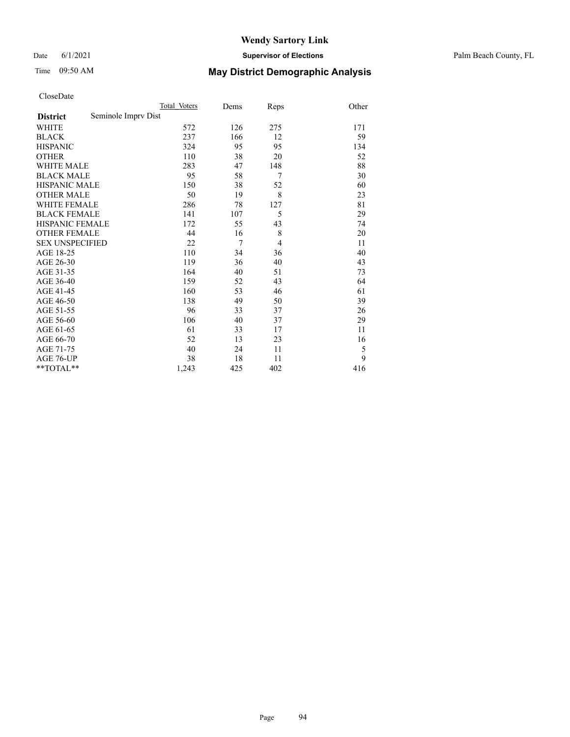Date 6/1/2021 **Supervisor of Elections** Palm Beach County, FL

# Time 09:50 AM **May District Demographic Analysis**

|                                        | Total Voters | Dems | Reps | Other |
|----------------------------------------|--------------|------|------|-------|
| Seminole Imprv Dist<br><b>District</b> |              |      |      |       |
| <b>WHITE</b>                           | 572          | 126  | 275  | 171   |
| <b>BLACK</b>                           | 237          | 166  | 12   | 59    |
| <b>HISPANIC</b>                        | 324          | 95   | 95   | 134   |
| <b>OTHER</b>                           | 110          | 38   | 20   | 52    |
| <b>WHITE MALE</b>                      | 283          | 47   | 148  | 88    |
| <b>BLACK MALE</b>                      | 95           | 58   | 7    | 30    |
| <b>HISPANIC MALE</b>                   | 150          | 38   | 52   | 60    |
| <b>OTHER MALE</b>                      | 50           | 19   | 8    | 23    |
| <b>WHITE FEMALE</b>                    | 286          | 78   | 127  | 81    |
| <b>BLACK FEMALE</b>                    | 141          | 107  | 5    | 29    |
| <b>HISPANIC FEMALE</b>                 | 172          | 55   | 43   | 74    |
| <b>OTHER FEMALE</b>                    | 44           | 16   | 8    | 20    |
| <b>SEX UNSPECIFIED</b>                 | 22           | 7    | 4    | 11    |
| AGE 18-25                              | 110          | 34   | 36   | 40    |
| AGE 26-30                              | 119          | 36   | 40   | 43    |
| AGE 31-35                              | 164          | 40   | 51   | 73    |
| AGE 36-40                              | 159          | 52   | 43   | 64    |
| AGE 41-45                              | 160          | 53   | 46   | 61    |
| AGE 46-50                              | 138          | 49   | 50   | 39    |
| AGE 51-55                              | 96           | 33   | 37   | 26    |
| AGE 56-60                              | 106          | 40   | 37   | 29    |
| AGE 61-65                              | 61           | 33   | 17   | 11    |
| AGE 66-70                              | 52           | 13   | 23   | 16    |
| AGE 71-75                              | 40           | 24   | 11   | 5     |
| AGE 76-UP                              | 38           | 18   | 11   | 9     |
| **TOTAL**                              | 1,243        | 425  | 402  | 416   |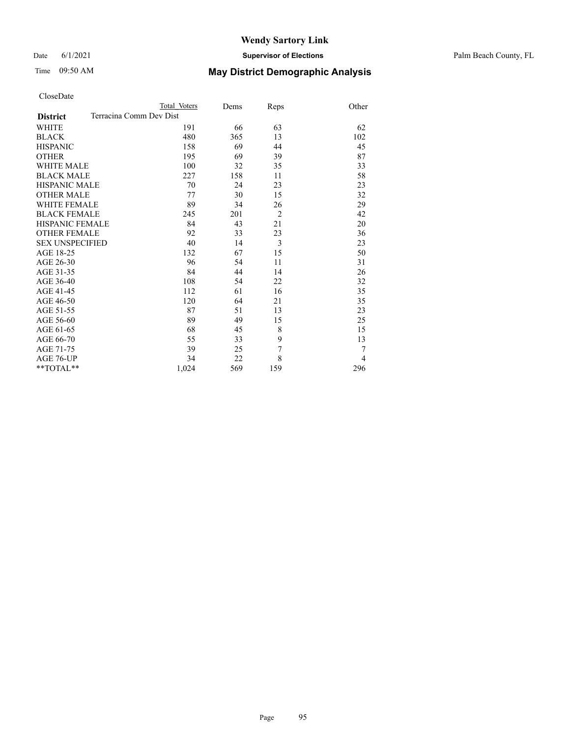#### Date 6/1/2021 **Supervisor of Elections** Palm Beach County, FL

| CloseDate |
|-----------|
|-----------|

|                     |                         | Total Voters | Dems | Reps           | Other          |
|---------------------|-------------------------|--------------|------|----------------|----------------|
| <b>District</b>     | Terracina Comm Dev Dist |              |      |                |                |
| WHITE               |                         | 191          | 66   | 63             | 62             |
| BLACK               |                         | 480          | 365  | 13             | 102            |
| HISPANIC            |                         | 158          | 69   | 44             | 45             |
| OTHER               |                         | 195          | 69   | 39             | 87             |
| WHITE MALE          |                         | 100          | 32   | 35             | 33             |
| <b>BLACK MALE</b>   |                         | 227          | 158  | 11             | 58             |
| HISPANIC MALE       |                         | 70           | 24   | 23             | 23             |
| OTHER MALE          |                         | 77           | 30   | 15             | 32             |
| WHITE FEMALE        |                         | 89           | 34   | 26             | 29             |
| <b>BLACK FEMALE</b> |                         | 245          | 201  | $\overline{2}$ | 42             |
| HISPANIC FEMALE     |                         | 84           | 43   | 21             | 20             |
| <b>OTHER FEMALE</b> |                         | 92           | 33   | 23             | 36             |
| SEX UNSPECIFIED     |                         | 40           | 14   | $\overline{3}$ | 23             |
| AGE 18-25           |                         | 132          | 67   | 15             | 50             |
| AGE 26-30           |                         | 96           | 54   | 11             | 31             |
| AGE 31-35           |                         | 84           | 44   | 14             | 26             |
| AGE 36-40           |                         | 108          | 54   | 22             | 32             |
| AGE 41-45           |                         | 112          | 61   | 16             | 35             |
| AGE 46-50           |                         | 120          | 64   | 21             | 35             |
| AGE 51-55           |                         | 87           | 51   | 13             | 23             |
| AGE 56-60           |                         | 89           | 49   | 15             | 25             |
| AGE 61-65           |                         | 68           | 45   | 8              | 15             |
| AGE 66-70           |                         | 55           | 33   | 9              | 13             |
| AGE 71-75           |                         | 39           | 25   | 7              | 7              |
| AGE 76-UP           |                         | 34           | 22   | 8              | $\overline{4}$ |
| **TOTAL**           |                         | 1,024        | 569  | 159            | 296            |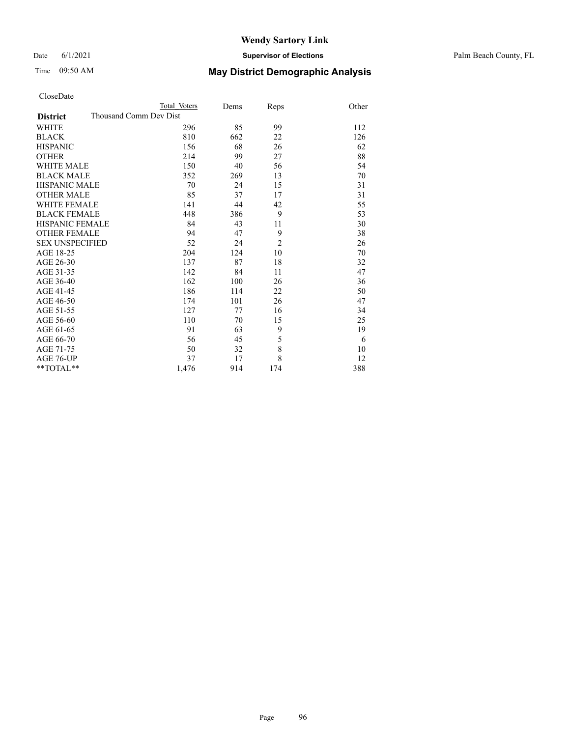#### Date 6/1/2021 **Supervisor of Elections** Palm Beach County, FL

| CloseDate |
|-----------|
|-----------|

|                        | Total Voters           | Dems | Reps           | Other |
|------------------------|------------------------|------|----------------|-------|
| <b>District</b>        | Thousand Comm Dev Dist |      |                |       |
| WHITE                  | 296                    | 85   | 99             | 112   |
| BLACK                  | 810                    | 662  | 22             | 126   |
| <b>HISPANIC</b>        | 156                    | 68   | 26             | 62    |
| <b>OTHER</b>           | 214                    | 99   | 27             | 88    |
| WHITE MALE             | 150                    | 40   | 56             | 54    |
| <b>BLACK MALE</b>      | 352                    | 269  | 13             | 70    |
| HISPANIC MALE          | 70                     | 24   | 15             | 31    |
| OTHER MALE             | 85                     | 37   | 17             | 31    |
| WHITE FEMALE           | 141                    | 44   | 42             | 55    |
| <b>BLACK FEMALE</b>    | 448                    | 386  | 9              | 53    |
| HISPANIC FEMALE        | 84                     | 43   | 11             | 30    |
| <b>OTHER FEMALE</b>    | 94                     | 47   | 9              | 38    |
| <b>SEX UNSPECIFIED</b> | 52                     | 24   | $\overline{2}$ | 26    |
| AGE 18-25              | 204                    | 124  | 10             | 70    |
| AGE 26-30              | 137                    | 87   | 18             | 32    |
| AGE 31-35              | 142                    | 84   | 11             | 47    |
| AGE 36-40              | 162                    | 100  | 26             | 36    |
| AGE 41-45              | 186                    | 114  | 22             | 50    |
| AGE 46-50              | 174                    | 101  | 26             | 47    |
| AGE 51-55              | 127                    | 77   | 16             | 34    |
| AGE 56-60              | 110                    | 70   | 15             | 25    |
| AGE 61-65              | 91                     | 63   | 9              | 19    |
| AGE 66-70              | 56                     | 45   | 5              | 6     |
| AGE 71-75              | 50                     | 32   | 8              | 10    |
| AGE 76-UP              | 37                     | 17   | 8              | 12    |
| $*$ $TOTAL**$          | 1,476                  | 914  | 174            | 388   |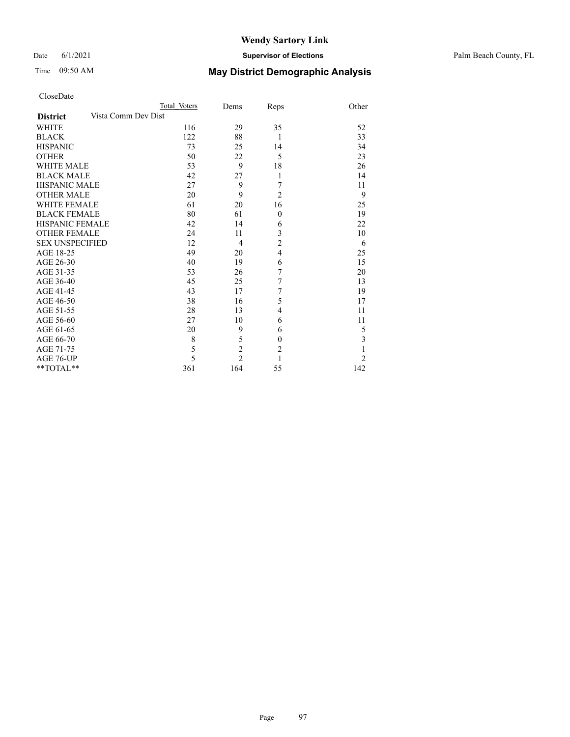#### Date 6/1/2021 **Supervisor of Elections** Palm Beach County, FL

|                     |                     | Total Voters | Dems           | Reps             | Other          |
|---------------------|---------------------|--------------|----------------|------------------|----------------|
| <b>District</b>     | Vista Comm Dev Dist |              |                |                  |                |
| WHITE               |                     | 116          | 29             | 35               | 52             |
| BLACK               |                     | 122          | 88             | 1                | 33             |
| <b>HISPANIC</b>     |                     | 73           | 25             | 14               | 34             |
| OTHER               |                     | 50           | 22             | 5                | 23             |
| WHITE MALE          |                     | 53           | 9              | 18               | 26             |
| BLACK MALE          |                     | 42           | 27             | 1                | 14             |
| HISPANIC MALE       |                     | 27           | 9              | 7                | 11             |
| OTHER MALE          |                     | 20           | 9              | $\overline{2}$   | 9              |
| WHITE FEMALE        |                     | 61           | 20             | 16               | 25             |
| BLACK FEMALE        |                     | 80           | 61             | $\mathbf{0}$     | 19             |
| HISPANIC FEMALE     |                     | 42           | 14             | 6                | 22             |
| <b>OTHER FEMALE</b> |                     | 24           | 11             | 3                | 10             |
| SEX UNSPECIFIED     |                     | 12           | $\overline{4}$ | $\overline{c}$   | 6              |
| AGE 18-25           |                     | 49           | 20             | $\overline{4}$   | 25             |
| AGE 26-30           |                     | 40           | 19             | 6                | 15             |
| AGE 31-35           |                     | 53           | 26             | $\sqrt{ }$       | 20             |
| AGE 36-40           |                     | 45           | 25             | 7                | 13             |
| AGE 41-45           |                     | 43           | 17             | 7                | 19             |
| AGE 46-50           |                     | 38           | 16             | 5                | 17             |
| AGE 51-55           |                     | 28           | 13             | 4                | 11             |
| AGE 56-60           |                     | 27           | 10             | 6                | 11             |
| AGE 61-65           |                     | 20           | 9              | 6                | 5              |
| AGE 66-70           |                     | 8            | 5              | $\boldsymbol{0}$ | 3              |
| AGE 71-75           |                     | 5            | $\overline{2}$ | $\overline{2}$   | 1              |
| AGE 76-UP           |                     | 5            | $\overline{2}$ | 1                | $\overline{c}$ |
| **TOTAL**           |                     | 361          | 164            | 55               | 142            |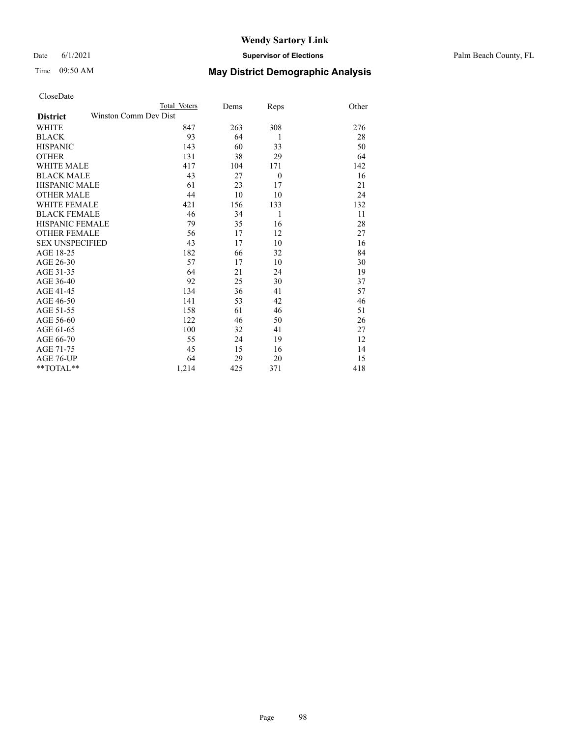#### Date 6/1/2021 **Supervisor of Elections** Palm Beach County, FL

| CloseDate |  |
|-----------|--|
|-----------|--|

|                                          | Total Voters | Dems | Reps           | Other |
|------------------------------------------|--------------|------|----------------|-------|
| Winston Comm Dev Dist<br><b>District</b> |              |      |                |       |
| <b>WHITE</b>                             | 847          | 263  | 308            | 276   |
| <b>BLACK</b>                             | 93           | 64   | 1              | 28    |
| <b>HISPANIC</b>                          | 143          | 60   | 33             | 50    |
| <b>OTHER</b>                             | 131          | 38   | 29             | 64    |
| <b>WHITE MALE</b>                        | 417          | 104  | 171            | 142   |
| <b>BLACK MALE</b>                        | 43           | 27   | $\overline{0}$ | 16    |
| <b>HISPANIC MALE</b>                     | 61           | 23   | 17             | 21    |
| <b>OTHER MALE</b>                        | 44           | 10   | 10             | 24    |
| <b>WHITE FEMALE</b>                      | 421          | 156  | 133            | 132   |
| <b>BLACK FEMALE</b>                      | 46           | 34   | 1              | 11    |
| <b>HISPANIC FEMALE</b>                   | 79           | 35   | 16             | 28    |
| <b>OTHER FEMALE</b>                      | 56           | 17   | 12             | 27    |
| <b>SEX UNSPECIFIED</b>                   | 43           | 17   | 10             | 16    |
| AGE 18-25                                | 182          | 66   | 32             | 84    |
| AGE 26-30                                | 57           | 17   | 10             | 30    |
| AGE 31-35                                | 64           | 21   | 24             | 19    |
| AGE 36-40                                | 92           | 25   | 30             | 37    |
| AGE 41-45                                | 134          | 36   | 41             | 57    |
| AGE 46-50                                | 141          | 53   | 42             | 46    |
| AGE 51-55                                | 158          | 61   | 46             | 51    |
| AGE 56-60                                | 122          | 46   | 50             | 26    |
| AGE 61-65                                | 100          | 32   | 41             | 27    |
| AGE 66-70                                | 55           | 24   | 19             | 12    |
| AGE 71-75                                | 45           | 15   | 16             | 14    |
| AGE 76-UP                                | 64           | 29   | 20             | 15    |
| $*$ $TOTAL**$                            | 1,214        | 425  | 371            | 418   |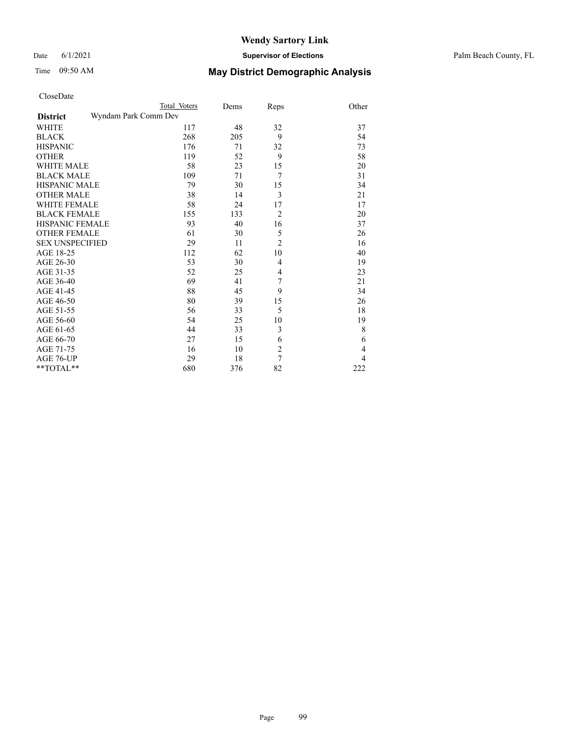#### Date 6/1/2021 **Supervisor of Elections** Palm Beach County, FL

|                                         | Total Voters | Dems | Reps           | Other          |
|-----------------------------------------|--------------|------|----------------|----------------|
| Wyndam Park Comm Dev<br><b>District</b> |              |      |                |                |
| <b>WHITE</b>                            | 117          | 48   | 32             | 37             |
| <b>BLACK</b>                            | 268          | 205  | 9              | 54             |
| <b>HISPANIC</b>                         | 176          | 71   | 32             | 73             |
| <b>OTHER</b>                            | 119          | 52   | 9              | 58             |
| <b>WHITE MALE</b>                       | 58           | 23   | 15             | 20             |
| <b>BLACK MALE</b>                       | 109          | 71   | 7              | 31             |
| <b>HISPANIC MALE</b>                    | 79           | 30   | 15             | 34             |
| <b>OTHER MALE</b>                       | 38           | 14   | 3              | 21             |
| WHITE FEMALE                            | 58           | 24   | 17             | 17             |
| <b>BLACK FEMALE</b>                     | 155          | 133  | $\overline{2}$ | 20             |
| <b>HISPANIC FEMALE</b>                  | 93           | 40   | 16             | 37             |
| <b>OTHER FEMALE</b>                     | 61           | 30   | 5              | 26             |
| <b>SEX UNSPECIFIED</b>                  | 29           | 11   | $\overline{2}$ | 16             |
| AGE 18-25                               | 112          | 62   | 10             | 40             |
| AGE 26-30                               | 53           | 30   | $\overline{4}$ | 19             |
| AGE 31-35                               | 52           | 25   | 4              | 23             |
| AGE 36-40                               | 69           | 41   | 7              | 21             |
| AGE 41-45                               | 88           | 45   | 9              | 34             |
| AGE 46-50                               | 80           | 39   | 15             | 26             |
| AGE 51-55                               | 56           | 33   | 5              | 18             |
| AGE 56-60                               | 54           | 25   | 10             | 19             |
| AGE 61-65                               | 44           | 33   | 3              | 8              |
| AGE 66-70                               | 27           | 15   | 6              | 6              |
| AGE 71-75                               | 16           | 10   | $\overline{c}$ | $\overline{4}$ |
| AGE 76-UP                               | 29           | 18   | 7              | 4              |
| $*$ $TOTAL**$                           | 680          | 376  | 82             | 222            |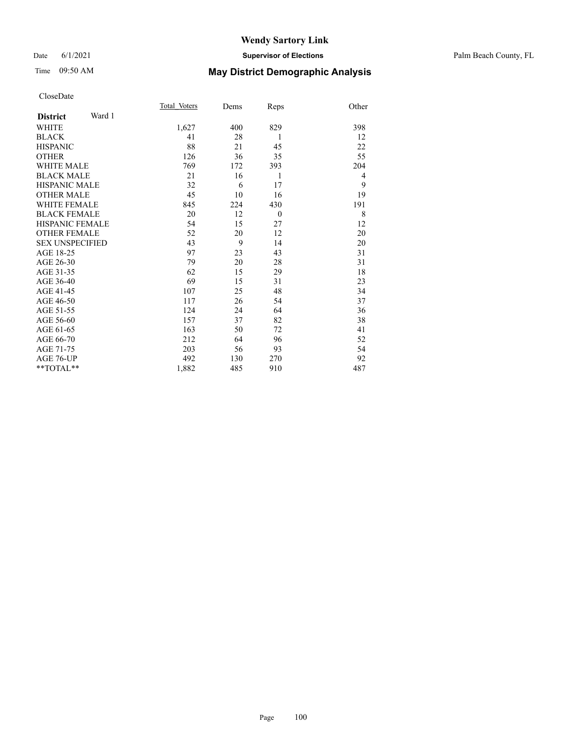#### Date 6/1/2021 **Supervisor of Elections** Palm Beach County, FL

## Time 09:50 AM **May District Demographic Analysis**

| Total Voters | Dems | Reps     | Other          |
|--------------|------|----------|----------------|
|              |      |          |                |
| 1,627        | 400  | 829      | 398            |
| 41           | 28   | 1        | 12             |
| 88           | 21   | 45       | 22             |
| 126          | 36   | 35       | 55             |
| 769          | 172  | 393      | 204            |
| 21           | 16   | 1        | $\overline{4}$ |
| 32           | 6    | 17       | 9              |
| 45           | 10   | 16       | 19             |
| 845          | 224  | 430      | 191            |
| 20           | 12   | $\theta$ | 8              |
| 54           | 15   | 27       | 12             |
| 52           | 20   | 12       | 20             |
| 43           | 9    | 14       | 20             |
| 97           | 23   | 43       | 31             |
| 79           | 20   | 28       | 31             |
| 62           | 15   | 29       | 18             |
| 69           | 15   | 31       | 23             |
| 107          | 25   | 48       | 34             |
| 117          | 26   | 54       | 37             |
| 124          | 24   | 64       | 36             |
| 157          | 37   | 82       | 38             |
| 163          | 50   | 72       | 41             |
| 212          | 64   | 96       | 52             |
| 203          | 56   | 93       | 54             |
| 492          | 130  | 270      | 92             |
| 1,882        | 485  | 910      | 487            |
|              |      |          |                |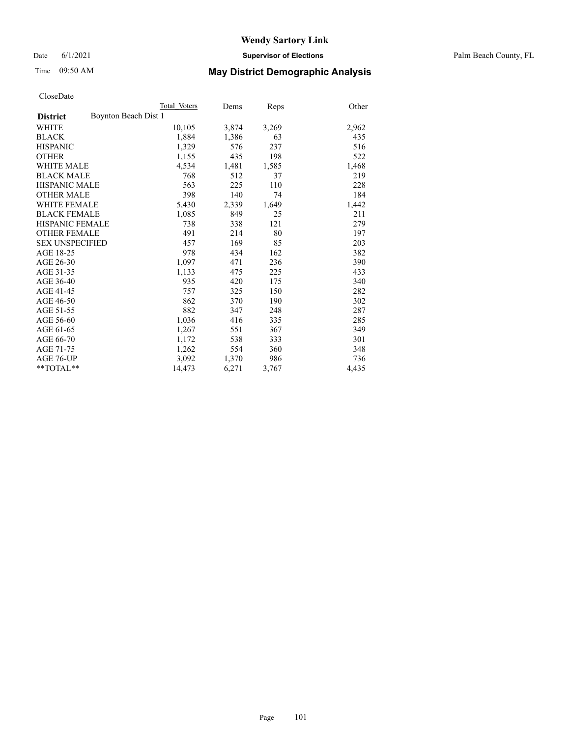Date 6/1/2021 **Supervisor of Elections** Palm Beach County, FL

## Time 09:50 AM **May District Demographic Analysis**

|                                         | Total Voters | Dems  | <b>Reps</b> | Other |
|-----------------------------------------|--------------|-------|-------------|-------|
| Boynton Beach Dist 1<br><b>District</b> |              |       |             |       |
| <b>WHITE</b>                            | 10,105       | 3,874 | 3,269       | 2,962 |
| <b>BLACK</b>                            | 1,884        | 1,386 | 63          | 435   |
| <b>HISPANIC</b>                         | 1,329        | 576   | 237         | 516   |
| <b>OTHER</b>                            | 1,155        | 435   | 198         | 522   |
| <b>WHITE MALE</b>                       | 4,534        | 1,481 | 1,585       | 1,468 |
| <b>BLACK MALE</b>                       | 768          | 512   | 37          | 219   |
| <b>HISPANIC MALE</b>                    | 563          | 225   | 110         | 228   |
| OTHER MALE                              | 398          | 140   | 74          | 184   |
| <b>WHITE FEMALE</b>                     | 5,430        | 2,339 | 1,649       | 1,442 |
| <b>BLACK FEMALE</b>                     | 1,085        | 849   | 25          | 211   |
| <b>HISPANIC FEMALE</b>                  | 738          | 338   | 121         | 279   |
| <b>OTHER FEMALE</b>                     | 491          | 214   | 80          | 197   |
| <b>SEX UNSPECIFIED</b>                  | 457          | 169   | 85          | 203   |
| AGE 18-25                               | 978          | 434   | 162         | 382   |
| AGE 26-30                               | 1,097        | 471   | 236         | 390   |
| AGE 31-35                               | 1,133        | 475   | 225         | 433   |
| AGE 36-40                               | 935          | 420   | 175         | 340   |
| <b>AGE 41-45</b>                        | 757          | 325   | 150         | 282   |
| AGE 46-50                               | 862          | 370   | 190         | 302   |
| AGE 51-55                               | 882          | 347   | 248         | 287   |
| AGE 56-60                               | 1,036        | 416   | 335         | 285   |
| AGE 61-65                               | 1,267        | 551   | 367         | 349   |
| AGE 66-70                               | 1,172        | 538   | 333         | 301   |
| AGE 71-75                               | 1,262        | 554   | 360         | 348   |
| AGE 76-UP                               | 3.092        | 1,370 | 986         | 736   |
| $*$ $TOTAL**$                           | 14,473       | 6,271 | 3,767       | 4,435 |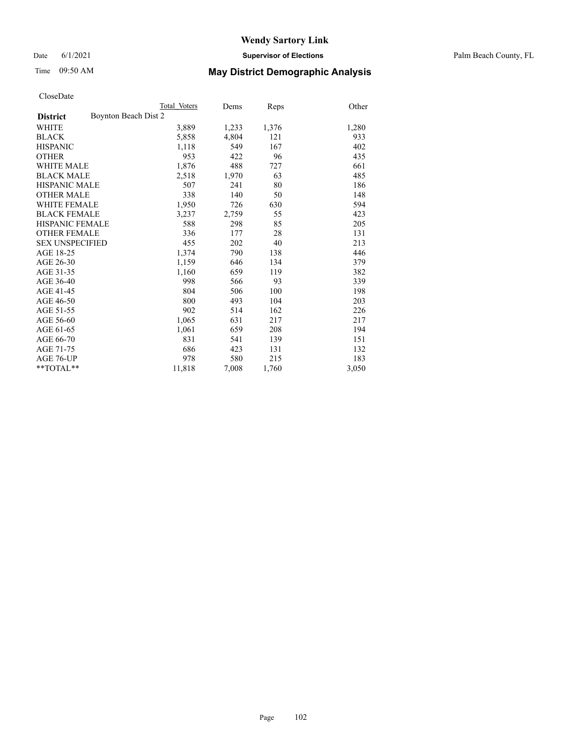Date 6/1/2021 **Supervisor of Elections** Palm Beach County, FL

# Time 09:50 AM **May District Demographic Analysis**

|                                         | Total Voters | Dems  | Reps  | Other |
|-----------------------------------------|--------------|-------|-------|-------|
| Boynton Beach Dist 2<br><b>District</b> |              |       |       |       |
| <b>WHITE</b>                            | 3,889        | 1,233 | 1,376 | 1,280 |
| <b>BLACK</b>                            | 5,858        | 4,804 | 121   | 933   |
| <b>HISPANIC</b>                         | 1,118        | 549   | 167   | 402   |
| <b>OTHER</b>                            | 953          | 422   | 96    | 435   |
| WHITE MALE                              | 1,876        | 488   | 727   | 661   |
| <b>BLACK MALE</b>                       | 2,518        | 1,970 | 63    | 485   |
| <b>HISPANIC MALE</b>                    | 507          | 241   | 80    | 186   |
| <b>OTHER MALE</b>                       | 338          | 140   | 50    | 148   |
| <b>WHITE FEMALE</b>                     | 1,950        | 726   | 630   | 594   |
| <b>BLACK FEMALE</b>                     | 3,237        | 2,759 | 55    | 423   |
| <b>HISPANIC FEMALE</b>                  | 588          | 298   | 85    | 205   |
| <b>OTHER FEMALE</b>                     | 336          | 177   | 28    | 131   |
| <b>SEX UNSPECIFIED</b>                  | 455          | 202   | 40    | 213   |
| AGE 18-25                               | 1,374        | 790   | 138   | 446   |
| AGE 26-30                               | 1,159        | 646   | 134   | 379   |
| AGE 31-35                               | 1,160        | 659   | 119   | 382   |
| AGE 36-40                               | 998          | 566   | 93    | 339   |
| AGE 41-45                               | 804          | 506   | 100   | 198   |
| AGE 46-50                               | 800          | 493   | 104   | 203   |
| AGE 51-55                               | 902          | 514   | 162   | 226   |
| AGE 56-60                               | 1,065        | 631   | 217   | 217   |
| AGE 61-65                               | 1,061        | 659   | 208   | 194   |
| AGE 66-70                               | 831          | 541   | 139   | 151   |
| AGE 71-75                               | 686          | 423   | 131   | 132   |
| AGE 76-UP                               | 978          | 580   | 215   | 183   |
| $*$ $TOTAL**$                           | 11,818       | 7,008 | 1,760 | 3,050 |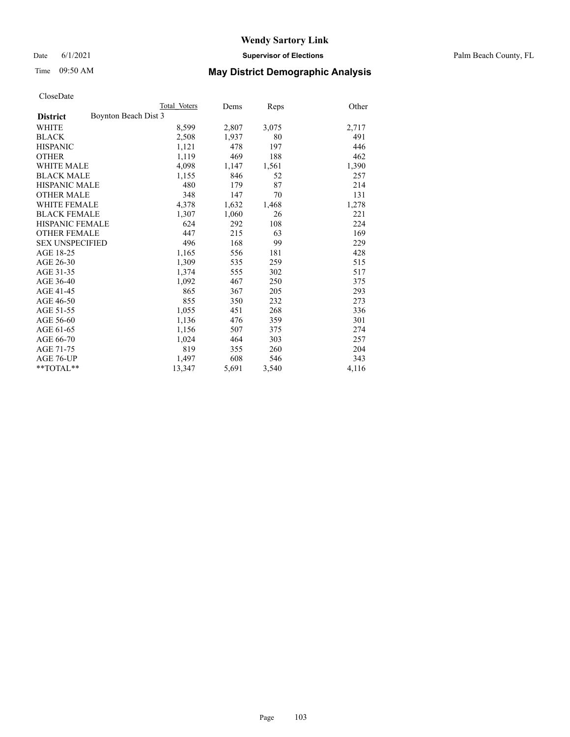Date 6/1/2021 **Supervisor of Elections** Palm Beach County, FL

# Time 09:50 AM **May District Demographic Analysis**

|                                         | Total Voters | Dems  | <b>Reps</b> | Other |
|-----------------------------------------|--------------|-------|-------------|-------|
| Boynton Beach Dist 3<br><b>District</b> |              |       |             |       |
| <b>WHITE</b>                            | 8,599        | 2,807 | 3,075       | 2,717 |
| <b>BLACK</b>                            | 2,508        | 1,937 | 80          | 491   |
| <b>HISPANIC</b>                         | 1,121        | 478   | 197         | 446   |
| <b>OTHER</b>                            | 1,119        | 469   | 188         | 462   |
| WHITE MALE                              | 4,098        | 1,147 | 1,561       | 1,390 |
| <b>BLACK MALE</b>                       | 1,155        | 846   | 52          | 257   |
| <b>HISPANIC MALE</b>                    | 480          | 179   | 87          | 214   |
| <b>OTHER MALE</b>                       | 348          | 147   | 70          | 131   |
| <b>WHITE FEMALE</b>                     | 4,378        | 1,632 | 1,468       | 1,278 |
| <b>BLACK FEMALE</b>                     | 1,307        | 1,060 | 26          | 221   |
| <b>HISPANIC FEMALE</b>                  | 624          | 292   | 108         | 224   |
| <b>OTHER FEMALE</b>                     | 447          | 215   | 63          | 169   |
| <b>SEX UNSPECIFIED</b>                  | 496          | 168   | 99          | 229   |
| AGE 18-25                               | 1,165        | 556   | 181         | 428   |
| AGE 26-30                               | 1,309        | 535   | 259         | 515   |
| AGE 31-35                               | 1,374        | 555   | 302         | 517   |
| AGE 36-40                               | 1,092        | 467   | 250         | 375   |
| AGE 41-45                               | 865          | 367   | 205         | 293   |
| AGE 46-50                               | 855          | 350   | 232         | 273   |
| AGE 51-55                               | 1,055        | 451   | 268         | 336   |
| AGE 56-60                               | 1,136        | 476   | 359         | 301   |
| AGE 61-65                               | 1,156        | 507   | 375         | 274   |
| AGE 66-70                               | 1,024        | 464   | 303         | 257   |
| AGE 71-75                               | 819          | 355   | 260         | 204   |
| AGE 76-UP                               | 1,497        | 608   | 546         | 343   |
| $*$ $TOTAL**$                           | 13,347       | 5,691 | 3,540       | 4,116 |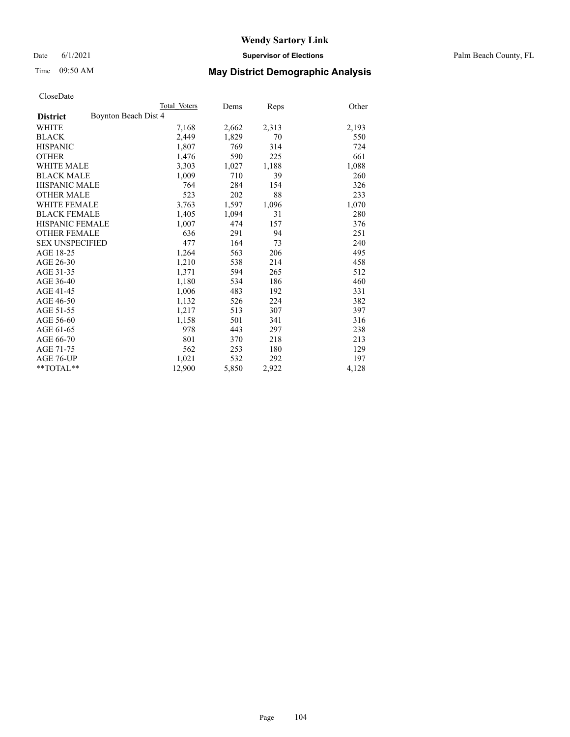Date 6/1/2021 **Supervisor of Elections** Palm Beach County, FL

# Time 09:50 AM **May District Demographic Analysis**

|                                         | Total Voters | Dems  | Reps  | Other |
|-----------------------------------------|--------------|-------|-------|-------|
| Boynton Beach Dist 4<br><b>District</b> |              |       |       |       |
| <b>WHITE</b>                            | 7,168        | 2,662 | 2,313 | 2,193 |
| <b>BLACK</b>                            | 2,449        | 1,829 | 70    | 550   |
| <b>HISPANIC</b>                         | 1,807        | 769   | 314   | 724   |
| <b>OTHER</b>                            | 1,476        | 590   | 225   | 661   |
| WHITE MALE                              | 3,303        | 1,027 | 1,188 | 1,088 |
| <b>BLACK MALE</b>                       | 1,009        | 710   | 39    | 260   |
| <b>HISPANIC MALE</b>                    | 764          | 284   | 154   | 326   |
| <b>OTHER MALE</b>                       | 523          | 202   | 88    | 233   |
| <b>WHITE FEMALE</b>                     | 3,763        | 1,597 | 1,096 | 1,070 |
| <b>BLACK FEMALE</b>                     | 1,405        | 1,094 | 31    | 280   |
| <b>HISPANIC FEMALE</b>                  | 1,007        | 474   | 157   | 376   |
| <b>OTHER FEMALE</b>                     | 636          | 291   | 94    | 251   |
| <b>SEX UNSPECIFIED</b>                  | 477          | 164   | 73    | 240   |
| AGE 18-25                               | 1,264        | 563   | 206   | 495   |
| AGE 26-30                               | 1,210        | 538   | 214   | 458   |
| AGE 31-35                               | 1,371        | 594   | 265   | 512   |
| AGE 36-40                               | 1,180        | 534   | 186   | 460   |
| AGE 41-45                               | 1,006        | 483   | 192   | 331   |
| AGE 46-50                               | 1,132        | 526   | 224   | 382   |
| AGE 51-55                               | 1,217        | 513   | 307   | 397   |
| AGE 56-60                               | 1,158        | 501   | 341   | 316   |
| AGE 61-65                               | 978          | 443   | 297   | 238   |
| AGE 66-70                               | 801          | 370   | 218   | 213   |
| AGE 71-75                               | 562          | 253   | 180   | 129   |
| AGE 76-UP                               | 1,021        | 532   | 292   | 197   |
| $*$ $TOTAL**$                           | 12,900       | 5,850 | 2,922 | 4,128 |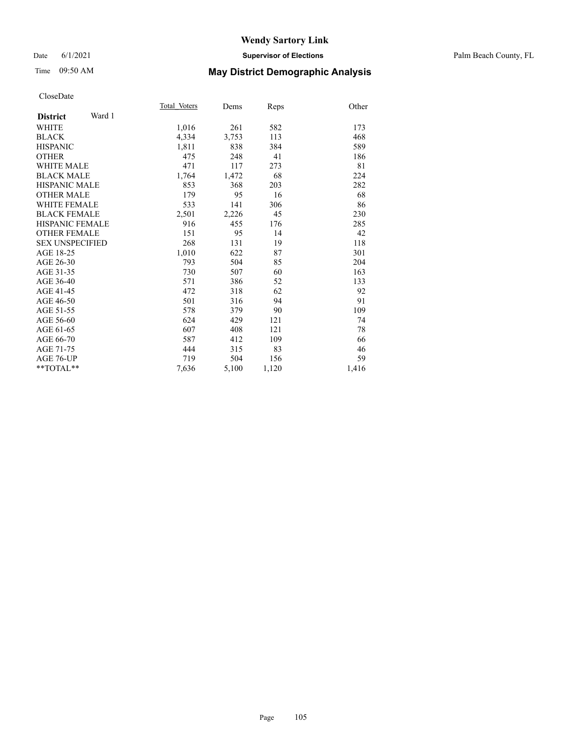#### Date 6/1/2021 **Supervisor of Elections** Palm Beach County, FL

## Time 09:50 AM **May District Demographic Analysis**

|                           | Total Voters | Dems  | Reps  | Other |
|---------------------------|--------------|-------|-------|-------|
| Ward 1<br><b>District</b> |              |       |       |       |
| WHITE                     | 1,016        | 261   | 582   | 173   |
| <b>BLACK</b>              | 4,334        | 3,753 | 113   | 468   |
| <b>HISPANIC</b>           | 1,811        | 838   | 384   | 589   |
| <b>OTHER</b>              | 475          | 248   | 41    | 186   |
| WHITE MALE                | 471          | 117   | 273   | 81    |
| <b>BLACK MALE</b>         | 1,764        | 1,472 | 68    | 224   |
| <b>HISPANIC MALE</b>      | 853          | 368   | 203   | 282   |
| <b>OTHER MALE</b>         | 179          | 95    | 16    | 68    |
| <b>WHITE FEMALE</b>       | 533          | 141   | 306   | 86    |
| <b>BLACK FEMALE</b>       | 2,501        | 2,226 | 45    | 230   |
| <b>HISPANIC FEMALE</b>    | 916          | 455   | 176   | 285   |
| <b>OTHER FEMALE</b>       | 151          | 95    | 14    | 42    |
| <b>SEX UNSPECIFIED</b>    | 268          | 131   | 19    | 118   |
| AGE 18-25                 | 1,010        | 622   | 87    | 301   |
| AGE 26-30                 | 793          | 504   | 85    | 204   |
| AGE 31-35                 | 730          | 507   | 60    | 163   |
| AGE 36-40                 | 571          | 386   | 52    | 133   |
| AGE 41-45                 | 472          | 318   | 62    | 92    |
| AGE 46-50                 | 501          | 316   | 94    | 91    |
| AGE 51-55                 | 578          | 379   | 90    | 109   |
| AGE 56-60                 | 624          | 429   | 121   | 74    |
| AGE 61-65                 | 607          | 408   | 121   | 78    |
| AGE 66-70                 | 587          | 412   | 109   | 66    |
| AGE 71-75                 | 444          | 315   | 83    | 46    |
| AGE 76-UP                 | 719          | 504   | 156   | 59    |
| $*$ $TOTAL**$             | 7,636        | 5,100 | 1,120 | 1,416 |
|                           |              |       |       |       |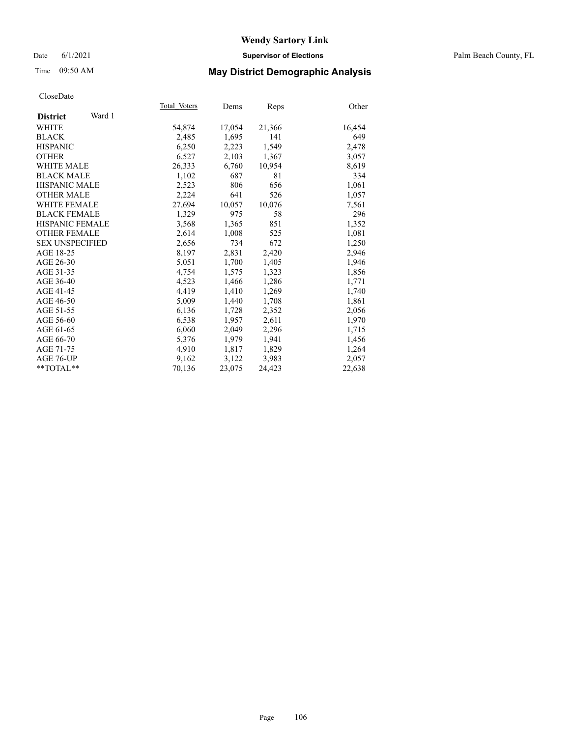#### Date 6/1/2021 **Supervisor of Elections** Palm Beach County, FL

## Time 09:50 AM **May District Demographic Analysis**

|                           | Total Voters | Dems   | Reps   | Other  |
|---------------------------|--------------|--------|--------|--------|
| Ward 1<br><b>District</b> |              |        |        |        |
| WHITE                     | 54,874       | 17,054 | 21,366 | 16,454 |
| <b>BLACK</b>              | 2,485        | 1,695  | 141    | 649    |
| <b>HISPANIC</b>           | 6,250        | 2,223  | 1,549  | 2,478  |
| <b>OTHER</b>              | 6,527        | 2,103  | 1,367  | 3,057  |
| <b>WHITE MALE</b>         | 26,333       | 6,760  | 10,954 | 8,619  |
| <b>BLACK MALE</b>         | 1,102        | 687    | 81     | 334    |
| <b>HISPANIC MALE</b>      | 2,523        | 806    | 656    | 1,061  |
| <b>OTHER MALE</b>         | 2,224        | 641    | 526    | 1,057  |
| <b>WHITE FEMALE</b>       | 27,694       | 10,057 | 10,076 | 7,561  |
| <b>BLACK FEMALE</b>       | 1,329        | 975    | 58     | 296    |
| <b>HISPANIC FEMALE</b>    | 3,568        | 1,365  | 851    | 1,352  |
| <b>OTHER FEMALE</b>       | 2,614        | 1,008  | 525    | 1,081  |
| <b>SEX UNSPECIFIED</b>    | 2,656        | 734    | 672    | 1,250  |
| AGE 18-25                 | 8,197        | 2,831  | 2,420  | 2,946  |
| AGE 26-30                 | 5,051        | 1,700  | 1,405  | 1,946  |
| AGE 31-35                 | 4,754        | 1,575  | 1,323  | 1,856  |
| AGE 36-40                 | 4,523        | 1,466  | 1,286  | 1,771  |
| AGE 41-45                 | 4,419        | 1,410  | 1,269  | 1,740  |
| AGE 46-50                 | 5,009        | 1,440  | 1,708  | 1,861  |
| AGE 51-55                 | 6,136        | 1,728  | 2,352  | 2,056  |
| AGE 56-60                 | 6,538        | 1,957  | 2,611  | 1,970  |
| AGE 61-65                 | 6,060        | 2,049  | 2,296  | 1,715  |
| AGE 66-70                 | 5,376        | 1,979  | 1,941  | 1,456  |
| AGE 71-75                 | 4,910        | 1,817  | 1,829  | 1,264  |
| AGE 76-UP                 | 9,162        | 3,122  | 3,983  | 2,057  |
| $*$ $TOTAL**$             | 70,136       | 23,075 | 24,423 | 22,638 |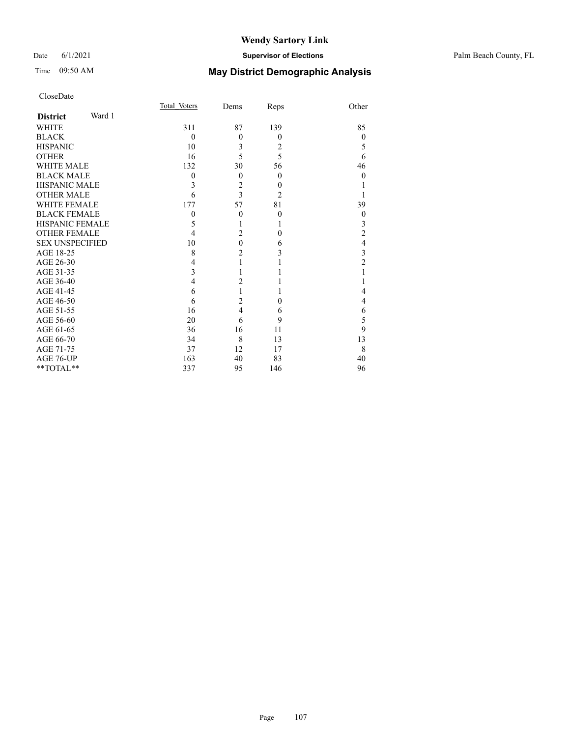|                        |        | Total Voters | Dems           | Reps           | Other          |
|------------------------|--------|--------------|----------------|----------------|----------------|
| <b>District</b>        | Ward 1 |              |                |                |                |
| <b>WHITE</b>           |        | 311          | 87             | 139            | 85             |
| <b>BLACK</b>           |        | $\theta$     | $\theta$       | $\Omega$       | $\theta$       |
| <b>HISPANIC</b>        |        | 10           | 3              | 2              | 5              |
| <b>OTHER</b>           |        | 16           | 5              | 5              | 6              |
| <b>WHITE MALE</b>      |        | 132          | 30             | 56             | 46             |
| <b>BLACK MALE</b>      |        | $\mathbf{0}$ | $\theta$       | $\Omega$       | $\theta$       |
| <b>HISPANIC MALE</b>   |        | 3            | $\overline{c}$ | $\theta$       |                |
| <b>OTHER MALE</b>      |        | 6            | $\overline{3}$ | $\overline{2}$ |                |
| <b>WHITE FEMALE</b>    |        | 177          | 57             | 81             | 39             |
| <b>BLACK FEMALE</b>    |        | $\theta$     | $\theta$       | $\theta$       | $\theta$       |
| <b>HISPANIC FEMALE</b> |        | 5            | 1              |                | 3              |
| <b>OTHER FEMALE</b>    |        | 4            | $\overline{2}$ | $\Omega$       | $\overline{c}$ |
| <b>SEX UNSPECIFIED</b> |        | 10           | $\overline{0}$ | 6              | $\overline{4}$ |
| AGE 18-25              |        | 8            | $\overline{2}$ | 3              | 3              |
| AGE 26-30              |        | 4            | $\mathbf{1}$   |                | $\overline{2}$ |
| AGE 31-35              |        | 3            | 1              |                | 1              |
| AGE 36-40              |        | 4            | $\overline{c}$ |                |                |
| AGE 41-45              |        | 6            | $\mathbf{1}$   |                | $\overline{4}$ |
| AGE 46-50              |        | 6            | $\overline{c}$ | $\theta$       | $\overline{4}$ |
| AGE 51-55              |        | 16           | $\overline{4}$ | 6              | 6              |
| AGE 56-60              |        | 20           | 6              | 9              | 5              |
| AGE 61-65              |        | 36           | 16             | 11             | 9              |
| AGE 66-70              |        | 34           | 8              | 13             | 13             |
| AGE 71-75              |        | 37           | 12             | 17             | 8              |
| AGE 76-UP              |        | 163          | 40             | 83             | 40             |
| **TOTAL**              |        | 337          | 95             | 146            | 96             |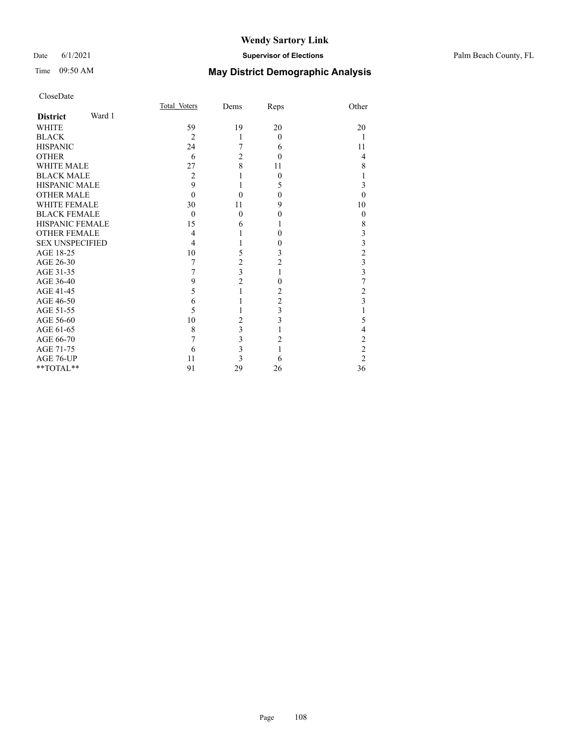#### Date 6/1/2021 **Supervisor of Elections** Palm Beach County, FL

| CloseDate              |        |                |                         |                |                                                 |
|------------------------|--------|----------------|-------------------------|----------------|-------------------------------------------------|
|                        |        | Total Voters   | Dems                    | Reps           | Other                                           |
| <b>District</b>        | Ward 1 |                |                         |                |                                                 |
| <b>WHITE</b>           |        | 59             | 19                      | 20             | 20                                              |
| <b>BLACK</b>           |        | $\overline{2}$ | 1                       | $\theta$       | 1                                               |
| <b>HISPANIC</b>        |        | 24             | 7                       | 6              | 11                                              |
| <b>OTHER</b>           |        | 6              | $\overline{2}$          | $\Omega$       | $\overline{4}$                                  |
| <b>WHITE MALE</b>      |        | 27             | 8                       | 11             | 8                                               |
| <b>BLACK MALE</b>      |        | $\overline{2}$ |                         | 0              | 1                                               |
| <b>HISPANIC MALE</b>   |        | 9              | 1                       | 5              | 3                                               |
| <b>OTHER MALE</b>      |        | $\theta$       | 0                       | $\theta$       | $\theta$                                        |
| <b>WHITE FEMALE</b>    |        | 30             | 11                      | 9              | 10                                              |
| <b>BLACK FEMALE</b>    |        | $\theta$       | 0                       | 0              | $\theta$                                        |
| <b>HISPANIC FEMALE</b> |        | 15             | 6                       | L              | 8                                               |
| <b>OTHER FEMALE</b>    |        | 4              |                         | 0              | $\mathfrak{Z}$                                  |
| <b>SEX UNSPECIFIED</b> |        | 4              |                         | 0              | $\begin{array}{c} 3 \\ 2 \\ 3 \\ 3 \end{array}$ |
| AGE 18-25              |        | 10             | 5                       | 3              |                                                 |
| AGE 26-30              |        | 7              | $\overline{c}$          | $\overline{c}$ |                                                 |
| AGE 31-35              |        | 7              | $\overline{3}$          | 1              |                                                 |
| AGE 36-40              |        | 9              | $\overline{c}$          | 0              | $\overline{7}$                                  |
| AGE 41-45              |        | 5              | $\mathbf{1}$            | 2              | $\overline{\mathbf{c}}$                         |
| AGE 46-50              |        | 6              | 1                       | $\overline{2}$ | $\overline{\mathbf{3}}$                         |
| AGE 51-55              |        | 5              |                         | 3              | 1                                               |
| AGE 56-60              |        | 10             | $\overline{c}$          | 3              | 5                                               |
| AGE 61-65              |        | 8              | 3                       | 1              | $\overline{4}$                                  |
| AGE 66-70              |        | 7              | 3                       | 2              | $\frac{2}{2}$                                   |
| AGE 71-75              |        | 6              | $\overline{\mathbf{3}}$ |                |                                                 |
| AGE 76-UP              |        | 11             | 3                       | 6              | $\overline{c}$                                  |
| $*$ $TOTAL**$          |        | 91             | 29                      | 26             | 36                                              |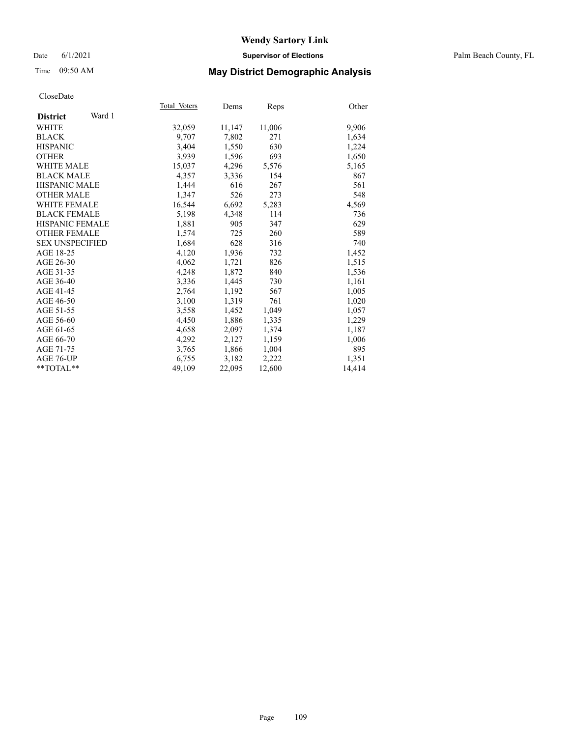### Date 6/1/2021 **Supervisor of Elections** Palm Beach County, FL

## Time 09:50 AM **May District Demographic Analysis**

|                           | Total Voters | Dems   | Reps   | Other  |
|---------------------------|--------------|--------|--------|--------|
| Ward 1<br><b>District</b> |              |        |        |        |
| WHITE                     | 32,059       | 11,147 | 11,006 | 9,906  |
| <b>BLACK</b>              | 9.707        | 7,802  | 271    | 1,634  |
| <b>HISPANIC</b>           | 3.404        | 1,550  | 630    | 1,224  |
| <b>OTHER</b>              | 3,939        | 1,596  | 693    | 1,650  |
| <b>WHITE MALE</b>         | 15,037       | 4,296  | 5,576  | 5,165  |
| <b>BLACK MALE</b>         | 4,357        | 3,336  | 154    | 867    |
| HISPANIC MALE             | 1,444        | 616    | 267    | 561    |
| <b>OTHER MALE</b>         | 1,347        | 526    | 273    | 548    |
| <b>WHITE FEMALE</b>       | 16,544       | 6,692  | 5,283  | 4,569  |
| <b>BLACK FEMALE</b>       | 5,198        | 4,348  | 114    | 736    |
| <b>HISPANIC FEMALE</b>    | 1,881        | 905    | 347    | 629    |
| <b>OTHER FEMALE</b>       | 1,574        | 725    | 260    | 589    |
| <b>SEX UNSPECIFIED</b>    | 1,684        | 628    | 316    | 740    |
| AGE 18-25                 | 4,120        | 1,936  | 732    | 1,452  |
| AGE 26-30                 | 4,062        | 1,721  | 826    | 1,515  |
| AGE 31-35                 | 4,248        | 1,872  | 840    | 1,536  |
| AGE 36-40                 | 3,336        | 1,445  | 730    | 1,161  |
| AGE 41-45                 | 2,764        | 1,192  | 567    | 1,005  |
| AGE 46-50                 | 3,100        | 1,319  | 761    | 1,020  |
| AGE 51-55                 | 3,558        | 1,452  | 1,049  | 1,057  |
| AGE 56-60                 | 4,450        | 1,886  | 1,335  | 1,229  |
| AGE 61-65                 | 4,658        | 2,097  | 1,374  | 1,187  |
| AGE 66-70                 | 4,292        | 2,127  | 1,159  | 1,006  |
| AGE 71-75                 | 3,765        | 1,866  | 1,004  | 895    |
| AGE 76-UP                 | 6,755        | 3,182  | 2,222  | 1,351  |
| $*$ $TOTAL**$             | 49,109       | 22,095 | 12,600 | 14,414 |
|                           |              |        |        |        |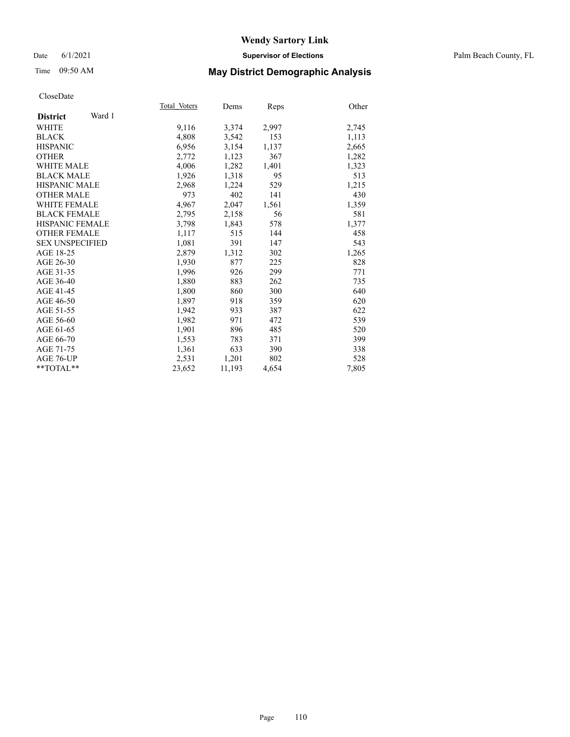### Date 6/1/2021 **Supervisor of Elections** Palm Beach County, FL

## Time 09:50 AM **May District Demographic Analysis**

| Total Voters | Dems   | Reps  | Other |
|--------------|--------|-------|-------|
|              |        |       |       |
| 9,116        | 3,374  | 2,997 | 2,745 |
| 4,808        | 3,542  | 153   | 1,113 |
| 6,956        | 3,154  | 1,137 | 2,665 |
| 2,772        | 1,123  | 367   | 1,282 |
| 4,006        | 1,282  | 1,401 | 1,323 |
| 1,926        | 1,318  | 95    | 513   |
| 2,968        | 1,224  | 529   | 1,215 |
| 973          | 402    | 141   | 430   |
| 4,967        | 2,047  | 1,561 | 1,359 |
| 2,795        | 2,158  | 56    | 581   |
| 3,798        | 1,843  | 578   | 1,377 |
| 1,117        | 515    | 144   | 458   |
| 1,081        | 391    | 147   | 543   |
| 2,879        | 1,312  | 302   | 1,265 |
| 1,930        | 877    | 225   | 828   |
| 1,996        | 926    | 299   | 771   |
| 1,880        | 883    | 262   | 735   |
| 1,800        | 860    | 300   | 640   |
| 1,897        | 918    | 359   | 620   |
| 1,942        | 933    | 387   | 622   |
| 1,982        | 971    | 472   | 539   |
| 1,901        | 896    | 485   | 520   |
| 1,553        | 783    | 371   | 399   |
| 1,361        | 633    | 390   | 338   |
| 2,531        | 1,201  | 802   | 528   |
| 23,652       | 11,193 | 4,654 | 7,805 |
|              |        |       |       |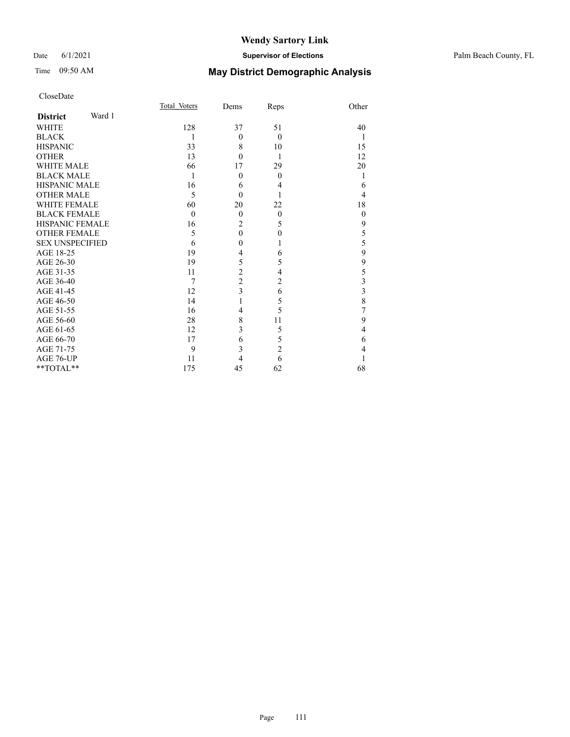### Date 6/1/2021 **Supervisor of Elections** Palm Beach County, FL

## Time 09:50 AM **May District Demographic Analysis**

| CloseDate              |        |                |                |                |                  |
|------------------------|--------|----------------|----------------|----------------|------------------|
|                        |        | Total Voters   | Dems           | Reps           | Other            |
| <b>District</b>        | Ward 1 |                |                |                |                  |
| WHITE                  |        | 128            | 37             | 51             | 40               |
| BLACK                  |        | 1              | $\theta$       | $\theta$       | -1               |
| <b>HISPANIC</b>        |        | 33             | 8              | 10             | 15               |
| OTHER                  |        | 13             | $\theta$       | $\mathbf{1}$   | 12               |
| WHITE MALE             |        | 66             | 17             | 29             | 20               |
| <b>BLACK MALE</b>      |        | 1              | $\overline{0}$ | $\Omega$       | $\mathbf{1}$     |
| HISPANIC MALE          |        | 16             | 6              | 4              | 6                |
| OTHER MALE             |        | 5              | $\overline{0}$ | 1              | $\overline{4}$   |
| WHITE FEMALE           |        | 60             | 20             | 22             | 18               |
| <b>BLACK FEMALE</b>    |        | $\theta$       | $\overline{0}$ | $\overline{0}$ | $\boldsymbol{0}$ |
| HISPANIC FEMALE        |        | 16             | $\overline{2}$ | 5              | $\mathbf{9}$     |
| <b>OTHER FEMALE</b>    |        | 5              | $\mathbf{0}$   | $\theta$       | 5                |
| <b>SEX UNSPECIFIED</b> |        | 6              | $\mathbf{0}$   | 1              | $\frac{5}{9}$    |
| AGE 18-25              |        | 19             | 4              | 6              |                  |
| AGE 26-30              |        | 19             | 5              | 5              | 9                |
| AGE 31-35              |        | 11             | $\overline{c}$ | 4              | $\frac{5}{3}$    |
| AGE 36-40              |        | $\overline{7}$ | $\overline{c}$ | $\overline{2}$ |                  |
| AGE 41-45              |        | 12             | 3              | 6              | $\frac{3}{8}$    |
| AGE 46-50              |        | 14             | 1              | 5              |                  |
| AGE 51-55              |        | 16             | $\overline{4}$ | 5              | 7                |
| AGE 56-60              |        | 28             | 8              | 11             | 9                |
| AGE 61-65              |        | 12             | 3              | 5              | $\overline{4}$   |
| AGE 66-70              |        | 17             | 6              | 5              | 6                |
| AGE 71-75              |        | 9              | $\overline{3}$ | $\overline{2}$ | $\overline{4}$   |
| AGE 76-UP              |        | 11             | $\overline{4}$ | 6              | 1                |
| **TOTAL**              |        | 175            | 45             | 62             | 68               |
|                        |        |                |                |                |                  |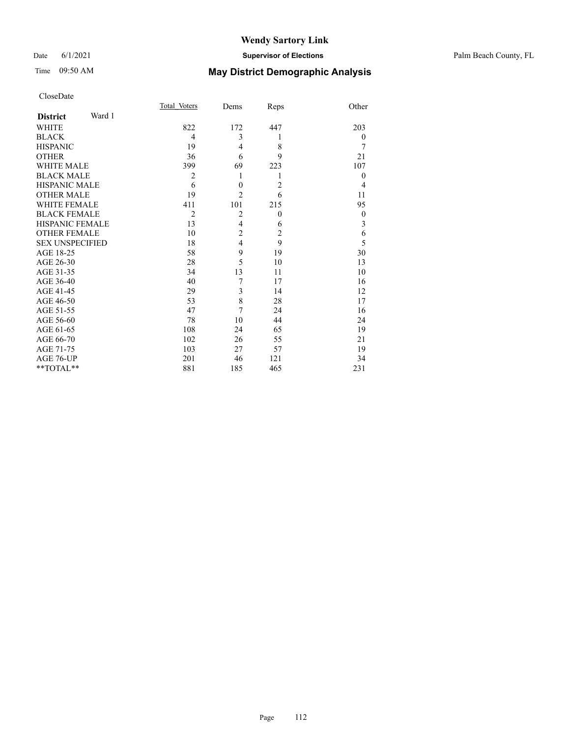### Date 6/1/2021 **Supervisor of Elections** Palm Beach County, FL

## Time 09:50 AM **May District Demographic Analysis**

|                           | Total Voters   | Dems             | Reps           | Other            |
|---------------------------|----------------|------------------|----------------|------------------|
| Ward 1<br><b>District</b> |                |                  |                |                  |
| <b>WHITE</b>              | 822            | 172              | 447            | 203              |
| <b>BLACK</b>              | 4              | 3                | 1              | $\theta$         |
| <b>HISPANIC</b>           | 19             | $\overline{4}$   | 8              | 7                |
| <b>OTHER</b>              | 36             | 6                | 9              | 21               |
| <b>WHITE MALE</b>         | 399            | 69               | 223            | 107              |
| <b>BLACK MALE</b>         | $\overline{2}$ | 1                | 1              | $\theta$         |
| <b>HISPANIC MALE</b>      | 6              | $\boldsymbol{0}$ | $\overline{2}$ | $\overline{4}$   |
| <b>OTHER MALE</b>         | 19             | $\overline{2}$   | 6              | 11               |
| <b>WHITE FEMALE</b>       | 411            | 101              | 215            | 95               |
| <b>BLACK FEMALE</b>       | $\overline{2}$ | $\overline{2}$   | $\overline{0}$ | $\boldsymbol{0}$ |
| <b>HISPANIC FEMALE</b>    | 13             | $\overline{4}$   | 6              | 3                |
| <b>OTHER FEMALE</b>       | 10             | $\overline{c}$   | $\overline{2}$ | 6                |
| <b>SEX UNSPECIFIED</b>    | 18             | $\overline{4}$   | 9              | 5                |
| AGE 18-25                 | 58             | 9                | 19             | 30               |
| AGE 26-30                 | 28             | 5                | 10             | 13               |
| AGE 31-35                 | 34             | 13               | 11             | 10               |
| AGE 36-40                 | 40             | 7                | 17             | 16               |
| AGE 41-45                 | 29             | 3                | 14             | 12               |
| AGE 46-50                 | 53             | 8                | 28             | 17               |
| AGE 51-55                 | 47             | 7                | 24             | 16               |
| AGE 56-60                 | 78             | 10               | 44             | 24               |
| AGE 61-65                 | 108            | 24               | 65             | 19               |
| AGE 66-70                 | 102            | 26               | 55             | 21               |
| AGE 71-75                 | 103            | 27               | 57             | 19               |
| AGE 76-UP                 | 201            | 46               | 121            | 34               |
| **TOTAL**                 | 881            | 185              | 465            | 231              |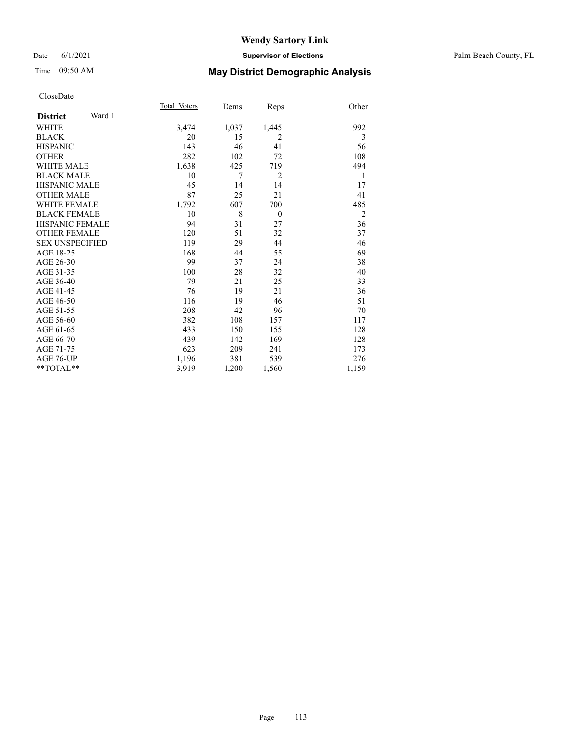### Date 6/1/2021 **Supervisor of Elections** Palm Beach County, FL

## Time 09:50 AM **May District Demographic Analysis**

|                           | Total Voters | Dems  | Reps           | Other          |
|---------------------------|--------------|-------|----------------|----------------|
| Ward 1<br><b>District</b> |              |       |                |                |
| <b>WHITE</b>              | 3,474        | 1,037 | 1,445          | 992            |
| <b>BLACK</b>              | 20           | 15    | $\overline{2}$ |                |
|                           |              |       |                | 3              |
| <b>HISPANIC</b>           | 143          | 46    | 41             | 56             |
| <b>OTHER</b>              | 282          | 102   | 72             | 108            |
| <b>WHITE MALE</b>         | 1,638        | 425   | 719            | 494            |
| <b>BLACK MALE</b>         | 10           | 7     | $\overline{2}$ | 1              |
| <b>HISPANIC MALE</b>      | 45           | 14    | 14             | 17             |
| <b>OTHER MALE</b>         | 87           | 25    | 21             | 41             |
| <b>WHITE FEMALE</b>       | 1,792        | 607   | 700            | 485            |
| <b>BLACK FEMALE</b>       | 10           | 8     | $\theta$       | $\overline{2}$ |
| <b>HISPANIC FEMALE</b>    | 94           | 31    | 27             | 36             |
| <b>OTHER FEMALE</b>       | 120          | 51    | 32             | 37             |
| <b>SEX UNSPECIFIED</b>    | 119          | 29    | 44             | 46             |
| AGE 18-25                 | 168          | 44    | 55             | 69             |
| AGE 26-30                 | 99           | 37    | 24             | 38             |
| AGE 31-35                 | 100          | 28    | 32             | 40             |
| AGE 36-40                 | 79           | 21    | 25             | 33             |
| AGE 41-45                 | 76           | 19    | 21             | 36             |
| AGE 46-50                 | 116          | 19    | 46             | 51             |
| AGE 51-55                 | 208          | 42    | 96             | 70             |
| AGE 56-60                 | 382          | 108   | 157            | 117            |
| AGE 61-65                 | 433          | 150   | 155            | 128            |
| AGE 66-70                 | 439          | 142   | 169            | 128            |
| AGE 71-75                 | 623          | 209   | 241            | 173            |
| AGE 76-UP                 | 1,196        | 381   | 539            | 276            |
| **TOTAL**                 | 3,919        | 1,200 | 1,560          | 1,159          |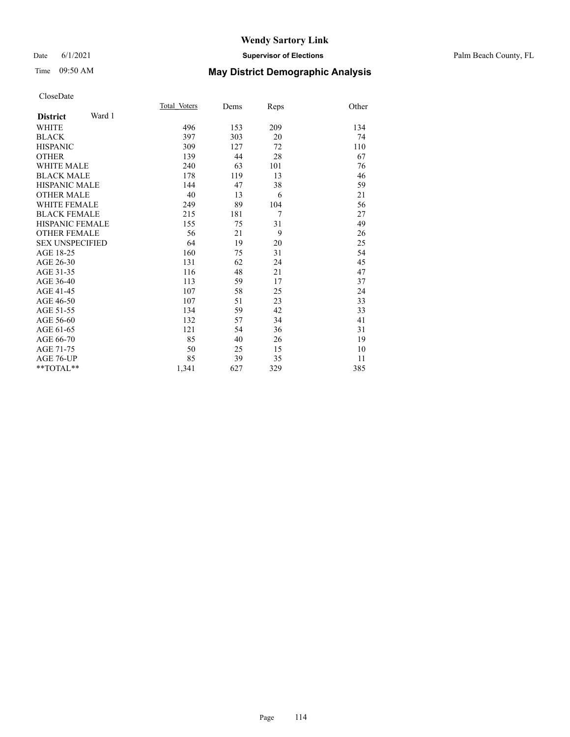### Date 6/1/2021 **Supervisor of Elections** Palm Beach County, FL

## Time 09:50 AM **May District Demographic Analysis**

|                           | Total Voters | Dems | Reps | Other |
|---------------------------|--------------|------|------|-------|
| Ward 1<br><b>District</b> |              |      |      |       |
| WHITE                     | 496          | 153  | 209  | 134   |
| <b>BLACK</b>              | 397          | 303  | 20   | 74    |
| <b>HISPANIC</b>           | 309          | 127  | 72   | 110   |
| <b>OTHER</b>              | 139          | 44   | 28   | 67    |
| <b>WHITE MALE</b>         | 240          | 63   | 101  | 76    |
| <b>BLACK MALE</b>         | 178          | 119  | 13   | 46    |
| <b>HISPANIC MALE</b>      | 144          | 47   | 38   | 59    |
| <b>OTHER MALE</b>         | 40           | 13   | 6    | 21    |
| <b>WHITE FEMALE</b>       | 249          | 89   | 104  | 56    |
| <b>BLACK FEMALE</b>       | 215          | 181  | 7    | 27    |
| HISPANIC FEMALE           | 155          | 75   | 31   | 49    |
| <b>OTHER FEMALE</b>       | 56           | 21   | 9    | 26    |
| <b>SEX UNSPECIFIED</b>    | 64           | 19   | 20   | 25    |
| AGE 18-25                 | 160          | 75   | 31   | 54    |
| AGE 26-30                 | 131          | 62   | 24   | 45    |
| AGE 31-35                 | 116          | 48   | 21   | 47    |
| AGE 36-40                 | 113          | 59   | 17   | 37    |
| AGE 41-45                 | 107          | 58   | 25   | 24    |
| AGE 46-50                 | 107          | 51   | 23   | 33    |
| AGE 51-55                 | 134          | 59   | 42   | 33    |
| AGE 56-60                 | 132          | 57   | 34   | 41    |
| AGE 61-65                 | 121          | 54   | 36   | 31    |
| AGE 66-70                 | 85           | 40   | 26   | 19    |
| AGE 71-75                 | 50           | 25   | 15   | 10    |
| AGE 76-UP                 | 85           | 39   | 35   | 11    |
| **TOTAL**                 | 1,341        | 627  | 329  | 385   |
|                           |              |      |      |       |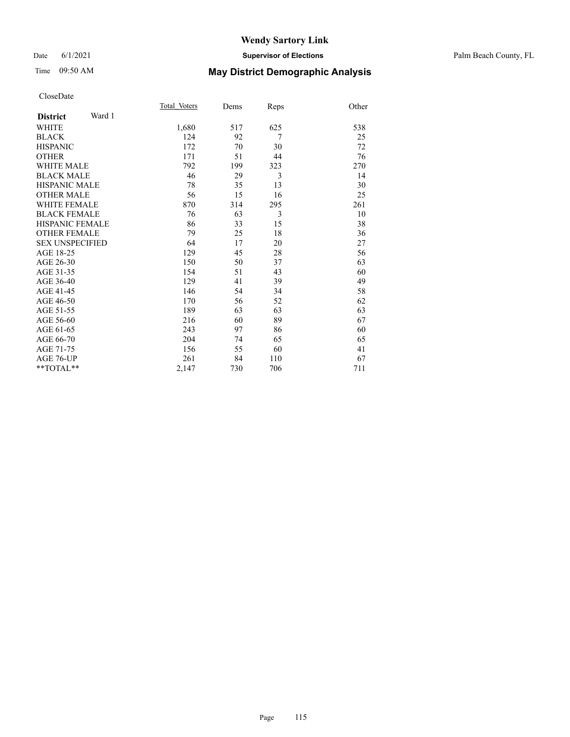## Time 09:50 AM **May District Demographic Analysis**

|                           | Total Voters | Dems | Reps | Other |
|---------------------------|--------------|------|------|-------|
| Ward 1<br><b>District</b> |              |      |      |       |
| <b>WHITE</b>              | 1,680        | 517  | 625  | 538   |
| <b>BLACK</b>              | 124          | 92   | 7    | 25    |
| <b>HISPANIC</b>           | 172          | 70   | 30   | 72    |
| <b>OTHER</b>              | 171          | 51   | 44   | 76    |
| <b>WHITE MALE</b>         | 792          | 199  | 323  | 270   |
| <b>BLACK MALE</b>         | 46           | 29   | 3    | 14    |
| <b>HISPANIC MALE</b>      | 78           | 35   | 13   | 30    |
| <b>OTHER MALE</b>         | 56           | 15   | 16   | 25    |
| <b>WHITE FEMALE</b>       | 870          | 314  | 295  | 261   |
| <b>BLACK FEMALE</b>       | 76           | 63   | 3    | 10    |
| <b>HISPANIC FEMALE</b>    | 86           | 33   | 15   | 38    |
| <b>OTHER FEMALE</b>       | 79           | 25   | 18   | 36    |
| <b>SEX UNSPECIFIED</b>    | 64           | 17   | 20   | 27    |
| AGE 18-25                 | 129          | 45   | 28   | 56    |
| AGE 26-30                 | 150          | 50   | 37   | 63    |
| AGE 31-35                 | 154          | 51   | 43   | 60    |
| AGE 36-40                 | 129          | 41   | 39   | 49    |
| AGE 41-45                 | 146          | 54   | 34   | 58    |
| AGE 46-50                 | 170          | 56   | 52   | 62    |
| AGE 51-55                 | 189          | 63   | 63   | 63    |
| AGE 56-60                 | 216          | 60   | 89   | 67    |
| AGE 61-65                 | 243          | 97   | 86   | 60    |
| AGE 66-70                 | 204          | 74   | 65   | 65    |
| AGE 71-75                 | 156          | 55   | 60   | 41    |
| AGE 76-UP                 | 261          | 84   | 110  | 67    |
| $*$ $TOTAL**$             | 2,147        | 730  | 706  | 711   |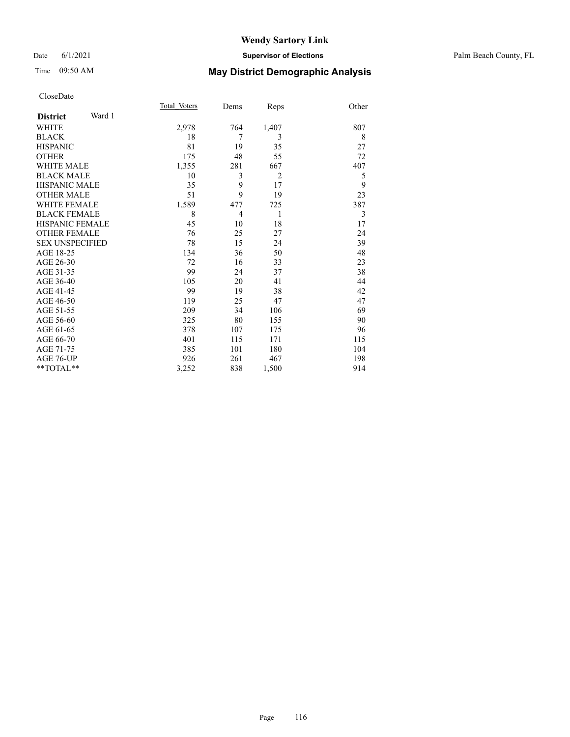### Date 6/1/2021 **Supervisor of Elections** Palm Beach County, FL

## Time 09:50 AM **May District Demographic Analysis**

| Total Voters<br>Dems<br>764<br>7<br>19 | Reps<br>1,407<br>3<br>35 | Other<br>807<br>8 |
|----------------------------------------|--------------------------|-------------------|
|                                        |                          |                   |
|                                        |                          |                   |
|                                        |                          |                   |
|                                        |                          |                   |
|                                        |                          | 27                |
| 48                                     | 55                       | 72                |
| 281                                    | 667                      | 407               |
| 3                                      | $\overline{2}$           | 5                 |
| 9                                      | 17                       | 9                 |
| 9                                      | 19                       | 23                |
| 477                                    | 725                      | 387               |
| 4                                      | 1                        | 3                 |
| 10                                     | 18                       | 17                |
| 25                                     | 27                       | 24                |
| 15                                     | 24                       | 39                |
| 36                                     | 50                       | 48                |
| 16                                     | 33                       | 23                |
| 24                                     | 37                       | 38                |
| 20                                     | 41                       | 44                |
| 19                                     | 38                       | 42                |
| 25                                     | 47                       | 47                |
| 34                                     | 106                      | 69                |
| 80                                     | 155                      | 90                |
| 107                                    | 175                      | 96                |
| 115                                    | 171                      | 115               |
| 101                                    | 180                      | 104               |
| 261                                    | 467                      | 198               |
|                                        |                          | 914               |
|                                        |                          | 838<br>1,500      |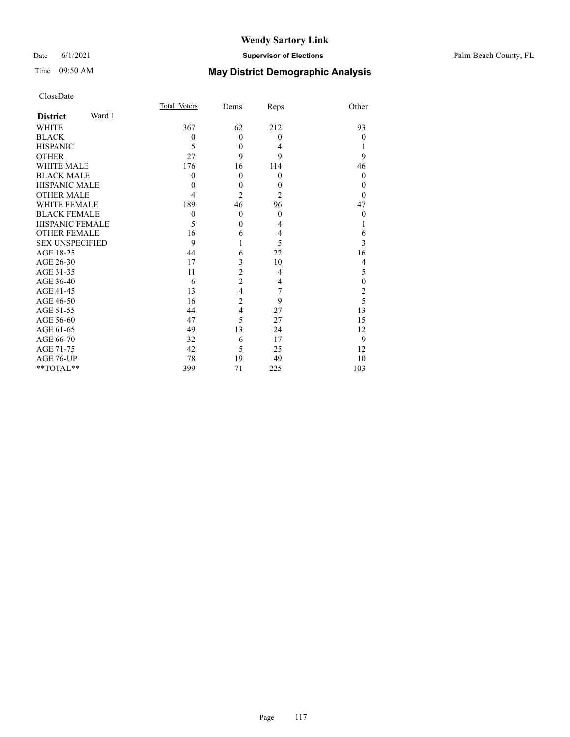### Date 6/1/2021 **Supervisor of Elections** Palm Beach County, FL

## Time 09:50 AM **May District Demographic Analysis**

| CloseDate              |        |              |                  |                  |                  |
|------------------------|--------|--------------|------------------|------------------|------------------|
|                        |        | Total Voters | Dems             | Reps             | Other            |
| <b>District</b>        | Ward 1 |              |                  |                  |                  |
| WHITE                  |        | 367          | 62               | 212              | 93               |
| <b>BLACK</b>           |        | $\theta$     | $\mathbf{0}$     | $\theta$         | $\theta$         |
| <b>HISPANIC</b>        |        | 5            | $\mathbf{0}$     | 4                | 1                |
| <b>OTHER</b>           |        | 27           | 9                | 9                | 9                |
| <b>WHITE MALE</b>      |        | 176          | 16               | 114              | 46               |
| <b>BLACK MALE</b>      |        | $\theta$     | $\mathbf{0}$     | $\theta$         | $\theta$         |
| <b>HISPANIC MALE</b>   |        | $\theta$     | $\boldsymbol{0}$ | $\boldsymbol{0}$ | $\theta$         |
| <b>OTHER MALE</b>      |        | 4            | $\overline{2}$   | 2                | $\theta$         |
| <b>WHITE FEMALE</b>    |        | 189          | 46               | 96               | 47               |
| <b>BLACK FEMALE</b>    |        | $\theta$     | $\mathbf{0}$     | $\theta$         | $\theta$         |
| <b>HISPANIC FEMALE</b> |        | 5            | $\mathbf{0}$     | 4                | 1                |
| <b>OTHER FEMALE</b>    |        | 16           | 6                | $\overline{4}$   | 6                |
| <b>SEX UNSPECIFIED</b> |        | 9            | 1                | 5                | 3                |
| AGE 18-25              |        | 44           | 6                | 22               | 16               |
| AGE 26-30              |        | 17           | 3                | 10               | $\overline{4}$   |
| AGE 31-35              |        | 11           | $\overline{c}$   | $\overline{4}$   | 5                |
| AGE 36-40              |        | 6            | $\overline{c}$   | 4                | $\boldsymbol{0}$ |
| AGE 41-45              |        | 13           | $\overline{4}$   | 7                | $rac{2}{5}$      |
| AGE 46-50              |        | 16           | $\overline{c}$   | 9                |                  |
| AGE 51-55              |        | 44           | $\overline{4}$   | 27               | 13               |
| AGE 56-60              |        | 47           | 5                | 27               | 15               |
| AGE 61-65              |        | 49           | 13               | 24               | 12               |
| AGE 66-70              |        | 32           | 6                | 17               | 9                |
| AGE 71-75              |        | 42           | 5                | 25               | 12               |
| AGE 76-UP              |        | 78           | 19               | 49               | 10               |
| **TOTAL**              |        | 399          | 71               | 225              | 103              |
|                        |        |              |                  |                  |                  |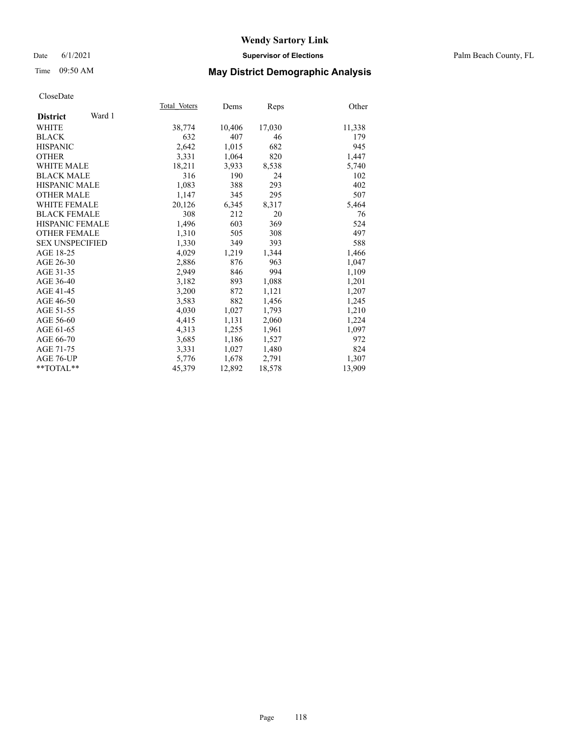### Date 6/1/2021 **Supervisor of Elections** Palm Beach County, FL

## Time 09:50 AM **May District Demographic Analysis**

| Total Voters | Dems   | Reps   | Other  |
|--------------|--------|--------|--------|
|              |        |        |        |
| 38,774       | 10,406 | 17,030 | 11,338 |
| 632          | 407    | 46     | 179    |
| 2,642        | 1,015  | 682    | 945    |
| 3,331        | 1,064  | 820    | 1,447  |
| 18,211       | 3,933  | 8,538  | 5,740  |
| 316          | 190    | 24     | 102    |
| 1,083        | 388    | 293    | 402    |
| 1,147        | 345    | 295    | 507    |
| 20,126       | 6,345  | 8,317  | 5,464  |
| 308          | 212    | 20     | 76     |
| 1,496        | 603    | 369    | 524    |
| 1,310        | 505    | 308    | 497    |
| 1,330        | 349    | 393    | 588    |
| 4,029        | 1,219  | 1,344  | 1,466  |
| 2,886        | 876    | 963    | 1,047  |
| 2,949        | 846    | 994    | 1,109  |
| 3,182        | 893    | 1,088  | 1,201  |
| 3,200        | 872    | 1,121  | 1,207  |
| 3,583        | 882    | 1,456  | 1,245  |
| 4,030        | 1,027  | 1,793  | 1,210  |
| 4,415        | 1,131  | 2,060  | 1,224  |
| 4,313        | 1,255  | 1,961  | 1,097  |
| 3,685        | 1,186  | 1,527  | 972    |
| 3,331        | 1,027  | 1,480  | 824    |
| 5,776        | 1,678  | 2,791  | 1,307  |
| 45,379       | 12,892 | 18,578 | 13,909 |
|              |        |        |        |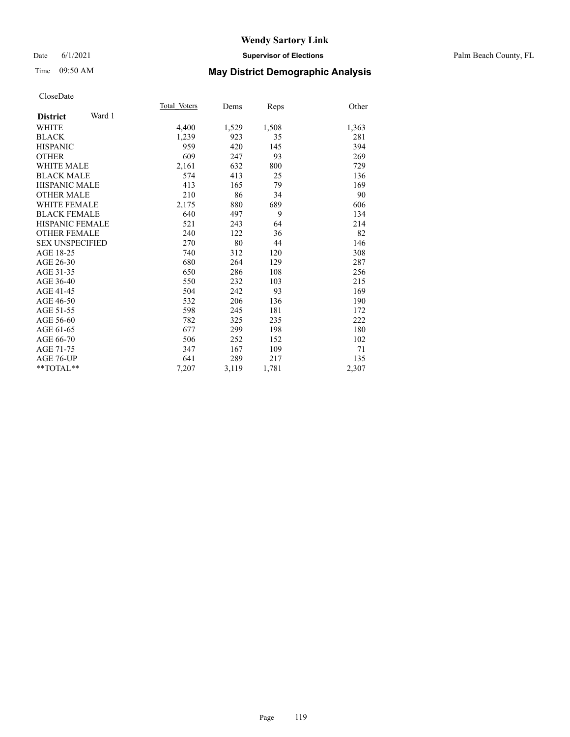### Date 6/1/2021 **Supervisor of Elections** Palm Beach County, FL

## Time 09:50 AM **May District Demographic Analysis**

| Total Voters | Dems  | Reps  | Other |
|--------------|-------|-------|-------|
|              |       |       |       |
| 4,400        | 1,529 | 1,508 | 1,363 |
| 1,239        | 923   | 35    | 281   |
| 959          | 420   | 145   | 394   |
| 609          | 247   | 93    | 269   |
| 2,161        | 632   | 800   | 729   |
| 574          | 413   | 25    | 136   |
| 413          | 165   | 79    | 169   |
| 210          | 86    | 34    | 90    |
| 2,175        | 880   | 689   | 606   |
| 640          | 497   | 9     | 134   |
| 521          | 243   | 64    | 214   |
| 240          | 122   | 36    | 82    |
| 270          | 80    | 44    | 146   |
| 740          | 312   | 120   | 308   |
| 680          | 264   | 129   | 287   |
| 650          | 286   | 108   | 256   |
| 550          | 232   | 103   | 215   |
| 504          | 242   | 93    | 169   |
| 532          | 206   | 136   | 190   |
| 598          | 245   | 181   | 172   |
| 782          | 325   | 235   | 222   |
| 677          | 299   | 198   | 180   |
| 506          | 252   | 152   | 102   |
| 347          | 167   | 109   | 71    |
| 641          | 289   | 217   | 135   |
| 7,207        | 3,119 | 1,781 | 2,307 |
|              |       |       |       |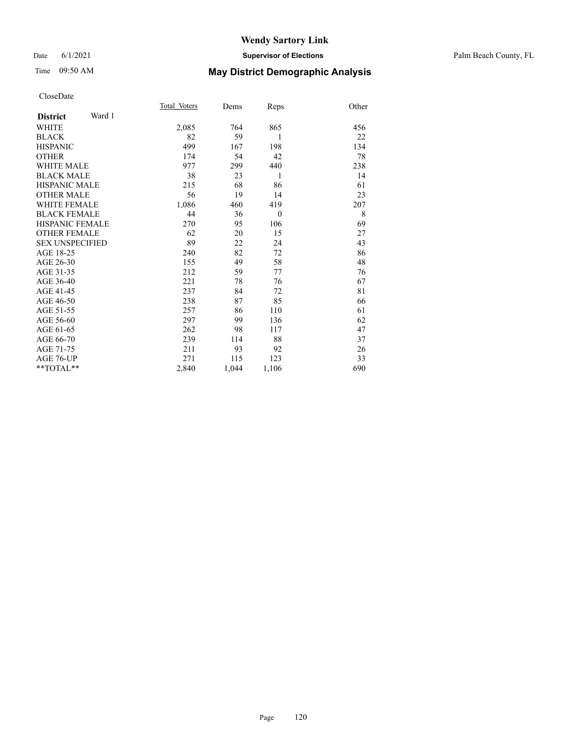### Date 6/1/2021 **Supervisor of Elections** Palm Beach County, FL

## Time 09:50 AM **May District Demographic Analysis**

|                           | Total Voters | Dems  | Reps     | Other |
|---------------------------|--------------|-------|----------|-------|
| Ward 1<br><b>District</b> |              |       |          |       |
| <b>WHITE</b>              | 2,085        | 764   | 865      | 456   |
| <b>BLACK</b>              | 82           | 59    | 1        | 22    |
| <b>HISPANIC</b>           | 499          | 167   | 198      | 134   |
| <b>OTHER</b>              | 174          | 54    | 42       | 78    |
| WHITE MALE                | 977          | 299   | 440      | 238   |
| <b>BLACK MALE</b>         | 38           | 23    | 1        | 14    |
| <b>HISPANIC MALE</b>      | 215          | 68    | 86       | 61    |
| <b>OTHER MALE</b>         | 56           | 19    | 14       | 23    |
| WHITE FEMALE              | 1,086        | 460   | 419      | 207   |
| <b>BLACK FEMALE</b>       | 44           | 36    | $\theta$ | 8     |
| <b>HISPANIC FEMALE</b>    | 270          | 95    | 106      | 69    |
| <b>OTHER FEMALE</b>       | 62           | 20    | 15       | 27    |
| <b>SEX UNSPECIFIED</b>    | 89           | 22    | 24       | 43    |
| AGE 18-25                 | 240          | 82    | 72       | 86    |
| AGE 26-30                 | 155          | 49    | 58       | 48    |
| AGE 31-35                 | 212          | 59    | 77       | 76    |
| AGE 36-40                 | 221          | 78    | 76       | 67    |
| AGE 41-45                 | 237          | 84    | 72       | 81    |
| AGE 46-50                 | 238          | 87    | 85       | 66    |
| AGE 51-55                 | 257          | 86    | 110      | 61    |
| AGE 56-60                 | 297          | 99    | 136      | 62    |
| AGE 61-65                 | 262          | 98    | 117      | 47    |
| AGE 66-70                 | 239          | 114   | 88       | 37    |
| AGE 71-75                 | 211          | 93    | 92       | 26    |
| AGE 76-UP                 | 271          | 115   | 123      | 33    |
| $*$ $TOTAL**$             | 2,840        | 1,044 | 1,106    | 690   |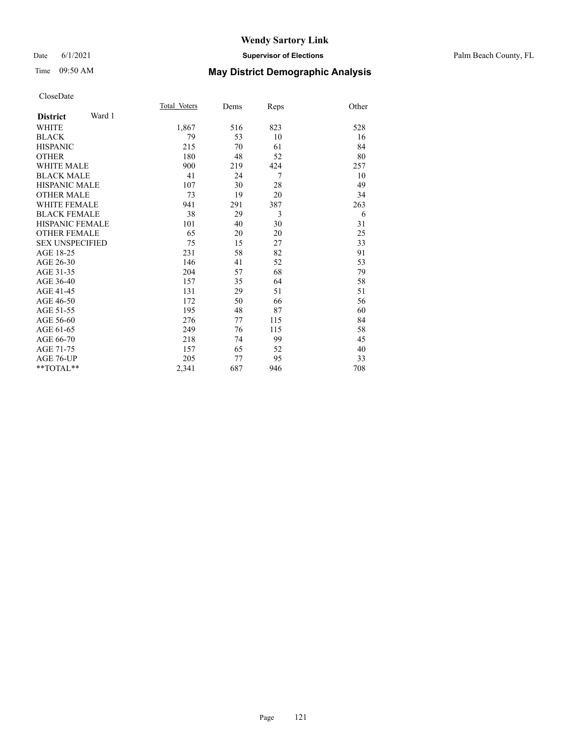### Date 6/1/2021 **Supervisor of Elections** Palm Beach County, FL

## Time 09:50 AM **May District Demographic Analysis**

|                           | Total Voters | Dems | Reps | Other |
|---------------------------|--------------|------|------|-------|
| Ward 1<br><b>District</b> |              |      |      |       |
| <b>WHITE</b>              | 1,867        | 516  | 823  | 528   |
| <b>BLACK</b>              | 79           | 53   | 10   | 16    |
| <b>HISPANIC</b>           | 215          | 70   | 61   | 84    |
| <b>OTHER</b>              | 180          | 48   | 52   | 80    |
| <b>WHITE MALE</b>         | 900          | 219  | 424  | 257   |
| <b>BLACK MALE</b>         | 41           | 24   | 7    | 10    |
| <b>HISPANIC MALE</b>      | 107          | 30   | 28   | 49    |
| <b>OTHER MALE</b>         | 73           | 19   | 20   | 34    |
| <b>WHITE FEMALE</b>       | 941          | 291  | 387  | 263   |
| <b>BLACK FEMALE</b>       | 38           | 29   | 3    | 6     |
| HISPANIC FEMALE           | 101          | 40   | 30   | 31    |
| <b>OTHER FEMALE</b>       | 65           | 20   | 20   | 25    |
| <b>SEX UNSPECIFIED</b>    | 75           | 15   | 27   | 33    |
| AGE 18-25                 | 231          | 58   | 82   | 91    |
| AGE 26-30                 | 146          | 41   | 52   | 53    |
| AGE 31-35                 | 204          | 57   | 68   | 79    |
| AGE 36-40                 | 157          | 35   | 64   | 58    |
| AGE 41-45                 | 131          | 29   | 51   | 51    |
| AGE 46-50                 | 172          | 50   | 66   | 56    |
| AGE 51-55                 | 195          | 48   | 87   | 60    |
| AGE 56-60                 | 276          | 77   | 115  | 84    |
| AGE 61-65                 | 249          | 76   | 115  | 58    |
| AGE 66-70                 | 218          | 74   | 99   | 45    |
| AGE 71-75                 | 157          | 65   | 52   | 40    |
| AGE 76-UP                 | 205          | 77   | 95   | 33    |
| $*$ $TOTAL**$             | 2,341        | 687  | 946  | 708   |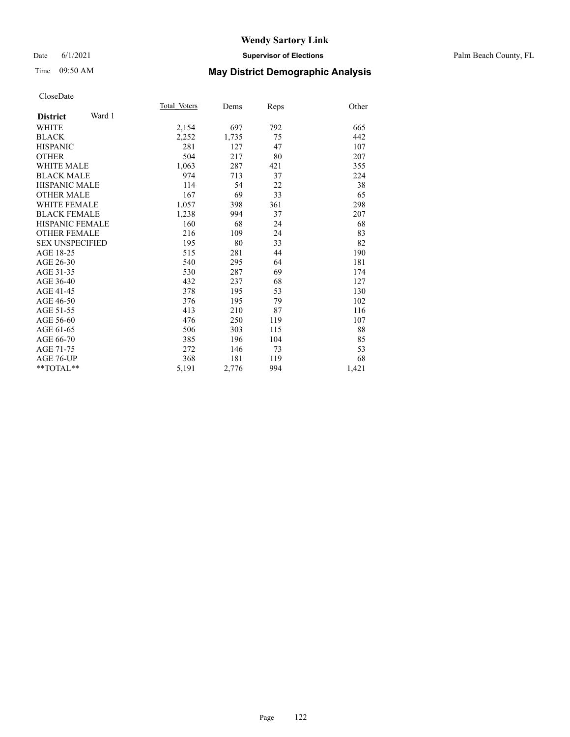### Date 6/1/2021 **Supervisor of Elections** Palm Beach County, FL

## Time 09:50 AM **May District Demographic Analysis**

|                           | Total Voters | Dems  | Reps | Other |
|---------------------------|--------------|-------|------|-------|
| Ward 1<br><b>District</b> |              |       |      |       |
| <b>WHITE</b>              | 2,154        | 697   | 792  | 665   |
| <b>BLACK</b>              | 2,252        | 1,735 | 75   | 442   |
| <b>HISPANIC</b>           | 281          | 127   | 47   | 107   |
| <b>OTHER</b>              | 504          | 217   | 80   | 207   |
| WHITE MALE                | 1,063        | 287   | 421  | 355   |
| <b>BLACK MALE</b>         | 974          | 713   | 37   | 224   |
| <b>HISPANIC MALE</b>      | 114          | 54    | 22   | 38    |
| <b>OTHER MALE</b>         | 167          | 69    | 33   | 65    |
| WHITE FEMALE              | 1,057        | 398   | 361  | 298   |
| <b>BLACK FEMALE</b>       | 1,238        | 994   | 37   | 207   |
| <b>HISPANIC FEMALE</b>    | 160          | 68    | 24   | 68    |
| <b>OTHER FEMALE</b>       | 216          | 109   | 24   | 83    |
| <b>SEX UNSPECIFIED</b>    | 195          | 80    | 33   | 82    |
| AGE 18-25                 | 515          | 281   | 44   | 190   |
| AGE 26-30                 | 540          | 295   | 64   | 181   |
| AGE 31-35                 | 530          | 287   | 69   | 174   |
| AGE 36-40                 | 432          | 237   | 68   | 127   |
| AGE 41-45                 | 378          | 195   | 53   | 130   |
| AGE 46-50                 | 376          | 195   | 79   | 102   |
| AGE 51-55                 | 413          | 210   | 87   | 116   |
| AGE 56-60                 | 476          | 250   | 119  | 107   |
| AGE 61-65                 | 506          | 303   | 115  | 88    |
| AGE 66-70                 | 385          | 196   | 104  | 85    |
| AGE 71-75                 | 272          | 146   | 73   | 53    |
| AGE 76-UP                 | 368          | 181   | 119  | 68    |
| $*$ $*$ TOTAL $*$ $*$     | 5,191        | 2,776 | 994  | 1,421 |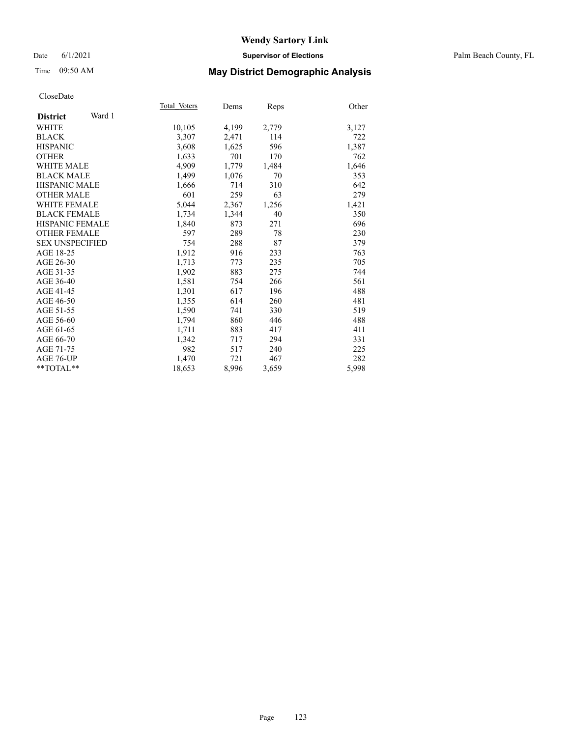### Date 6/1/2021 **Supervisor of Elections** Palm Beach County, FL

## Time 09:50 AM **May District Demographic Analysis**

|                           | Total Voters | Dems  | <b>Reps</b> | Other |
|---------------------------|--------------|-------|-------------|-------|
| Ward 1<br><b>District</b> |              |       |             |       |
| <b>WHITE</b>              | 10,105       | 4,199 | 2,779       | 3,127 |
| <b>BLACK</b>              | 3,307        | 2,471 | 114         | 722   |
| <b>HISPANIC</b>           | 3,608        | 1,625 | 596         | 1,387 |
| <b>OTHER</b>              | 1,633        | 701   | 170         | 762   |
| WHITE MALE                | 4,909        | 1,779 | 1,484       | 1,646 |
| <b>BLACK MALE</b>         | 1,499        | 1,076 | 70          | 353   |
| <b>HISPANIC MALE</b>      | 1,666        | 714   | 310         | 642   |
| <b>OTHER MALE</b>         | 601          | 259   | 63          | 279   |
| <b>WHITE FEMALE</b>       | 5,044        | 2,367 | 1,256       | 1,421 |
| <b>BLACK FEMALE</b>       | 1,734        | 1,344 | 40          | 350   |
| <b>HISPANIC FEMALE</b>    | 1,840        | 873   | 271         | 696   |
| <b>OTHER FEMALE</b>       | 597          | 289   | 78          | 230   |
| <b>SEX UNSPECIFIED</b>    | 754          | 288   | 87          | 379   |
| AGE 18-25                 | 1,912        | 916   | 233         | 763   |
| AGE 26-30                 | 1,713        | 773   | 235         | 705   |
| AGE 31-35                 | 1,902        | 883   | 275         | 744   |
| AGE 36-40                 | 1,581        | 754   | 266         | 561   |
| AGE 41-45                 | 1,301        | 617   | 196         | 488   |
| AGE 46-50                 | 1,355        | 614   | 260         | 481   |
| AGE 51-55                 | 1,590        | 741   | 330         | 519   |
| AGE 56-60                 | 1,794        | 860   | 446         | 488   |
| AGE 61-65                 | 1,711        | 883   | 417         | 411   |
| AGE 66-70                 | 1.342        | 717   | 294         | 331   |
| AGE 71-75                 | 982          | 517   | 240         | 225   |
| AGE 76-UP                 | 1.470        | 721   | 467         | 282   |
| $*$ $TOTAL**$             | 18,653       | 8,996 | 3,659       | 5,998 |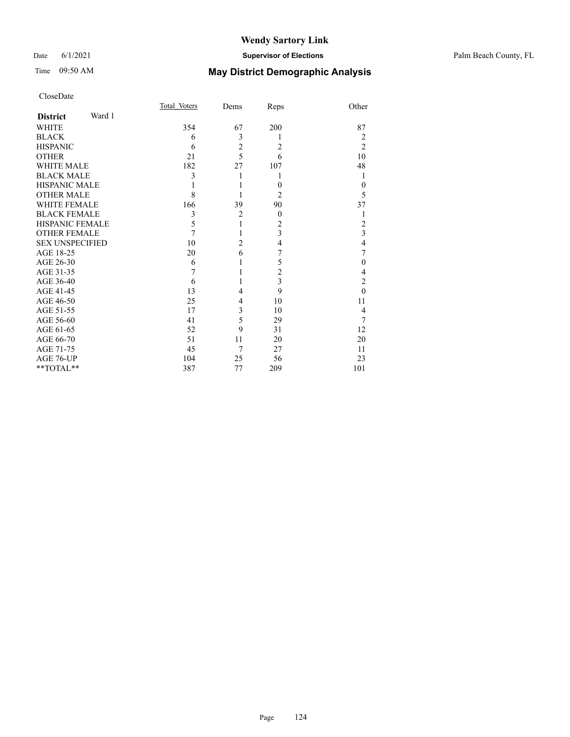## Time 09:50 AM **May District Demographic Analysis**

| CloseDate |
|-----------|
|-----------|

|                        |        | Total Voters | Dems           | Reps           | Other          |
|------------------------|--------|--------------|----------------|----------------|----------------|
| <b>District</b>        | Ward 1 |              |                |                |                |
| <b>WHITE</b>           |        | 354          | 67             | 200            | 87             |
| <b>BLACK</b>           |        | 6            | 3              | 1              | 2              |
| <b>HISPANIC</b>        |        | 6            | $\overline{c}$ | $\overline{c}$ | $\overline{2}$ |
| <b>OTHER</b>           |        | 21           | $\overline{5}$ | 6              | 10             |
| <b>WHITE MALE</b>      |        | 182          | 27             | 107            | 48             |
| <b>BLACK MALE</b>      |        | 3            | 1              | 1              | 1              |
| <b>HISPANIC MALE</b>   |        |              | 1              | $\theta$       | $\theta$       |
| <b>OTHER MALE</b>      |        | 8            |                | $\overline{2}$ | 5              |
| <b>WHITE FEMALE</b>    |        | 166          | 39             | 90             | 37             |
| <b>BLACK FEMALE</b>    |        | 3            | $\overline{2}$ | $\overline{0}$ | 1              |
| <b>HISPANIC FEMALE</b> |        | 5            | 1              | $\overline{c}$ | 2              |
| <b>OTHER FEMALE</b>    |        | 7            | 1              | 3              | 3              |
| <b>SEX UNSPECIFIED</b> |        | 10           | $\overline{2}$ | 4              | $\overline{4}$ |
| AGE 18-25              |        | 20           | 6              | 7              | 7              |
| AGE 26-30              |        | 6            | 1              | 5              | $\theta$       |
| AGE 31-35              |        | 7            | 1              | $\overline{c}$ | 4              |
| AGE 36-40              |        | 6            | 1              | 3              | $\overline{2}$ |
| AGE 41-45              |        | 13           | 4              | 9              | $\theta$       |
| AGE 46-50              |        | 25           | 4              | 10             | 11             |
| AGE 51-55              |        | 17           | 3              | 10             | 4              |
| AGE 56-60              |        | 41           | 5              | 29             | 7              |
| AGE 61-65              |        | 52           | 9              | 31             | 12             |
| AGE 66-70              |        | 51           | 11             | 20             | 20             |
| AGE 71-75              |        | 45           | 7              | 27             | 11             |
| AGE 76-UP              |        | 104          | 25             | 56             | 23             |
| **TOTAL**              |        | 387          | 77             | 209            | 101            |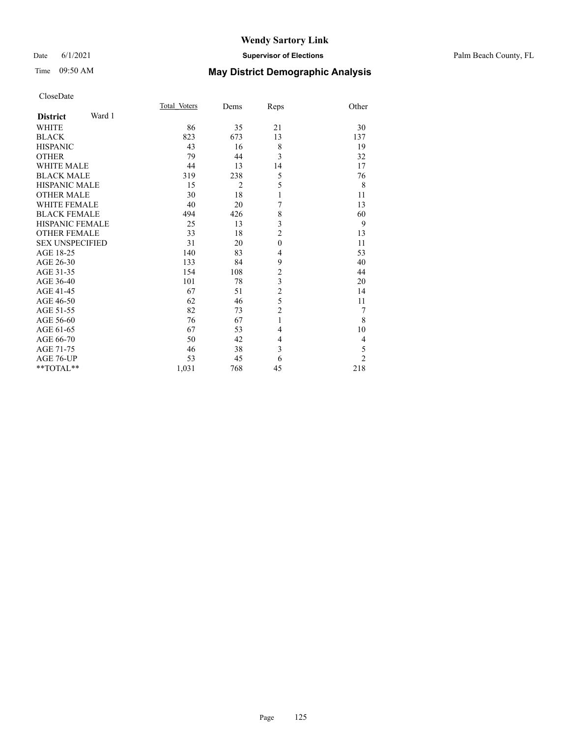## Time 09:50 AM **May District Demographic Analysis**

|                        |        | Total Voters | Dems           | Reps           | Other          |
|------------------------|--------|--------------|----------------|----------------|----------------|
| <b>District</b>        | Ward 1 |              |                |                |                |
| <b>WHITE</b>           |        | 86           | 35             | 21             | 30             |
| <b>BLACK</b>           |        | 823          | 673            | 13             | 137            |
| <b>HISPANIC</b>        |        | 43           | 16             | 8              | 19             |
| <b>OTHER</b>           |        | 79           | 44             | 3              | 32             |
| <b>WHITE MALE</b>      |        | 44           | 13             | 14             | 17             |
| <b>BLACK MALE</b>      |        | 319          | 238            | 5              | 76             |
| <b>HISPANIC MALE</b>   |        | 15           | $\overline{2}$ | 5              | 8              |
| <b>OTHER MALE</b>      |        | 30           | 18             | 1              | 11             |
| <b>WHITE FEMALE</b>    |        | 40           | 20             | 7              | 13             |
| <b>BLACK FEMALE</b>    |        | 494          | 426            | 8              | 60             |
| <b>HISPANIC FEMALE</b> |        | 25           | 13             | 3              | 9              |
| <b>OTHER FEMALE</b>    |        | 33           | 18             | $\overline{c}$ | 13             |
| <b>SEX UNSPECIFIED</b> |        | 31           | 20             | $\mathbf{0}$   | 11             |
| AGE 18-25              |        | 140          | 83             | $\overline{4}$ | 53             |
| AGE 26-30              |        | 133          | 84             | 9              | 40             |
| AGE 31-35              |        | 154          | 108            | $\overline{c}$ | 44             |
| AGE 36-40              |        | 101          | 78             | 3              | 20             |
| AGE 41-45              |        | 67           | 51             | $\overline{c}$ | 14             |
| AGE 46-50              |        | 62           | 46             | 5              | 11             |
| AGE 51-55              |        | 82           | 73             | $\overline{2}$ | 7              |
| AGE 56-60              |        | 76           | 67             | 1              | 8              |
| AGE 61-65              |        | 67           | 53             | $\overline{4}$ | 10             |
| AGE 66-70              |        | 50           | 42             | 4              | 4              |
| AGE 71-75              |        | 46           | 38             | 3              | 5              |
| AGE 76-UP              |        | 53           | 45             | 6              | $\overline{2}$ |
| $*$ $TOTAL**$          |        | 1,031        | 768            | 45             | 218            |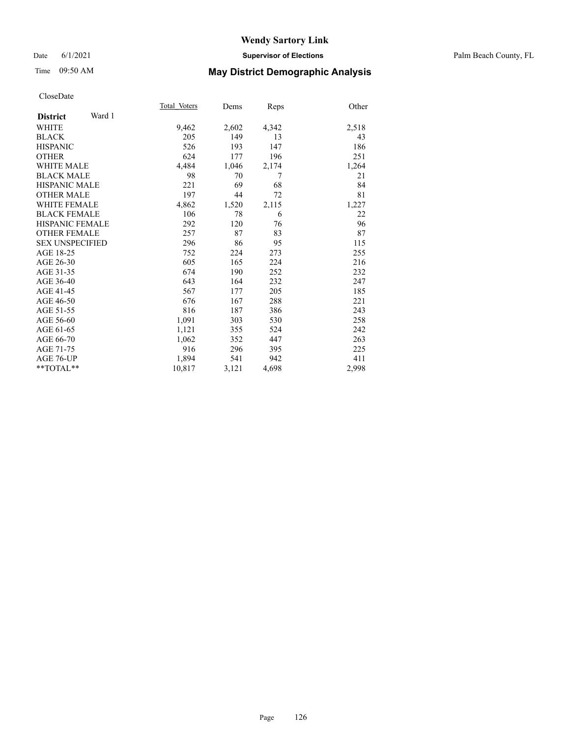### Date 6/1/2021 **Supervisor of Elections** Palm Beach County, FL

## Time 09:50 AM **May District Demographic Analysis**

|                           | Total Voters | Dems  | <u>Reps</u> | Other |
|---------------------------|--------------|-------|-------------|-------|
| Ward 1<br><b>District</b> |              |       |             |       |
| <b>WHITE</b>              | 9,462        | 2,602 | 4,342       | 2,518 |
| <b>BLACK</b>              | 205          | 149   | 13          | 43    |
| <b>HISPANIC</b>           | 526          | 193   | 147         | 186   |
| <b>OTHER</b>              | 624          | 177   | 196         | 251   |
| <b>WHITE MALE</b>         | 4,484        | 1,046 | 2,174       | 1,264 |
| <b>BLACK MALE</b>         | 98           | 70    | 7           | 21    |
| <b>HISPANIC MALE</b>      | 221          | 69    | 68          | 84    |
| <b>OTHER MALE</b>         | 197          | 44    | 72          | 81    |
| <b>WHITE FEMALE</b>       | 4,862        | 1,520 | 2,115       | 1,227 |
| <b>BLACK FEMALE</b>       | 106          | 78    | 6           | 22    |
| <b>HISPANIC FEMALE</b>    | 292          | 120   | 76          | 96    |
| <b>OTHER FEMALE</b>       | 257          | 87    | 83          | 87    |
| <b>SEX UNSPECIFIED</b>    | 296          | 86    | 95          | 115   |
| AGE 18-25                 | 752          | 224   | 273         | 255   |
| AGE 26-30                 | 605          | 165   | 224         | 216   |
| AGE 31-35                 | 674          | 190   | 252         | 232   |
| AGE 36-40                 | 643          | 164   | 232         | 247   |
| AGE 41-45                 | 567          | 177   | 205         | 185   |
| AGE 46-50                 | 676          | 167   | 288         | 221   |
| AGE 51-55                 | 816          | 187   | 386         | 243   |
| AGE 56-60                 | 1,091        | 303   | 530         | 258   |
| AGE 61-65                 | 1,121        | 355   | 524         | 242   |
| AGE 66-70                 | 1,062        | 352   | 447         | 263   |
| AGE 71-75                 | 916          | 296   | 395         | 225   |
| AGE 76-UP                 | 1,894        | 541   | 942         | 411   |
| $*$ $TOTAL**$             | 10,817       | 3,121 | 4,698       | 2,998 |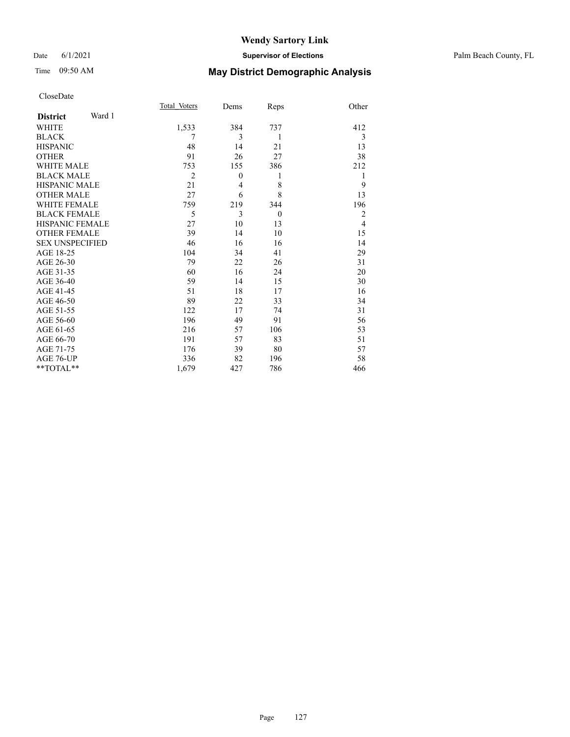## Time 09:50 AM **May District Demographic Analysis**

|                        |        | Total Voters   | Dems           | Reps     | Other          |
|------------------------|--------|----------------|----------------|----------|----------------|
| <b>District</b>        | Ward 1 |                |                |          |                |
| <b>WHITE</b>           |        | 1,533          | 384            | 737      | 412            |
| <b>BLACK</b>           |        | 7              | 3              | 1        | 3              |
| <b>HISPANIC</b>        |        | 48             | 14             | 21       | 13             |
| <b>OTHER</b>           |        | 91             | 26             | 27       | 38             |
| <b>WHITE MALE</b>      |        | 753            | 155            | 386      | 212            |
| <b>BLACK MALE</b>      |        | $\overline{2}$ | $\theta$       | 1        | 1              |
| <b>HISPANIC MALE</b>   |        | 21             | $\overline{4}$ | 8        | 9              |
| <b>OTHER MALE</b>      |        | 27             | 6              | 8        | 13             |
| <b>WHITE FEMALE</b>    |        | 759            | 219            | 344      | 196            |
| <b>BLACK FEMALE</b>    |        | 5              | 3              | $\theta$ | $\overline{2}$ |
| <b>HISPANIC FEMALE</b> |        | 27             | 10             | 13       | $\overline{4}$ |
| <b>OTHER FEMALE</b>    |        | 39             | 14             | 10       | 15             |
| <b>SEX UNSPECIFIED</b> |        | 46             | 16             | 16       | 14             |
| AGE 18-25              |        | 104            | 34             | 41       | 29             |
| AGE 26-30              |        | 79             | 22             | 26       | 31             |
| AGE 31-35              |        | 60             | 16             | 24       | 20             |
| AGE 36-40              |        | 59             | 14             | 15       | 30             |
| AGE 41-45              |        | 51             | 18             | 17       | 16             |
| AGE 46-50              |        | 89             | 22             | 33       | 34             |
| AGE 51-55              |        | 122            | 17             | 74       | 31             |
| AGE 56-60              |        | 196            | 49             | 91       | 56             |
| AGE 61-65              |        | 216            | 57             | 106      | 53             |
| AGE 66-70              |        | 191            | 57             | 83       | 51             |
| AGE 71-75              |        | 176            | 39             | 80       | 57             |
| AGE 76-UP              |        | 336            | 82             | 196      | 58             |
| $*$ $TOTAL**$          |        | 1,679          | 427            | 786      | 466            |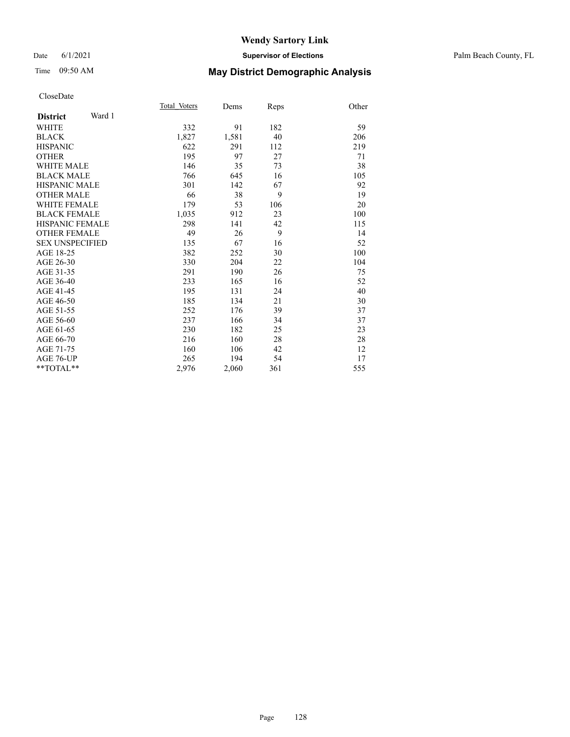### Date 6/1/2021 **Supervisor of Elections** Palm Beach County, FL

## Time 09:50 AM **May District Demographic Analysis**

|                           | Total Voters | Dems  | Reps | Other |
|---------------------------|--------------|-------|------|-------|
| Ward 1<br><b>District</b> |              |       |      |       |
| <b>WHITE</b>              | 332          | 91    | 182  | 59    |
| <b>BLACK</b>              | 1,827        | 1,581 | 40   | 206   |
| <b>HISPANIC</b>           | 622          | 291   | 112  | 219   |
| <b>OTHER</b>              | 195          | 97    | 27   | 71    |
| <b>WHITE MALE</b>         | 146          | 35    | 73   | 38    |
| <b>BLACK MALE</b>         | 766          | 645   | 16   | 105   |
| <b>HISPANIC MALE</b>      | 301          | 142   | 67   | 92    |
| <b>OTHER MALE</b>         | 66           | 38    | 9    | 19    |
| <b>WHITE FEMALE</b>       | 179          | 53    | 106  | 20    |
| <b>BLACK FEMALE</b>       | 1,035        | 912   | 23   | 100   |
| <b>HISPANIC FEMALE</b>    | 298          | 141   | 42   | 115   |
| <b>OTHER FEMALE</b>       | 49           | 26    | 9    | 14    |
| <b>SEX UNSPECIFIED</b>    | 135          | 67    | 16   | 52    |
| AGE 18-25                 | 382          | 252   | 30   | 100   |
| AGE 26-30                 | 330          | 204   | 22   | 104   |
| AGE 31-35                 | 291          | 190   | 26   | 75    |
| AGE 36-40                 | 233          | 165   | 16   | 52    |
| AGE 41-45                 | 195          | 131   | 24   | 40    |
| AGE 46-50                 | 185          | 134   | 21   | 30    |
| AGE 51-55                 | 252          | 176   | 39   | 37    |
| AGE 56-60                 | 237          | 166   | 34   | 37    |
| AGE 61-65                 | 230          | 182   | 25   | 23    |
| AGE 66-70                 | 216          | 160   | 28   | 28    |
| AGE 71-75                 | 160          | 106   | 42   | 12    |
| AGE 76-UP                 | 265          | 194   | 54   | 17    |
| $*$ $TOTAL**$             | 2,976        | 2,060 | 361  | 555   |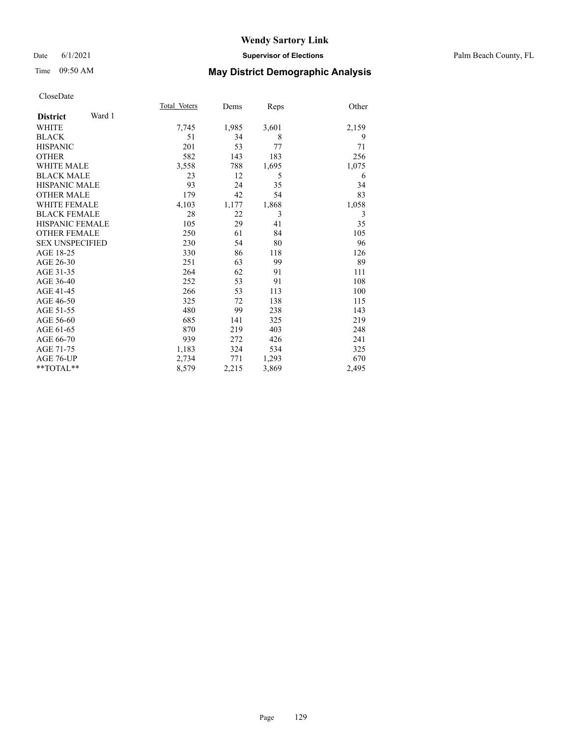### Date 6/1/2021 **Supervisor of Elections** Palm Beach County, FL

## Time 09:50 AM **May District Demographic Analysis**

|                           | Total Voters | Dems  | Reps  | Other |
|---------------------------|--------------|-------|-------|-------|
| Ward 1<br><b>District</b> |              |       |       |       |
| WHITE                     | 7,745        | 1,985 | 3,601 | 2,159 |
| <b>BLACK</b>              | 51           | 34    | 8     | 9     |
| <b>HISPANIC</b>           | 201          | 53    | 77    | 71    |
| <b>OTHER</b>              | 582          | 143   | 183   | 256   |
| <b>WHITE MALE</b>         | 3,558        | 788   | 1,695 | 1,075 |
| <b>BLACK MALE</b>         | 23           | 12    | 5     | 6     |
| <b>HISPANIC MALE</b>      | 93           | 24    | 35    | 34    |
| <b>OTHER MALE</b>         | 179          | 42    | 54    | 83    |
| <b>WHITE FEMALE</b>       | 4,103        | 1,177 | 1,868 | 1,058 |
| <b>BLACK FEMALE</b>       | 28           | 22    | 3     | 3     |
| <b>HISPANIC FEMALE</b>    | 105          | 29    | 41    | 35    |
| <b>OTHER FEMALE</b>       | 250          | 61    | 84    | 105   |
| <b>SEX UNSPECIFIED</b>    | 230          | 54    | 80    | 96    |
| AGE 18-25                 | 330          | 86    | 118   | 126   |
| AGE 26-30                 | 251          | 63    | 99    | 89    |
| AGE 31-35                 | 264          | 62    | 91    | 111   |
| AGE 36-40                 | 252          | 53    | 91    | 108   |
| AGE 41-45                 | 266          | 53    | 113   | 100   |
| AGE 46-50                 | 325          | 72    | 138   | 115   |
| AGE 51-55                 | 480          | 99    | 238   | 143   |
| AGE 56-60                 | 685          | 141   | 325   | 219   |
| AGE 61-65                 | 870          | 219   | 403   | 248   |
| AGE 66-70                 | 939          | 272   | 426   | 241   |
| AGE 71-75                 | 1,183        | 324   | 534   | 325   |
| AGE 76-UP                 | 2,734        | 771   | 1,293 | 670   |
| **TOTAL**                 | 8,579        | 2,215 | 3,869 | 2,495 |
|                           |              |       |       |       |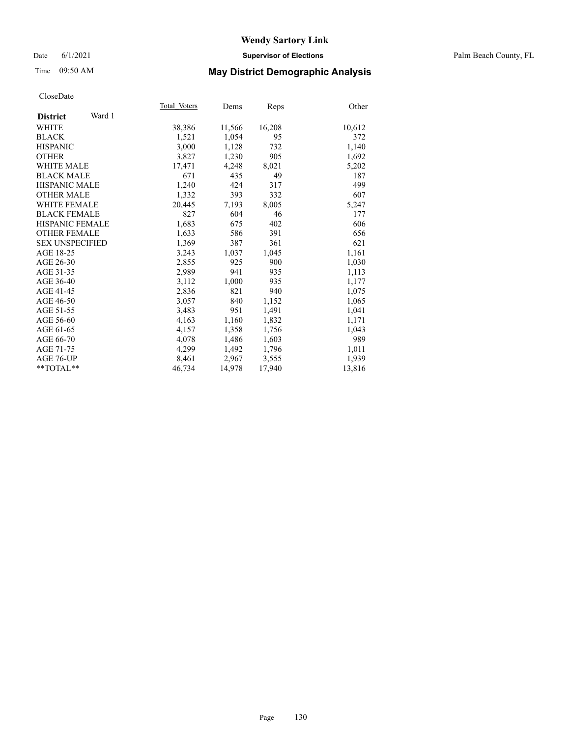### Date 6/1/2021 **Supervisor of Elections** Palm Beach County, FL

## Time 09:50 AM **May District Demographic Analysis**

|                           | Total Voters | Dems   | <b>Reps</b> | Other  |
|---------------------------|--------------|--------|-------------|--------|
| Ward 1<br><b>District</b> |              |        |             |        |
| WHITE                     | 38,386       | 11,566 | 16,208      | 10,612 |
| <b>BLACK</b>              | 1,521        | 1,054  | 95          | 372    |
| <b>HISPANIC</b>           | 3,000        | 1,128  | 732         | 1,140  |
| <b>OTHER</b>              | 3,827        | 1,230  | 905         | 1,692  |
| <b>WHITE MALE</b>         | 17,471       | 4,248  | 8,021       | 5,202  |
| <b>BLACK MALE</b>         | 671          | 435    | 49          | 187    |
| <b>HISPANIC MALE</b>      | 1,240        | 424    | 317         | 499    |
| <b>OTHER MALE</b>         | 1,332        | 393    | 332         | 607    |
| <b>WHITE FEMALE</b>       | 20,445       | 7,193  | 8,005       | 5,247  |
| <b>BLACK FEMALE</b>       | 827          | 604    | 46          | 177    |
| <b>HISPANIC FEMALE</b>    | 1,683        | 675    | 402         | 606    |
| <b>OTHER FEMALE</b>       | 1,633        | 586    | 391         | 656    |
| <b>SEX UNSPECIFIED</b>    | 1,369        | 387    | 361         | 621    |
| AGE 18-25                 | 3,243        | 1,037  | 1,045       | 1,161  |
| AGE 26-30                 | 2,855        | 925    | 900         | 1,030  |
| AGE 31-35                 | 2,989        | 941    | 935         | 1,113  |
| AGE 36-40                 | 3,112        | 1,000  | 935         | 1,177  |
| AGE 41-45                 | 2,836        | 821    | 940         | 1,075  |
| AGE 46-50                 | 3,057        | 840    | 1,152       | 1,065  |
| AGE 51-55                 | 3,483        | 951    | 1,491       | 1,041  |
| AGE 56-60                 | 4,163        | 1,160  | 1,832       | 1,171  |
| AGE 61-65                 | 4,157        | 1,358  | 1,756       | 1,043  |
| AGE 66-70                 | 4,078        | 1,486  | 1,603       | 989    |
| AGE 71-75                 | 4,299        | 1,492  | 1,796       | 1,011  |
| AGE 76-UP                 | 8,461        | 2,967  | 3,555       | 1,939  |
| $*$ $TOTAL**$             | 46,734       | 14,978 | 17,940      | 13,816 |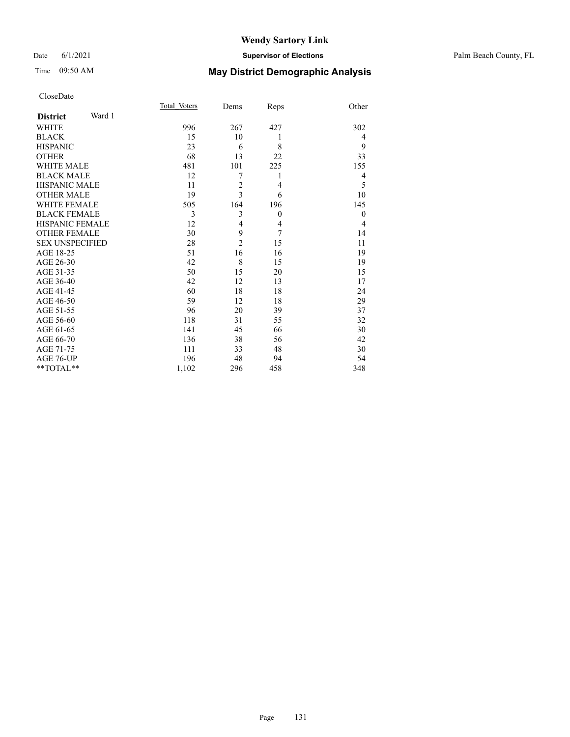## Time 09:50 AM **May District Demographic Analysis**

|                           | Total Voters | Dems           | Reps     | Other          |
|---------------------------|--------------|----------------|----------|----------------|
| Ward 1<br><b>District</b> |              |                |          |                |
| <b>WHITE</b>              | 996          | 267            | 427      | 302            |
| <b>BLACK</b>              | 15           | 10             | 1        | 4              |
| <b>HISPANIC</b>           | 23           | 6              | 8        | 9              |
| <b>OTHER</b>              | 68           | 13             | 22       | 33             |
| <b>WHITE MALE</b>         | 481          | 101            | 225      | 155            |
| <b>BLACK MALE</b>         | 12           | 7              | 1        | 4              |
| <b>HISPANIC MALE</b>      | 11           | $\overline{c}$ | 4        | 5              |
| <b>OTHER MALE</b>         | 19           | 3              | 6        | 10             |
| <b>WHITE FEMALE</b>       | 505          | 164            | 196      | 145            |
| <b>BLACK FEMALE</b>       | 3            | 3              | $\theta$ | $\theta$       |
| <b>HISPANIC FEMALE</b>    | 12           | $\overline{4}$ | 4        | $\overline{4}$ |
| <b>OTHER FEMALE</b>       | 30           | 9              | 7        | 14             |
| <b>SEX UNSPECIFIED</b>    | 28           | $\overline{c}$ | 15       | 11             |
| AGE 18-25                 | 51           | 16             | 16       | 19             |
| AGE 26-30                 | 42           | 8              | 15       | 19             |
| AGE 31-35                 | 50           | 15             | 20       | 15             |
| AGE 36-40                 | 42           | 12             | 13       | 17             |
| AGE 41-45                 | 60           | 18             | 18       | 24             |
| AGE 46-50                 | 59           | 12             | 18       | 29             |
| AGE 51-55                 | 96           | 20             | 39       | 37             |
| AGE 56-60                 | 118          | 31             | 55       | 32             |
| AGE 61-65                 | 141          | 45             | 66       | 30             |
| AGE 66-70                 | 136          | 38             | 56       | 42             |
| AGE 71-75                 | 111          | 33             | 48       | 30             |
| AGE 76-UP                 | 196          | 48             | 94       | 54             |
| **TOTAL**                 | 1,102        | 296            | 458      | 348            |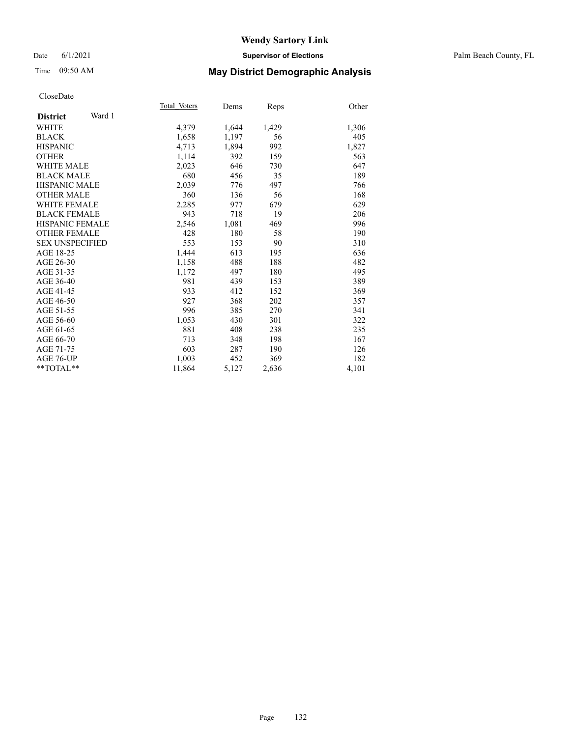### Date 6/1/2021 **Supervisor of Elections** Palm Beach County, FL

## Time 09:50 AM **May District Demographic Analysis**

|                           | Total Voters | Dems  | Reps  | Other |
|---------------------------|--------------|-------|-------|-------|
| Ward 1<br><b>District</b> |              |       |       |       |
| WHITE                     | 4,379        | 1,644 | 1,429 | 1,306 |
| <b>BLACK</b>              | 1,658        | 1,197 | 56    | 405   |
| <b>HISPANIC</b>           | 4,713        | 1,894 | 992   | 1,827 |
| <b>OTHER</b>              | 1,114        | 392   | 159   | 563   |
| WHITE MALE                | 2,023        | 646   | 730   | 647   |
| <b>BLACK MALE</b>         | 680          | 456   | 35    | 189   |
| <b>HISPANIC MALE</b>      | 2,039        | 776   | 497   | 766   |
| <b>OTHER MALE</b>         | 360          | 136   | 56    | 168   |
| <b>WHITE FEMALE</b>       | 2,285        | 977   | 679   | 629   |
| <b>BLACK FEMALE</b>       | 943          | 718   | 19    | 206   |
| <b>HISPANIC FEMALE</b>    | 2,546        | 1,081 | 469   | 996   |
| <b>OTHER FEMALE</b>       | 428          | 180   | 58    | 190   |
| <b>SEX UNSPECIFIED</b>    | 553          | 153   | 90    | 310   |
| AGE 18-25                 | 1,444        | 613   | 195   | 636   |
| AGE 26-30                 | 1,158        | 488   | 188   | 482   |
| AGE 31-35                 | 1,172        | 497   | 180   | 495   |
| AGE 36-40                 | 981          | 439   | 153   | 389   |
| AGE 41-45                 | 933          | 412   | 152   | 369   |
| AGE 46-50                 | 927          | 368   | 202   | 357   |
| AGE 51-55                 | 996          | 385   | 270   | 341   |
| AGE 56-60                 | 1,053        | 430   | 301   | 322   |
| AGE 61-65                 | 881          | 408   | 238   | 235   |
| AGE 66-70                 | 713          | 348   | 198   | 167   |
| AGE 71-75                 | 603          | 287   | 190   | 126   |
| AGE 76-UP                 | 1.003        | 452   | 369   | 182   |
| $*$ $TOTAL**$             | 11,864       | 5,127 | 2,636 | 4,101 |
|                           |              |       |       |       |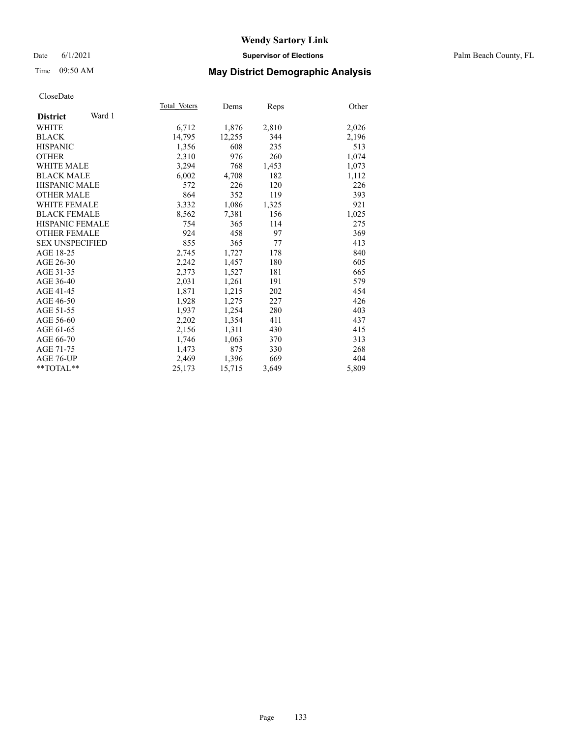### Date 6/1/2021 **Supervisor of Elections** Palm Beach County, FL

## Time 09:50 AM **May District Demographic Analysis**

|                           | Total Voters | Dems   | Reps  | Other |
|---------------------------|--------------|--------|-------|-------|
| Ward 1<br><b>District</b> |              |        |       |       |
| WHITE                     | 6,712        | 1,876  | 2,810 | 2,026 |
| <b>BLACK</b>              | 14,795       | 12,255 | 344   | 2,196 |
| <b>HISPANIC</b>           | 1.356        | 608    | 235   | 513   |
| <b>OTHER</b>              | 2,310        | 976    | 260   | 1,074 |
| <b>WHITE MALE</b>         | 3,294        | 768    | 1,453 | 1,073 |
| <b>BLACK MALE</b>         | 6,002        | 4,708  | 182   | 1,112 |
| <b>HISPANIC MALE</b>      | 572          | 226    | 120   | 226   |
| <b>OTHER MALE</b>         | 864          | 352    | 119   | 393   |
| <b>WHITE FEMALE</b>       | 3,332        | 1,086  | 1,325 | 921   |
| <b>BLACK FEMALE</b>       | 8,562        | 7,381  | 156   | 1,025 |
| <b>HISPANIC FEMALE</b>    | 754          | 365    | 114   | 275   |
| <b>OTHER FEMALE</b>       | 924          | 458    | 97    | 369   |
| <b>SEX UNSPECIFIED</b>    | 855          | 365    | 77    | 413   |
| AGE 18-25                 | 2,745        | 1,727  | 178   | 840   |
| AGE 26-30                 | 2,242        | 1,457  | 180   | 605   |
| AGE 31-35                 | 2,373        | 1,527  | 181   | 665   |
| AGE 36-40                 | 2,031        | 1,261  | 191   | 579   |
| AGE 41-45                 | 1,871        | 1,215  | 202   | 454   |
| AGE 46-50                 | 1,928        | 1,275  | 227   | 426   |
| AGE 51-55                 | 1,937        | 1,254  | 280   | 403   |
| AGE 56-60                 | 2,202        | 1,354  | 411   | 437   |
| AGE 61-65                 | 2,156        | 1,311  | 430   | 415   |
| AGE 66-70                 | 1,746        | 1,063  | 370   | 313   |
| AGE 71-75                 | 1,473        | 875    | 330   | 268   |
| AGE 76-UP                 | 2,469        | 1,396  | 669   | 404   |
| $*$ $TOTAL**$             | 25,173       | 15,715 | 3,649 | 5,809 |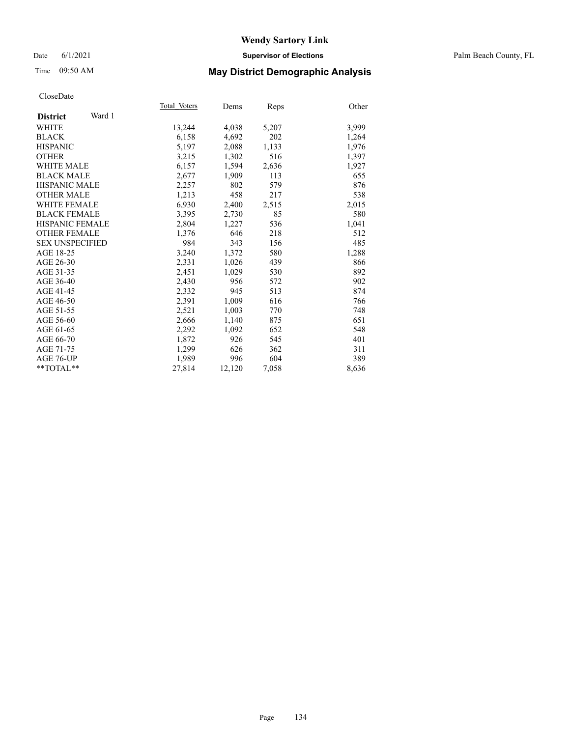### Date 6/1/2021 **Supervisor of Elections** Palm Beach County, FL

## Time 09:50 AM **May District Demographic Analysis**

|                           | Total Voters | Dems   | Reps  | Other |
|---------------------------|--------------|--------|-------|-------|
| Ward 1<br><b>District</b> |              |        |       |       |
| <b>WHITE</b>              | 13,244       | 4,038  | 5,207 | 3,999 |
| <b>BLACK</b>              | 6,158        | 4,692  | 202   | 1,264 |
| <b>HISPANIC</b>           | 5.197        | 2,088  | 1,133 | 1,976 |
| <b>OTHER</b>              | 3,215        | 1,302  | 516   | 1,397 |
| <b>WHITE MALE</b>         | 6,157        | 1,594  | 2,636 | 1,927 |
| <b>BLACK MALE</b>         | 2,677        | 1,909  | 113   | 655   |
| <b>HISPANIC MALE</b>      | 2,257        | 802    | 579   | 876   |
| <b>OTHER MALE</b>         | 1,213        | 458    | 217   | 538   |
| <b>WHITE FEMALE</b>       | 6,930        | 2,400  | 2,515 | 2,015 |
| <b>BLACK FEMALE</b>       | 3,395        | 2,730  | 85    | 580   |
| <b>HISPANIC FEMALE</b>    | 2,804        | 1,227  | 536   | 1,041 |
| <b>OTHER FEMALE</b>       | 1,376        | 646    | 218   | 512   |
| <b>SEX UNSPECIFIED</b>    | 984          | 343    | 156   | 485   |
| AGE 18-25                 | 3,240        | 1,372  | 580   | 1,288 |
| AGE 26-30                 | 2,331        | 1,026  | 439   | 866   |
| AGE 31-35                 | 2,451        | 1,029  | 530   | 892   |
| AGE 36-40                 | 2,430        | 956    | 572   | 902   |
| AGE 41-45                 | 2,332        | 945    | 513   | 874   |
| AGE 46-50                 | 2,391        | 1,009  | 616   | 766   |
| AGE 51-55                 | 2,521        | 1,003  | 770   | 748   |
| AGE 56-60                 | 2,666        | 1,140  | 875   | 651   |
| AGE 61-65                 | 2,292        | 1,092  | 652   | 548   |
| AGE 66-70                 | 1,872        | 926    | 545   | 401   |
| AGE 71-75                 | 1,299        | 626    | 362   | 311   |
| AGE 76-UP                 | 1,989        | 996    | 604   | 389   |
| $*$ $TOTAL**$             | 27,814       | 12,120 | 7,058 | 8,636 |
|                           |              |        |       |       |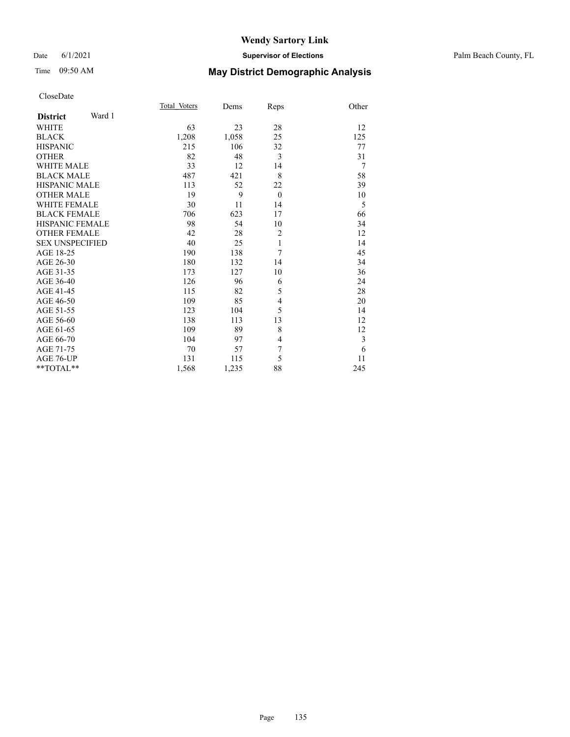### Date 6/1/2021 **Supervisor of Elections** Palm Beach County, FL

## Time 09:50 AM **May District Demographic Analysis**

|                           | Total Voters | Dems  | Reps           | Other          |
|---------------------------|--------------|-------|----------------|----------------|
| Ward 1<br><b>District</b> |              |       |                |                |
| <b>WHITE</b>              | 63           | 23    | 28             | 12             |
| <b>BLACK</b>              | 1,208        | 1,058 | 25             | 125            |
| <b>HISPANIC</b>           | 215          | 106   | 32             | 77             |
| <b>OTHER</b>              | 82           | 48    | 3              | 31             |
| <b>WHITE MALE</b>         | 33           | 12    | 14             | $\overline{7}$ |
| <b>BLACK MALE</b>         | 487          | 421   | 8              | 58             |
| <b>HISPANIC MALE</b>      | 113          | 52    | 22             | 39             |
| <b>OTHER MALE</b>         | 19           | 9     | $\theta$       | 10             |
| <b>WHITE FEMALE</b>       | 30           | 11    | 14             | 5              |
| <b>BLACK FEMALE</b>       | 706          | 623   | 17             | 66             |
| <b>HISPANIC FEMALE</b>    | 98           | 54    | 10             | 34             |
| <b>OTHER FEMALE</b>       | 42           | 28    | $\overline{2}$ | 12             |
| <b>SEX UNSPECIFIED</b>    | 40           | 25    | $\mathbf{1}$   | 14             |
| AGE 18-25                 | 190          | 138   | 7              | 45             |
| AGE 26-30                 | 180          | 132   | 14             | 34             |
| AGE 31-35                 | 173          | 127   | 10             | 36             |
| AGE 36-40                 | 126          | 96    | 6              | 24             |
| AGE 41-45                 | 115          | 82    | 5              | 28             |
| AGE 46-50                 | 109          | 85    | 4              | 20             |
| AGE 51-55                 | 123          | 104   | 5              | 14             |
| AGE 56-60                 | 138          | 113   | 13             | 12             |
| AGE 61-65                 | 109          | 89    | 8              | 12             |
| AGE 66-70                 | 104          | 97    | 4              | 3              |
| AGE 71-75                 | 70           | 57    | 7              | 6              |
| AGE 76-UP                 | 131          | 115   | 5              | 11             |
| $*$ $TOTAL**$             | 1,568        | 1,235 | 88             | 245            |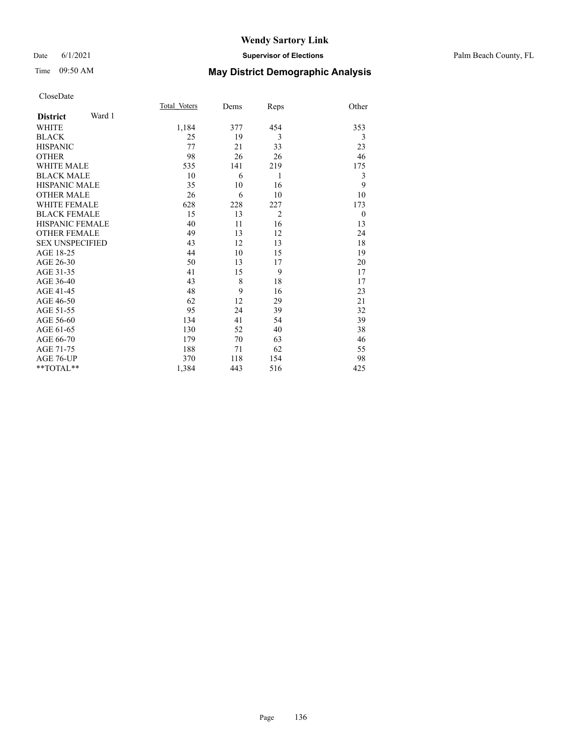### Date 6/1/2021 **Supervisor of Elections** Palm Beach County, FL

## Time 09:50 AM **May District Demographic Analysis**

|                           | Total Voters | Dems | Reps           | Other        |
|---------------------------|--------------|------|----------------|--------------|
| Ward 1<br><b>District</b> |              |      |                |              |
| <b>WHITE</b>              | 1,184        | 377  | 454            | 353          |
| <b>BLACK</b>              | 25           | 19   | 3              | 3            |
| <b>HISPANIC</b>           | 77           | 21   | 33             | 23           |
| <b>OTHER</b>              | 98           | 26   | 26             | 46           |
| <b>WHITE MALE</b>         | 535          | 141  | 219            | 175          |
| <b>BLACK MALE</b>         | 10           | 6    | 1              | 3            |
| <b>HISPANIC MALE</b>      | 35           | 10   | 16             | 9            |
| <b>OTHER MALE</b>         | 26           | 6    | 10             | 10           |
| <b>WHITE FEMALE</b>       | 628          | 228  | 227            | 173          |
| <b>BLACK FEMALE</b>       | 15           | 13   | $\overline{2}$ | $\mathbf{0}$ |
| <b>HISPANIC FEMALE</b>    | 40           | 11   | 16             | 13           |
| <b>OTHER FEMALE</b>       | 49           | 13   | 12             | 24           |
| <b>SEX UNSPECIFIED</b>    | 43           | 12   | 13             | 18           |
| AGE 18-25                 | 44           | 10   | 15             | 19           |
| AGE 26-30                 | 50           | 13   | 17             | 20           |
| AGE 31-35                 | 41           | 15   | 9              | 17           |
| AGE 36-40                 | 43           | 8    | 18             | 17           |
| AGE 41-45                 | 48           | 9    | 16             | 23           |
| AGE 46-50                 | 62           | 12   | 29             | 21           |
| AGE 51-55                 | 95           | 24   | 39             | 32           |
| AGE 56-60                 | 134          | 41   | 54             | 39           |
| AGE 61-65                 | 130          | 52   | 40             | 38           |
| AGE 66-70                 | 179          | 70   | 63             | 46           |
| AGE 71-75                 | 188          | 71   | 62             | 55           |
| AGE 76-UP                 | 370          | 118  | 154            | 98           |
| **TOTAL**                 | 1,384        | 443  | 516            | 425          |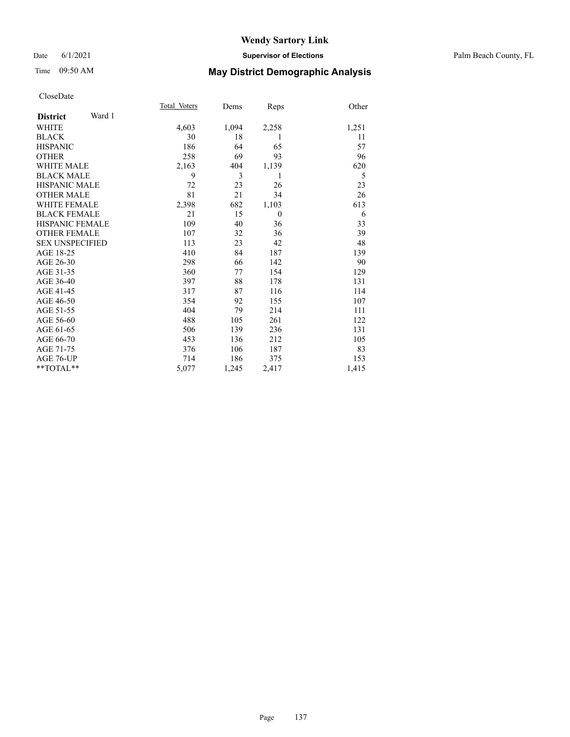## Time 09:50 AM **May District Demographic Analysis**

|                        |        | Total Voters | Dems  | Reps         | Other |
|------------------------|--------|--------------|-------|--------------|-------|
| <b>District</b>        | Ward 1 |              |       |              |       |
| <b>WHITE</b>           |        | 4,603        | 1,094 | 2,258        | 1,251 |
| <b>BLACK</b>           |        | 30           | 18    | 1            | 11    |
| <b>HISPANIC</b>        |        | 186          | 64    | 65           | 57    |
| <b>OTHER</b>           |        | 258          | 69    | 93           | 96    |
| <b>WHITE MALE</b>      |        | 2,163        | 404   | 1,139        | 620   |
| <b>BLACK MALE</b>      |        | 9            | 3     | 1            | 5     |
| <b>HISPANIC MALE</b>   |        | 72           | 23    | 26           | 23    |
| <b>OTHER MALE</b>      |        | 81           | 21    | 34           | 26    |
| <b>WHITE FEMALE</b>    |        | 2,398        | 682   | 1,103        | 613   |
| <b>BLACK FEMALE</b>    |        | 21           | 15    | $\mathbf{0}$ | 6     |
| HISPANIC FEMALE        |        | 109          | 40    | 36           | 33    |
| <b>OTHER FEMALE</b>    |        | 107          | 32    | 36           | 39    |
| <b>SEX UNSPECIFIED</b> |        | 113          | 23    | 42           | 48    |
| AGE 18-25              |        | 410          | 84    | 187          | 139   |
| AGE 26-30              |        | 298          | 66    | 142          | 90    |
| AGE 31-35              |        | 360          | 77    | 154          | 129   |
| AGE 36-40              |        | 397          | 88    | 178          | 131   |
| AGE 41-45              |        | 317          | 87    | 116          | 114   |
| AGE 46-50              |        | 354          | 92    | 155          | 107   |
| AGE 51-55              |        | 404          | 79    | 214          | 111   |
| AGE 56-60              |        | 488          | 105   | 261          | 122   |
| AGE 61-65              |        | 506          | 139   | 236          | 131   |
| AGE 66-70              |        | 453          | 136   | 212          | 105   |
| AGE 71-75              |        | 376          | 106   | 187          | 83    |
| AGE 76-UP              |        | 714          | 186   | 375          | 153   |
| $*$ $TOTAL**$          |        | 5,077        | 1,245 | 2,417        | 1,415 |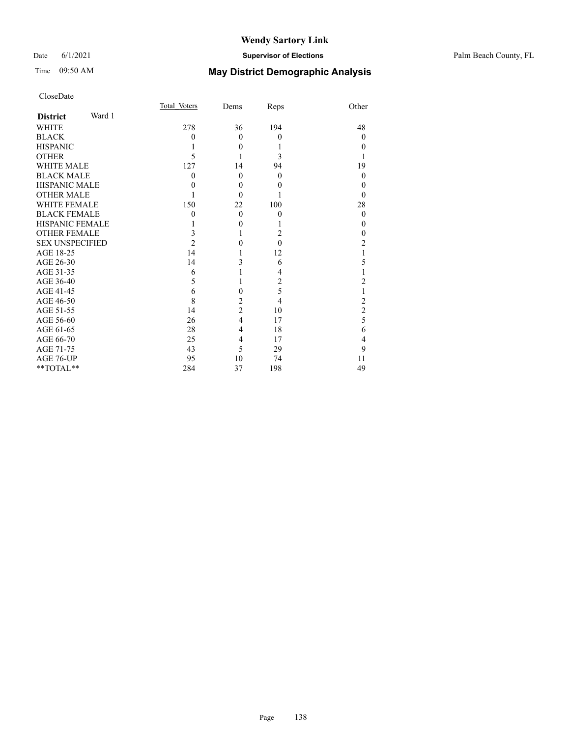## Time 09:50 AM **May District Demographic Analysis**

| CloseDate |
|-----------|
|-----------|

|                        |        | Total Voters   | Dems           | Reps           | Other          |
|------------------------|--------|----------------|----------------|----------------|----------------|
| <b>District</b>        | Ward 1 |                |                |                |                |
| <b>WHITE</b>           |        | 278            | 36             | 194            | 48             |
| <b>BLACK</b>           |        | $\theta$       | $\theta$       | $\theta$       | $\Omega$       |
| <b>HISPANIC</b>        |        |                | $\theta$       | 1              | $\theta$       |
| <b>OTHER</b>           |        | 5              | 1              | 3              | 1              |
| <b>WHITE MALE</b>      |        | 127            | 14             | 94             | 19             |
| <b>BLACK MALE</b>      |        | $\theta$       | $\theta$       | $\Omega$       | $\theta$       |
| <b>HISPANIC MALE</b>   |        | 0              | $\theta$       | 0              | $\theta$       |
| <b>OTHER MALE</b>      |        |                | $\Omega$       |                | $\Omega$       |
| <b>WHITE FEMALE</b>    |        | 150            | 22             | 100            | 28             |
| <b>BLACK FEMALE</b>    |        | $\theta$       | $\theta$       | $\theta$       | $\theta$       |
| <b>HISPANIC FEMALE</b> |        |                | $\theta$       |                | $\theta$       |
| <b>OTHER FEMALE</b>    |        | 3              |                | 2              | $\theta$       |
| <b>SEX UNSPECIFIED</b> |        | $\overline{2}$ | $\theta$       | $\theta$       | 2              |
| AGE 18-25              |        | 14             |                | 12             |                |
| AGE 26-30              |        | 14             | 3              | 6              | 5              |
| AGE 31-35              |        | 6              |                | 4              |                |
| AGE 36-40              |        | 5              |                | $\overline{2}$ | 2              |
| AGE 41-45              |        | 6              | $\theta$       | 5              | 1              |
| AGE 46-50              |        | 8              | $\overline{c}$ | 4              | $\overline{2}$ |
| AGE 51-55              |        | 14             | $\overline{c}$ | 10             | $\overline{2}$ |
| AGE 56-60              |        | 26             | $\overline{4}$ | 17             | 5              |
| AGE 61-65              |        | 28             | $\overline{4}$ | 18             | 6              |
| AGE 66-70              |        | 25             | 4              | 17             | 4              |
| AGE 71-75              |        | 43             | 5              | 29             | 9              |
| AGE 76-UP              |        | 95             | 10             | 74             | 11             |
| **TOTAL**              |        | 284            | 37             | 198            | 49             |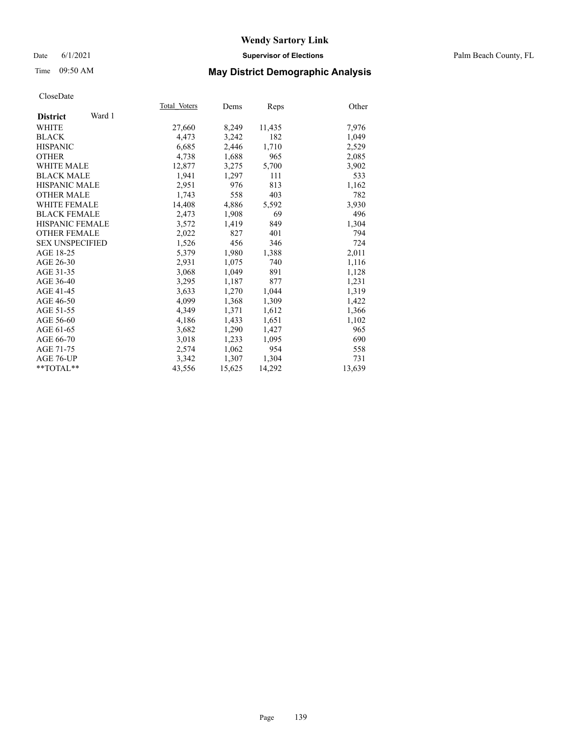### Date 6/1/2021 **Supervisor of Elections** Palm Beach County, FL

## Time 09:50 AM **May District Demographic Analysis**

|                           | Total Voters | Dems   | Reps   | Other  |
|---------------------------|--------------|--------|--------|--------|
| Ward 1<br><b>District</b> |              |        |        |        |
| WHITE                     | 27,660       | 8,249  | 11,435 | 7,976  |
| <b>BLACK</b>              | 4,473        | 3,242  | 182    | 1,049  |
| <b>HISPANIC</b>           | 6,685        | 2,446  | 1,710  | 2,529  |
| <b>OTHER</b>              | 4,738        | 1,688  | 965    | 2,085  |
| <b>WHITE MALE</b>         | 12,877       | 3,275  | 5,700  | 3,902  |
| <b>BLACK MALE</b>         | 1,941        | 1,297  | 111    | 533    |
| HISPANIC MALE             | 2,951        | 976    | 813    | 1,162  |
| <b>OTHER MALE</b>         | 1,743        | 558    | 403    | 782    |
| <b>WHITE FEMALE</b>       | 14,408       | 4,886  | 5,592  | 3,930  |
| <b>BLACK FEMALE</b>       | 2,473        | 1,908  | 69     | 496    |
| <b>HISPANIC FEMALE</b>    | 3,572        | 1,419  | 849    | 1,304  |
| <b>OTHER FEMALE</b>       | 2,022        | 827    | 401    | 794    |
| <b>SEX UNSPECIFIED</b>    | 1,526        | 456    | 346    | 724    |
| AGE 18-25                 | 5,379        | 1,980  | 1,388  | 2,011  |
| AGE 26-30                 | 2,931        | 1,075  | 740    | 1,116  |
| AGE 31-35                 | 3,068        | 1,049  | 891    | 1,128  |
| AGE 36-40                 | 3,295        | 1,187  | 877    | 1,231  |
| AGE 41-45                 | 3,633        | 1,270  | 1,044  | 1,319  |
| AGE 46-50                 | 4,099        | 1,368  | 1,309  | 1,422  |
| AGE 51-55                 | 4,349        | 1,371  | 1,612  | 1,366  |
| AGE 56-60                 | 4,186        | 1,433  | 1,651  | 1,102  |
| AGE 61-65                 | 3,682        | 1,290  | 1,427  | 965    |
| AGE 66-70                 | 3,018        | 1,233  | 1,095  | 690    |
| AGE 71-75                 | 2,574        | 1,062  | 954    | 558    |
| AGE 76-UP                 | 3,342        | 1,307  | 1,304  | 731    |
| $*$ $TOTAL**$             | 43,556       | 15,625 | 14,292 | 13,639 |
|                           |              |        |        |        |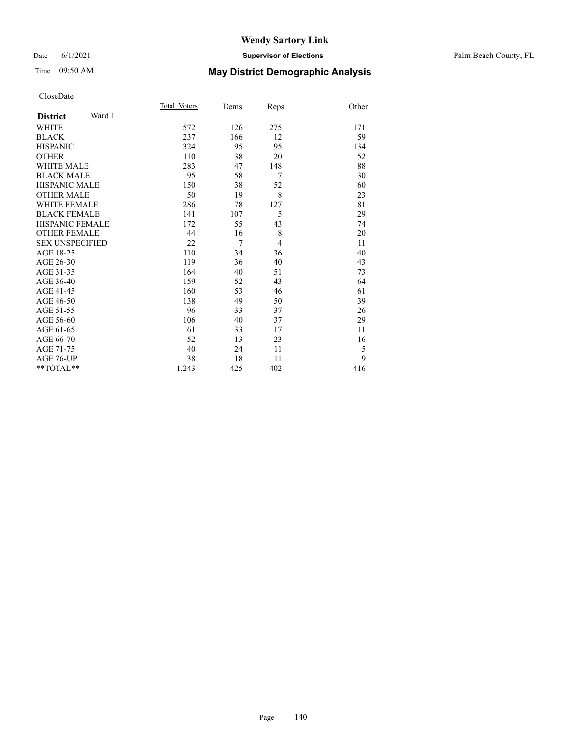### Date 6/1/2021 **Supervisor of Elections** Palm Beach County, FL

## Time 09:50 AM **May District Demographic Analysis**

|                           | Total Voters | Dems   | Reps           | Other |
|---------------------------|--------------|--------|----------------|-------|
| Ward 1<br><b>District</b> |              |        |                |       |
| <b>WHITE</b>              | 572          | 126    | 275            | 171   |
| <b>BLACK</b>              | 237          | 166    | 12             | 59    |
| <b>HISPANIC</b>           | 324          | 95     | 95             | 134   |
| <b>OTHER</b>              | 110          | 38     | 20             | 52    |
| <b>WHITE MALE</b>         | 283          | 47     | 148            | 88    |
| <b>BLACK MALE</b>         | 95           | 58     | 7              | 30    |
| <b>HISPANIC MALE</b>      | 150          | 38     | 52             | 60    |
| <b>OTHER MALE</b>         | 50           | 19     | 8              | 23    |
| WHITE FEMALE              | 286          | 78     | 127            | 81    |
| <b>BLACK FEMALE</b>       | 141          | 107    | 5              | 29    |
| <b>HISPANIC FEMALE</b>    | 172          | 55     | 43             | 74    |
| <b>OTHER FEMALE</b>       | 44           | 16     | 8              | 20    |
| <b>SEX UNSPECIFIED</b>    | 22           | $\tau$ | $\overline{4}$ | 11    |
| AGE 18-25                 | 110          | 34     | 36             | 40    |
| AGE 26-30                 | 119          | 36     | 40             | 43    |
| AGE 31-35                 | 164          | 40     | 51             | 73    |
| AGE 36-40                 | 159          | 52     | 43             | 64    |
| AGE 41-45                 | 160          | 53     | 46             | 61    |
| AGE 46-50                 | 138          | 49     | 50             | 39    |
| AGE 51-55                 | 96           | 33     | 37             | 26    |
| AGE 56-60                 | 106          | 40     | 37             | 29    |
| AGE 61-65                 | 61           | 33     | 17             | 11    |
| AGE 66-70                 | 52           | 13     | 23             | 16    |
| AGE 71-75                 | 40           | 24     | 11             | 5     |
| AGE 76-UP                 | 38           | 18     | 11             | 9     |
| **TOTAL**                 | 1,243        | 425    | 402            | 416   |